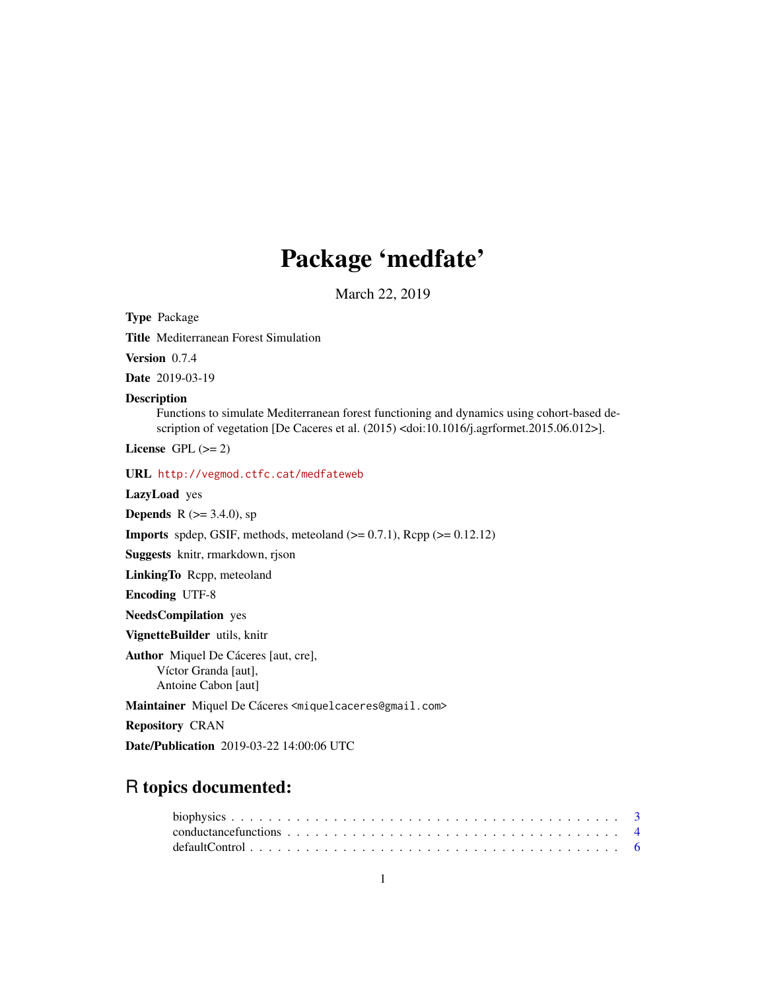# Package 'medfate'

March 22, 2019

<span id="page-0-0"></span>Type Package Title Mediterranean Forest Simulation

Version 0.7.4

Date 2019-03-19

## Description

Functions to simulate Mediterranean forest functioning and dynamics using cohort-based description of vegetation [De Caceres et al. (2015) <doi:10.1016/j.agrformet.2015.06.012>].

License GPL  $(>= 2)$ 

URL <http://vegmod.ctfc.cat/medfateweb>

LazyLoad yes

**Depends** R ( $> = 3.4.0$ ), sp

**Imports** spdep, GSIF, methods, meteoland  $(>= 0.7.1)$ , Rcpp  $(>= 0.12.12)$ 

Suggests knitr, rmarkdown, rjson

LinkingTo Rcpp, meteoland

Encoding UTF-8

NeedsCompilation yes

VignetteBuilder utils, knitr

Author Miquel De Cáceres [aut, cre], Víctor Granda [aut], Antoine Cabon [aut]

Maintainer Miquel De Cáceres <miquelcaceres@gmail.com>

Repository CRAN

Date/Publication 2019-03-22 14:00:06 UTC

## R topics documented: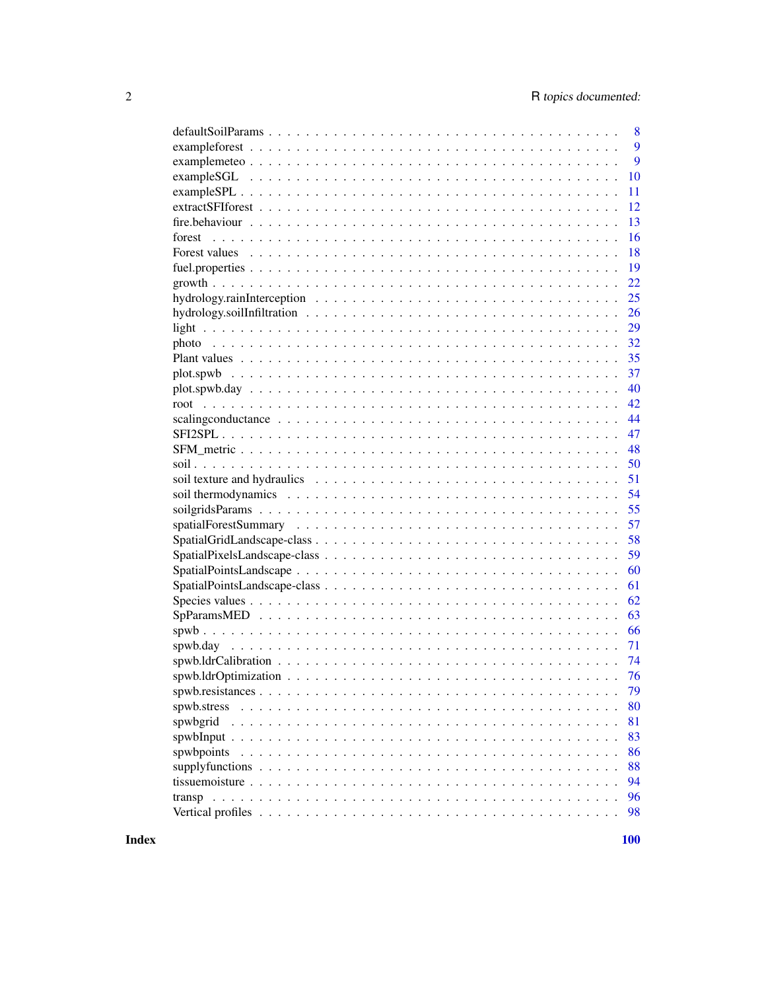|                                                                                                       | 8  |
|-------------------------------------------------------------------------------------------------------|----|
|                                                                                                       | 9  |
|                                                                                                       | 9  |
|                                                                                                       | 10 |
|                                                                                                       | 11 |
|                                                                                                       | 12 |
|                                                                                                       | 13 |
| forest                                                                                                | 16 |
|                                                                                                       | 18 |
|                                                                                                       | 19 |
|                                                                                                       | 22 |
|                                                                                                       | 25 |
|                                                                                                       | 26 |
|                                                                                                       | 29 |
|                                                                                                       | 32 |
|                                                                                                       | 35 |
|                                                                                                       | 37 |
|                                                                                                       | 40 |
|                                                                                                       | 42 |
|                                                                                                       | 44 |
|                                                                                                       | 47 |
|                                                                                                       | 48 |
|                                                                                                       | 50 |
|                                                                                                       | 51 |
|                                                                                                       | 54 |
|                                                                                                       | 55 |
|                                                                                                       | 57 |
|                                                                                                       | 58 |
|                                                                                                       | 59 |
|                                                                                                       | 60 |
|                                                                                                       | 61 |
|                                                                                                       | 62 |
|                                                                                                       | 63 |
|                                                                                                       | 66 |
|                                                                                                       | 71 |
|                                                                                                       | 74 |
|                                                                                                       | 76 |
|                                                                                                       | 79 |
|                                                                                                       |    |
|                                                                                                       | 80 |
| spwbgrid                                                                                              | 81 |
|                                                                                                       | 83 |
| spwbpoints                                                                                            | 86 |
|                                                                                                       | 88 |
| tissue moisture $\ldots \ldots \ldots \ldots \ldots \ldots \ldots \ldots \ldots \ldots \ldots \ldots$ | 94 |
|                                                                                                       | 96 |
|                                                                                                       | 98 |

**Index**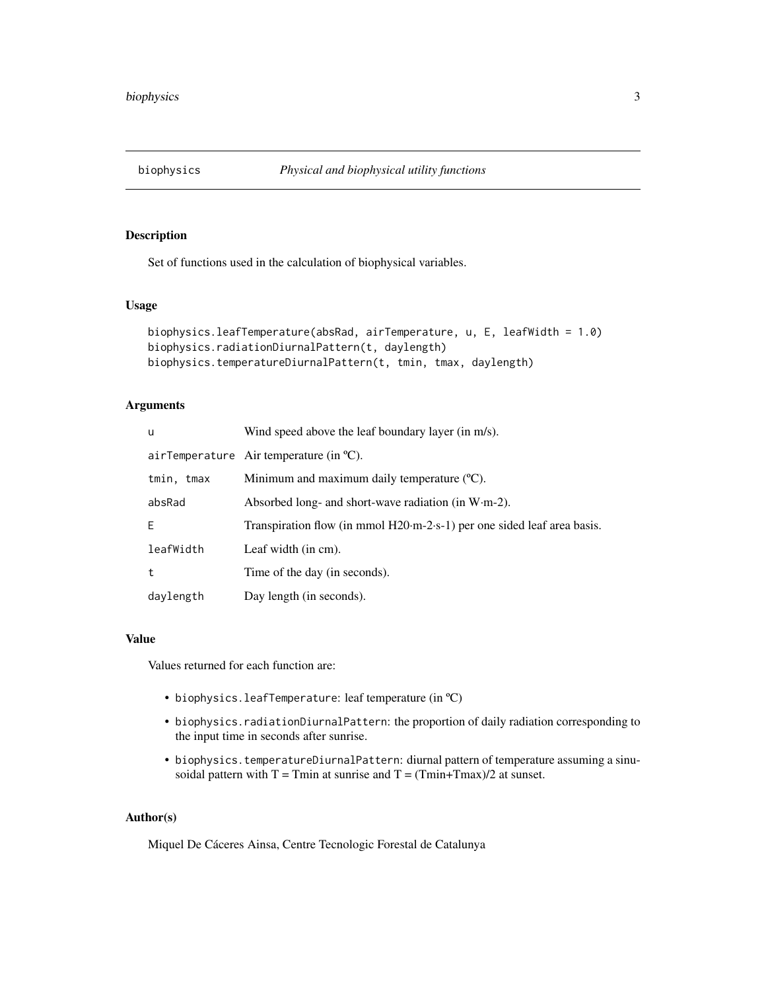<span id="page-2-0"></span>

## <span id="page-2-1"></span>Description

Set of functions used in the calculation of biophysical variables.

## Usage

```
biophysics.leafTemperature(absRad, airTemperature, u, E, leafWidth = 1.0)
biophysics.radiationDiurnalPattern(t, daylength)
biophysics.temperatureDiurnalPattern(t, tmin, tmax, daylength)
```
## Arguments

| u          | Wind speed above the leaf boundary layer (in m/s).                                         |
|------------|--------------------------------------------------------------------------------------------|
|            | airTemperature Air temperature (in $^{\circ}C$ ).                                          |
| tmin, tmax | Minimum and maximum daily temperature $(C)$ .                                              |
| absRad     | Absorbed long- and short-wave radiation (in $W \cdot m-2$ ).                               |
| E.         | Transpiration flow (in mmol $H20 \text{ m}-2 \text{ s}-1$ ) per one sided leaf area basis. |
| leafWidth  | Leaf width (in cm).                                                                        |
| t          | Time of the day (in seconds).                                                              |
| daylength  | Day length (in seconds).                                                                   |

## Value

Values returned for each function are:

- biophysics.leafTemperature: leaf temperature (in ºC)
- biophysics.radiationDiurnalPattern: the proportion of daily radiation corresponding to the input time in seconds after sunrise.
- biophysics.temperatureDiurnalPattern: diurnal pattern of temperature assuming a sinusoidal pattern with  $T = Tmin$  at sunrise and  $T = (Tmin + Tmax)/2$  at sunset.

## Author(s)

Miquel De Cáceres Ainsa, Centre Tecnologic Forestal de Catalunya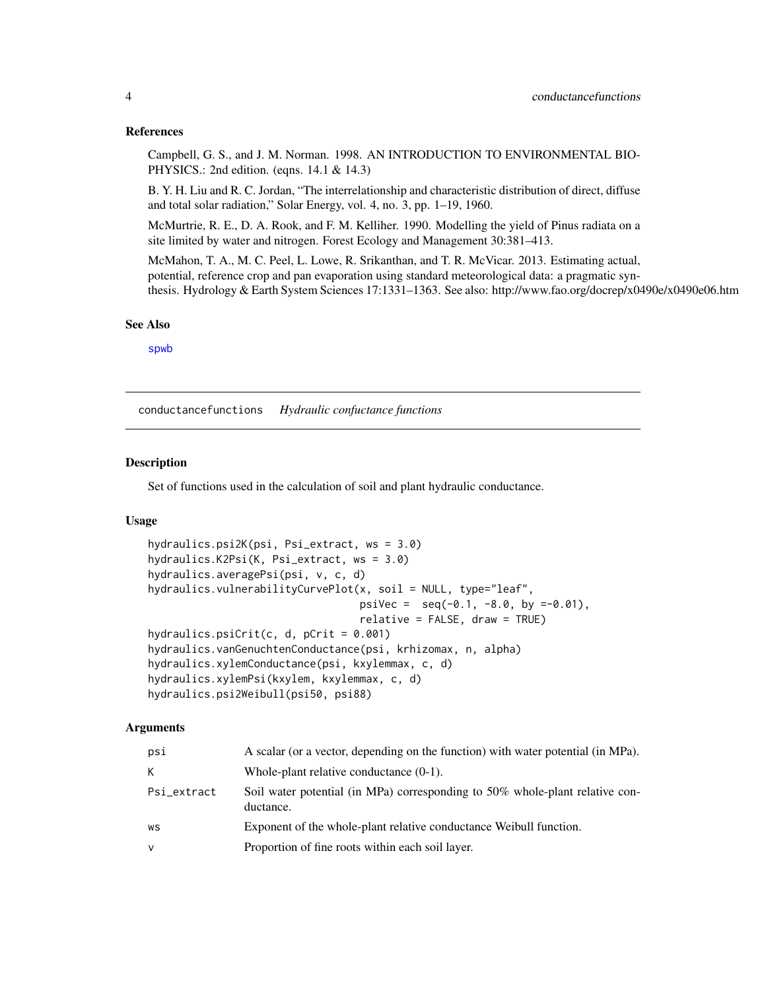## <span id="page-3-0"></span>References

Campbell, G. S., and J. M. Norman. 1998. AN INTRODUCTION TO ENVIRONMENTAL BIO-PHYSICS.: 2nd edition. (eqns. 14.1 & 14.3)

B. Y. H. Liu and R. C. Jordan, "The interrelationship and characteristic distribution of direct, diffuse and total solar radiation," Solar Energy, vol. 4, no. 3, pp. 1–19, 1960.

McMurtrie, R. E., D. A. Rook, and F. M. Kelliher. 1990. Modelling the yield of Pinus radiata on a site limited by water and nitrogen. Forest Ecology and Management 30:381–413.

McMahon, T. A., M. C. Peel, L. Lowe, R. Srikanthan, and T. R. McVicar. 2013. Estimating actual, potential, reference crop and pan evaporation using standard meteorological data: a pragmatic synthesis. Hydrology & Earth System Sciences 17:1331–1363. See also: http://www.fao.org/docrep/x0490e/x0490e06.htm

#### See Also

[spwb](#page-65-1)

conductancefunctions *Hydraulic confuctance functions*

#### Description

Set of functions used in the calculation of soil and plant hydraulic conductance.

#### Usage

```
hydraulics.psi2K(psi, Psi_extract, ws = 3.0)
hydraulics.K2Psi(K, Psi_extract, ws = 3.0)
hydraulics.averagePsi(psi, v, c, d)
hydraulics.vulnerabilityCurvePlot(x, soil = NULL, type="leaf",
                                  psiVec = seq(-0.1, -8.0, by =0.01),
                                  relative = FALSE, draw = TRUE)
hydraulics.psiCrit(c, d, pCrit = 0.001)
hydraulics.vanGenuchtenConductance(psi, krhizomax, n, alpha)
hydraulics.xylemConductance(psi, kxylemmax, c, d)
hydraulics.xylemPsi(kxylem, kxylemmax, c, d)
hydraulics.psi2Weibull(psi50, psi88)
```
## Arguments

| psi          | A scalar (or a vector, depending on the function) with water potential (in MPa).          |
|--------------|-------------------------------------------------------------------------------------------|
| K            | Whole-plant relative conductance $(0-1)$ .                                                |
| Psi_extract  | Soil water potential (in MPa) corresponding to 50% whole-plant relative con-<br>ductance. |
| WS           | Exponent of the whole-plant relative conductance Weibull function.                        |
| $\mathsf{V}$ | Proportion of fine roots within each soil layer.                                          |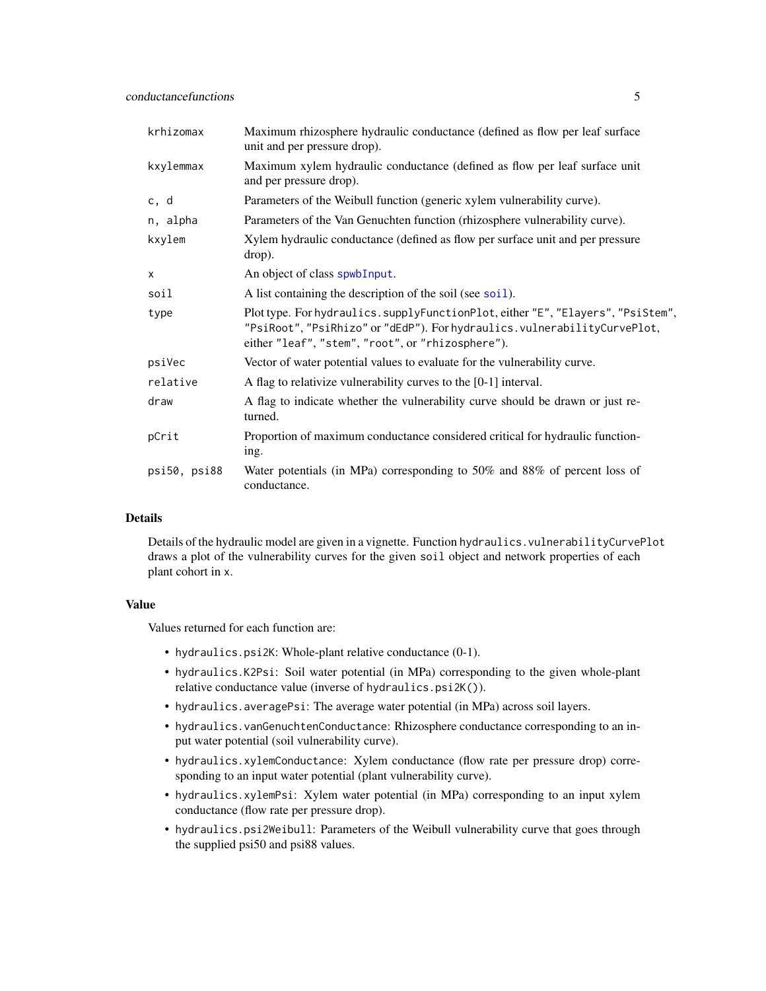| krhizomax    | Maximum rhizosphere hydraulic conductance (defined as flow per leaf surface<br>unit and per pressure drop).                                                                                                       |
|--------------|-------------------------------------------------------------------------------------------------------------------------------------------------------------------------------------------------------------------|
| kxylemmax    | Maximum xylem hydraulic conductance (defined as flow per leaf surface unit<br>and per pressure drop).                                                                                                             |
| c, d         | Parameters of the Weibull function (generic xylem vulnerability curve).                                                                                                                                           |
| n, alpha     | Parameters of the Van Genuchten function (rhizosphere vulnerability curve).                                                                                                                                       |
| kxylem       | Xylem hydraulic conductance (defined as flow per surface unit and per pressure<br>drop).                                                                                                                          |
| $\mathsf{x}$ | An object of class spwbInput.                                                                                                                                                                                     |
| soil         | A list containing the description of the soil (see soil).                                                                                                                                                         |
| type         | Plot type. For hydraulics.supplyFunctionPlot, either "E", "Elayers", "PsiStem",<br>"PsiRoot", "PsiRhizo" or "dEdP"). For hydraulics. vulnerabilityCurvePlot,<br>either "leaf", "stem", "root", or "rhizosphere"). |
| psiVec       | Vector of water potential values to evaluate for the vulnerability curve.                                                                                                                                         |
| relative     | A flag to relativize vulnerability curves to the [0-1] interval.                                                                                                                                                  |
| draw         | A flag to indicate whether the vulnerability curve should be drawn or just re-<br>turned.                                                                                                                         |
| pCrit        | Proportion of maximum conductance considered critical for hydraulic function-<br>ing.                                                                                                                             |
| psi50, psi88 | Water potentials (in MPa) corresponding to 50% and 88% of percent loss of<br>conductance.                                                                                                                         |

#### Details

Details of the hydraulic model are given in a vignette. Function hydraulics. vulnerabilityCurvePlot draws a plot of the vulnerability curves for the given soil object and network properties of each plant cohort in x.

## Value

Values returned for each function are:

- hydraulics.psi2K: Whole-plant relative conductance (0-1).
- hydraulics.K2Psi: Soil water potential (in MPa) corresponding to the given whole-plant relative conductance value (inverse of hydraulics.psi2K()).
- hydraulics.averagePsi: The average water potential (in MPa) across soil layers.
- hydraulics.vanGenuchtenConductance: Rhizosphere conductance corresponding to an input water potential (soil vulnerability curve).
- hydraulics.xylemConductance: Xylem conductance (flow rate per pressure drop) corresponding to an input water potential (plant vulnerability curve).
- hydraulics.xylemPsi: Xylem water potential (in MPa) corresponding to an input xylem conductance (flow rate per pressure drop).
- hydraulics.psi2Weibull: Parameters of the Weibull vulnerability curve that goes through the supplied psi50 and psi88 values.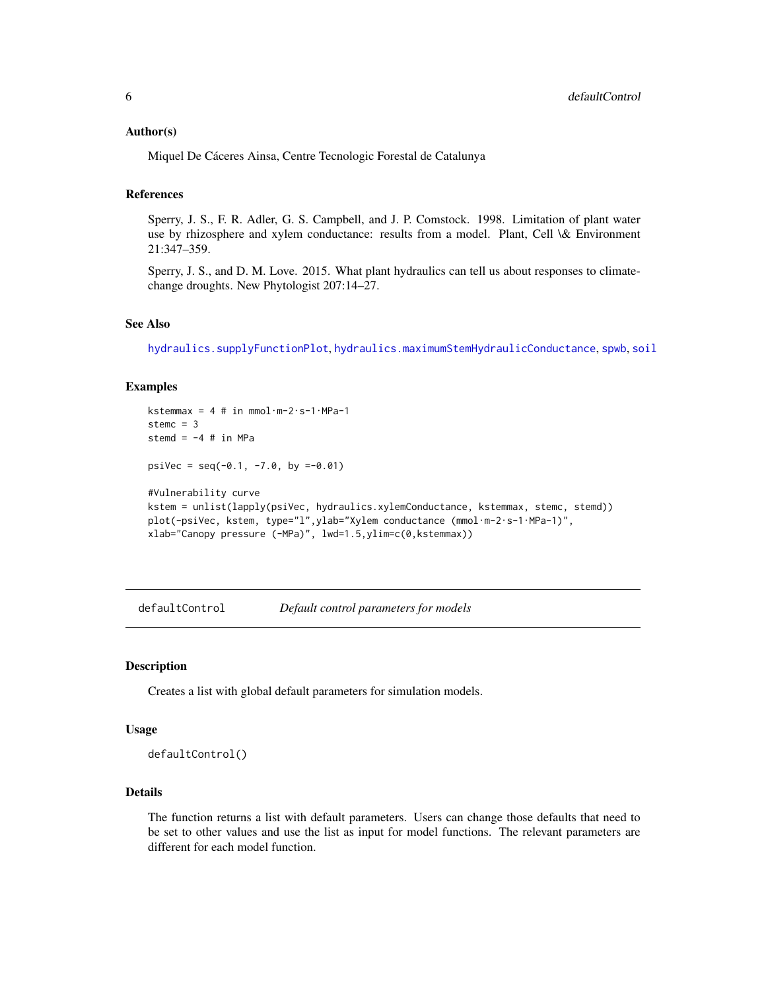### <span id="page-5-0"></span>Author(s)

Miquel De Cáceres Ainsa, Centre Tecnologic Forestal de Catalunya

## References

Sperry, J. S., F. R. Adler, G. S. Campbell, and J. P. Comstock. 1998. Limitation of plant water use by rhizosphere and xylem conductance: results from a model. Plant, Cell \& Environment 21:347–359.

Sperry, J. S., and D. M. Love. 2015. What plant hydraulics can tell us about responses to climatechange droughts. New Phytologist 207:14–27.

## See Also

[hydraulics.supplyFunctionPlot](#page-87-1), [hydraulics.maximumStemHydraulicConductance](#page-43-1), [spwb](#page-65-1), [soil](#page-49-1)

## Examples

```
kstemmax = 4 # in mmol·m-2·s-1·MPa-1
stemc = 3stemd = -4 # in MPa
psiVec = seq(-0.1, -7.0, by =0.01)#Vulnerability curve
kstem = unlist(lapply(psiVec, hydraulics.xylemConductance, kstemmax, stemc, stemd))
plot(-psiVec, kstem, type="l",ylab="Xylem conductance (mmol·m-2·s-1·MPa-1)",
xlab="Canopy pressure (-MPa)", lwd=1.5,ylim=c(0,kstemmax))
```
<span id="page-5-1"></span>defaultControl *Default control parameters for models*

## **Description**

Creates a list with global default parameters for simulation models.

#### Usage

defaultControl()

## Details

The function returns a list with default parameters. Users can change those defaults that need to be set to other values and use the list as input for model functions. The relevant parameters are different for each model function.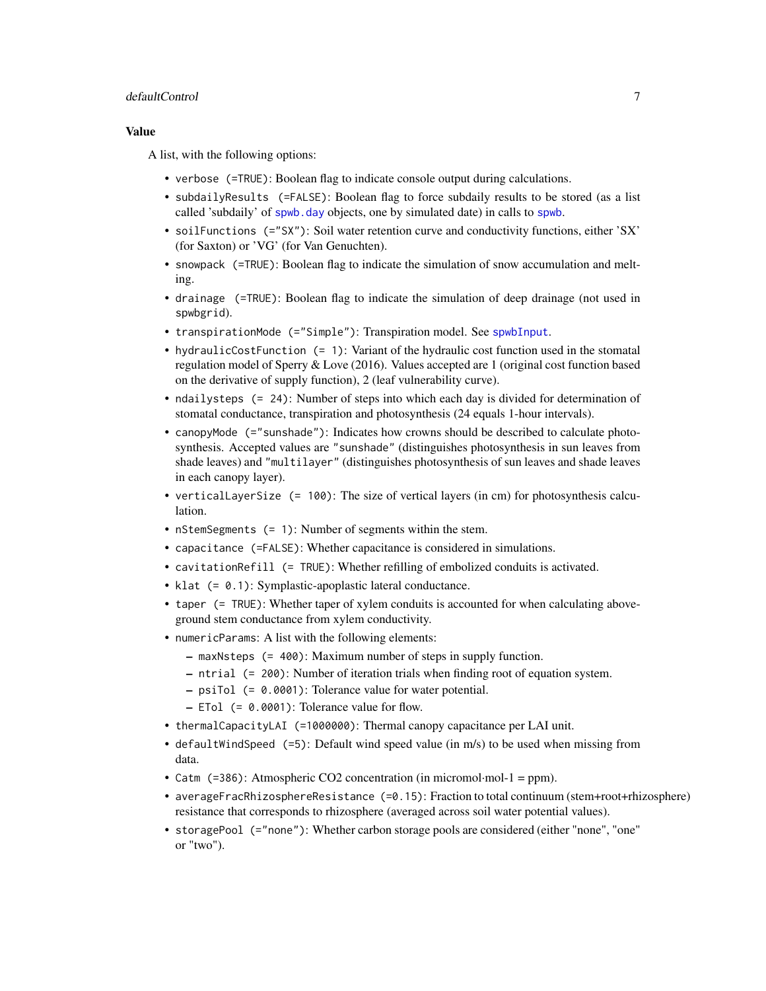## defaultControl 7

## Value

A list, with the following options:

- verbose (=TRUE): Boolean flag to indicate console output during calculations.
- subdailyResults (=FALSE): Boolean flag to force subdaily results to be stored (as a list called 'subdaily' of [spwb.day](#page-70-1) objects, one by simulated date) in calls to [spwb](#page-65-1).
- soilFunctions (="SX"): Soil water retention curve and conductivity functions, either 'SX' (for Saxton) or 'VG' (for Van Genuchten).
- snowpack (=TRUE): Boolean flag to indicate the simulation of snow accumulation and melting.
- drainage (=TRUE): Boolean flag to indicate the simulation of deep drainage (not used in spwbgrid).
- transpirationMode (="Simple"): Transpiration model. See [spwbInput](#page-82-1).
- hydraulicCostFunction (= 1): Variant of the hydraulic cost function used in the stomatal regulation model of Sperry & Love (2016). Values accepted are 1 (original cost function based on the derivative of supply function), 2 (leaf vulnerability curve).
- ndailysteps (= 24): Number of steps into which each day is divided for determination of stomatal conductance, transpiration and photosynthesis (24 equals 1-hour intervals).
- canopyMode (="sunshade"): Indicates how crowns should be described to calculate photosynthesis. Accepted values are "sunshade" (distinguishes photosynthesis in sun leaves from shade leaves) and "multilayer" (distinguishes photosynthesis of sun leaves and shade leaves in each canopy layer).
- verticalLayerSize (= 100): The size of vertical layers (in cm) for photosynthesis calculation.
- nStemSegments (= 1): Number of segments within the stem.
- capacitance (=FALSE): Whether capacitance is considered in simulations.
- cavitationRefill (= TRUE): Whether refilling of embolized conduits is activated.
- klat (= 0.1): Symplastic-apoplastic lateral conductance.
- taper (= TRUE): Whether taper of xylem conduits is accounted for when calculating aboveground stem conductance from xylem conductivity.
- numericParams: A list with the following elements:
	- maxNsteps (= 400): Maximum number of steps in supply function.
	- ntrial (= 200): Number of iteration trials when finding root of equation system.
	- psiTol (= 0.0001): Tolerance value for water potential.
	- ETol (= 0.0001): Tolerance value for flow.
- thermalCapacityLAI (=1000000): Thermal canopy capacitance per LAI unit.
- defaultWindSpeed (=5): Default wind speed value (in m/s) to be used when missing from data.
- Catm (=386): Atmospheric CO2 concentration (in micromol·mol-1 = ppm).
- averageFracRhizosphereResistance (=0.15): Fraction to total continuum (stem+root+rhizosphere) resistance that corresponds to rhizosphere (averaged across soil water potential values).
- storagePool (="none"): Whether carbon storage pools are considered (either "none", "one" or "two").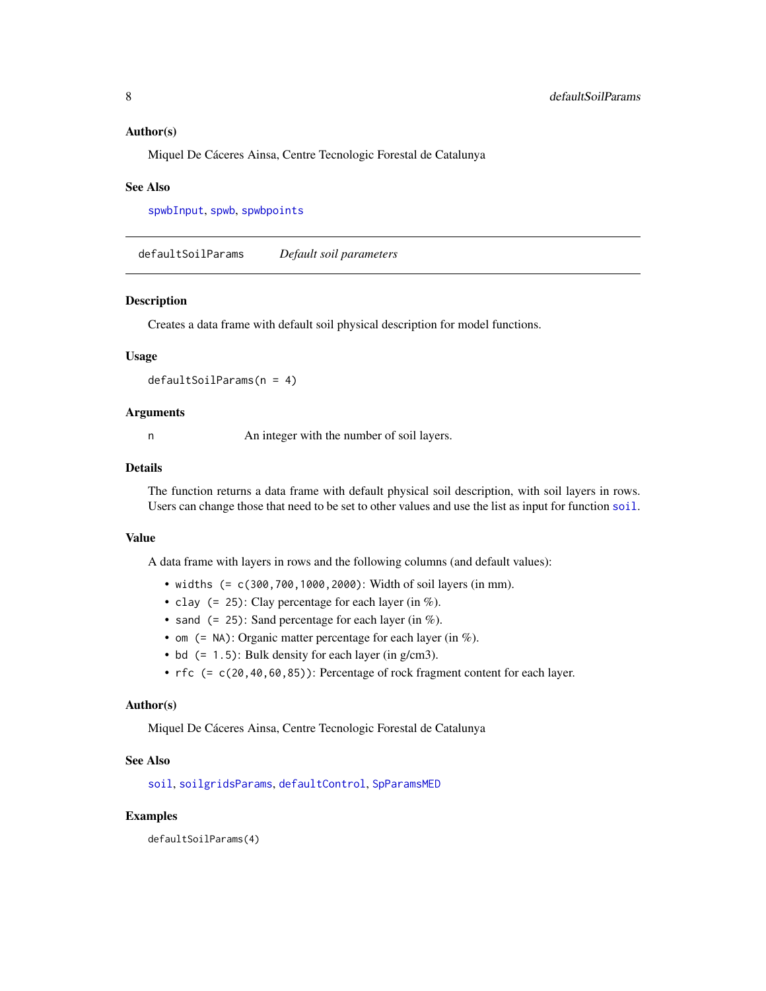## <span id="page-7-0"></span>Author(s)

Miquel De Cáceres Ainsa, Centre Tecnologic Forestal de Catalunya

#### See Also

[spwbInput](#page-82-1), [spwb](#page-65-1), [spwbpoints](#page-85-1)

defaultSoilParams *Default soil parameters*

#### Description

Creates a data frame with default soil physical description for model functions.

#### Usage

defaultSoilParams(n = 4)

#### Arguments

n An integer with the number of soil layers.

## Details

The function returns a data frame with default physical soil description, with soil layers in rows. Users can change those that need to be set to other values and use the list as input for function [soil](#page-49-1).

## Value

A data frame with layers in rows and the following columns (and default values):

- widths (= c(300,700,1000,2000): Width of soil layers (in mm).
- clay  $(= 25)$ : Clay percentage for each layer (in %).
- sand  $(= 25)$ : Sand percentage for each layer (in %).
- om  $($  = NA): Organic matter percentage for each layer (in  $%$ ).
- bd  $(= 1.5)$ : Bulk density for each layer (in g/cm3).
- rfc (= c(20,40,60,85)): Percentage of rock fragment content for each layer.

#### Author(s)

Miquel De Cáceres Ainsa, Centre Tecnologic Forestal de Catalunya

## See Also

[soil](#page-49-1), [soilgridsParams](#page-54-1), [defaultControl](#page-5-1), [SpParamsMED](#page-62-1)

#### Examples

defaultSoilParams(4)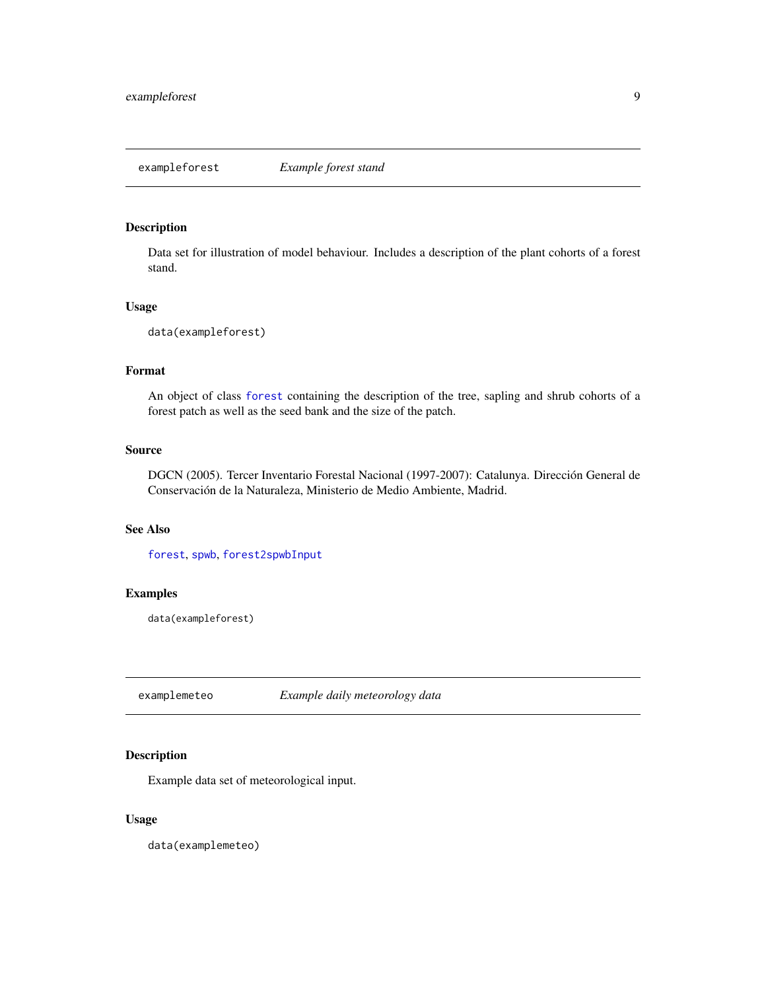## <span id="page-8-1"></span><span id="page-8-0"></span>Description

Data set for illustration of model behaviour. Includes a description of the plant cohorts of a forest stand.

#### Usage

data(exampleforest)

## Format

An object of class [forest](#page-15-1) containing the description of the tree, sapling and shrub cohorts of a forest patch as well as the seed bank and the size of the patch.

## Source

DGCN (2005). Tercer Inventario Forestal Nacional (1997-2007): Catalunya. Dirección General de Conservación de la Naturaleza, Ministerio de Medio Ambiente, Madrid.

## See Also

[forest](#page-15-1), [spwb](#page-65-1), [forest2spwbInput](#page-82-2)

## Examples

data(exampleforest)

examplemeteo *Example daily meteorology data*

## Description

Example data set of meteorological input.

## Usage

data(examplemeteo)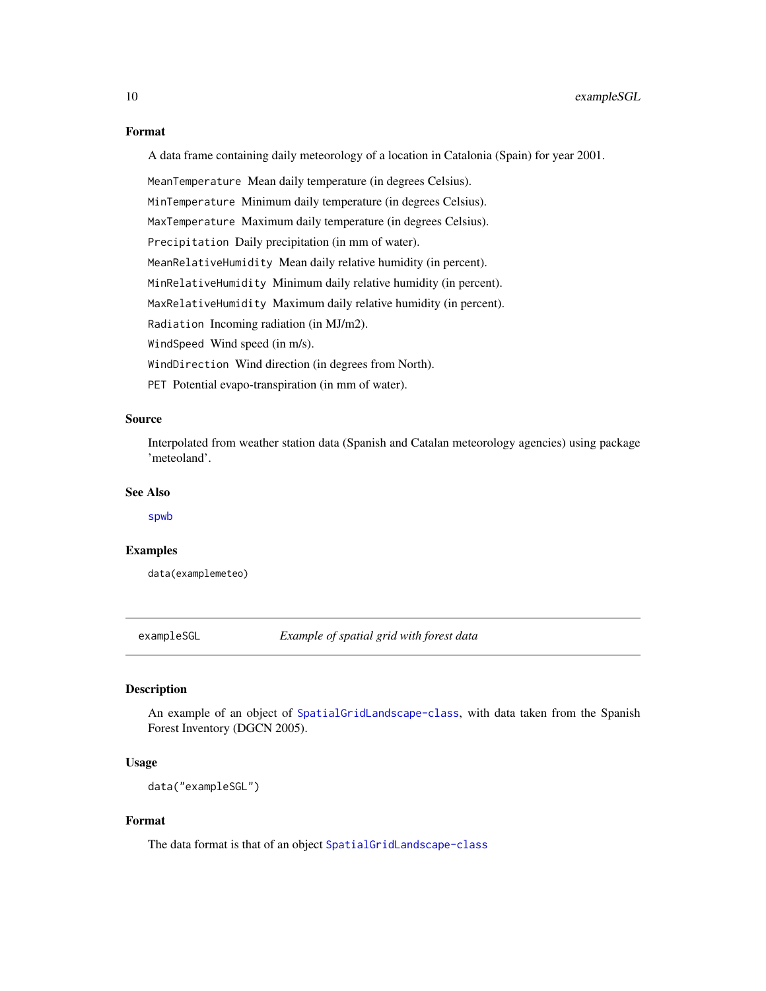#### Format

A data frame containing daily meteorology of a location in Catalonia (Spain) for year 2001.

MeanTemperature Mean daily temperature (in degrees Celsius). MinTemperature Minimum daily temperature (in degrees Celsius). MaxTemperature Maximum daily temperature (in degrees Celsius). Precipitation Daily precipitation (in mm of water). MeanRelativeHumidity Mean daily relative humidity (in percent). MinRelativeHumidity Minimum daily relative humidity (in percent). MaxRelativeHumidity Maximum daily relative humidity (in percent). Radiation Incoming radiation (in MJ/m2). WindSpeed Wind speed (in m/s). WindDirection Wind direction (in degrees from North). PET Potential evapo-transpiration (in mm of water).

## Source

Interpolated from weather station data (Spanish and Catalan meteorology agencies) using package 'meteoland'.

## See Also

[spwb](#page-65-1)

## Examples

data(examplemeteo)

exampleSGL *Example of spatial grid with forest data*

#### Description

An example of an object of [SpatialGridLandscape-class](#page-57-1), with data taken from the Spanish Forest Inventory (DGCN 2005).

## Usage

data("exampleSGL")

## Format

The data format is that of an object [SpatialGridLandscape-class](#page-57-1)

<span id="page-9-0"></span>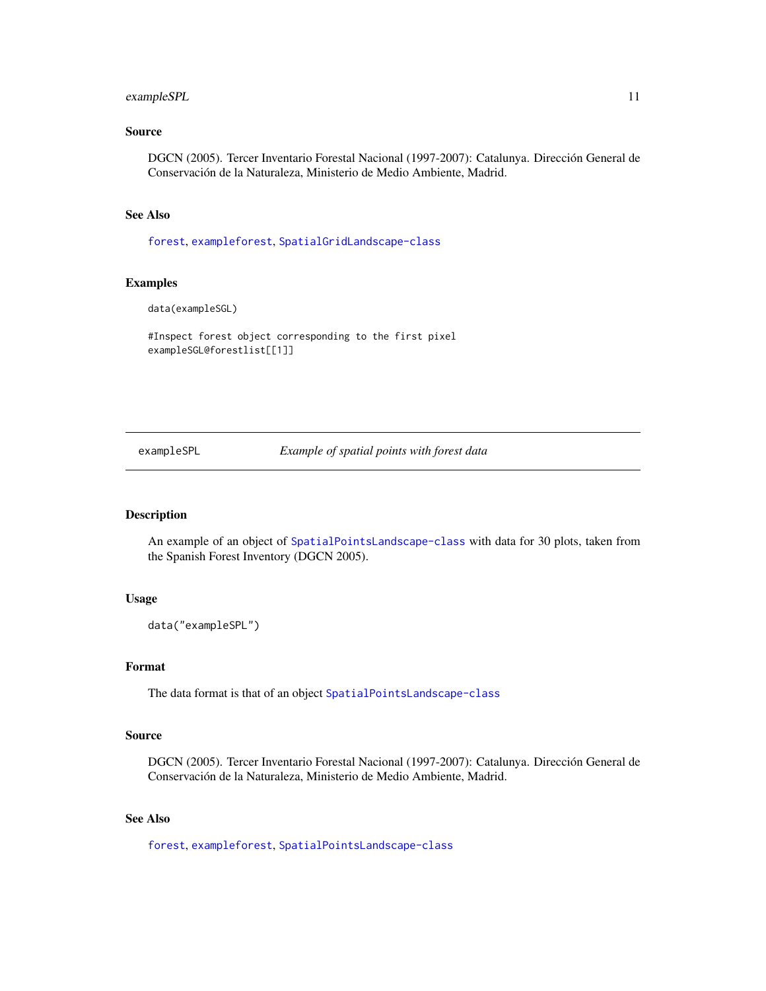## <span id="page-10-0"></span>exampleSPL 11

## Source

DGCN (2005). Tercer Inventario Forestal Nacional (1997-2007): Catalunya. Dirección General de Conservación de la Naturaleza, Ministerio de Medio Ambiente, Madrid.

## See Also

[forest](#page-15-1), [exampleforest](#page-8-1), [SpatialGridLandscape-class](#page-57-1)

#### Examples

data(exampleSGL)

#Inspect forest object corresponding to the first pixel exampleSGL@forestlist[[1]]

exampleSPL *Example of spatial points with forest data*

## Description

An example of an object of [SpatialPointsLandscape-class](#page-60-1) with data for 30 plots, taken from the Spanish Forest Inventory (DGCN 2005).

## Usage

data("exampleSPL")

## Format

The data format is that of an object [SpatialPointsLandscape-class](#page-60-1)

#### Source

DGCN (2005). Tercer Inventario Forestal Nacional (1997-2007): Catalunya. Dirección General de Conservación de la Naturaleza, Ministerio de Medio Ambiente, Madrid.

## See Also

[forest](#page-15-1), [exampleforest](#page-8-1), [SpatialPointsLandscape-class](#page-60-1)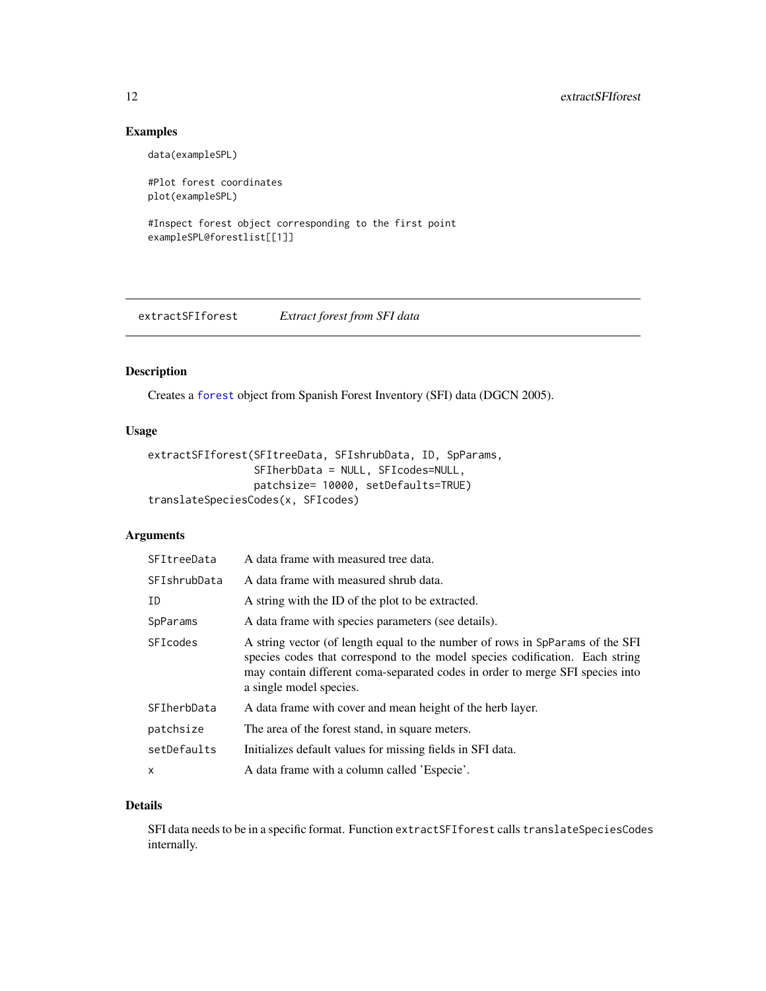## Examples

data(exampleSPL)

#Plot forest coordinates plot(exampleSPL)

```
#Inspect forest object corresponding to the first point
exampleSPL@forestlist[[1]]
```
<span id="page-11-1"></span>extractSFIforest *Extract forest from SFI data*

## Description

Creates a [forest](#page-15-1) object from Spanish Forest Inventory (SFI) data (DGCN 2005).

## Usage

```
extractSFIforest(SFItreeData, SFIshrubData, ID, SpParams,
                 SFIherbData = NULL, SFIcodes=NULL,
                 patchsize= 10000, setDefaults=TRUE)
translateSpeciesCodes(x, SFIcodes)
```
## Arguments

| SFItreeData  | A data frame with measured tree data.                                                                                                                                                                                                                                     |
|--------------|---------------------------------------------------------------------------------------------------------------------------------------------------------------------------------------------------------------------------------------------------------------------------|
| SFIshrubData | A data frame with measured shrub data.                                                                                                                                                                                                                                    |
| ID           | A string with the ID of the plot to be extracted.                                                                                                                                                                                                                         |
| SpParams     | A data frame with species parameters (see details).                                                                                                                                                                                                                       |
| SFIcodes     | A string vector (of length equal to the number of rows in SpParams of the SFI<br>species codes that correspond to the model species codification. Each string<br>may contain different coma-separated codes in order to merge SFI species into<br>a single model species. |
| SFIherbData  | A data frame with cover and mean height of the herb layer.                                                                                                                                                                                                                |
| patchsize    | The area of the forest stand, in square meters.                                                                                                                                                                                                                           |
| setDefaults  | Initializes default values for missing fields in SFI data.                                                                                                                                                                                                                |
| X            | A data frame with a column called 'Especie'.                                                                                                                                                                                                                              |

## Details

SFI data needs to be in a specific format. Function extractSFIforest calls translateSpeciesCodes internally.

<span id="page-11-0"></span>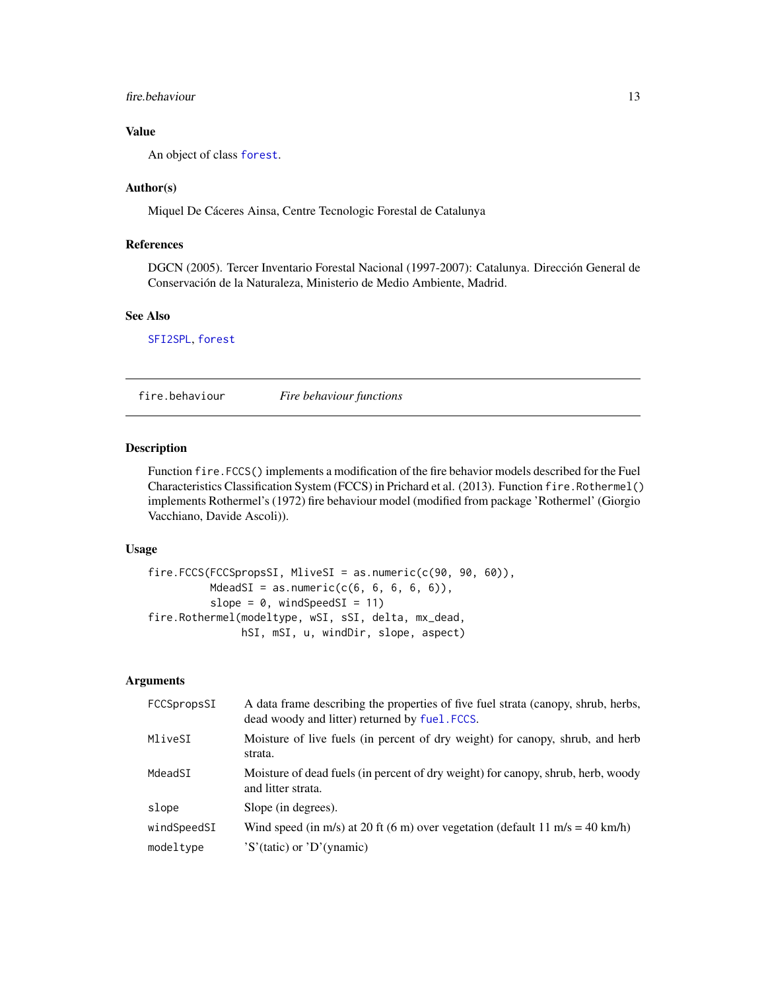## <span id="page-12-0"></span>fire.behaviour 13

## Value

An object of class [forest](#page-15-1).

## Author(s)

Miquel De Cáceres Ainsa, Centre Tecnologic Forestal de Catalunya

## References

DGCN (2005). Tercer Inventario Forestal Nacional (1997-2007): Catalunya. Dirección General de Conservación de la Naturaleza, Ministerio de Medio Ambiente, Madrid.

## See Also

[SFI2SPL](#page-46-1), [forest](#page-15-1)

fire.behaviour *Fire behaviour functions*

#### <span id="page-12-1"></span>Description

Function fire.FCCS() implements a modification of the fire behavior models described for the Fuel Characteristics Classification System (FCCS) in Prichard et al. (2013). Function fire.Rothermel() implements Rothermel's (1972) fire behaviour model (modified from package 'Rothermel' (Giorgio Vacchiano, Davide Ascoli)).

## Usage

```
fire.FCCS(FCCSpropsSI, MliveSI = as.numeric(c(90, 90, 60)),
          MdeadSI = as.numeric(c(6, 6, 6, 6, 6)),
          slope = 0, windSpeedSI = 11)
fire.Rothermel(modeltype, wSI, sSI, delta, mx_dead,
               hSI, mSI, u, windDir, slope, aspect)
```
## Arguments

| FCCSpropsSI | A data frame describing the properties of five fuel strata (canopy, shrub, herbs,<br>dead woody and litter) returned by fuel. FCCS. |
|-------------|-------------------------------------------------------------------------------------------------------------------------------------|
| MliveSI     | Moisture of live fuels (in percent of dry weight) for canopy, shrub, and herb<br>strata.                                            |
| MdeadSI     | Moisture of dead fuels (in percent of dry weight) for canopy, shrub, herb, woody<br>and litter strata.                              |
| slope       | Slope (in degrees).                                                                                                                 |
| windSpeedSI | Wind speed (in m/s) at 20 ft (6 m) over vegetation (default 11 m/s = 40 km/h)                                                       |
| modeltype   | $'S'$ (tatic) or $'D'$ (ynamic)                                                                                                     |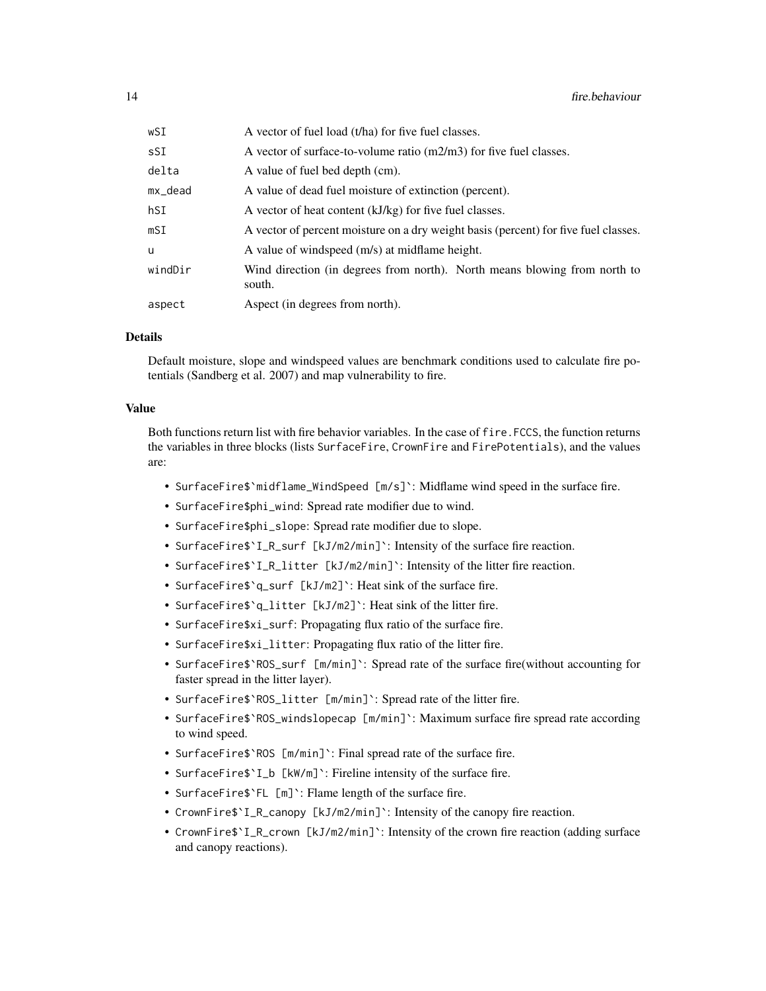| wSI     | A vector of fuel load (t/ha) for five fuel classes.                                 |
|---------|-------------------------------------------------------------------------------------|
| sSI     | A vector of surface-to-volume ratio (m2/m3) for five fuel classes.                  |
| delta   | A value of fuel bed depth (cm).                                                     |
| mx_dead | A value of dead fuel moisture of extinction (percent).                              |
| hSI     | A vector of heat content (kJ/kg) for five fuel classes.                             |
| mSI     | A vector of percent moisture on a dry weight basis (percent) for five fuel classes. |
| u       | A value of windspeed (m/s) at midflame height.                                      |
| windDir | Wind direction (in degrees from north). North means blowing from north to<br>south. |
| aspect  | Aspect (in degrees from north).                                                     |

## Details

Default moisture, slope and windspeed values are benchmark conditions used to calculate fire potentials (Sandberg et al. 2007) and map vulnerability to fire.

#### Value

Both functions return list with fire behavior variables. In the case of fire.FCCS, the function returns the variables in three blocks (lists SurfaceFire, CrownFire and FirePotentials), and the values are:

- SurfaceFire\$`midflame\_WindSpeed [m/s]`: Midflame wind speed in the surface fire.
- SurfaceFire\$phi\_wind: Spread rate modifier due to wind.
- SurfaceFire\$phi\_slope: Spread rate modifier due to slope.
- SurfaceFire\$`I\_R\_surf [kJ/m2/min]`: Intensity of the surface fire reaction.
- SurfaceFire\$`I\_R\_litter [kJ/m2/min]`: Intensity of the litter fire reaction.
- SurfaceFire\$`q\_surf [kJ/m2]`: Heat sink of the surface fire.
- SurfaceFire\$`q\_litter [kJ/m2]`: Heat sink of the litter fire.
- SurfaceFire\$xi\_surf: Propagating flux ratio of the surface fire.
- SurfaceFire\$xi\_litter: Propagating flux ratio of the litter fire.
- SurfaceFire\$`ROS\_surf [m/min]`: Spread rate of the surface fire(without accounting for faster spread in the litter layer).
- SurfaceFire\$`ROS\_litter [m/min]`: Spread rate of the litter fire.
- SurfaceFire\$`ROS\_windslopecap [m/min]`: Maximum surface fire spread rate according to wind speed.
- SurfaceFire\$`ROS [m/min]`: Final spread rate of the surface fire.
- SurfaceFire\$`I\_b [kW/m]`: Fireline intensity of the surface fire.
- SurfaceFire\$`FL [m]`: Flame length of the surface fire.
- CrownFire\$`I\_R\_canopy [kJ/m2/min]`: Intensity of the canopy fire reaction.
- CrownFire\$`I\_R\_crown [kJ/m2/min]`: Intensity of the crown fire reaction (adding surface and canopy reactions).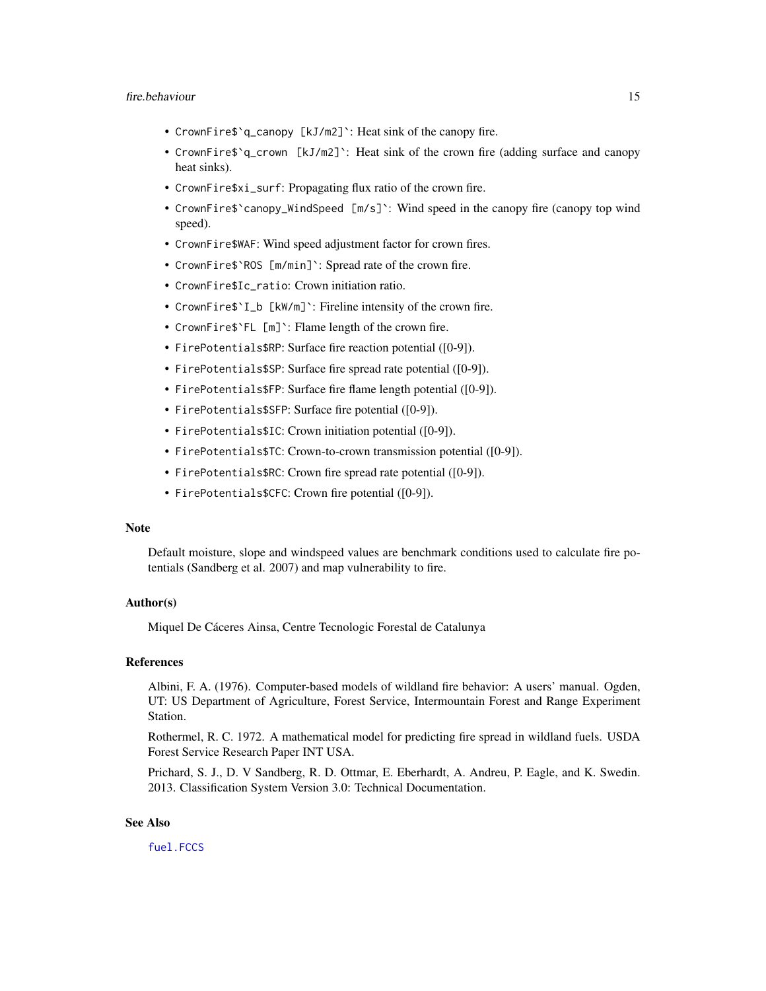- CrownFire\$`q\_canopy [kJ/m2]`: Heat sink of the canopy fire.
- CrownFire\$`q\_crown [kJ/m2]`: Heat sink of the crown fire (adding surface and canopy heat sinks).
- CrownFire\$xi\_surf: Propagating flux ratio of the crown fire.
- CrownFire\$`canopy\_WindSpeed [m/s]`: Wind speed in the canopy fire (canopy top wind speed).
- CrownFire\$WAF: Wind speed adjustment factor for crown fires.
- CrownFire\$`ROS [m/min]`: Spread rate of the crown fire.
- CrownFire\$Ic\_ratio: Crown initiation ratio.
- CrownFire\$`I\_b [kW/m]`: Fireline intensity of the crown fire.
- CrownFire\$`FL [m]`: Flame length of the crown fire.
- FirePotentials\$RP: Surface fire reaction potential ([0-9]).
- FirePotentials\$SP: Surface fire spread rate potential ([0-9]).
- FirePotentials\$FP: Surface fire flame length potential ([0-9]).
- FirePotentials\$SFP: Surface fire potential ([0-9]).
- FirePotentials\$IC: Crown initiation potential ([0-9]).
- FirePotentials\$TC: Crown-to-crown transmission potential ([0-9]).
- FirePotentials\$RC: Crown fire spread rate potential ([0-9]).
- FirePotentials\$CFC: Crown fire potential ([0-9]).

#### **Note**

Default moisture, slope and windspeed values are benchmark conditions used to calculate fire potentials (Sandberg et al. 2007) and map vulnerability to fire.

#### Author(s)

Miquel De Cáceres Ainsa, Centre Tecnologic Forestal de Catalunya

## References

Albini, F. A. (1976). Computer-based models of wildland fire behavior: A users' manual. Ogden, UT: US Department of Agriculture, Forest Service, Intermountain Forest and Range Experiment Station.

Rothermel, R. C. 1972. A mathematical model for predicting fire spread in wildland fuels. USDA Forest Service Research Paper INT USA.

Prichard, S. J., D. V Sandberg, R. D. Ottmar, E. Eberhardt, A. Andreu, P. Eagle, and K. Swedin. 2013. Classification System Version 3.0: Technical Documentation.

## See Also

[fuel.FCCS](#page-18-1)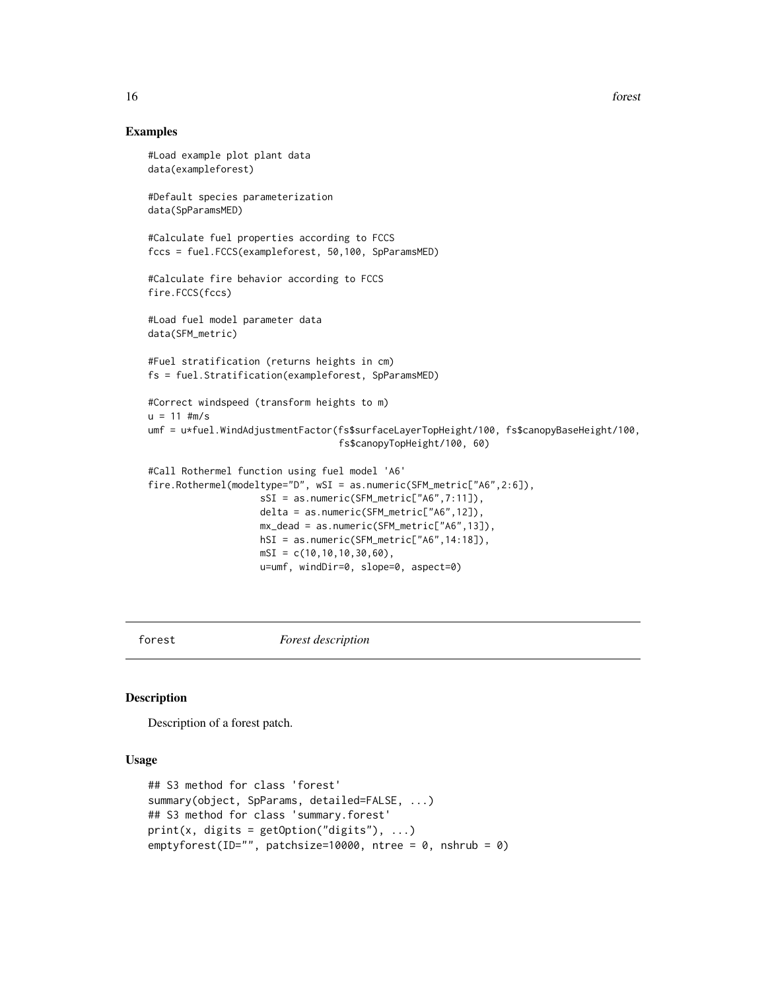## Examples

```
#Load example plot plant data
data(exampleforest)
#Default species parameterization
data(SpParamsMED)
#Calculate fuel properties according to FCCS
fccs = fuel.FCCS(exampleforest, 50,100, SpParamsMED)
#Calculate fire behavior according to FCCS
fire.FCCS(fccs)
#Load fuel model parameter data
data(SFM_metric)
#Fuel stratification (returns heights in cm)
fs = fuel.Stratification(exampleforest, SpParamsMED)
#Correct windspeed (transform heights to m)
u = 11 #m/s
umf = u*fuel.WindAdjustmentFactor(fs$surfaceLayerTopHeight/100, fs$canopyBaseHeight/100,
                                  fs$canopyTopHeight/100, 60)
#Call Rothermel function using fuel model 'A6'
fire.Rothermel(modeltype="D", wSI = as.numeric(SFM_metric["A6",2:6]),
                    sSI = as.numeric(SFM_metric["A6",7:11]),
                    delta = as.numeric(SFM_metric["A6",12]),
                    mx_dead = as.numeric(SFM_metric["A6",13]),
                    hSI = as.numeric(SFM_metric["A6",14:18]),
                    mSI = c(10, 10, 10, 30, 60),
                    u=umf, windDir=0, slope=0, aspect=0)
```
<span id="page-15-1"></span>forest *Forest description*

#### <span id="page-15-2"></span>Description

Description of a forest patch.

## Usage

```
## S3 method for class 'forest'
summary(object, SpParams, detailed=FALSE, ...)
## S3 method for class 'summary.forest'
print(x, \text{ digits} = getOption("digits"), ...)emptyforest(ID="", patchsize=10000, ntree = 0, nshrub = 0)
```
<span id="page-15-0"></span>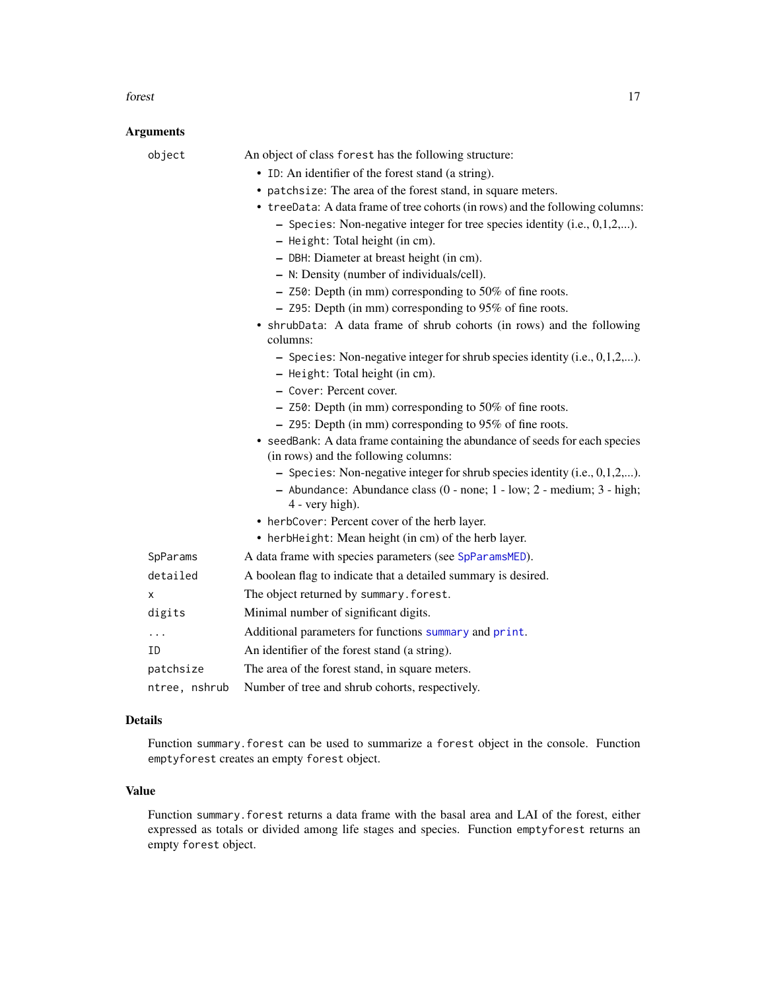#### forest that the contract of the contract of the contract of the contract of the contract of the contract of the contract of the contract of the contract of the contract of the contract of the contract of the contract of th

## Arguments

| object        | An object of class forest has the following structure:                                                              |
|---------------|---------------------------------------------------------------------------------------------------------------------|
|               | • ID: An identifier of the forest stand (a string).                                                                 |
|               | • patchsize: The area of the forest stand, in square meters.                                                        |
|               | • treeData: A data frame of tree cohorts (in rows) and the following columns:                                       |
|               | $-$ Species: Non-negative integer for tree species identity (i.e., 0,1,2,).                                         |
|               | - Height: Total height (in cm).                                                                                     |
|               | - DBH: Diameter at breast height (in cm).                                                                           |
|               | - N: Density (number of individuals/cell).                                                                          |
|               | $-$ Z50: Depth (in mm) corresponding to 50% of fine roots.                                                          |
|               | $-$ Z95: Depth (in mm) corresponding to 95% of fine roots.                                                          |
|               | • shrubData: A data frame of shrub cohorts (in rows) and the following<br>columns:                                  |
|               | - Species: Non-negative integer for shrub species identity (i.e., $0, 1, 2, \ldots$ ).                              |
|               | - Height: Total height (in cm).                                                                                     |
|               | - Cover: Percent cover.                                                                                             |
|               | - Z50: Depth (in mm) corresponding to 50% of fine roots.                                                            |
|               | - Z95: Depth (in mm) corresponding to 95% of fine roots.                                                            |
|               | • seedBank: A data frame containing the abundance of seeds for each species<br>(in rows) and the following columns: |
|               | - Species: Non-negative integer for shrub species identity (i.e., $0, 1, 2, \ldots$ ).                              |
|               | - Abundance: Abundance class (0 - none; 1 - low; 2 - medium; 3 - high;<br>4 - very high).                           |
|               | • herbCover: Percent cover of the herb layer.                                                                       |
|               | • herbHeight: Mean height (in cm) of the herb layer.                                                                |
| SpParams      | A data frame with species parameters (see SpParamsMED).                                                             |
| detailed      | A boolean flag to indicate that a detailed summary is desired.                                                      |
| x             | The object returned by summary. forest.                                                                             |
| digits        | Minimal number of significant digits.                                                                               |
| .             | Additional parameters for functions summary and print.                                                              |
| ΙD            | An identifier of the forest stand (a string).                                                                       |
| patchsize     | The area of the forest stand, in square meters.                                                                     |
| ntree, nshrub | Number of tree and shrub cohorts, respectively.                                                                     |

## Details

Function summary.forest can be used to summarize a forest object in the console. Function emptyforest creates an empty forest object.

## Value

Function summary.forest returns a data frame with the basal area and LAI of the forest, either expressed as totals or divided among life stages and species. Function emptyforest returns an empty forest object.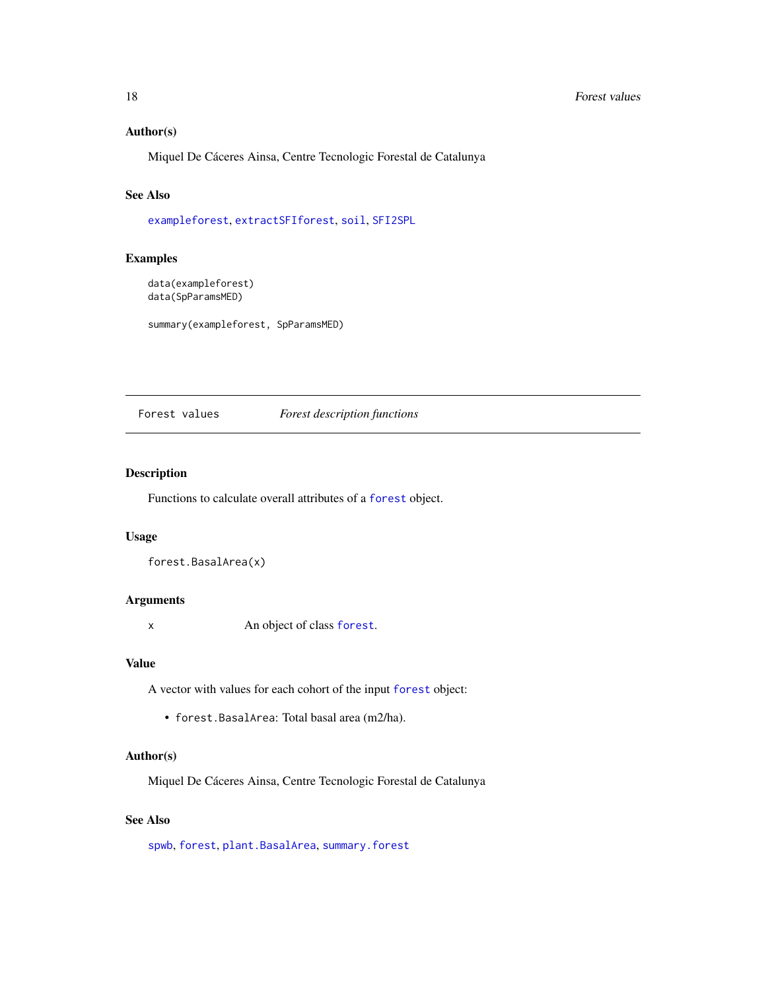## Author(s)

Miquel De Cáceres Ainsa, Centre Tecnologic Forestal de Catalunya

## See Also

[exampleforest](#page-8-1), [extractSFIforest](#page-11-1), [soil](#page-49-1), [SFI2SPL](#page-46-1)

## Examples

```
data(exampleforest)
data(SpParamsMED)
```
summary(exampleforest, SpParamsMED)

## Forest values *Forest description functions*

## Description

Functions to calculate overall attributes of a [forest](#page-15-1) object.

## Usage

```
forest.BasalArea(x)
```
## Arguments

x An object of class [forest](#page-15-1).

#### Value

A vector with values for each cohort of the input [forest](#page-15-1) object:

• forest.BasalArea: Total basal area (m2/ha).

## Author(s)

Miquel De Cáceres Ainsa, Centre Tecnologic Forestal de Catalunya

## See Also

[spwb](#page-65-1), [forest](#page-15-1), [plant.BasalArea](#page-34-1), [summary.forest](#page-15-2)

<span id="page-17-0"></span>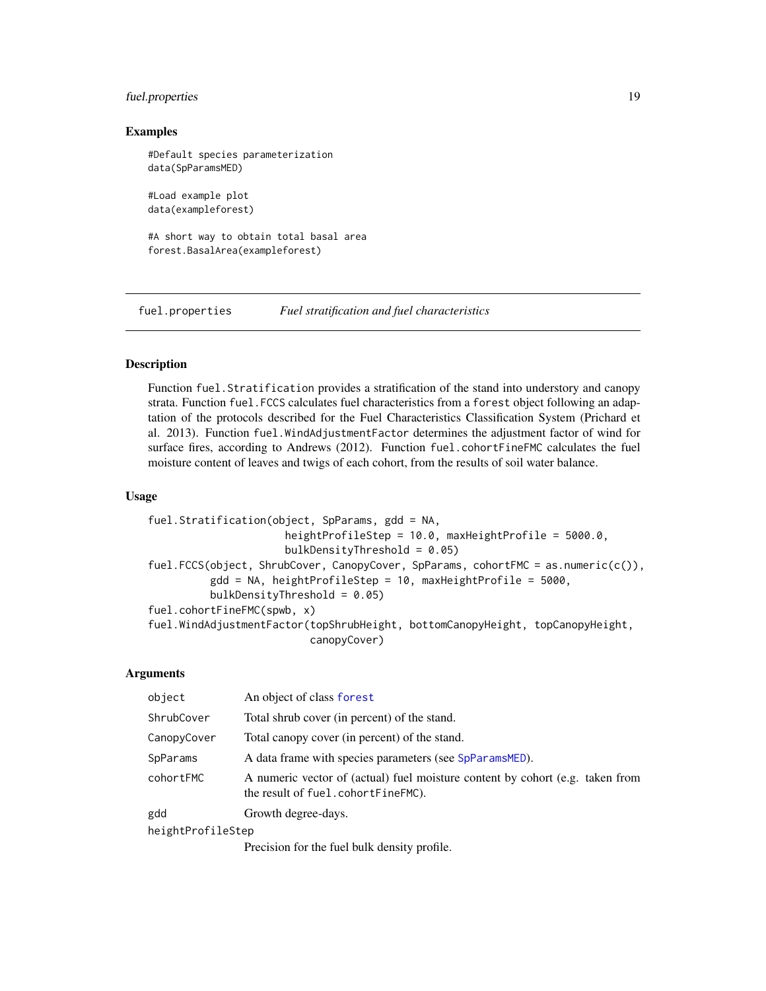## <span id="page-18-0"></span>fuel.properties 19

## Examples

```
#Default species parameterization
data(SpParamsMED)
#Load example plot
data(exampleforest)
```

```
#A short way to obtain total basal area
forest.BasalArea(exampleforest)
```
fuel.properties *Fuel stratification and fuel characteristics*

## <span id="page-18-1"></span>**Description**

Function fuel.Stratification provides a stratification of the stand into understory and canopy strata. Function fuel.FCCS calculates fuel characteristics from a forest object following an adaptation of the protocols described for the Fuel Characteristics Classification System (Prichard et al. 2013). Function fuel.WindAdjustmentFactor determines the adjustment factor of wind for surface fires, according to Andrews (2012). Function fuel.cohortFineFMC calculates the fuel moisture content of leaves and twigs of each cohort, from the results of soil water balance.

## Usage

```
fuel.Stratification(object, SpParams, gdd = NA,
                      heightProfileStep = 10.0, maxHeightProfile = 5000.0,
                      bulkDensityThreshold = 0.05)
fuel.FCCS(object, ShrubCover, CanopyCover, SpParams, cohortFMC = as.numeric(c()),
         gdd = NA, heightProfileStep = 10, maxHeightProfile = 5000,
         bulkDensityThreshold = 0.05)
fuel.cohortFineFMC(spwb, x)
fuel.WindAdjustmentFactor(topShrubHeight, bottomCanopyHeight, topCanopyHeight,
                          canopyCover)
```
#### Arguments

| object            | An object of class forest                                                                                           |  |  |  |
|-------------------|---------------------------------------------------------------------------------------------------------------------|--|--|--|
| ShrubCover        | Total shrub cover (in percent) of the stand.                                                                        |  |  |  |
| CanopyCover       | Total canopy cover (in percent) of the stand.                                                                       |  |  |  |
| SpParams          | A data frame with species parameters (see SpParamsMED).                                                             |  |  |  |
| cohortFMC         | A numeric vector of (actual) fuel moisture content by cohort (e.g. taken from<br>the result of fuel.cohortFineFMC). |  |  |  |
| gdd               | Growth degree-days.                                                                                                 |  |  |  |
| heightProfileStep |                                                                                                                     |  |  |  |
|                   |                                                                                                                     |  |  |  |

Precision for the fuel bulk density profile.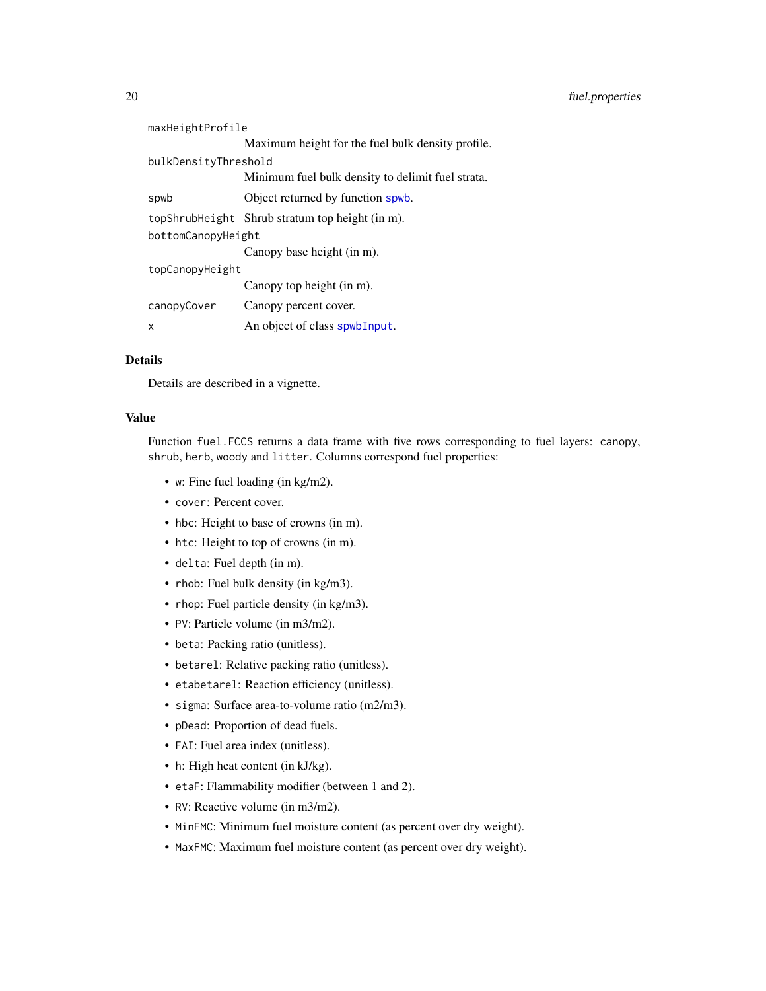| maxHeightProfile   |                                                   |  |  |  |  |  |
|--------------------|---------------------------------------------------|--|--|--|--|--|
|                    | Maximum height for the fuel bulk density profile. |  |  |  |  |  |
|                    | bulkDensityThreshold                              |  |  |  |  |  |
|                    | Minimum fuel bulk density to delimit fuel strata. |  |  |  |  |  |
| spwb               | Object returned by function spwb.                 |  |  |  |  |  |
|                    | topShrubHeight Shrub stratum top height (in m).   |  |  |  |  |  |
| bottomCanopyHeight |                                                   |  |  |  |  |  |
|                    | Canopy base height (in m).                        |  |  |  |  |  |
| topCanopyHeight    |                                                   |  |  |  |  |  |
|                    | Canopy top height (in m).                         |  |  |  |  |  |
| canopyCover        | Canopy percent cover.                             |  |  |  |  |  |
| x                  | An object of class spwbInput.                     |  |  |  |  |  |
|                    |                                                   |  |  |  |  |  |

#### Details

Details are described in a vignette.

## Value

Function fuel.FCCS returns a data frame with five rows corresponding to fuel layers: canopy, shrub, herb, woody and litter. Columns correspond fuel properties:

- w: Fine fuel loading (in kg/m2).
- cover: Percent cover.
- hbc: Height to base of crowns (in m).
- htc: Height to top of crowns (in m).
- delta: Fuel depth (in m).
- rhob: Fuel bulk density (in kg/m3).
- rhop: Fuel particle density (in kg/m3).
- PV: Particle volume (in m3/m2).
- beta: Packing ratio (unitless).
- betarel: Relative packing ratio (unitless).
- etabetarel: Reaction efficiency (unitless).
- sigma: Surface area-to-volume ratio (m2/m3).
- pDead: Proportion of dead fuels.
- FAI: Fuel area index (unitless).
- h: High heat content (in kJ/kg).
- etaF: Flammability modifier (between 1 and 2).
- RV: Reactive volume (in m3/m2).
- MinFMC: Minimum fuel moisture content (as percent over dry weight).
- MaxFMC: Maximum fuel moisture content (as percent over dry weight).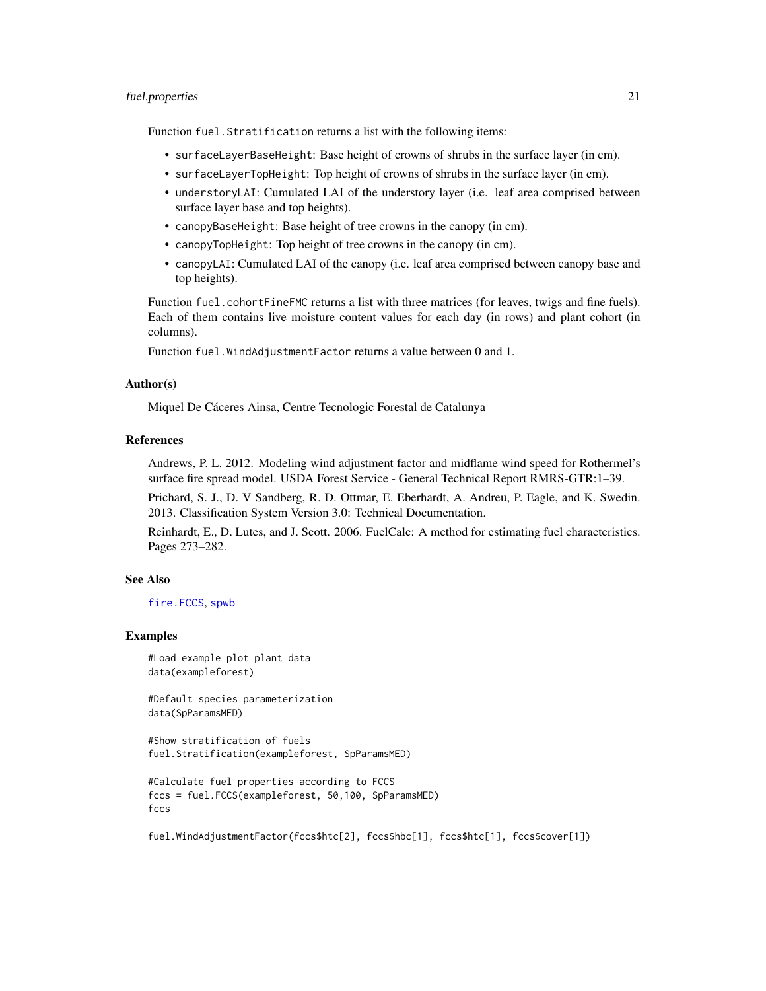#### fuel.properties 21

Function fuel.Stratification returns a list with the following items:

- surfaceLayerBaseHeight: Base height of crowns of shrubs in the surface layer (in cm).
- surfaceLayerTopHeight: Top height of crowns of shrubs in the surface layer (in cm).
- understoryLAI: Cumulated LAI of the understory layer (i.e. leaf area comprised between surface layer base and top heights).
- canopyBaseHeight: Base height of tree crowns in the canopy (in cm).
- canopyTopHeight: Top height of tree crowns in the canopy (in cm).
- canopyLAI: Cumulated LAI of the canopy (i.e. leaf area comprised between canopy base and top heights).

Function fuel.cohortFineFMC returns a list with three matrices (for leaves, twigs and fine fuels). Each of them contains live moisture content values for each day (in rows) and plant cohort (in columns).

Function fuel.WindAdjustmentFactor returns a value between 0 and 1.

## Author(s)

Miquel De Cáceres Ainsa, Centre Tecnologic Forestal de Catalunya

## References

Andrews, P. L. 2012. Modeling wind adjustment factor and midflame wind speed for Rothermel's surface fire spread model. USDA Forest Service - General Technical Report RMRS-GTR:1–39.

Prichard, S. J., D. V Sandberg, R. D. Ottmar, E. Eberhardt, A. Andreu, P. Eagle, and K. Swedin. 2013. Classification System Version 3.0: Technical Documentation.

Reinhardt, E., D. Lutes, and J. Scott. 2006. FuelCalc: A method for estimating fuel characteristics. Pages 273–282.

## See Also

[fire.FCCS](#page-12-1), [spwb](#page-65-1)

#### Examples

#Load example plot plant data data(exampleforest)

#Default species parameterization data(SpParamsMED)

#Show stratification of fuels fuel.Stratification(exampleforest, SpParamsMED)

```
#Calculate fuel properties according to FCCS
fccs = fuel.FCCS(exampleforest, 50,100, SpParamsMED)
fccs
```
fuel.WindAdjustmentFactor(fccs\$htc[2], fccs\$hbc[1], fccs\$htc[1], fccs\$cover[1])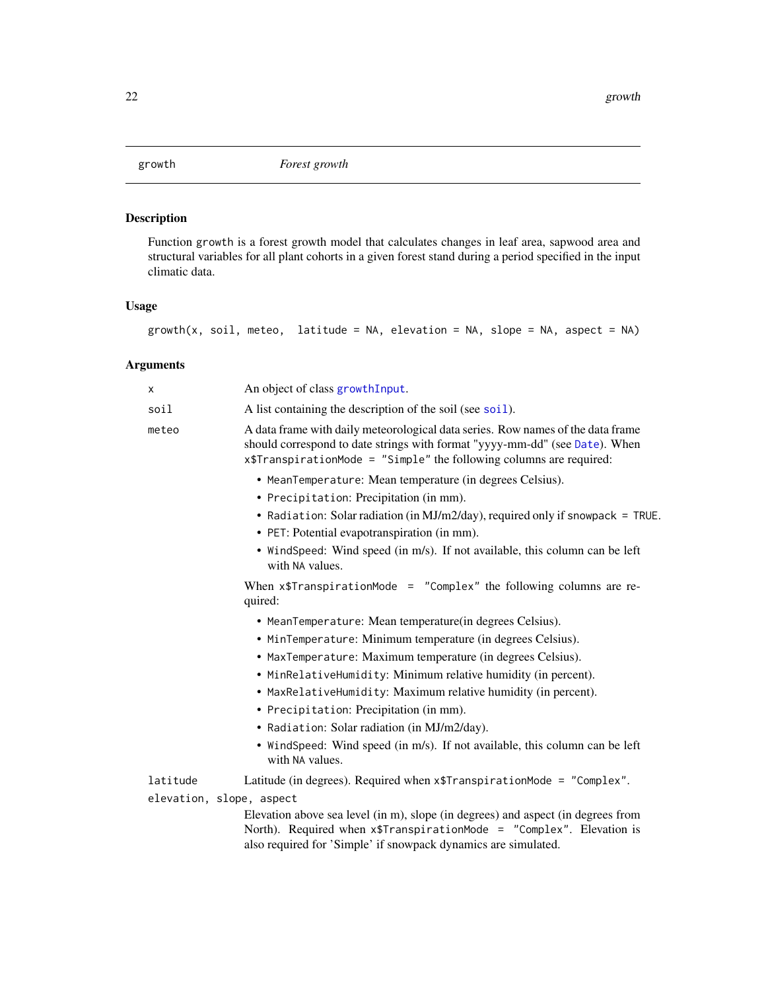<span id="page-21-0"></span>

## Description

Function growth is a forest growth model that calculates changes in leaf area, sapwood area and structural variables for all plant cohorts in a given forest stand during a period specified in the input climatic data.

## Usage

growth(x, soil, meteo, latitude = NA, elevation = NA, slope = NA, aspect = NA)

## Arguments

| X                                    | An object of class growth Input.                                                                                                                                                                                                                                                                                                                                                                                                                                                                                        |
|--------------------------------------|-------------------------------------------------------------------------------------------------------------------------------------------------------------------------------------------------------------------------------------------------------------------------------------------------------------------------------------------------------------------------------------------------------------------------------------------------------------------------------------------------------------------------|
| soil                                 | A list containing the description of the soil (see soil).                                                                                                                                                                                                                                                                                                                                                                                                                                                               |
| meteo                                | A data frame with daily meteorological data series. Row names of the data frame<br>should correspond to date strings with format "yyyy-mm-dd" (see Date). When<br>x\$TranspirationMode = "Simple" the following columns are required:                                                                                                                                                                                                                                                                                   |
|                                      | • MeanTemperature: Mean temperature (in degrees Celsius).<br>• Precipitation: Precipitation (in mm).<br>• Radiation: Solar radiation (in MJ/m2/day), required only if snowpack = TRUE.<br>• PET: Potential evapotranspiration (in mm).<br>• WindSpeed: Wind speed (in m/s). If not available, this column can be left                                                                                                                                                                                                   |
|                                      | with NA values.                                                                                                                                                                                                                                                                                                                                                                                                                                                                                                         |
|                                      | When $x$$ TranspirationMode = "Complex" the following columns are re-<br>quired:                                                                                                                                                                                                                                                                                                                                                                                                                                        |
|                                      | • MeanTemperature: Mean temperature(in degrees Celsius).<br>• MinTemperature: Minimum temperature (in degrees Celsius).<br>• MaxTemperature: Maximum temperature (in degrees Celsius).<br>• MinRelativeHumidity: Minimum relative humidity (in percent).<br>• MaxRelativeHumidity: Maximum relative humidity (in percent).<br>• Precipitation: Precipitation (in mm).<br>• Radiation: Solar radiation (in MJ/m2/day).<br>• WindSpeed: Wind speed (in m/s). If not available, this column can be left<br>with NA values. |
| latitude<br>elevation, slope, aspect | Latitude (in degrees). Required when x\$TranspirationMode = "Complex".                                                                                                                                                                                                                                                                                                                                                                                                                                                  |
|                                      | Elevation above sea level (in m), slope (in degrees) and aspect (in degrees from<br>North). Required when x\$TranspirationMode = "Complex". Elevation is<br>also required for 'Simple' if snowpack dynamics are simulated.                                                                                                                                                                                                                                                                                              |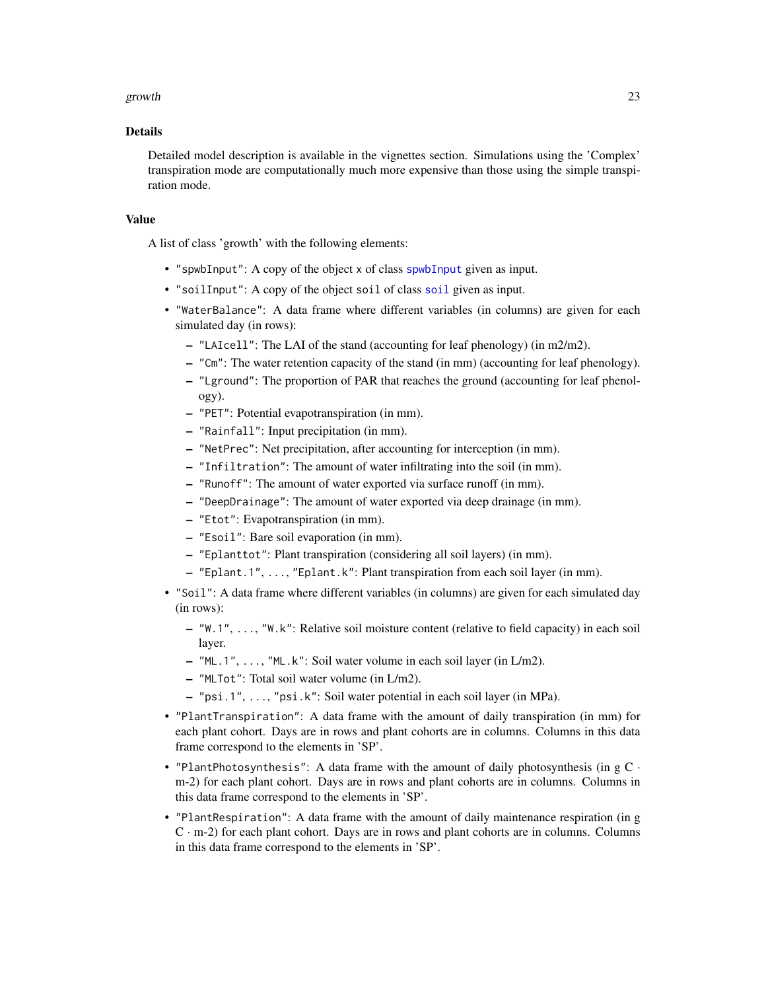#### growth 23

### Details

Detailed model description is available in the vignettes section. Simulations using the 'Complex' transpiration mode are computationally much more expensive than those using the simple transpiration mode.

## Value

A list of class 'growth' with the following elements:

- "spwbInput": A copy of the object x of class [spwbInput](#page-82-1) given as input.
- "soilInput": A copy of the object soil of class [soil](#page-49-1) given as input.
- "WaterBalance": A data frame where different variables (in columns) are given for each simulated day (in rows):
	- "LAIcell": The LAI of the stand (accounting for leaf phenology) (in m2/m2).
	- "Cm": The water retention capacity of the stand (in mm) (accounting for leaf phenology).
	- "Lground": The proportion of PAR that reaches the ground (accounting for leaf phenology).
	- "PET": Potential evapotranspiration (in mm).
	- "Rainfall": Input precipitation (in mm).
	- "NetPrec": Net precipitation, after accounting for interception (in mm).
	- "Infiltration": The amount of water infiltrating into the soil (in mm).
	- "Runoff": The amount of water exported via surface runoff (in mm).
	- "DeepDrainage": The amount of water exported via deep drainage (in mm).
	- "Etot": Evapotranspiration (in mm).
	- "Esoil": Bare soil evaporation (in mm).
	- "Eplanttot": Plant transpiration (considering all soil layers) (in mm).
	- "Eplant.1", ..., "Eplant.k": Plant transpiration from each soil layer (in mm).
- "Soil": A data frame where different variables (in columns) are given for each simulated day (in rows):
	- "W.1", ..., "W.k": Relative soil moisture content (relative to field capacity) in each soil layer.
	- "ML.1", ..., "ML.k": Soil water volume in each soil layer (in L/m2).
	- "MLTot": Total soil water volume (in L/m2).
	- "psi.1", ..., "psi.k": Soil water potential in each soil layer (in MPa).
- "PlantTranspiration": A data frame with the amount of daily transpiration (in mm) for each plant cohort. Days are in rows and plant cohorts are in columns. Columns in this data frame correspond to the elements in 'SP'.
- "PlantPhotosynthesis": A data frame with the amount of daily photosynthesis (in  $gC$  · m-2) for each plant cohort. Days are in rows and plant cohorts are in columns. Columns in this data frame correspond to the elements in 'SP'.
- "PlantRespiration": A data frame with the amount of daily maintenance respiration (in g  $C \cdot m-2$ ) for each plant cohort. Days are in rows and plant cohorts are in columns. Columns in this data frame correspond to the elements in 'SP'.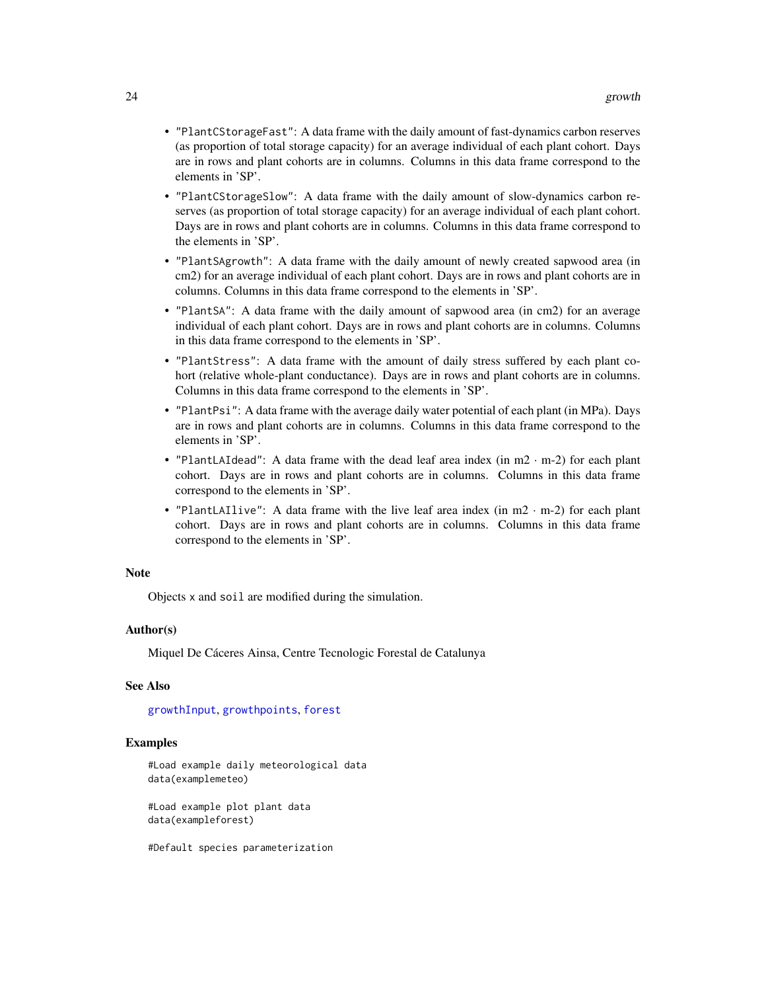- "PlantCStorageFast": A data frame with the daily amount of fast-dynamics carbon reserves (as proportion of total storage capacity) for an average individual of each plant cohort. Days are in rows and plant cohorts are in columns. Columns in this data frame correspond to the elements in 'SP'.
- "PlantCStorageSlow": A data frame with the daily amount of slow-dynamics carbon reserves (as proportion of total storage capacity) for an average individual of each plant cohort. Days are in rows and plant cohorts are in columns. Columns in this data frame correspond to the elements in 'SP'.
- "PlantSAgrowth": A data frame with the daily amount of newly created sapwood area (in cm2) for an average individual of each plant cohort. Days are in rows and plant cohorts are in columns. Columns in this data frame correspond to the elements in 'SP'.
- "PlantSA": A data frame with the daily amount of sapwood area (in cm2) for an average individual of each plant cohort. Days are in rows and plant cohorts are in columns. Columns in this data frame correspond to the elements in 'SP'.
- "PlantStress": A data frame with the amount of daily stress suffered by each plant cohort (relative whole-plant conductance). Days are in rows and plant cohorts are in columns. Columns in this data frame correspond to the elements in 'SP'.
- "PlantPsi": A data frame with the average daily water potential of each plant (in MPa). Days are in rows and plant cohorts are in columns. Columns in this data frame correspond to the elements in 'SP'.
- "PlantLAIdead": A data frame with the dead leaf area index (in m2 · m-2) for each plant cohort. Days are in rows and plant cohorts are in columns. Columns in this data frame correspond to the elements in 'SP'.
- "PlantLAIlive": A data frame with the live leaf area index (in m2 · m-2) for each plant cohort. Days are in rows and plant cohorts are in columns. Columns in this data frame correspond to the elements in 'SP'.

#### Note

Objects x and soil are modified during the simulation.

#### Author(s)

Miquel De Cáceres Ainsa, Centre Tecnologic Forestal de Catalunya

## See Also

[growthInput](#page-82-2), [growthpoints](#page-85-2), [forest](#page-15-1)

### Examples

#Load example daily meteorological data data(examplemeteo)

#Load example plot plant data data(exampleforest)

#Default species parameterization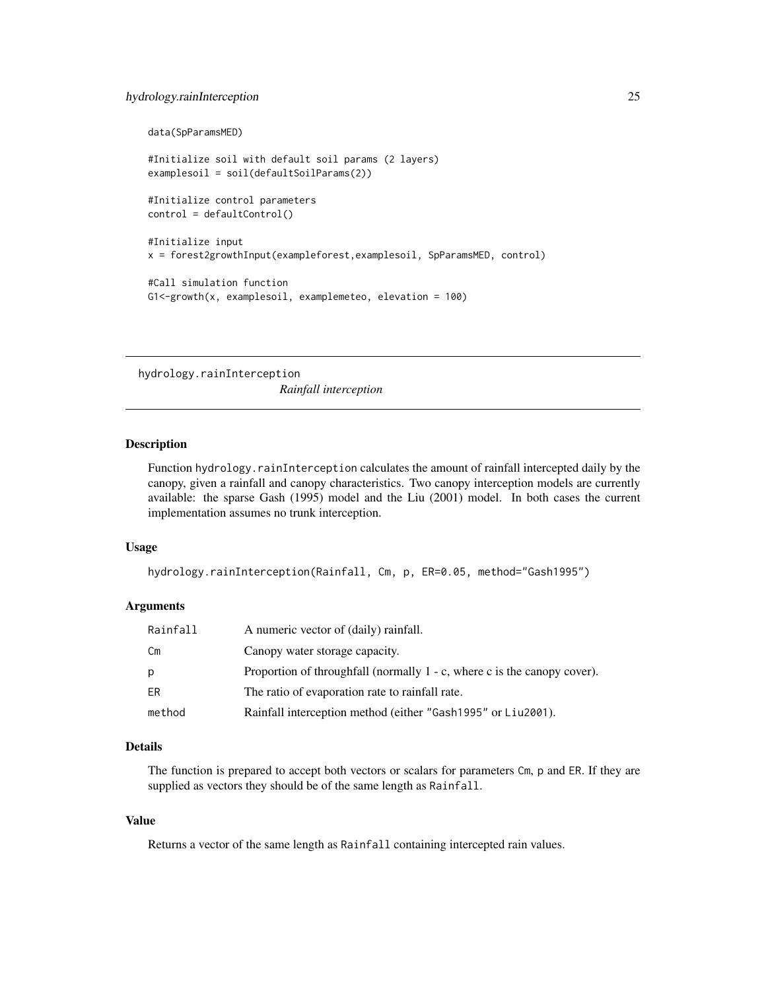## <span id="page-24-0"></span>hydrology.rainInterception 25

```
data(SpParamsMED)
#Initialize soil with default soil params (2 layers)
examplesoil = soil(defaultSoilParams(2))
#Initialize control parameters
control = defaultControl()
#Initialize input
x = forest2growthInput(exampleforest,examplesoil, SpParamsMED, control)
#Call simulation function
G1<-growth(x, examplesoil, examplemeteo, elevation = 100)
```
hydrology.rainInterception *Rainfall interception*

## Description

Function hydrology.rainInterception calculates the amount of rainfall intercepted daily by the canopy, given a rainfall and canopy characteristics. Two canopy interception models are currently available: the sparse Gash (1995) model and the Liu (2001) model. In both cases the current implementation assumes no trunk interception.

#### Usage

```
hydrology.rainInterception(Rainfall, Cm, p, ER=0.05, method="Gash1995")
```
## **Arguments**

| Rainfall | A numeric vector of (daily) rainfall.                                    |
|----------|--------------------------------------------------------------------------|
| Сm       | Canopy water storage capacity.                                           |
| p        | Proportion of throughfall (normally 1 - c, where c is the canopy cover). |
| ER       | The ratio of evaporation rate to rainfall rate.                          |
| method   | Rainfall interception method (either "Gash1995" or Liu2001).             |

## Details

The function is prepared to accept both vectors or scalars for parameters Cm, p and ER. If they are supplied as vectors they should be of the same length as Rainfall.

## Value

Returns a vector of the same length as Rainfall containing intercepted rain values.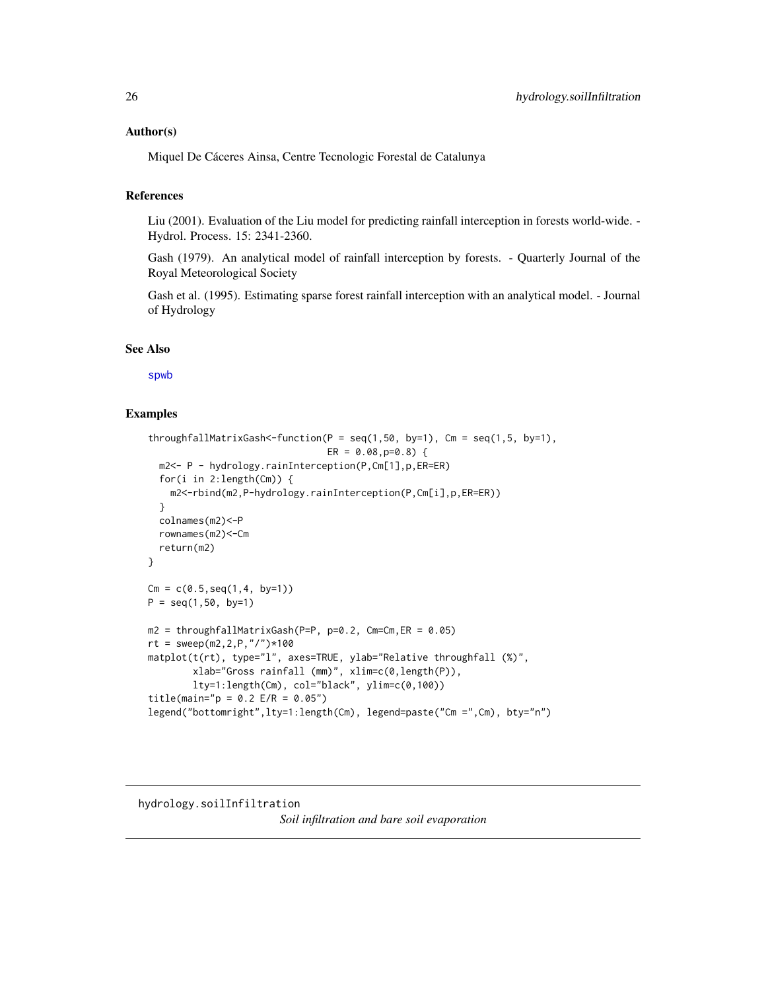## <span id="page-25-0"></span>Author(s)

Miquel De Cáceres Ainsa, Centre Tecnologic Forestal de Catalunya

## References

Liu (2001). Evaluation of the Liu model for predicting rainfall interception in forests world-wide. - Hydrol. Process. 15: 2341-2360.

Gash (1979). An analytical model of rainfall interception by forests. - Quarterly Journal of the Royal Meteorological Society

Gash et al. (1995). Estimating sparse forest rainfall interception with an analytical model. - Journal of Hydrology

## See Also

[spwb](#page-65-1)

## Examples

```
throughfallMatrixGash<-function(P = seq(1, 50, by=1), Cm = seq(1, 5, by=1),
                                ER = 0.08, p=0.8 {
  m2<- P - hydrology.rainInterception(P,Cm[1],p,ER=ER)
  for(i in 2:length(Cm)) {
    m2<-rbind(m2,P-hydrology.rainInterception(P,Cm[i],p,ER=ER))
  }
  colnames(m2)<-P
  rownames(m2)<-Cm
  return(m2)
}
Cm = c(0.5, seq(1, 4, by=1))P = seq(1, 50, by=1)m2 = throughtallMatrixGash(P=P, p=0.2, Cm=Cm, ER = 0.05)rt = sweep(m2, 2, P, "/") * 100matplot(t(rt), type="l", axes=TRUE, ylab="Relative throughfall (%)",
        xlab="Gross rainfall (mm)", xlim=c(0,length(P)),
        lty=1:length(Cm), col="black", ylim=c(0,100))
title(main="p = 0.2 E/R = 0.05")
legend("bottomright",lty=1:length(Cm), legend=paste("Cm =",Cm), bty="n")
```
hydrology.soilInfiltration

*Soil infiltration and bare soil evaporation*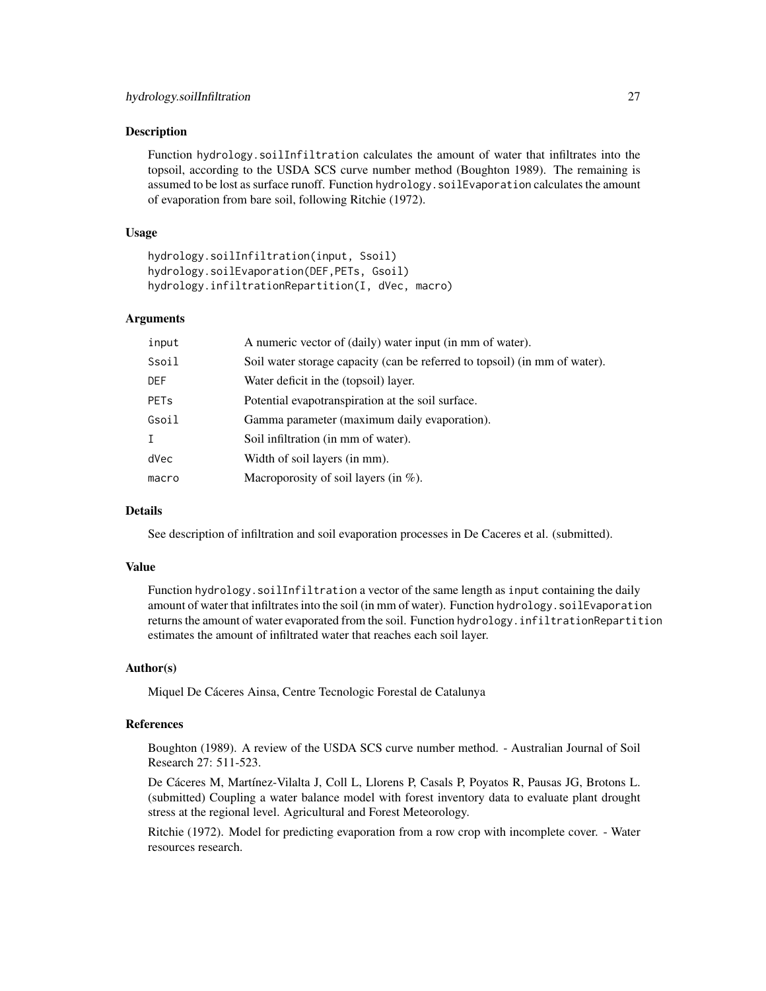### Description

Function hydrology.soilInfiltration calculates the amount of water that infiltrates into the topsoil, according to the USDA SCS curve number method (Boughton 1989). The remaining is assumed to be lost as surface runoff. Function hydrology.soilEvaporation calculates the amount of evaporation from bare soil, following Ritchie (1972).

## Usage

hydrology.soilInfiltration(input, Ssoil) hydrology.soilEvaporation(DEF,PETs, Gsoil) hydrology.infiltrationRepartition(I, dVec, macro)

#### Arguments

| input | A numeric vector of (daily) water input (in mm of water).                  |
|-------|----------------------------------------------------------------------------|
| Ssoil | Soil water storage capacity (can be referred to topsoil) (in mm of water). |
| DEF   | Water deficit in the (topsoil) layer.                                      |
| PETs  | Potential evapotranspiration at the soil surface.                          |
| Gsoil | Gamma parameter (maximum daily evaporation).                               |
| Ι.    | Soil infiltration (in mm of water).                                        |
| dVec  | Width of soil layers (in mm).                                              |
| macro | Macroporosity of soil layers (in $\%$ ).                                   |
|       |                                                                            |

## Details

See description of infiltration and soil evaporation processes in De Caceres et al. (submitted).

#### Value

Function hydrology.soilInfiltration a vector of the same length as input containing the daily amount of water that infiltrates into the soil (in mm of water). Function hydrology.soilEvaporation returns the amount of water evaporated from the soil. Function hydrology.infiltrationRepartition estimates the amount of infiltrated water that reaches each soil layer.

## Author(s)

Miquel De Cáceres Ainsa, Centre Tecnologic Forestal de Catalunya

## References

Boughton (1989). A review of the USDA SCS curve number method. - Australian Journal of Soil Research 27: 511-523.

De Cáceres M, Martínez-Vilalta J, Coll L, Llorens P, Casals P, Poyatos R, Pausas JG, Brotons L. (submitted) Coupling a water balance model with forest inventory data to evaluate plant drought stress at the regional level. Agricultural and Forest Meteorology.

Ritchie (1972). Model for predicting evaporation from a row crop with incomplete cover. - Water resources research.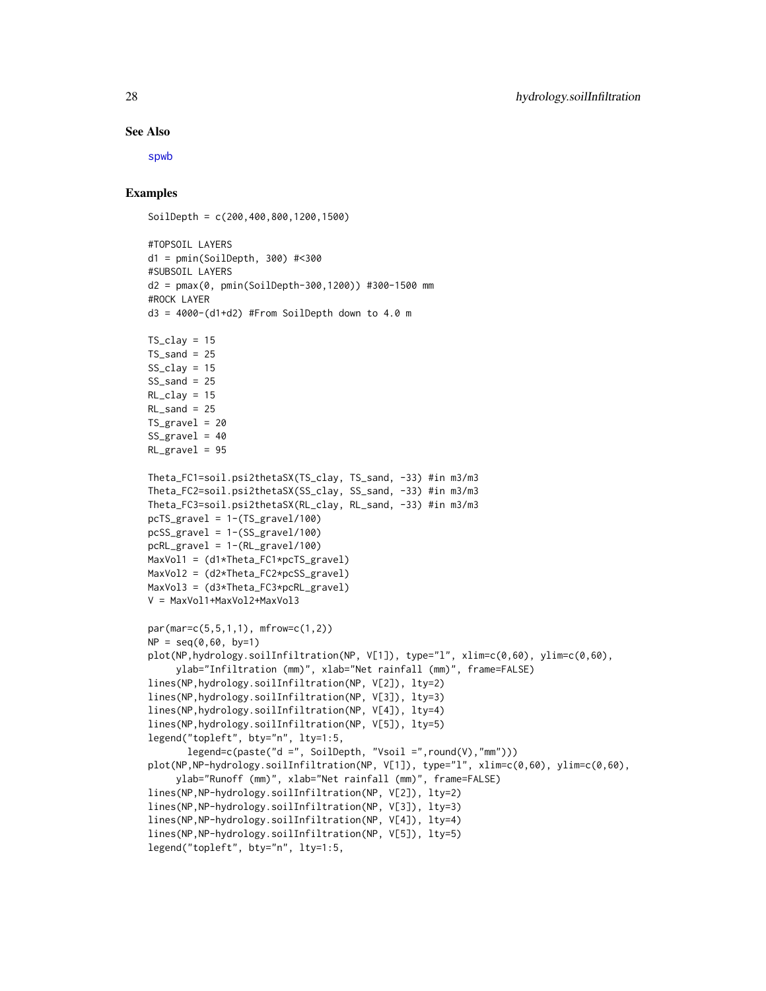#### See Also

[spwb](#page-65-1)

## Examples

SoilDepth = c(200,400,800,1200,1500)

```
#TOPSOIL LAYERS
d1 = pmin(SoilDepth, 300) #<300
#SUBSOIL LAYERS
d2 = pmax(0, pmin(SoilDepth-300,1200)) #300-1500 mm
#ROCK LAYER
d3 = 4000 - (d1 + d2) #From SoilDepth down to 4.0 m
TS_{clav} = 15TS sand = 25SS_{clay} = 15SS\_sand = 25RL\_clay = 15RL\_sand = 25TS\_gravel = 20SS\_gravel = 40RL_gravel = 95
Theta_FC1=soil.psi2thetaSX(TS_clay, TS_sand, -33) #in m3/m3
Theta_FC2=soil.psi2thetaSX(SS_clay, SS_sand, -33) #in m3/m3
Theta_FC3=soil.psi2thetaSX(RL_clay, RL_sand, -33) #in m3/m3
pcTS\_gravel = 1-(TS\_gravel/100)pcSS_gravel = 1-(SS_gravel/100)
pcRL_gravel = 1-(RL_gravel/100)
MaxVol1 = (d1*Theta_FC1*pcTS_gravel)
MaxVol2 = (d2*Theta_FC2*pcSS_gravel)
MaxVol3 = (d3*Theta_FC3*pcRL_gravel)
V = MaxVol1+MaxVol2+MaxVol3
par(mar=c(5,5,1,1), mfrow=c(1,2))
NP = seq(0, 60, by=1)plot(NP,hydrology.soilInfiltration(NP, V[1]), type="l", xlim=c(0,60), ylim=c(0,60),
     ylab="Infiltration (mm)", xlab="Net rainfall (mm)", frame=FALSE)
lines(NP,hydrology.soilInfiltration(NP, V[2]), lty=2)
lines(NP,hydrology.soilInfiltration(NP, V[3]), lty=3)
lines(NP,hydrology.soilInfiltration(NP, V[4]), lty=4)
lines(NP,hydrology.soilInfiltration(NP, V[5]), lty=5)
legend("topleft", bty="n", lty=1:5,
       legend=c(paste("d =", SoilDepth, "Vsoil =",round(V),"mm")))
plot(NP,NP-hydrology.soilInfiltration(NP, V[1]), type="l", xlim=c(0,60), ylim=c(0,60),
     ylab="Runoff (mm)", xlab="Net rainfall (mm)", frame=FALSE)
lines(NP,NP-hydrology.soilInfiltration(NP, V[2]), lty=2)
lines(NP,NP-hydrology.soilInfiltration(NP, V[3]), lty=3)
lines(NP,NP-hydrology.soilInfiltration(NP, V[4]), lty=4)
lines(NP,NP-hydrology.soilInfiltration(NP, V[5]), lty=5)
legend("topleft", bty="n", lty=1:5,
```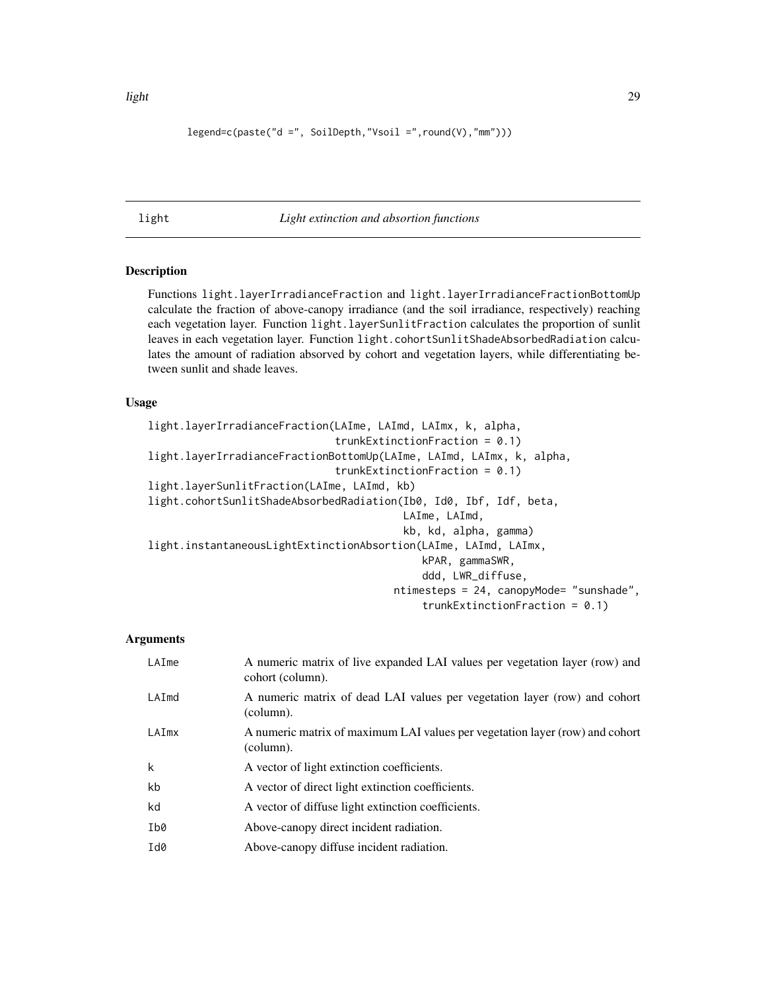## <span id="page-28-0"></span>legend=c(paste("d =", SoilDepth,"Vsoil =",round(V),"mm")))

## light *Light extinction and absortion functions*

#### Description

Functions light.layerIrradianceFraction and light.layerIrradianceFractionBottomUp calculate the fraction of above-canopy irradiance (and the soil irradiance, respectively) reaching each vegetation layer. Function light.layerSunlitFraction calculates the proportion of sunlit leaves in each vegetation layer. Function light.cohortSunlitShadeAbsorbedRadiation calculates the amount of radiation absorved by cohort and vegetation layers, while differentiating between sunlit and shade leaves.

### Usage

```
light.layerIrradianceFraction(LAIme, LAImd, LAImx, k, alpha,
                              trunkExtinctionFraction = 0.1)
light.layerIrradianceFractionBottomUp(LAIme, LAImd, LAImx, k, alpha,
                              trunkExtinctionFraction = 0.1)
light.layerSunlitFraction(LAIme, LAImd, kb)
light.cohortSunlitShadeAbsorbedRadiation(Ib0, Id0, Ibf, Idf, beta,
                                         LAIme, LAImd,
                                         kb, kd, alpha, gamma)
light.instantaneousLightExtinctionAbsortion(LAIme, LAImd, LAImx,
                                            kPAR, gammaSWR,
                                            ddd, LWR_diffuse,
                                        ntimesteps = 24, canopyMode= "sunshade",
                                            trunkExtinctionFraction = 0.1)
```
## Arguments

| LAIme | A numeric matrix of live expanded LAI values per vegetation layer (row) and<br>cohort (column). |
|-------|-------------------------------------------------------------------------------------------------|
| LAImd | A numeric matrix of dead LAI values per vegetation layer (row) and cohort<br>(column).          |
| LAImx | A numeric matrix of maximum LAI values per vegetation layer (row) and cohort<br>(column).       |
| k     | A vector of light extinction coefficients.                                                      |
| kb    | A vector of direct light extinction coefficients.                                               |
| kd    | A vector of diffuse light extinction coefficients.                                              |
| Ib0   | Above-canopy direct incident radiation.                                                         |
| Id0   | Above-canopy diffuse incident radiation.                                                        |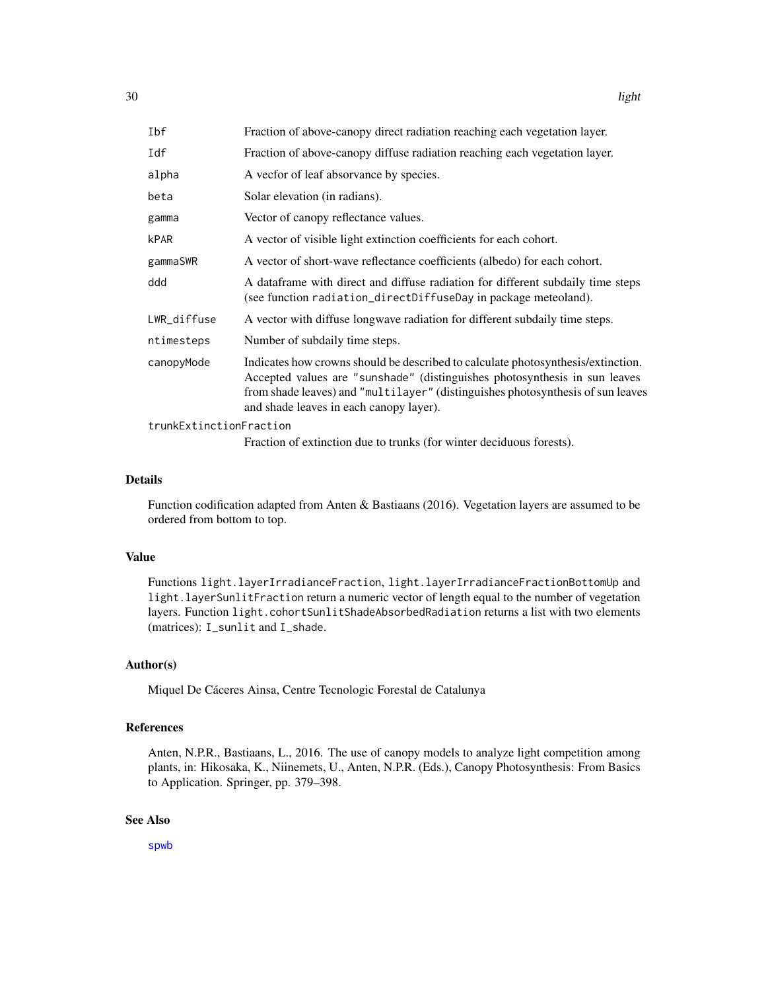| Ibf                     | Fraction of above-canopy direct radiation reaching each vegetation layer.                                                                                                                                                                                                                    |  |
|-------------------------|----------------------------------------------------------------------------------------------------------------------------------------------------------------------------------------------------------------------------------------------------------------------------------------------|--|
| Idf                     | Fraction of above-canopy diffuse radiation reaching each vegetation layer.                                                                                                                                                                                                                   |  |
| alpha                   | A vector of leaf absorvance by species.                                                                                                                                                                                                                                                      |  |
| beta                    | Solar elevation (in radians).                                                                                                                                                                                                                                                                |  |
| gamma                   | Vector of canopy reflectance values.                                                                                                                                                                                                                                                         |  |
| <b>kPAR</b>             | A vector of visible light extinction coefficients for each cohort.                                                                                                                                                                                                                           |  |
| gammaSWR                | A vector of short-wave reflectance coefficients (albedo) for each cohort.                                                                                                                                                                                                                    |  |
| ddd                     | A data frame with direct and diffuse radiation for different subdaily time steps<br>(see function radiation_directDiffuseDay in package meteoland).                                                                                                                                          |  |
| LWR_diffuse             | A vector with diffuse longwave radiation for different subdaily time steps.                                                                                                                                                                                                                  |  |
| ntimesteps              | Number of subdaily time steps.                                                                                                                                                                                                                                                               |  |
| canopyMode              | Indicates how crowns should be described to calculate photosynthesis/extinction.<br>Accepted values are "sunshade" (distinguishes photosynthesis in sun leaves<br>from shade leaves) and "multilayer" (distinguishes photosynthesis of sun leaves<br>and shade leaves in each canopy layer). |  |
| trunkExtinctionFraction |                                                                                                                                                                                                                                                                                              |  |
|                         |                                                                                                                                                                                                                                                                                              |  |

Fraction of extinction due to trunks (for winter deciduous forests).

## Details

Function codification adapted from Anten & Bastiaans (2016). Vegetation layers are assumed to be ordered from bottom to top.

## Value

Functions light.layerIrradianceFraction, light.layerIrradianceFractionBottomUp and light.layerSunlitFraction return a numeric vector of length equal to the number of vegetation layers. Function light.cohortSunlitShadeAbsorbedRadiation returns a list with two elements (matrices): I\_sunlit and I\_shade.

#### Author(s)

Miquel De Cáceres Ainsa, Centre Tecnologic Forestal de Catalunya

## References

Anten, N.P.R., Bastiaans, L., 2016. The use of canopy models to analyze light competition among plants, in: Hikosaka, K., Niinemets, U., Anten, N.P.R. (Eds.), Canopy Photosynthesis: From Basics to Application. Springer, pp. 379–398.

## See Also

[spwb](#page-65-1)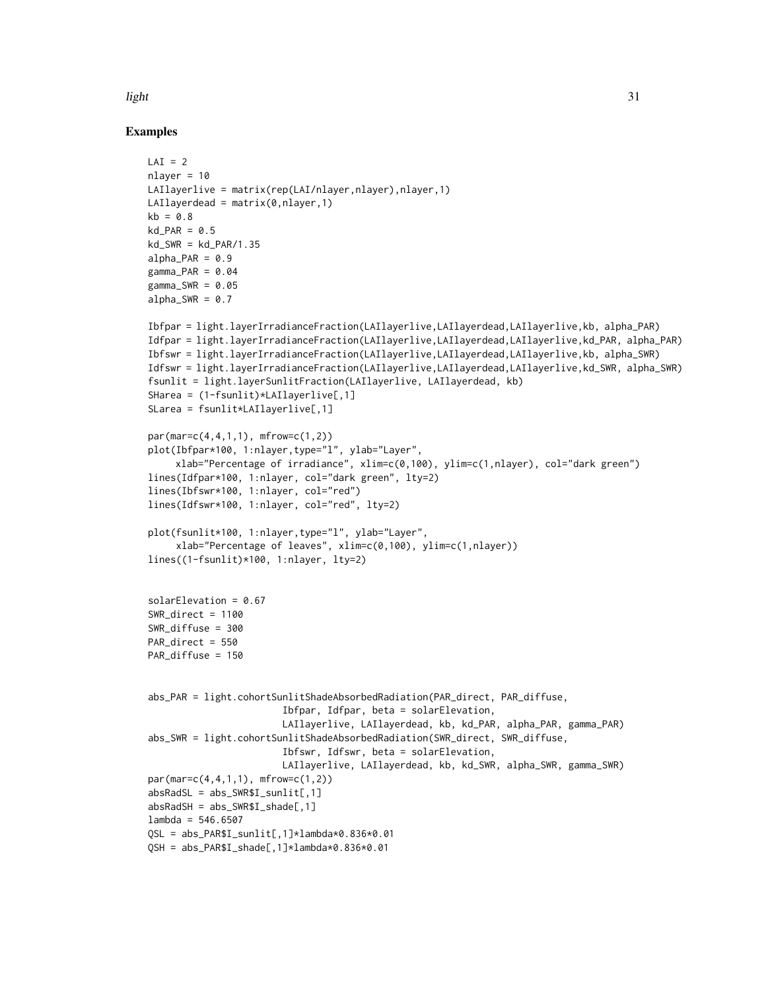## light 31

## Examples

```
LAI = 2nlayer = 10
LAIlayerlive = matrix(rep(LAI/nlayer,nlayer),nlayer,1)
LAIlayerdead = matrix(0, nlayer, 1)kb = 0.8kd PAR = 0.5
kd_SWR = kd_PAR/1.35
alpha PAR = 0.9gamma_PAR = 0.04gamma_SWR = 0.05alpha_SWR = 0.7Ibfpar = light.layerIrradianceFraction(LAIlayerlive,LAIlayerdead,LAIlayerlive,kb, alpha_PAR)
Idfpar = light.layerIrradianceFraction(LAIlayerlive,LAIlayerdead,LAIlayerlive,kd_PAR, alpha_PAR)
Ibfswr = light.layerIrradianceFraction(LAIlayerlive,LAIlayerdead,LAIlayerlive,kb, alpha_SWR)
Idfswr = light.layerIrradianceFraction(LAIlayerlive,LAIlayerdead,LAIlayerlive,kd_SWR, alpha_SWR)
fsunlit = light.layerSunlitFraction(LAIlayerlive, LAIlayerdead, kb)
SHarea = (1-fsunlit)*LAIlayerlive[,1]
SLarea = fsunlit*LAIlayerlive[,1]
par(mar=c(4,4,1,1), mfrow=c(1,2))
plot(Ibfpar*100, 1:nlayer,type="l", ylab="Layer",
     xlab="Percentage of irradiance", xlim=c(0,100), ylim=c(1,nlayer), col="dark green")
lines(Idfpar*100, 1:nlayer, col="dark green", lty=2)
lines(Ibfswr*100, 1:nlayer, col="red")
lines(Idfswr*100, 1:nlayer, col="red", lty=2)
plot(fsunlit*100, 1:nlayer,type="l", ylab="Layer",
     xlab="Percentage of leaves", xlim=c(0,100), ylim=c(1,nlayer))
lines((1-fsunlit)*100, 1:nlayer, lty=2)
solarElevation = 0.67
SWR_direct = 1100SWR_diffuse = 300
PAR_direct = 550
PAR_diffuse = 150
abs_PAR = light.cohortSunlitShadeAbsorbedRadiation(PAR_direct, PAR_diffuse,
                        Ibfpar, Idfpar, beta = solarElevation,
                        LAIlayerlive, LAIlayerdead, kb, kd_PAR, alpha_PAR, gamma_PAR)
abs_SWR = light.cohortSunlitShadeAbsorbedRadiation(SWR_direct, SWR_diffuse,
                        Ibfswr, Idfswr, beta = solarElevation,
                        LAIlayerlive, LAIlayerdead, kb, kd_SWR, alpha_SWR, gamma_SWR)
par(mar=c(4,4,1,1), mfrow=c(1,2))
absRadSL = abs_SWR$I\_sunlit[, 1]absRadSH = abs_SWR$I\_shade[, 1]lambda = 546.6507QSL = abs_PAR$I_sunlit[,1]*lambda*0.836*0.01
QSH = abs_PAR$I_shade[,1]*lambda*0.836*0.01
```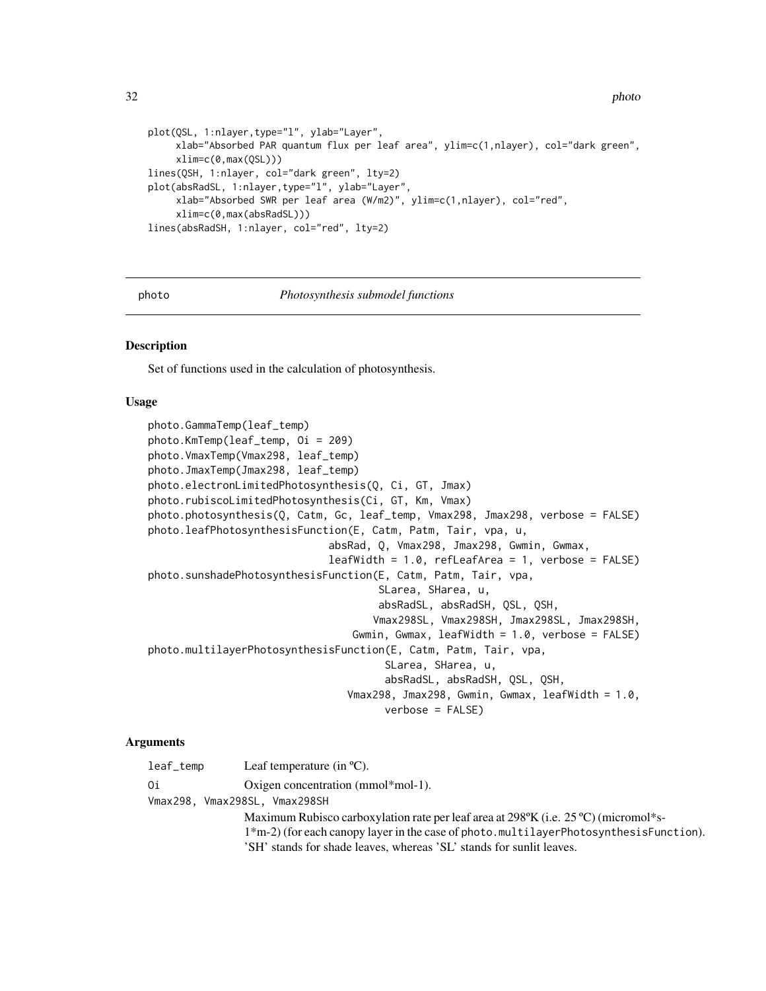```
plot(QSL, 1:nlayer,type="l", ylab="Layer",
     xlab="Absorbed PAR quantum flux per leaf area", ylim=c(1,nlayer), col="dark green",
     xlim=c(0,max(QSL)))
lines(QSH, 1:nlayer, col="dark green", lty=2)
plot(absRadSL, 1:nlayer,type="l", ylab="Layer",
     xlab="Absorbed SWR per leaf area (W/m2)", ylim=c(1,nlayer), col="red",
     xlim=c(0,max(absRadSL)))
lines(absRadSH, 1:nlayer, col="red", lty=2)
```

```
photo Photosynthesis submodel functions
```
#### Description

Set of functions used in the calculation of photosynthesis.

#### Usage

```
photo.GammaTemp(leaf_temp)
photo.KmTemp(leaf_temp, Oi = 209)
photo.VmaxTemp(Vmax298, leaf_temp)
photo.JmaxTemp(Jmax298, leaf_temp)
photo.electronLimitedPhotosynthesis(Q, Ci, GT, Jmax)
photo.rubiscoLimitedPhotosynthesis(Ci, GT, Km, Vmax)
photo.photosynthesis(Q, Catm, Gc, leaf_temp, Vmax298, Jmax298, verbose = FALSE)
photo.leafPhotosynthesisFunction(E, Catm, Patm, Tair, vpa, u,
                             absRad, Q, Vmax298, Jmax298, Gwmin, Gwmax,
                             leafWidth = 1.0, refLeafArea = 1, verbose = FALSE)
photo.sunshadePhotosynthesisFunction(E, Catm, Patm, Tair, vpa,
                                     SLarea, SHarea, u,
                                     absRadSL, absRadSH, QSL, QSH,
                                    Vmax298SL, Vmax298SH, Jmax298SL, Jmax298SH,
                                 Gwmin, Gwmax, leafWidth = 1.0, verbose = FALSE)
photo.multilayerPhotosynthesisFunction(E, Catm, Patm, Tair, vpa,
                                      SLarea, SHarea, u,
                                      absRadSL, absRadSH, QSL, QSH,
                                Vmax298, Jmax298, Gwmin, Gwmax, leafWidth = 1.0,
                                      verbose = FALSE)
```
#### Arguments

| leaf_temp | Leaf temperature (in $^{\circ}$ C).                                                                    |
|-----------|--------------------------------------------------------------------------------------------------------|
| 0i        | Oxigen concentration (mmol*mol-1).                                                                     |
|           | Vmax298. Vmax298SL. Vmax298SH                                                                          |
|           | Maximum Rubisco carboxylation rate per leaf area at 298 $\degree$ K (i.e. 25 $\degree$ C) (micromol*s- |
|           | $1*$ m-2) (for each canopy layer in the case of photo.multilayerPhotosynthesisFunction).               |
|           | 'SH' stands for shade leaves, whereas 'SL' stands for sunlit leaves.                                   |

<span id="page-31-0"></span>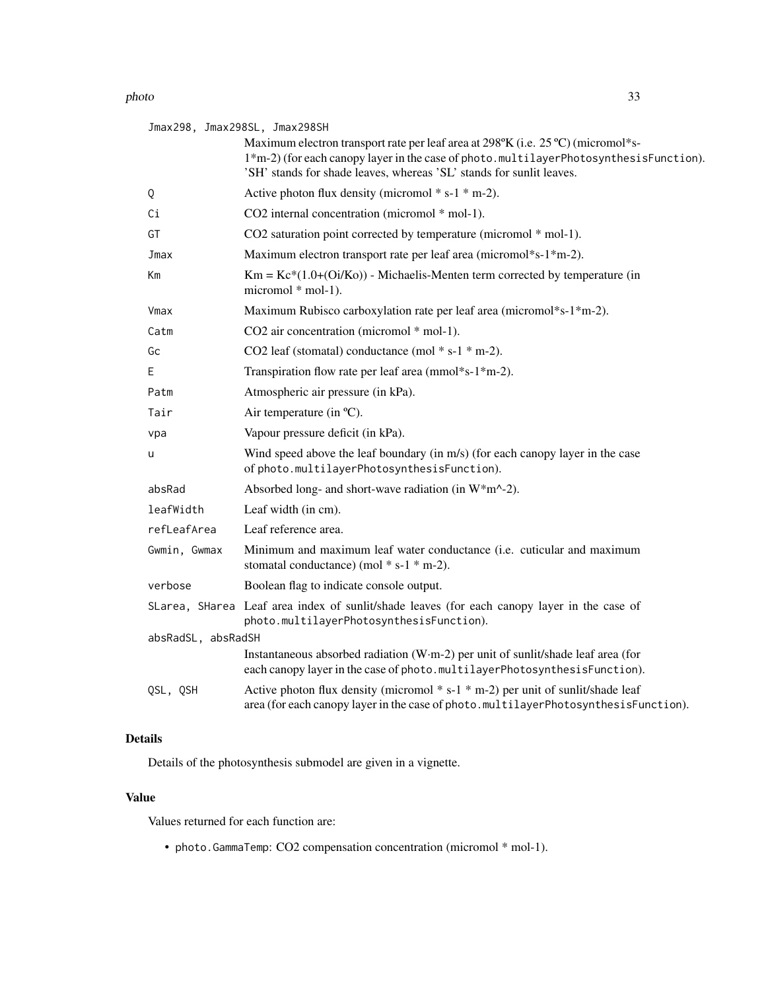#### photo 33

| Jmax298, Jmax298SL, Jmax298SH |                                                                                                                                                                                                                                                   |
|-------------------------------|---------------------------------------------------------------------------------------------------------------------------------------------------------------------------------------------------------------------------------------------------|
|                               | Maximum electron transport rate per leaf area at 298°K (i.e. 25 °C) (micromol*s-<br>1*m-2) (for each canopy layer in the case of photo.multilayerPhotosynthesisFunction).<br>'SH' stands for shade leaves, whereas 'SL' stands for sunlit leaves. |
| Q                             | Active photon flux density (micromol $* s-1 * m-2$ ).                                                                                                                                                                                             |
| Сi                            | CO2 internal concentration (micromol * mol-1).                                                                                                                                                                                                    |
| GT                            | CO2 saturation point corrected by temperature (micromol * mol-1).                                                                                                                                                                                 |
| Jmax                          | Maximum electron transport rate per leaf area (micromol*s-1*m-2).                                                                                                                                                                                 |
| Кm                            | $Km = Kc*(1.0+(0i/Ko))$ - Michaelis-Menten term corrected by temperature (in<br>micromol * mol-1).                                                                                                                                                |
| Vmax                          | Maximum Rubisco carboxylation rate per leaf area (micromol*s-1*m-2).                                                                                                                                                                              |
| Catm                          | CO2 air concentration (micromol * mol-1).                                                                                                                                                                                                         |
| Gс                            | CO2 leaf (stomatal) conductance (mol $* s-1 * m-2$ ).                                                                                                                                                                                             |
| Ε                             | Transpiration flow rate per leaf area (mmol*s-1*m-2).                                                                                                                                                                                             |
| Patm                          | Atmospheric air pressure (in kPa).                                                                                                                                                                                                                |
| Tair                          | Air temperature (in °C).                                                                                                                                                                                                                          |
| vpa                           | Vapour pressure deficit (in kPa).                                                                                                                                                                                                                 |
| u                             | Wind speed above the leaf boundary (in m/s) (for each canopy layer in the case<br>of photo.multilayerPhotosynthesisFunction).                                                                                                                     |
| absRad                        | Absorbed long- and short-wave radiation (in W*m^-2).                                                                                                                                                                                              |
| leafWidth                     | Leaf width (in cm).                                                                                                                                                                                                                               |
| refLeafArea                   | Leaf reference area.                                                                                                                                                                                                                              |
| Gwmin, Gwmax                  | Minimum and maximum leaf water conductance (i.e. cuticular and maximum<br>stomatal conductance) (mol $* s-1 * m-2$ ).                                                                                                                             |
| verbose                       | Boolean flag to indicate console output.                                                                                                                                                                                                          |
|                               | SLarea, SHarea Leaf area index of sunlit/shade leaves (for each canopy layer in the case of<br>photo.multilayerPhotosynthesisFunction).                                                                                                           |
| absRadSL, absRadSH            |                                                                                                                                                                                                                                                   |
|                               | Instantaneous absorbed radiation (W·m-2) per unit of sunlit/shade leaf area (for<br>each canopy layer in the case of photo.multilayerPhotosynthesisFunction).                                                                                     |
| QSL, QSH                      | Active photon flux density (micromol $* s-1 * m-2$ ) per unit of sunlit/shade leaf<br>area (for each canopy layer in the case of photo.multilayerPhotosynthesisFunction).                                                                         |

## Details

Details of the photosynthesis submodel are given in a vignette.

## Value

Values returned for each function are:

• photo.GammaTemp: CO2 compensation concentration (micromol \* mol-1).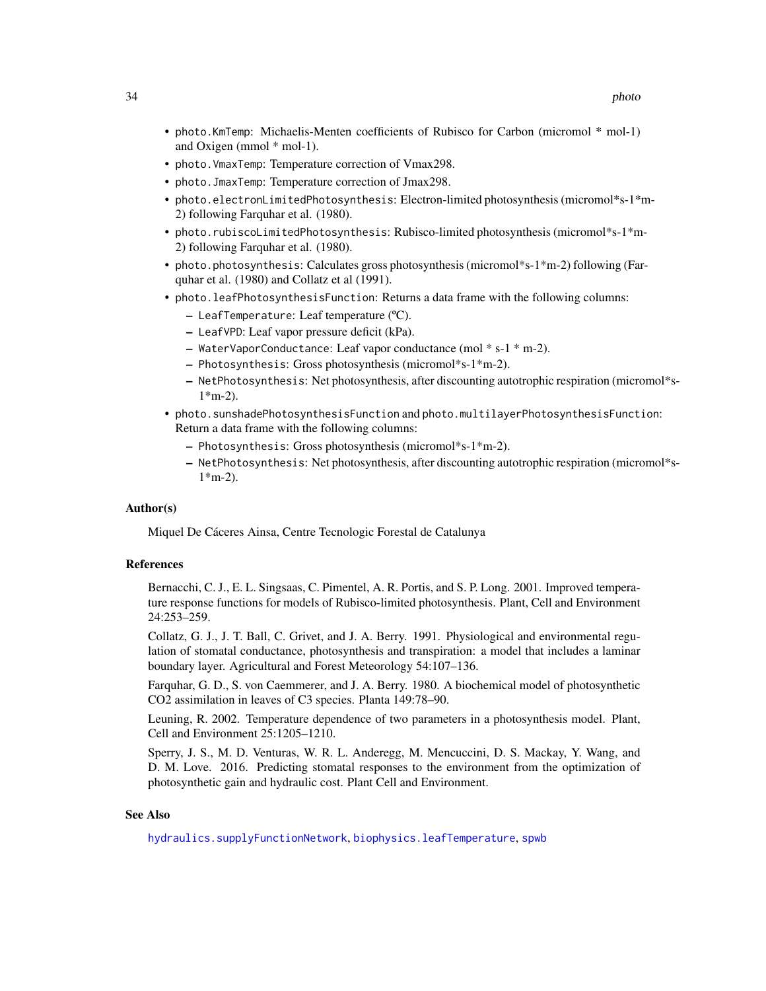- photo.KmTemp: Michaelis-Menten coefficients of Rubisco for Carbon (micromol \* mol-1) and Oxigen (mmol \* mol-1).
- photo.VmaxTemp: Temperature correction of Vmax298.
- photo.JmaxTemp: Temperature correction of Jmax298.
- photo.electronLimitedPhotosynthesis: Electron-limited photosynthesis (micromol\*s-1\*m-2) following Farquhar et al. (1980).
- photo.rubiscoLimitedPhotosynthesis: Rubisco-limited photosynthesis (micromol\*s-1\*m-2) following Farquhar et al. (1980).
- photo.photosynthesis: Calculates gross photosynthesis (micromol\*s-1\*m-2) following (Farquhar et al. (1980) and Collatz et al (1991).
- photo.leafPhotosynthesisFunction: Returns a data frame with the following columns:
	- LeafTemperature: Leaf temperature (ºC).
	- LeafVPD: Leaf vapor pressure deficit (kPa).
	- WaterVaporConductance: Leaf vapor conductance (mol \* s-1 \* m-2).
	- Photosynthesis: Gross photosynthesis (micromol\*s-1\*m-2).
	- NetPhotosynthesis: Net photosynthesis, after discounting autotrophic respiration (micromol\*s- $1*$ m-2).
- photo.sunshadePhotosynthesisFunction and photo.multilayerPhotosynthesisFunction: Return a data frame with the following columns:
	- Photosynthesis: Gross photosynthesis (micromol\*s-1\*m-2).
	- NetPhotosynthesis: Net photosynthesis, after discounting autotrophic respiration (micromol\*s- $1*$ m-2).

#### Author(s)

Miquel De Cáceres Ainsa, Centre Tecnologic Forestal de Catalunya

## References

Bernacchi, C. J., E. L. Singsaas, C. Pimentel, A. R. Portis, and S. P. Long. 2001. Improved temperature response functions for models of Rubisco-limited photosynthesis. Plant, Cell and Environment 24:253–259.

Collatz, G. J., J. T. Ball, C. Grivet, and J. A. Berry. 1991. Physiological and environmental regulation of stomatal conductance, photosynthesis and transpiration: a model that includes a laminar boundary layer. Agricultural and Forest Meteorology 54:107–136.

Farquhar, G. D., S. von Caemmerer, and J. A. Berry. 1980. A biochemical model of photosynthetic CO2 assimilation in leaves of C3 species. Planta 149:78–90.

Leuning, R. 2002. Temperature dependence of two parameters in a photosynthesis model. Plant, Cell and Environment 25:1205–1210.

Sperry, J. S., M. D. Venturas, W. R. L. Anderegg, M. Mencuccini, D. S. Mackay, Y. Wang, and D. M. Love. 2016. Predicting stomatal responses to the environment from the optimization of photosynthetic gain and hydraulic cost. Plant Cell and Environment.

#### See Also

[hydraulics.supplyFunctionNetwork](#page-87-1), [biophysics.leafTemperature](#page-2-1), [spwb](#page-65-1)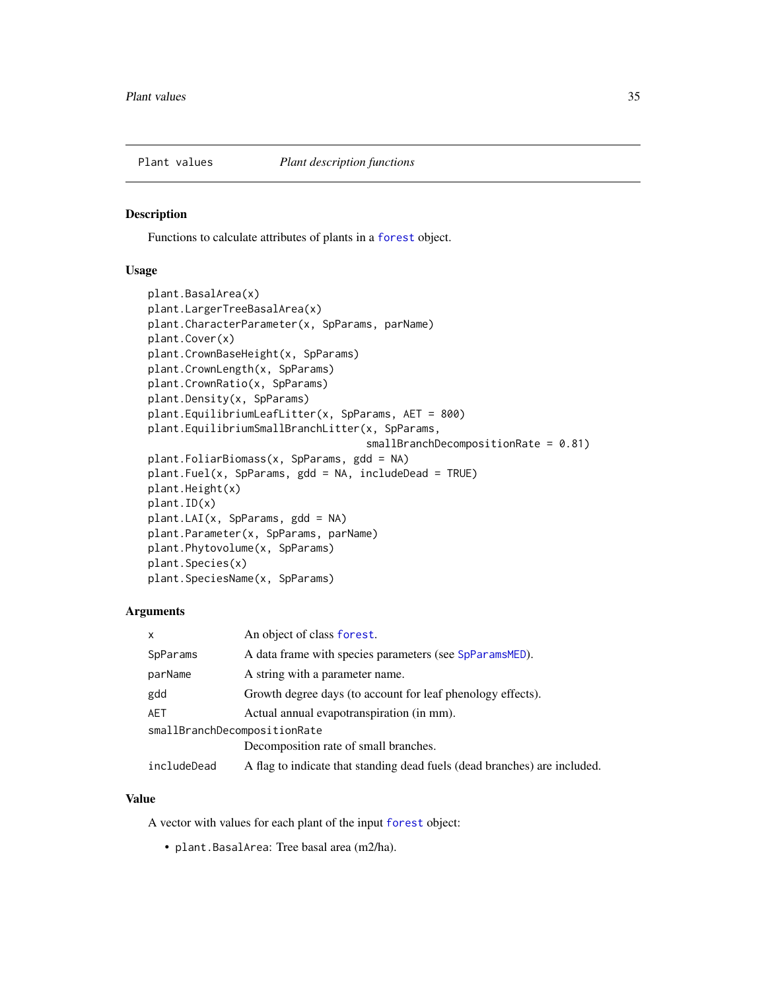<span id="page-34-0"></span>

## <span id="page-34-1"></span>Description

Functions to calculate attributes of plants in a [forest](#page-15-1) object.

## Usage

```
plant.BasalArea(x)
plant.LargerTreeBasalArea(x)
plant.CharacterParameter(x, SpParams, parName)
plant.Cover(x)
plant.CrownBaseHeight(x, SpParams)
plant.CrownLength(x, SpParams)
plant.CrownRatio(x, SpParams)
plant.Density(x, SpParams)
plant.EquilibriumLeafLitter(x, SpParams, AET = 800)
plant.EquilibriumSmallBranchLitter(x, SpParams,
                                   smallBranchDecompositionRate = 0.81)
plant.FoliarBiomass(x, SpParams, gdd = NA)
plant.Fuel(x, SpParams, gdd = NA, includeDead = TRUE)
plant.Height(x)
plant.ID(x)
plant.LAI(x, SpParams, gdd = NA)
plant.Parameter(x, SpParams, parName)
plant.Phytovolume(x, SpParams)
plant.Species(x)
plant.SpeciesName(x, SpParams)
```
## Arguments

| x                            | An object of class forest.                                                |
|------------------------------|---------------------------------------------------------------------------|
| SpParams                     | A data frame with species parameters (see SpParamsMED).                   |
| parName                      | A string with a parameter name.                                           |
| gdd                          | Growth degree days (to account for leaf phenology effects).               |
| AET                          | Actual annual evapotranspiration (in mm).                                 |
| smallBranchDecompositionRate |                                                                           |
|                              | Decomposition rate of small branches.                                     |
| includeDead                  | A flag to indicate that standing dead fuels (dead branches) are included. |

## Value

A vector with values for each plant of the input [forest](#page-15-1) object:

• plant.BasalArea: Tree basal area (m2/ha).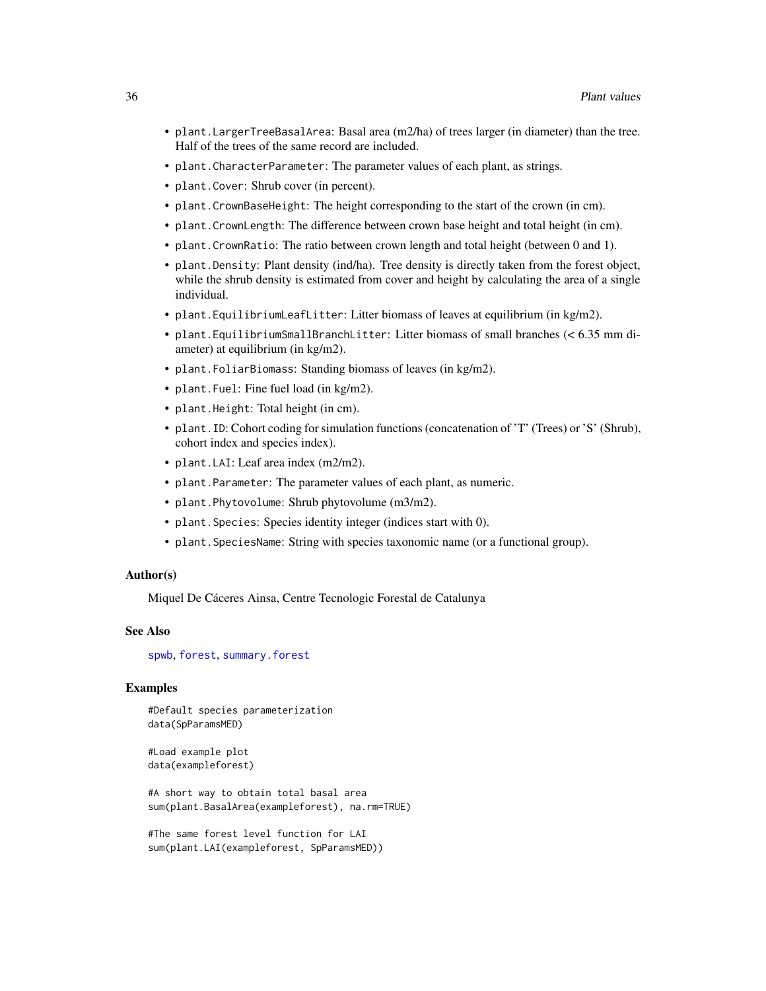- plant.LargerTreeBasalArea: Basal area (m2/ha) of trees larger (in diameter) than the tree. Half of the trees of the same record are included.
- plant.CharacterParameter: The parameter values of each plant, as strings.
- plant.Cover: Shrub cover (in percent).
- plant.CrownBaseHeight: The height corresponding to the start of the crown (in cm).
- plant.CrownLength: The difference between crown base height and total height (in cm).
- plant.CrownRatio: The ratio between crown length and total height (between 0 and 1).
- plant.Density: Plant density (ind/ha). Tree density is directly taken from the forest object, while the shrub density is estimated from cover and height by calculating the area of a single individual.
- plant.EquilibriumLeafLitter: Litter biomass of leaves at equilibrium (in kg/m2).
- plant.EquilibriumSmallBranchLitter: Litter biomass of small branches (< 6.35 mm diameter) at equilibrium (in kg/m2).
- plant.FoliarBiomass: Standing biomass of leaves (in kg/m2).
- plant.Fuel: Fine fuel load (in kg/m2).
- plant.Height: Total height (in cm).
- plant.ID: Cohort coding for simulation functions (concatenation of 'T' (Trees) or 'S' (Shrub), cohort index and species index).
- plant.LAI: Leaf area index (m2/m2).
- plant.Parameter: The parameter values of each plant, as numeric.
- plant.Phytovolume: Shrub phytovolume (m3/m2).
- plant.Species: Species identity integer (indices start with 0).
- plant.SpeciesName: String with species taxonomic name (or a functional group).

## Author(s)

Miquel De Cáceres Ainsa, Centre Tecnologic Forestal de Catalunya

#### See Also

[spwb](#page-65-1), [forest](#page-15-1), [summary.forest](#page-15-2)

## Examples

#Default species parameterization data(SpParamsMED)

#Load example plot data(exampleforest)

#A short way to obtain total basal area sum(plant.BasalArea(exampleforest), na.rm=TRUE)

#The same forest level function for LAI sum(plant.LAI(exampleforest, SpParamsMED))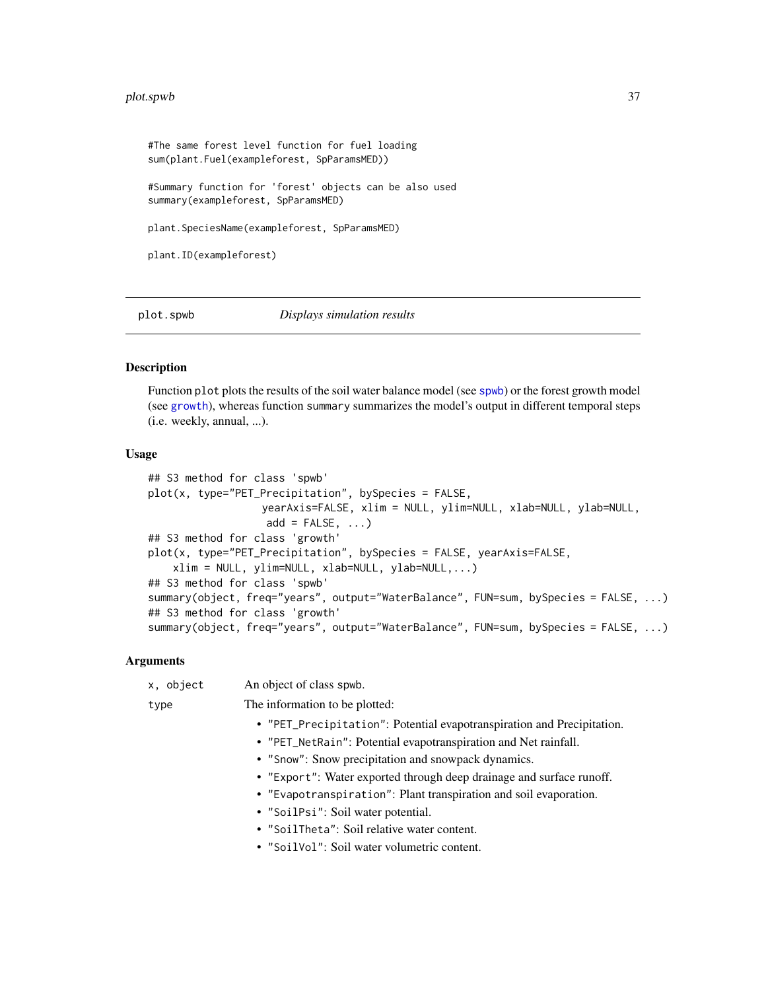### plot.spwb 37

#The same forest level function for fuel loading sum(plant.Fuel(exampleforest, SpParamsMED)) #Summary function for 'forest' objects can be also used summary(exampleforest, SpParamsMED) plant.SpeciesName(exampleforest, SpParamsMED) plant.ID(exampleforest)

<span id="page-36-0"></span>

plot.spwb *Displays simulation results*

## Description

Function plot plots the results of the soil water balance model (see [spwb](#page-65-0)) or the forest growth model (see [growth](#page-21-0)), whereas function summary summarizes the model's output in different temporal steps (i.e. weekly, annual, ...).

## Usage

```
## S3 method for class 'spwb'
plot(x, type="PET_Precipitation", bySpecies = FALSE,
                  yearAxis=FALSE, xlim = NULL, ylim=NULL, xlab=NULL, ylab=NULL,
                   add = FALSE, ...)## S3 method for class 'growth'
plot(x, type="PET_Precipitation", bySpecies = FALSE, yearAxis=FALSE,
    xlim = NULL, ylim=NULL, xlab=NULL, ylab=NULL,...)
## S3 method for class 'spwb'
summary(object, freq="years", output="WaterBalance", FUN=sum, bySpecies = FALSE, ...)
## S3 method for class 'growth'
summary(object, freq="years", output="WaterBalance", FUN=sum, bySpecies = FALSE, ...)
```

| x, object | An object of class spwb.                                               |
|-----------|------------------------------------------------------------------------|
| type      | The information to be plotted:                                         |
|           | • "PET_Precipitation": Potential evapotranspiration and Precipitation. |
|           | • "PET_NetRain": Potential evapotranspiration and Net rainfall.        |
|           | • "Snow": Snow precipitation and snowpack dynamics.                    |
|           | • "Export": Water exported through deep drainage and surface runoff.   |
|           | • "Evapotranspiration": Plant transpiration and soil evaporation.      |
|           | • "SoilPsi": Soil water potential.                                     |
|           | • "SoilTheta": Soil relative water content.                            |
|           | • "SoilVol": Soil water volumetric content.                            |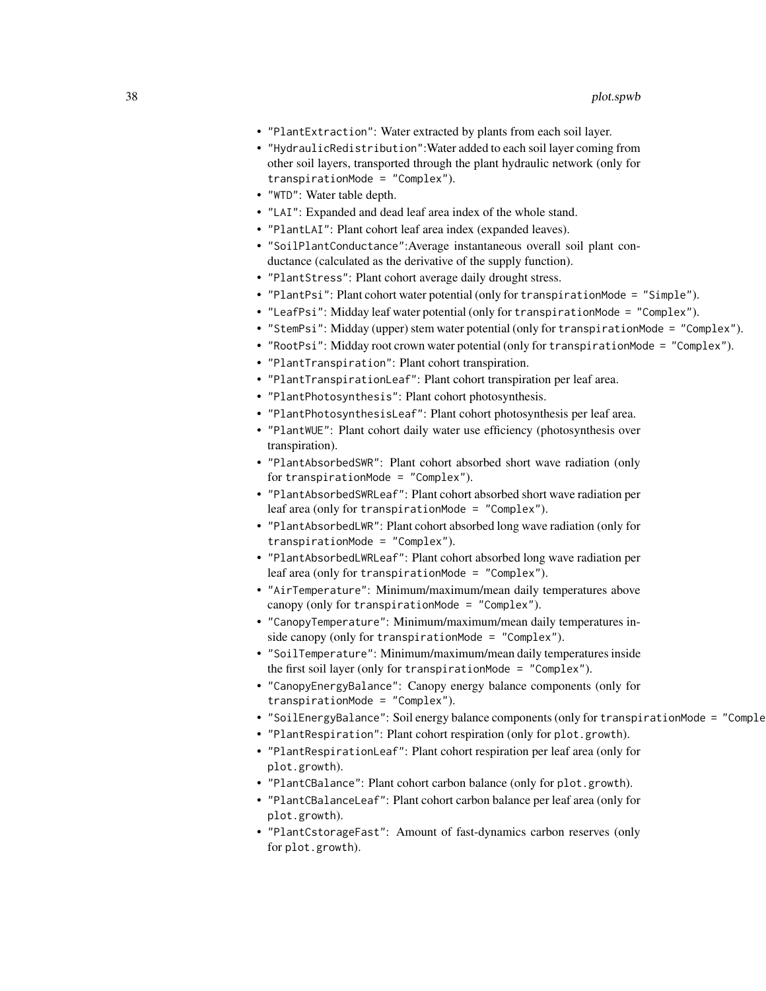- "PlantExtraction": Water extracted by plants from each soil layer.
- "HydraulicRedistribution":Water added to each soil layer coming from other soil layers, transported through the plant hydraulic network (only for transpirationMode = "Complex").
- "WTD": Water table depth.
- "LAI": Expanded and dead leaf area index of the whole stand.
- "PlantLAI": Plant cohort leaf area index (expanded leaves).
- "SoilPlantConductance":Average instantaneous overall soil plant conductance (calculated as the derivative of the supply function).
- "PlantStress": Plant cohort average daily drought stress.
- "PlantPsi": Plant cohort water potential (only for transpirationMode = "Simple").
- "LeafPsi": Midday leaf water potential (only for transpirationMode = "Complex").
- "StemPsi": Midday (upper) stem water potential (only for transpirationMode = "Complex").
- "RootPsi": Midday root crown water potential (only for transpirationMode = "Complex").
- "PlantTranspiration": Plant cohort transpiration.
- "PlantTranspirationLeaf": Plant cohort transpiration per leaf area.
- "PlantPhotosynthesis": Plant cohort photosynthesis.
- "PlantPhotosynthesisLeaf": Plant cohort photosynthesis per leaf area.
- "PlantWUE": Plant cohort daily water use efficiency (photosynthesis over transpiration).
- "PlantAbsorbedSWR": Plant cohort absorbed short wave radiation (only for transpirationMode = "Complex").
- "PlantAbsorbedSWRLeaf": Plant cohort absorbed short wave radiation per leaf area (only for transpirationMode = "Complex").
- "PlantAbsorbedLWR": Plant cohort absorbed long wave radiation (only for transpirationMode = "Complex").
- "PlantAbsorbedLWRLeaf": Plant cohort absorbed long wave radiation per leaf area (only for transpirationMode = "Complex").
- "AirTemperature": Minimum/maximum/mean daily temperatures above canopy (only for transpirationMode = "Complex").
- "CanopyTemperature": Minimum/maximum/mean daily temperatures inside canopy (only for transpirationMode = "Complex").
- "SoilTemperature": Minimum/maximum/mean daily temperatures inside the first soil layer (only for transpirationMode = "Complex").
- "CanopyEnergyBalance": Canopy energy balance components (only for transpirationMode = "Complex").
- "SoilEnergyBalance": Soil energy balance components (only for transpirationMode = "Complex").
- "PlantRespiration": Plant cohort respiration (only for plot.growth).
- "PlantRespirationLeaf": Plant cohort respiration per leaf area (only for plot.growth).
- "PlantCBalance": Plant cohort carbon balance (only for plot.growth).
- "PlantCBalanceLeaf": Plant cohort carbon balance per leaf area (only for plot.growth).
- "PlantCstorageFast": Amount of fast-dynamics carbon reserves (only for plot.growth).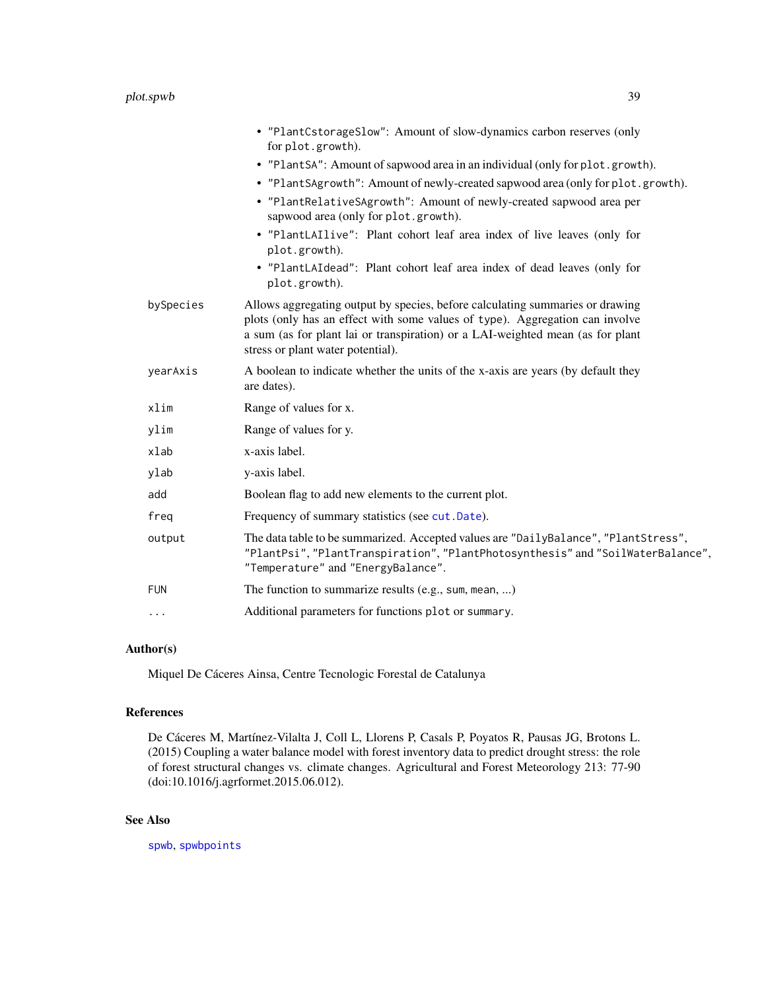|            | • "PlantCstorageSlow": Amount of slow-dynamics carbon reserves (only<br>for plot.growth).                                                                                                                                                                                            |
|------------|--------------------------------------------------------------------------------------------------------------------------------------------------------------------------------------------------------------------------------------------------------------------------------------|
|            | • "PlantSA": Amount of sapwood area in an individual (only for plot.growth).                                                                                                                                                                                                         |
|            | • "PlantSAgrowth": Amount of newly-created sapwood area (only for plot.growth).                                                                                                                                                                                                      |
|            | • "PlantRelativeSAgrowth": Amount of newly-created sapwood area per<br>sapwood area (only for plot.growth).                                                                                                                                                                          |
|            | • "PlantLAIlive": Plant cohort leaf area index of live leaves (only for<br>plot.growth).                                                                                                                                                                                             |
|            | • "PlantLAIdead": Plant cohort leaf area index of dead leaves (only for<br>plot.growth).                                                                                                                                                                                             |
| bySpecies  | Allows aggregating output by species, before calculating summaries or drawing<br>plots (only has an effect with some values of type). Aggregation can involve<br>a sum (as for plant lai or transpiration) or a LAI-weighted mean (as for plant<br>stress or plant water potential). |
| yearAxis   | A boolean to indicate whether the units of the x-axis are years (by default they<br>are dates).                                                                                                                                                                                      |
| xlim       | Range of values for x.                                                                                                                                                                                                                                                               |
| ylim       | Range of values for y.                                                                                                                                                                                                                                                               |
| xlab       | x-axis label.                                                                                                                                                                                                                                                                        |
| ylab       | y-axis label.                                                                                                                                                                                                                                                                        |
| add        | Boolean flag to add new elements to the current plot.                                                                                                                                                                                                                                |
| freg       | Frequency of summary statistics (see cut. Date).                                                                                                                                                                                                                                     |
| output     | The data table to be summarized. Accepted values are "DailyBalance", "PlantStress",<br>"PlantPsi", "PlantTranspiration", "PlantPhotosynthesis" and "SoilWaterBalance",<br>"Temperature" and "EnergyBalance".                                                                         |
| <b>FUN</b> | The function to summarize results (e.g., sum, mean, )                                                                                                                                                                                                                                |
| $\cdots$   | Additional parameters for functions plot or summary.                                                                                                                                                                                                                                 |
|            |                                                                                                                                                                                                                                                                                      |

## Author(s)

Miquel De Cáceres Ainsa, Centre Tecnologic Forestal de Catalunya

## References

De Cáceres M, Martínez-Vilalta J, Coll L, Llorens P, Casals P, Poyatos R, Pausas JG, Brotons L. (2015) Coupling a water balance model with forest inventory data to predict drought stress: the role of forest structural changes vs. climate changes. Agricultural and Forest Meteorology 213: 77-90 (doi:10.1016/j.agrformet.2015.06.012).

## See Also

[spwb](#page-65-0), [spwbpoints](#page-85-0)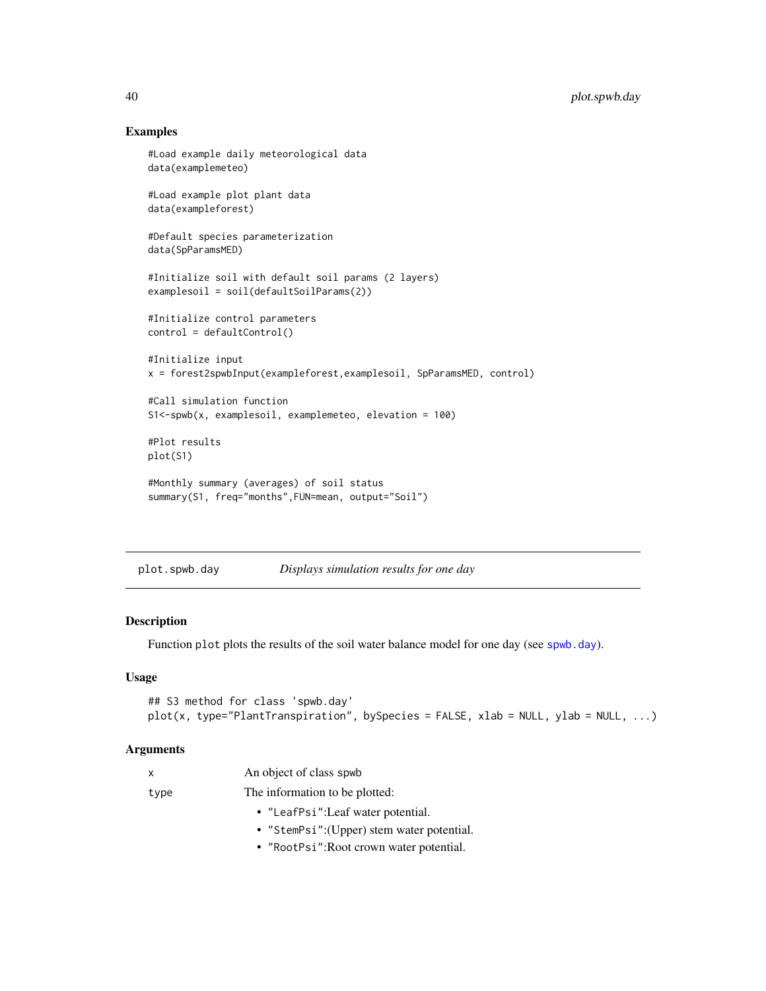## Examples

```
#Load example daily meteorological data
data(examplemeteo)
#Load example plot plant data
data(exampleforest)
#Default species parameterization
data(SpParamsMED)
#Initialize soil with default soil params (2 layers)
examplesoil = soil(defaultSoilParams(2))
#Initialize control parameters
control = defaultControl()
#Initialize input
x = forest2spwbInput(exampleforest,examplesoil, SpParamsMED, control)
#Call simulation function
S1<-spwb(x, examplesoil, examplemeteo, elevation = 100)
#Plot results
plot(S1)
#Monthly summary (averages) of soil status
summary(S1, freq="months",FUN=mean, output="Soil")
```

| plot.spwb.day | Displays simulation results for one day |  |
|---------------|-----------------------------------------|--|
|               |                                         |  |

### Description

Function plot plots the results of the soil water balance model for one day (see [spwb.day](#page-70-0)).

## Usage

```
## S3 method for class 'spwb.day'
plot(x, type="PlantTransaction", by Species = FALSE, xlab = NULL, ylab = NULL, ...)
```
## Arguments

| X    | An object of class spwb                    |  |
|------|--------------------------------------------|--|
| type | The information to be plotted:             |  |
|      | • "LeafPsi": Leaf water potential.         |  |
|      | • "StemPsi": (Upper) stem water potential. |  |

• "RootPsi":Root crown water potential.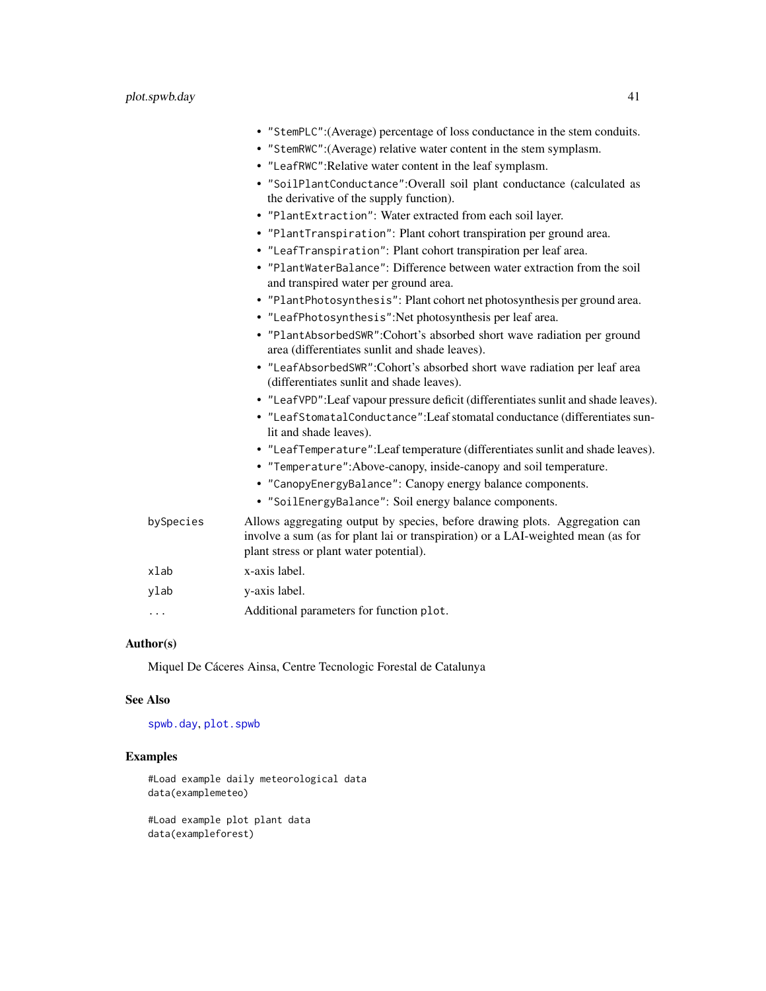|           | • "StemPLC":(Average) percentage of loss conductance in the stem conduits.                                                                                                                                 |
|-----------|------------------------------------------------------------------------------------------------------------------------------------------------------------------------------------------------------------|
|           | • "StemRWC": (Average) relative water content in the stem symplasm.                                                                                                                                        |
|           | • "LeafRWC": Relative water content in the leaf symplasm.                                                                                                                                                  |
|           | • "SoilPlantConductance":Overall soil plant conductance (calculated as<br>the derivative of the supply function).                                                                                          |
|           | • "PlantExtraction": Water extracted from each soil layer.                                                                                                                                                 |
|           | • "PlantTranspiration": Plant cohort transpiration per ground area.                                                                                                                                        |
|           | • "LeafTranspiration": Plant cohort transpiration per leaf area.                                                                                                                                           |
|           | • "PlantWaterBalance": Difference between water extraction from the soil<br>and transpired water per ground area.                                                                                          |
|           | • "PlantPhotosynthesis": Plant cohort net photosynthesis per ground area.                                                                                                                                  |
|           | • "LeafPhotosynthesis": Net photosynthesis per leaf area.                                                                                                                                                  |
|           | • "PlantAbsorbedSWR":Cohort's absorbed short wave radiation per ground<br>area (differentiates sunlit and shade leaves).                                                                                   |
|           | • "LeafAbsorbedSWR":Cohort's absorbed short wave radiation per leaf area<br>(differentiates sunlit and shade leaves).                                                                                      |
|           | • "LeafVPD": Leaf vapour pressure deficit (differentiates sunlit and shade leaves).                                                                                                                        |
|           | • "LeafStomatalConductance": Leaf stomatal conductance (differentiates sun-<br>lit and shade leaves).                                                                                                      |
|           | • "LeafTemperature": Leaf temperature (differentiates sunlit and shade leaves).                                                                                                                            |
|           | • "Temperature": Above-canopy, inside-canopy and soil temperature.                                                                                                                                         |
|           | • "CanopyEnergyBalance": Canopy energy balance components.                                                                                                                                                 |
|           | • "SoilEnergyBalance": Soil energy balance components.                                                                                                                                                     |
| bySpecies | Allows aggregating output by species, before drawing plots. Aggregation can<br>involve a sum (as for plant lai or transpiration) or a LAI-weighted mean (as for<br>plant stress or plant water potential). |
| xlab      | x-axis label.                                                                                                                                                                                              |
| ylab      | y-axis label.                                                                                                                                                                                              |
| .         | Additional parameters for function plot.                                                                                                                                                                   |
|           |                                                                                                                                                                                                            |

# Author(s)

Miquel De Cáceres Ainsa, Centre Tecnologic Forestal de Catalunya

# See Also

[spwb.day](#page-70-0), [plot.spwb](#page-36-0)

## Examples

#Load example daily meteorological data data(examplemeteo)

#Load example plot plant data data(exampleforest)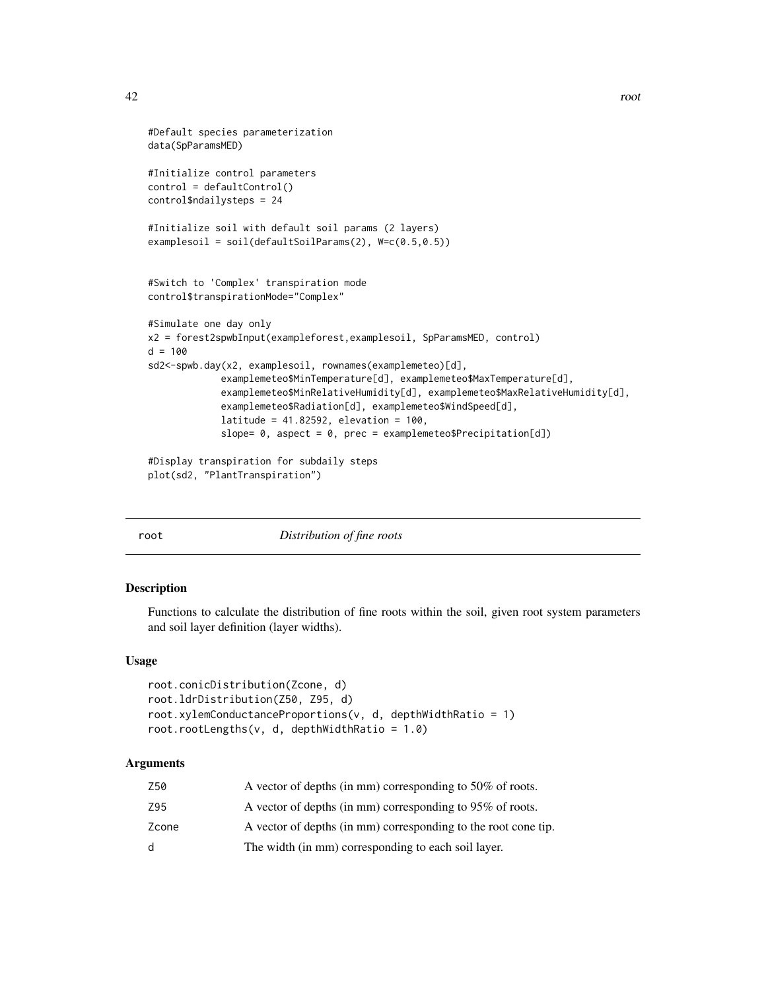```
42 root and the contract of the contract of the contract of the contract of the contract of the contract of the contract of the contract of the contract of the contract of the contract of the contract of the contract of th
```

```
#Default species parameterization
data(SpParamsMED)
#Initialize control parameters
control = defaultControl()
control$ndailysteps = 24
#Initialize soil with default soil params (2 layers)
examplesoil = soil(defaultSoilParams(2), W=c(0.5,0.5))
#Switch to 'Complex' transpiration mode
control$transpirationMode="Complex"
#Simulate one day only
x2 = forest2spwbInput(exampleforest,examplesoil, SpParamsMED, control)
d = 100sd2<-spwb.day(x2, examplesoil, rownames(examplemeteo)[d],
             examplemeteo$MinTemperature[d], examplemeteo$MaxTemperature[d],
             examplemeteo$MinRelativeHumidity[d], examplemeteo$MaxRelativeHumidity[d],
             examplemeteo$Radiation[d], examplemeteo$WindSpeed[d],
             latitude = 41.82592, elevation = 100,
             slope= 0, aspect = 0, prec = examplemeteo$Precipitation[d])
#Display transpiration for subdaily steps
plot(sd2, "PlantTranspiration")
```
root *Distribution of fine roots*

### Description

Functions to calculate the distribution of fine roots within the soil, given root system parameters and soil layer definition (layer widths).

### Usage

```
root.conicDistribution(Zcone, d)
root.ldrDistribution(Z50, Z95, d)
root.xylemConductanceProportions(v, d, depthWidthRatio = 1)
root.rootLengths(v, d, depthWidthRatio = 1.0)
```

| Z50   | A vector of depths (in mm) corresponding to 50% of roots.      |
|-------|----------------------------------------------------------------|
| Z95   | A vector of depths (in mm) corresponding to 95% of roots.      |
| Zcone | A vector of depths (in mm) corresponding to the root cone tip. |
| d     | The width (in mm) corresponding to each soil layer.            |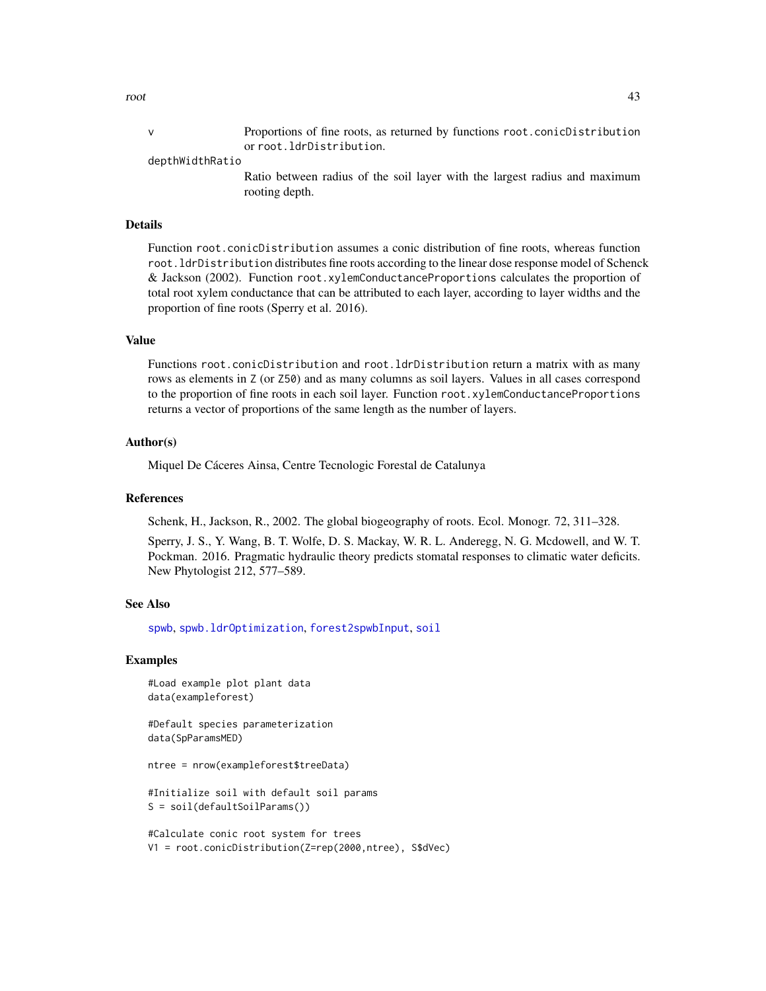v Proportions of fine roots, as returned by functions root.conicDistribution or root.ldrDistribution.

### depthWidthRatio

Ratio between radius of the soil layer with the largest radius and maximum rooting depth.

### Details

Function root.conicDistribution assumes a conic distribution of fine roots, whereas function root.ldrDistribution distributes fine roots according to the linear dose response model of Schenck & Jackson (2002). Function root.xylemConductanceProportions calculates the proportion of total root xylem conductance that can be attributed to each layer, according to layer widths and the proportion of fine roots (Sperry et al. 2016).

### Value

Functions root.conicDistribution and root.ldrDistribution return a matrix with as many rows as elements in Z (or Z50) and as many columns as soil layers. Values in all cases correspond to the proportion of fine roots in each soil layer. Function root.xylemConductanceProportions returns a vector of proportions of the same length as the number of layers.

### Author(s)

Miquel De Cáceres Ainsa, Centre Tecnologic Forestal de Catalunya

### References

Schenk, H., Jackson, R., 2002. The global biogeography of roots. Ecol. Monogr. 72, 311–328.

Sperry, J. S., Y. Wang, B. T. Wolfe, D. S. Mackay, W. R. L. Anderegg, N. G. Mcdowell, and W. T. Pockman. 2016. Pragmatic hydraulic theory predicts stomatal responses to climatic water deficits. New Phytologist 212, 577–589.

### See Also

[spwb](#page-65-0), [spwb.ldrOptimization](#page-75-0), [forest2spwbInput](#page-82-0), [soil](#page-49-0)

### Examples

```
#Load example plot plant data
data(exampleforest)
```
#Default species parameterization data(SpParamsMED)

ntree = nrow(exampleforest\$treeData)

#Initialize soil with default soil params S = soil(defaultSoilParams())

```
#Calculate conic root system for trees
V1 = root.conicDistribution(Z=rep(2000,ntree), S$dVec)
```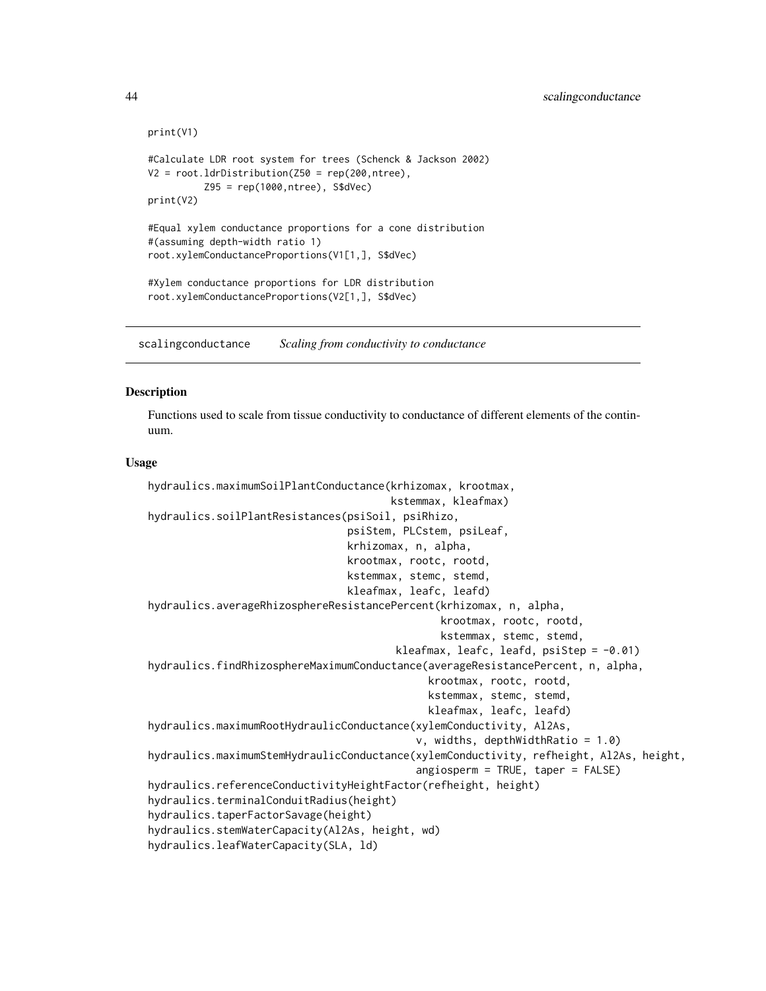```
print(V1)
#Calculate LDR root system for trees (Schenck & Jackson 2002)
V2 = root. ldrDistribution(Z50 = rep(200, ntree),
          Z95 = rep(1000,ntree), S$dVec)
print(V2)
#Equal xylem conductance proportions for a cone distribution
#(assuming depth-width ratio 1)
root.xylemConductanceProportions(V1[1,], S$dVec)
#Xylem conductance proportions for LDR distribution
root.xylemConductanceProportions(V2[1,], S$dVec)
```
scalingconductance *Scaling from conductivity to conductance*

### Description

Functions used to scale from tissue conductivity to conductance of different elements of the continuum.

### Usage

```
hydraulics.maximumSoilPlantConductance(krhizomax, krootmax,
                                       kstemmax, kleafmax)
hydraulics.soilPlantResistances(psiSoil, psiRhizo,
                                psiStem, PLCstem, psiLeaf,
                                krhizomax, n, alpha,
                                krootmax, rootc, rootd,
                                kstemmax, stemc, stemd,
                                kleafmax, leafc, leafd)
hydraulics.averageRhizosphereResistancePercent(krhizomax, n, alpha,
                                               krootmax, rootc, rootd,
                                               kstemmax, stemc, stemd,
                                        kleafmax, leafc, leafd, psiStep = -0.01)
hydraulics.findRhizosphereMaximumConductance(averageResistancePercent, n, alpha,
                                             krootmax, rootc, rootd,
                                             kstemmax, stemc, stemd,
                                             kleafmax, leafc, leafd)
hydraulics.maximumRootHydraulicConductance(xylemConductivity, Al2As,
                                           v, widths, depthWidthRatio = 1.0)
hydraulics.maximumStemHydraulicConductance(xylemConductivity, refheight, Al2As, height,
                                           angiosperm = TRUE, taper = FALSE)
hydraulics.referenceConductivityHeightFactor(refheight, height)
hydraulics.terminalConduitRadius(height)
hydraulics.taperFactorSavage(height)
hydraulics.stemWaterCapacity(Al2As, height, wd)
hydraulics.leafWaterCapacity(SLA, ld)
```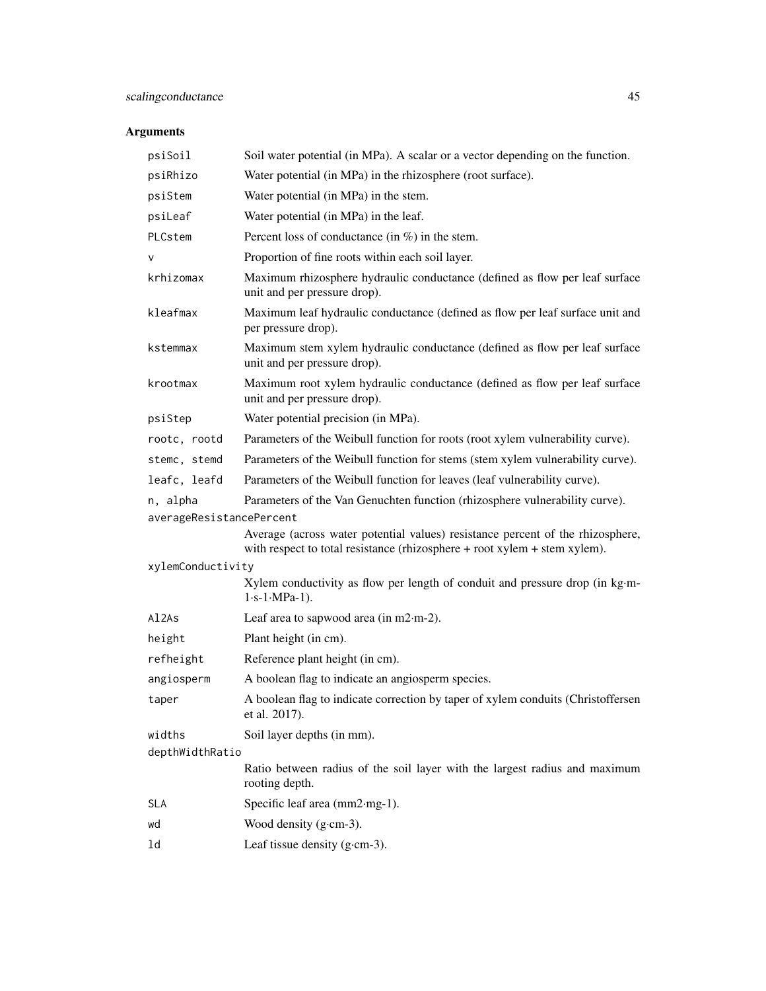| psiSoil                  | Soil water potential (in MPa). A scalar or a vector depending on the function.                                                                              |  |
|--------------------------|-------------------------------------------------------------------------------------------------------------------------------------------------------------|--|
| psiRhizo                 | Water potential (in MPa) in the rhizosphere (root surface).                                                                                                 |  |
| psiStem                  | Water potential (in MPa) in the stem.                                                                                                                       |  |
| psiLeaf                  | Water potential (in MPa) in the leaf.                                                                                                                       |  |
| PLCstem                  | Percent loss of conductance (in $\%$ ) in the stem.                                                                                                         |  |
| v                        | Proportion of fine roots within each soil layer.                                                                                                            |  |
| krhizomax                | Maximum rhizosphere hydraulic conductance (defined as flow per leaf surface<br>unit and per pressure drop).                                                 |  |
| kleafmax                 | Maximum leaf hydraulic conductance (defined as flow per leaf surface unit and<br>per pressure drop).                                                        |  |
| kstemmax                 | Maximum stem xylem hydraulic conductance (defined as flow per leaf surface<br>unit and per pressure drop).                                                  |  |
| krootmax                 | Maximum root xylem hydraulic conductance (defined as flow per leaf surface<br>unit and per pressure drop).                                                  |  |
| psiStep                  | Water potential precision (in MPa).                                                                                                                         |  |
| rootc, rootd             | Parameters of the Weibull function for roots (root xylem vulnerability curve).                                                                              |  |
| stemc, stemd             | Parameters of the Weibull function for stems (stem xylem vulnerability curve).                                                                              |  |
| leafc, leafd             | Parameters of the Weibull function for leaves (leaf vulnerability curve).                                                                                   |  |
| n, alpha                 | Parameters of the Van Genuchten function (rhizosphere vulnerability curve).                                                                                 |  |
| averageResistancePercent |                                                                                                                                                             |  |
|                          | Average (across water potential values) resistance percent of the rhizosphere,<br>with respect to total resistance (rhizosphere + root xylem + stem xylem). |  |
| xylemConductivity        |                                                                                                                                                             |  |
|                          | Xylem conductivity as flow per length of conduit and pressure drop (in kg·m-<br>$1 \cdot s - 1 \cdot MPa - 1$ ).                                            |  |
| Al2As                    | Leaf area to sapwood area (in $m2 \cdot m-2$ ).                                                                                                             |  |
| height                   | Plant height (in cm).                                                                                                                                       |  |
| refheight                | Reference plant height (in cm).                                                                                                                             |  |
| angiosperm               | A boolean flag to indicate an angiosperm species.                                                                                                           |  |
| taper                    | A boolean flag to indicate correction by taper of xylem conduits (Christoffersen<br>et al. 2017).                                                           |  |
| widths                   | Soil layer depths (in mm).                                                                                                                                  |  |
| depthWidthRatio          |                                                                                                                                                             |  |
|                          | Ratio between radius of the soil layer with the largest radius and maximum<br>rooting depth.                                                                |  |
| <b>SLA</b>               | Specific leaf area (mm2·mg-1).                                                                                                                              |  |
| wd                       | Wood density $(g\text{-}cm-3)$ .                                                                                                                            |  |
| ld                       | Leaf tissue density $(g\text{-}cm-3)$ .                                                                                                                     |  |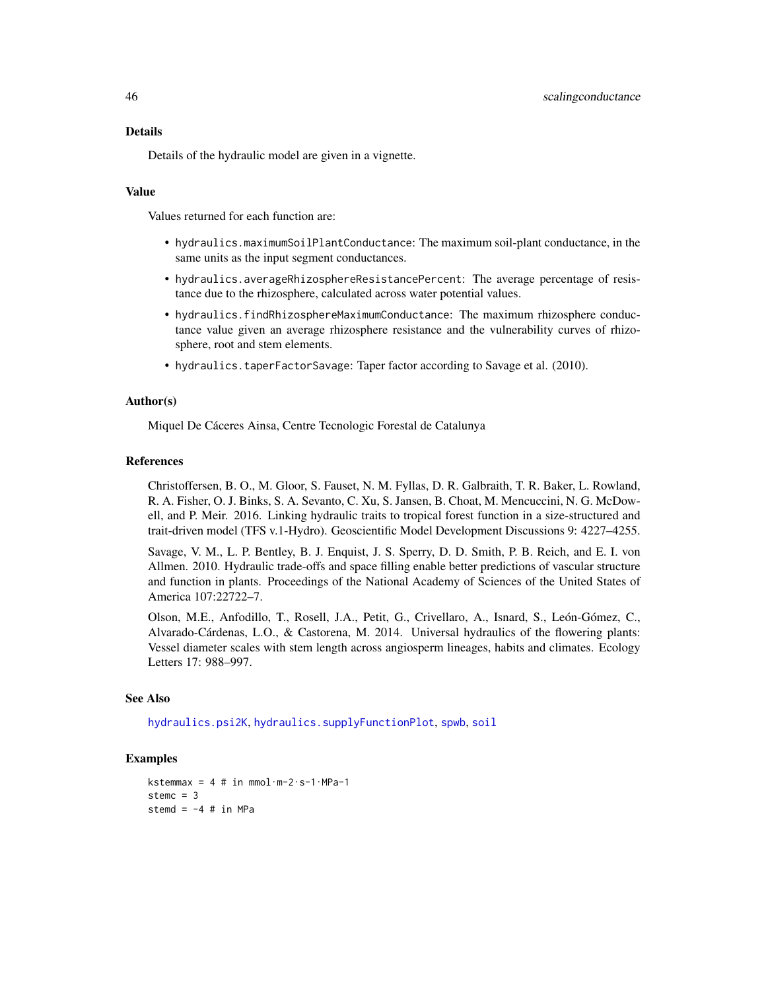Details of the hydraulic model are given in a vignette.

## Value

Values returned for each function are:

- hydraulics.maximumSoilPlantConductance: The maximum soil-plant conductance, in the same units as the input segment conductances.
- hydraulics.averageRhizosphereResistancePercent: The average percentage of resistance due to the rhizosphere, calculated across water potential values.
- hydraulics.findRhizosphereMaximumConductance: The maximum rhizosphere conductance value given an average rhizosphere resistance and the vulnerability curves of rhizosphere, root and stem elements.
- hydraulics.taperFactorSavage: Taper factor according to Savage et al. (2010).

### Author(s)

Miquel De Cáceres Ainsa, Centre Tecnologic Forestal de Catalunya

### References

Christoffersen, B. O., M. Gloor, S. Fauset, N. M. Fyllas, D. R. Galbraith, T. R. Baker, L. Rowland, R. A. Fisher, O. J. Binks, S. A. Sevanto, C. Xu, S. Jansen, B. Choat, M. Mencuccini, N. G. McDowell, and P. Meir. 2016. Linking hydraulic traits to tropical forest function in a size-structured and trait-driven model (TFS v.1-Hydro). Geoscientific Model Development Discussions 9: 4227–4255.

Savage, V. M., L. P. Bentley, B. J. Enquist, J. S. Sperry, D. D. Smith, P. B. Reich, and E. I. von Allmen. 2010. Hydraulic trade-offs and space filling enable better predictions of vascular structure and function in plants. Proceedings of the National Academy of Sciences of the United States of America 107:22722–7.

Olson, M.E., Anfodillo, T., Rosell, J.A., Petit, G., Crivellaro, A., Isnard, S., León-Gómez, C., Alvarado-Cárdenas, L.O., & Castorena, M. 2014. Universal hydraulics of the flowering plants: Vessel diameter scales with stem length across angiosperm lineages, habits and climates. Ecology Letters 17: 988–997.

### See Also

[hydraulics.psi2K](#page-3-0), [hydraulics.supplyFunctionPlot](#page-87-0), [spwb](#page-65-0), [soil](#page-49-0)

### Examples

```
kstemmax = 4 # in mmol\cdotm-2\cdots-1\cdotMPa-1
stemc = 3stemd = -4 # in MPa
```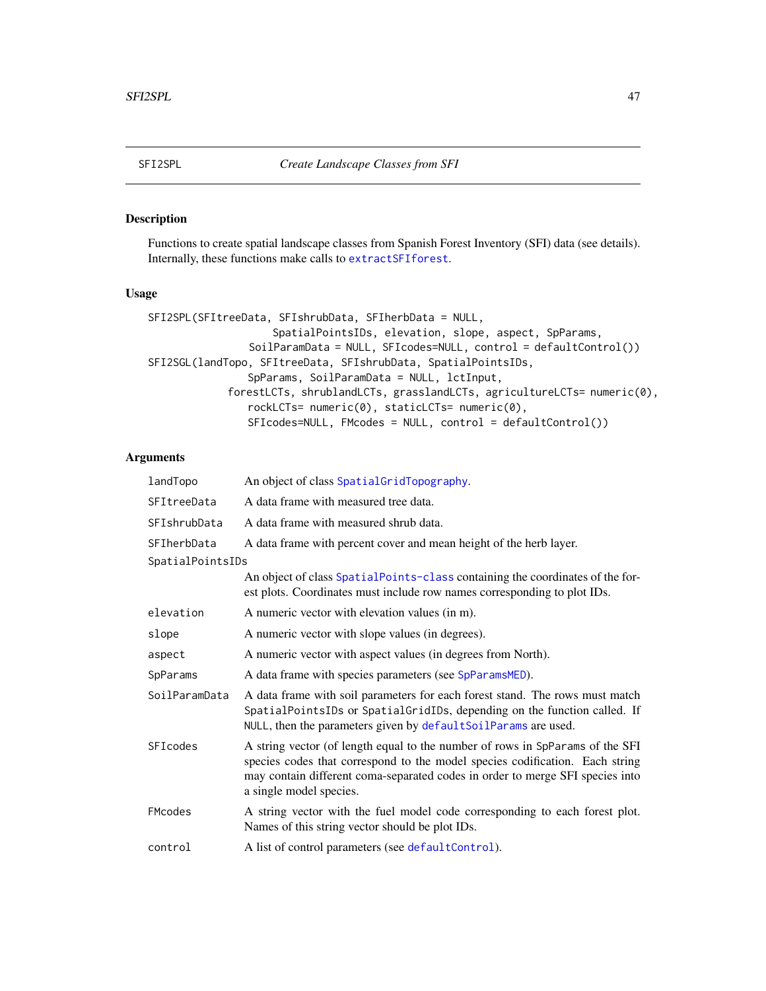## Description

Functions to create spatial landscape classes from Spanish Forest Inventory (SFI) data (see details). Internally, these functions make calls to [extractSFIforest](#page-11-0).

## Usage

```
SFI2SPL(SFItreeData, SFIshrubData, SFIherbData = NULL,
                    SpatialPointsIDs, elevation, slope, aspect, SpParams,
                SoilParamData = NULL, SFIcodes=NULL, control = defaultControl())
SFI2SGL(landTopo, SFItreeData, SFIshrubData, SpatialPointsIDs,
                SpParams, SoilParamData = NULL, lctInput,
             forestLCTs, shrublandLCTs, grasslandLCTs, agricultureLCTs= numeric(0),
                rockLCTs= numeric(0), staticLCTs= numeric(0),
                SFIcodes=NULL, FMcodes = NULL, control = defaultControl())
```

| landTopo         | An object of class SpatialGridTopography.                                                                                                                                                                                                                                 |
|------------------|---------------------------------------------------------------------------------------------------------------------------------------------------------------------------------------------------------------------------------------------------------------------------|
| SFItreeData      | A data frame with measured tree data.                                                                                                                                                                                                                                     |
| SFIshrubData     | A data frame with measured shrub data.                                                                                                                                                                                                                                    |
| SFIherbData      | A data frame with percent cover and mean height of the herb layer.                                                                                                                                                                                                        |
| SpatialPointsIDs |                                                                                                                                                                                                                                                                           |
|                  | An object of class SpatialPoints-class containing the coordinates of the for-<br>est plots. Coordinates must include row names corresponding to plot IDs.                                                                                                                 |
| elevation        | A numeric vector with elevation values (in m).                                                                                                                                                                                                                            |
| slope            | A numeric vector with slope values (in degrees).                                                                                                                                                                                                                          |
| aspect           | A numeric vector with aspect values (in degrees from North).                                                                                                                                                                                                              |
| SpParams         | A data frame with species parameters (see SpParamsMED).                                                                                                                                                                                                                   |
| SoilParamData    | A data frame with soil parameters for each forest stand. The rows must match<br>SpatialPointsIDs or SpatialGridIDs, depending on the function called. If<br>NULL, then the parameters given by defaultSoilParams are used.                                                |
| SFIcodes         | A string vector (of length equal to the number of rows in SpParams of the SFI<br>species codes that correspond to the model species codification. Each string<br>may contain different coma-separated codes in order to merge SFI species into<br>a single model species. |
| FMcodes          | A string vector with the fuel model code corresponding to each forest plot.<br>Names of this string vector should be plot IDs.                                                                                                                                            |
| control          | A list of control parameters (see default Control).                                                                                                                                                                                                                       |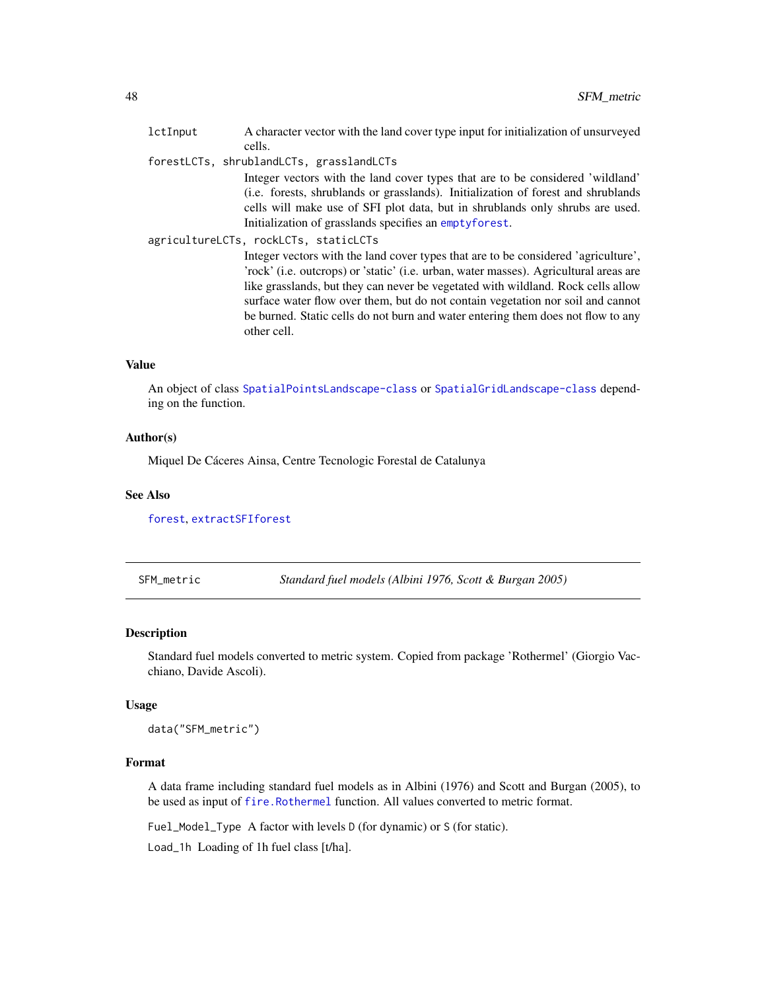| lctInput | A character vector with the land cover type input for initialization of unsurveyed                                                                                                                                                                                                                                                                                                                                                                    |
|----------|-------------------------------------------------------------------------------------------------------------------------------------------------------------------------------------------------------------------------------------------------------------------------------------------------------------------------------------------------------------------------------------------------------------------------------------------------------|
|          | cells.                                                                                                                                                                                                                                                                                                                                                                                                                                                |
|          | forestLCTs, shrublandLCTs, grasslandLCTs                                                                                                                                                                                                                                                                                                                                                                                                              |
|          | Integer vectors with the land cover types that are to be considered 'wildland'<br>(i.e. forests, shrublands or grasslands). Initialization of forest and shrublands<br>cells will make use of SFI plot data, but in shrublands only shrubs are used.<br>Initialization of grasslands specifies an emptyforest.                                                                                                                                        |
|          | agricultureLCTs, rockLCTs, staticLCTs                                                                                                                                                                                                                                                                                                                                                                                                                 |
|          | Integer vectors with the land cover types that are to be considered 'agriculture',<br>'rock' (i.e. outcrops) or 'static' (i.e. urban, water masses). Agricultural areas are<br>like grasslands, but they can never be vegetated with wildland. Rock cells allow<br>surface water flow over them, but do not contain vegetation nor soil and cannot<br>be burned. Static cells do not burn and water entering them does not flow to any<br>other cell. |

# Value

An object of class [SpatialPointsLandscape-class](#page-60-0) or [SpatialGridLandscape-class](#page-57-0) depending on the function.

## Author(s)

Miquel De Cáceres Ainsa, Centre Tecnologic Forestal de Catalunya

## See Also

[forest](#page-15-1), [extractSFIforest](#page-11-0)

SFM\_metric *Standard fuel models (Albini 1976, Scott & Burgan 2005)*

## Description

Standard fuel models converted to metric system. Copied from package 'Rothermel' (Giorgio Vacchiano, Davide Ascoli).

### Usage

data("SFM\_metric")

## Format

A data frame including standard fuel models as in Albini (1976) and Scott and Burgan (2005), to be used as input of [fire.Rothermel](#page-12-0) function. All values converted to metric format.

Fuel\_Model\_Type A factor with levels D (for dynamic) or S (for static).

Load\_1h Loading of 1h fuel class [t/ha].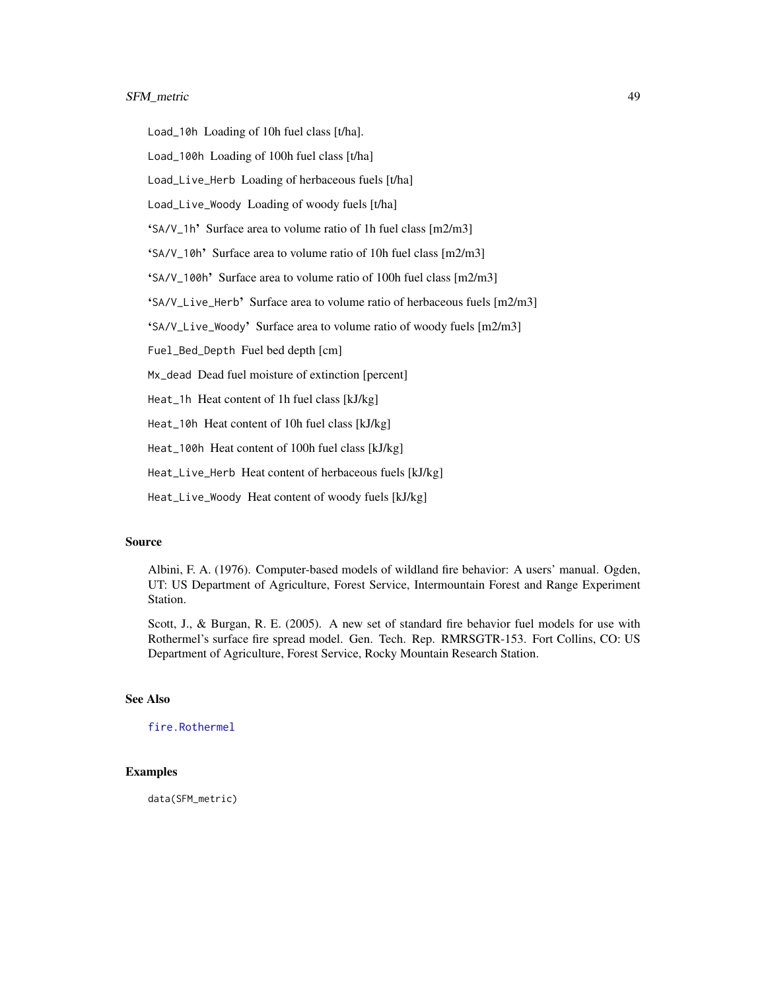## SFM\_metric 49

Load\_10h Loading of 10h fuel class [t/ha].

Load\_100h Loading of 100h fuel class [t/ha]

Load\_Live\_Herb Loading of herbaceous fuels [t/ha]

Load\_Live\_Woody Loading of woody fuels [t/ha]

'SA/V\_1h' Surface area to volume ratio of 1h fuel class [m2/m3]

'SA/V\_10h' Surface area to volume ratio of 10h fuel class [m2/m3]

'SA/V\_100h' Surface area to volume ratio of 100h fuel class [m2/m3]

'SA/V\_Live\_Herb' Surface area to volume ratio of herbaceous fuels [m2/m3]

'SA/V\_Live\_Woody' Surface area to volume ratio of woody fuels [m2/m3]

Fuel\_Bed\_Depth Fuel bed depth [cm]

Mx\_dead Dead fuel moisture of extinction [percent]

Heat\_1h Heat content of 1h fuel class [kJ/kg]

Heat\_10h Heat content of 10h fuel class [kJ/kg]

Heat\_100h Heat content of 100h fuel class [kJ/kg]

Heat\_Live\_Herb Heat content of herbaceous fuels [kJ/kg]

Heat\_Live\_Woody Heat content of woody fuels [kJ/kg]

### Source

Albini, F. A. (1976). Computer-based models of wildland fire behavior: A users' manual. Ogden, UT: US Department of Agriculture, Forest Service, Intermountain Forest and Range Experiment Station.

Scott, J., & Burgan, R. E. (2005). A new set of standard fire behavior fuel models for use with Rothermel's surface fire spread model. Gen. Tech. Rep. RMRSGTR-153. Fort Collins, CO: US Department of Agriculture, Forest Service, Rocky Mountain Research Station.

## See Also

[fire.Rothermel](#page-12-0)

## Examples

data(SFM\_metric)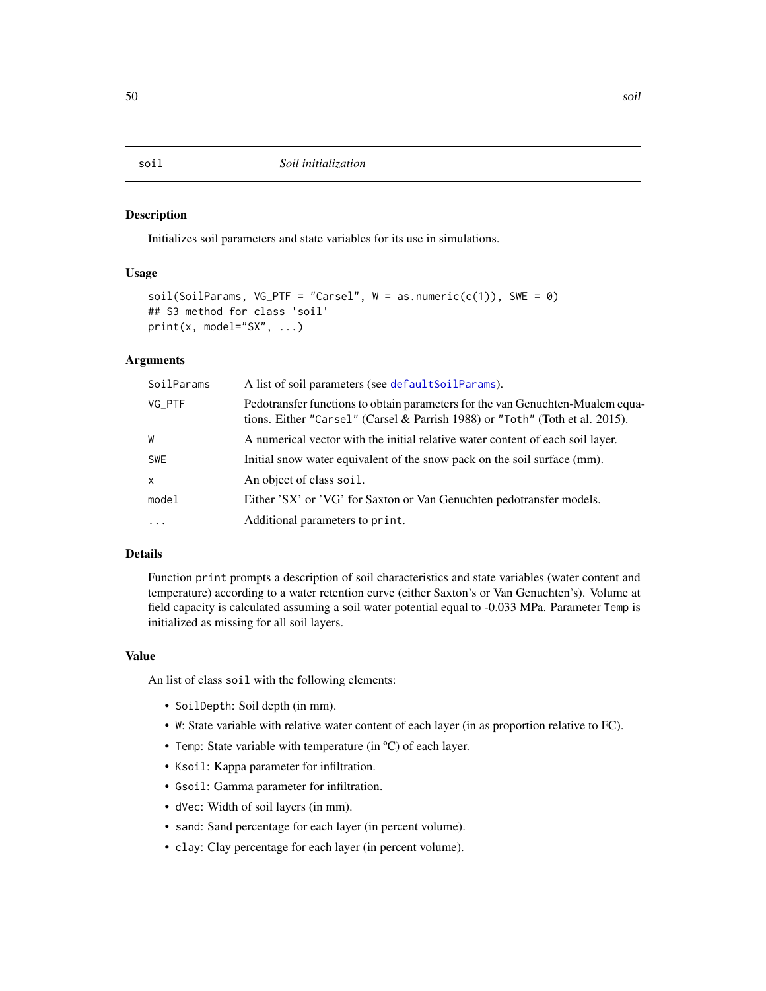### <span id="page-49-0"></span>Description

Initializes soil parameters and state variables for its use in simulations.

## Usage

```
soil(SoilParameters, VG_PTF = "Carsel", W = as.numeric(c(1)), SWE = 0)## S3 method for class 'soil'
print(x, model="SX", ...)
```
## Arguments

| SoilParams   | A list of soil parameters (see defaultSoilParams).                                                                                                             |
|--------------|----------------------------------------------------------------------------------------------------------------------------------------------------------------|
| VG_PTF       | Pedotransfer functions to obtain parameters for the van Genuchten-Mualem equa-<br>tions. Either "Carsel" (Carsel & Parrish 1988) or "Toth" (Toth et al. 2015). |
| W            | A numerical vector with the initial relative water content of each soil layer.                                                                                 |
| <b>SWE</b>   | Initial snow water equivalent of the snow pack on the soil surface (mm).                                                                                       |
| $\mathsf{x}$ | An object of class soil.                                                                                                                                       |
| model        | Either 'SX' or 'VG' for Saxton or Van Genuchten pedotransfer models.                                                                                           |
| $\ddotsc$    | Additional parameters to print.                                                                                                                                |

### Details

Function print prompts a description of soil characteristics and state variables (water content and temperature) according to a water retention curve (either Saxton's or Van Genuchten's). Volume at field capacity is calculated assuming a soil water potential equal to -0.033 MPa. Parameter Temp is initialized as missing for all soil layers.

### Value

An list of class soil with the following elements:

- SoilDepth: Soil depth (in mm).
- W: State variable with relative water content of each layer (in as proportion relative to FC).
- Temp: State variable with temperature (in °C) of each layer.
- Ksoil: Kappa parameter for infiltration.
- Gsoil: Gamma parameter for infiltration.
- dVec: Width of soil layers (in mm).
- sand: Sand percentage for each layer (in percent volume).
- clay: Clay percentage for each layer (in percent volume).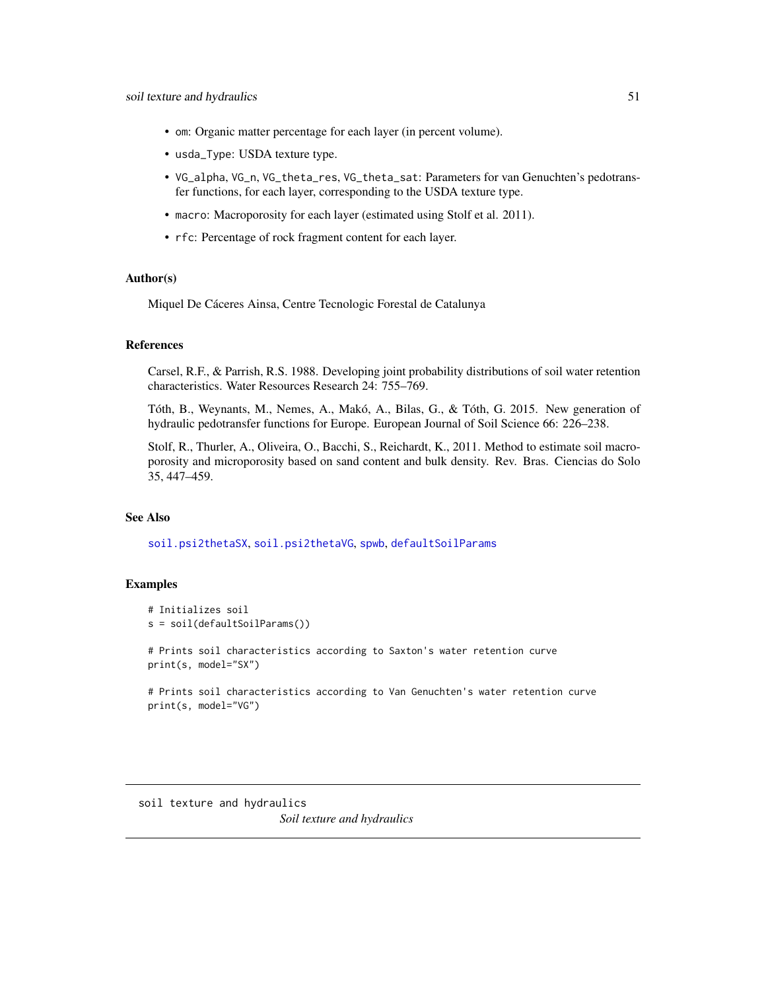- om: Organic matter percentage for each layer (in percent volume).
- usda\_Type: USDA texture type.
- VG\_alpha, VG\_n, VG\_theta\_res, VG\_theta\_sat: Parameters for van Genuchten's pedotransfer functions, for each layer, corresponding to the USDA texture type.
- macro: Macroporosity for each layer (estimated using Stolf et al. 2011).
- rfc: Percentage of rock fragment content for each layer.

## Author(s)

Miquel De Cáceres Ainsa, Centre Tecnologic Forestal de Catalunya

## References

Carsel, R.F., & Parrish, R.S. 1988. Developing joint probability distributions of soil water retention characteristics. Water Resources Research 24: 755–769.

Tóth, B., Weynants, M., Nemes, A., Makó, A., Bilas, G., & Tóth, G. 2015. New generation of hydraulic pedotransfer functions for Europe. European Journal of Soil Science 66: 226–238.

Stolf, R., Thurler, A., Oliveira, O., Bacchi, S., Reichardt, K., 2011. Method to estimate soil macroporosity and microporosity based on sand content and bulk density. Rev. Bras. Ciencias do Solo 35, 447–459.

### See Also

[soil.psi2thetaSX](#page-50-0), [soil.psi2thetaVG](#page-50-0), [spwb](#page-65-0), [defaultSoilParams](#page-7-0)

### Examples

```
# Initializes soil
s = soil(defaultSoilParams())
```
# Prints soil characteristics according to Saxton's water retention curve print(s, model="SX")

```
# Prints soil characteristics according to Van Genuchten's water retention curve
print(s, model="VG")
```
<span id="page-50-0"></span>soil texture and hydraulics *Soil texture and hydraulics*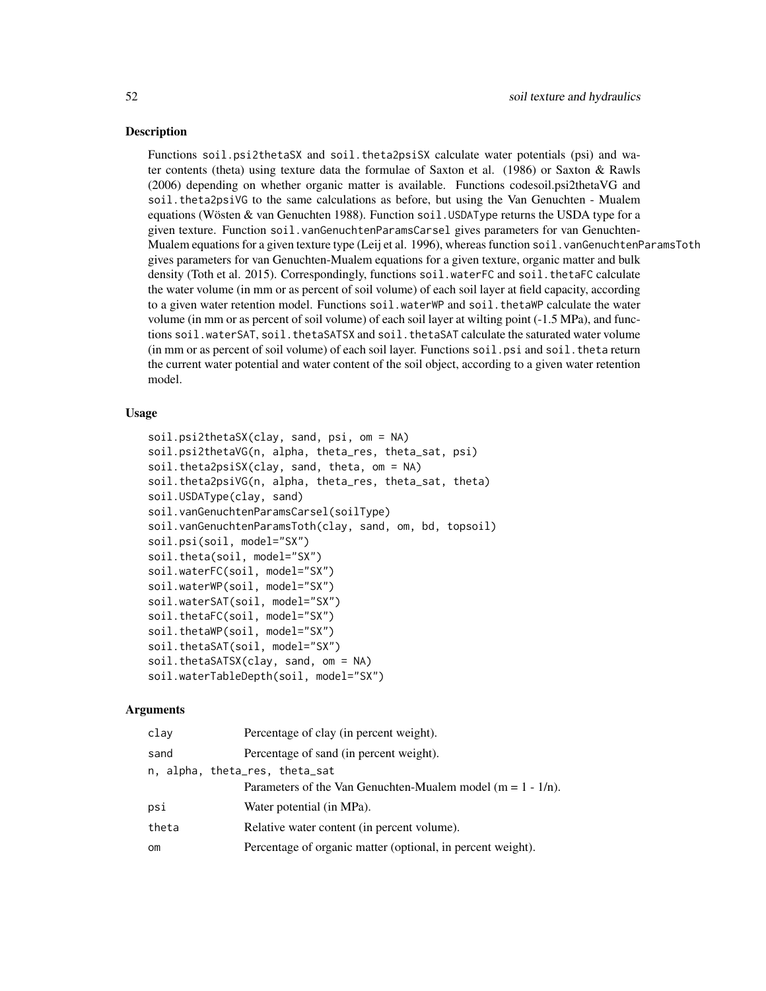### **Description**

Functions soil.psi2thetaSX and soil.theta2psiSX calculate water potentials (psi) and water contents (theta) using texture data the formulae of Saxton et al. (1986) or Saxton & Rawls (2006) depending on whether organic matter is available. Functions codesoil.psi2thetaVG and soil.theta2psiVG to the same calculations as before, but using the Van Genuchten - Mualem equations (Wösten  $&$  van Genuchten 1988). Function soil. USDAType returns the USDA type for a given texture. Function soil.vanGenuchtenParamsCarsel gives parameters for van Genuchten-Mualem equations for a given texture type (Leij et al. 1996), whereas function soil. vanGenuchtenParamsToth gives parameters for van Genuchten-Mualem equations for a given texture, organic matter and bulk density (Toth et al. 2015). Correspondingly, functions soil.waterFC and soil.thetaFC calculate the water volume (in mm or as percent of soil volume) of each soil layer at field capacity, according to a given water retention model. Functions soil.waterWP and soil.thetaWP calculate the water volume (in mm or as percent of soil volume) of each soil layer at wilting point (-1.5 MPa), and functions soil.waterSAT, soil.thetaSATSX and soil.thetaSAT calculate the saturated water volume (in mm or as percent of soil volume) of each soil layer. Functions soil.psi and soil.theta return the current water potential and water content of the soil object, according to a given water retention model.

## Usage

```
soil.psi2thetaSX(clay, sand, psi, om = NA)
soil.psi2thetaVG(n, alpha, theta_res, theta_sat, psi)
soil.theta2psiSX(clay, sand, theta, om = NA)
soil.theta2psiVG(n, alpha, theta_res, theta_sat, theta)
soil.USDAType(clay, sand)
soil.vanGenuchtenParamsCarsel(soilType)
soil.vanGenuchtenParamsToth(clay, sand, om, bd, topsoil)
soil.psi(soil, model="SX")
soil.theta(soil, model="SX")
soil.waterFC(soil, model="SX")
soil.waterWP(soil, model="SX")
soil.waterSAT(soil, model="SX")
soil.thetaFC(soil, model="SX")
soil.thetaWP(soil, model="SX")
soil.thetaSAT(soil, model="SX")
soil.thetaSATSX(clay, sand, om = NA)
soil.waterTableDepth(soil, model="SX")
```

| clay          | Percentage of clay (in percent weight).                         |
|---------------|-----------------------------------------------------------------|
| sand          | Percentage of sand (in percent weight).                         |
|               | n, alpha, theta_res, theta_sat                                  |
|               | Parameters of the Van Genuchten-Mualem model ( $m = 1 - 1/n$ ). |
| psi           | Water potential (in MPa).                                       |
| theta         | Relative water content (in percent volume).                     |
| <sub>om</sub> | Percentage of organic matter (optional, in percent weight).     |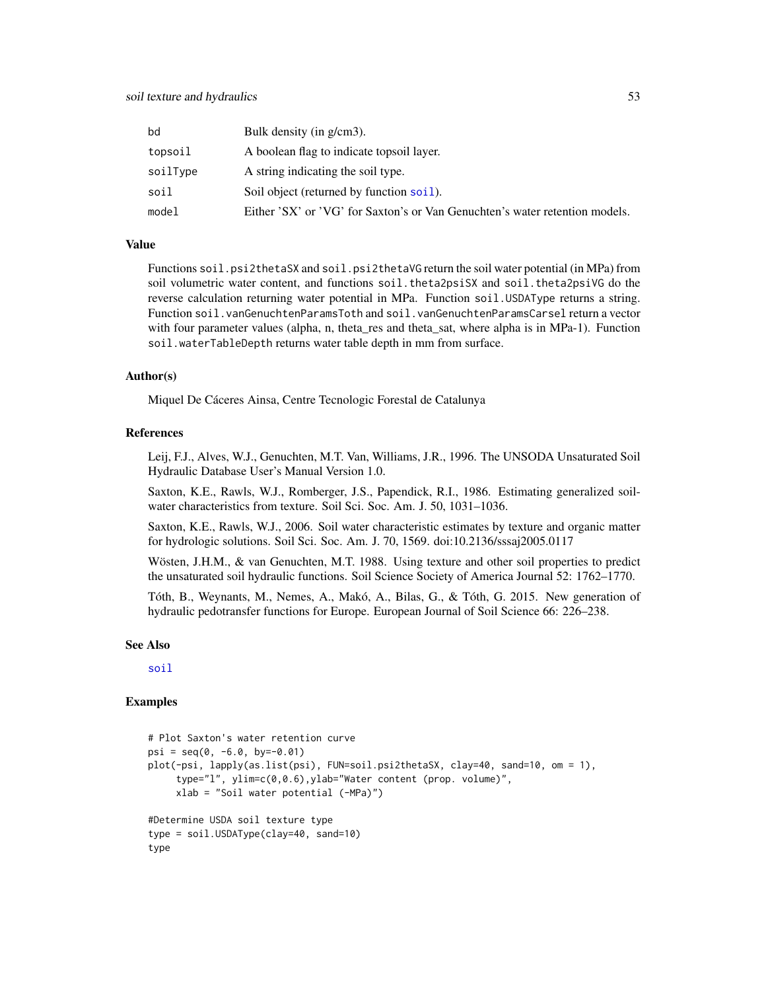| bd       | Bulk density (in $g/cm3$ ).                                                 |
|----------|-----------------------------------------------------------------------------|
| topsoil  | A boolean flag to indicate topsoil layer.                                   |
| soilType | A string indicating the soil type.                                          |
| soil     | Soil object (returned by function soil).                                    |
| model    | Either 'SX' or 'VG' for Saxton's or Van Genuchten's water retention models. |

### Value

Functions soil.psi2thetaSX and soil.psi2thetaVG return the soil water potential (in MPa) from soil volumetric water content, and functions soil.theta2psiSX and soil.theta2psiVG do the reverse calculation returning water potential in MPa. Function soil. USDAType returns a string. Function soil.vanGenuchtenParamsToth and soil.vanGenuchtenParamsCarsel return a vector with four parameter values (alpha, n, theta\_res and theta\_sat, where alpha is in MPa-1). Function soil.waterTableDepth returns water table depth in mm from surface.

### Author(s)

Miquel De Cáceres Ainsa, Centre Tecnologic Forestal de Catalunya

## References

Leij, F.J., Alves, W.J., Genuchten, M.T. Van, Williams, J.R., 1996. The UNSODA Unsaturated Soil Hydraulic Database User's Manual Version 1.0.

Saxton, K.E., Rawls, W.J., Romberger, J.S., Papendick, R.I., 1986. Estimating generalized soilwater characteristics from texture. Soil Sci. Soc. Am. J. 50, 1031–1036.

Saxton, K.E., Rawls, W.J., 2006. Soil water characteristic estimates by texture and organic matter for hydrologic solutions. Soil Sci. Soc. Am. J. 70, 1569. doi:10.2136/sssaj2005.0117

Wösten, J.H.M., & van Genuchten, M.T. 1988. Using texture and other soil properties to predict the unsaturated soil hydraulic functions. Soil Science Society of America Journal 52: 1762–1770.

Tóth, B., Weynants, M., Nemes, A., Makó, A., Bilas, G., & Tóth, G. 2015. New generation of hydraulic pedotransfer functions for Europe. European Journal of Soil Science 66: 226–238.

### See Also

[soil](#page-49-0)

### Examples

```
# Plot Saxton's water retention curve
psi = seq(0, -6.0, by=-0.01)plot(-psi, lapply(as.list(psi), FUN=soil.psi2thetaSX, clay=40, sand=10, om = 1),
     type="l", ylim=c(0,0.6),ylab="Water content (prop. volume)",
     xlab = "Soil water potential (-MPa)")
#Determine USDA soil texture type
type = soil.USDAType(clay=40, sand=10)
type
```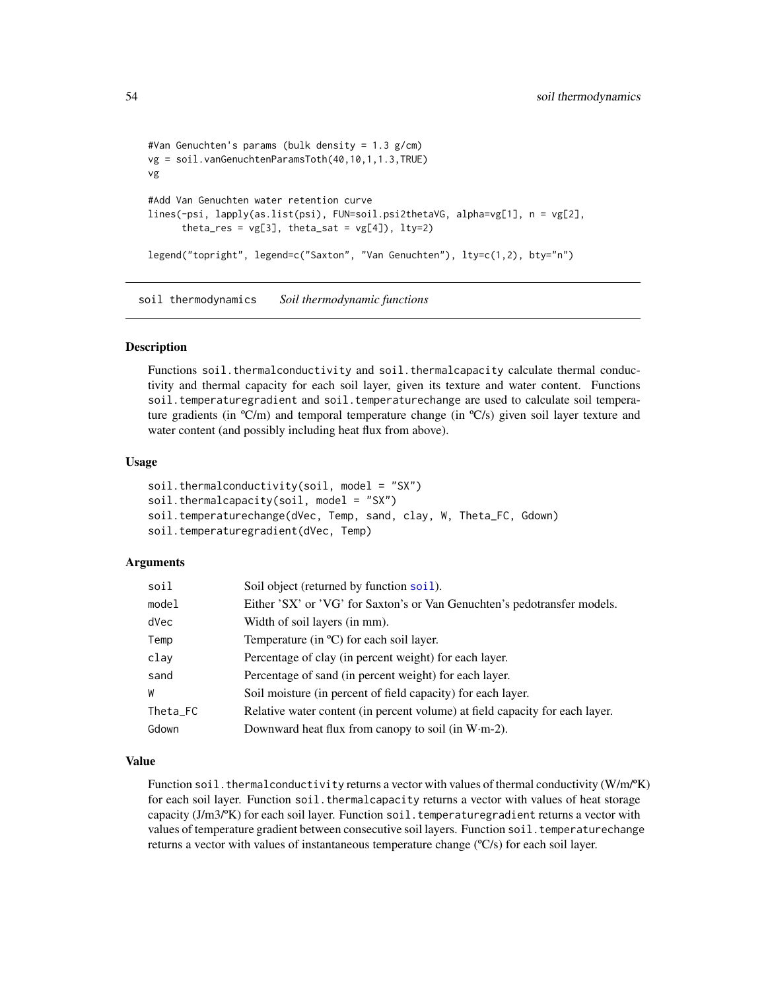```
#Van Genuchten's params (bulk density = 1.3 g/cm)
vg = soil.vanGenuchtenParamsToth(40,10,1,1.3,TRUE)
vg
#Add Van Genuchten water retention curve
lines(-psi, lapply(as.list(psi), FUN=soil.psi2thetaVG, alpha=vg[1], n = vg[2],
      theta_res = vg[3], theta_sat = vg[4]), lty=2)
legend("topright", legend=c("Saxton", "Van Genuchten"), lty=c(1,2), bty="n")
```
soil thermodynamics *Soil thermodynamic functions*

### Description

Functions soil.thermalconductivity and soil.thermalcapacity calculate thermal conductivity and thermal capacity for each soil layer, given its texture and water content. Functions soil.temperaturegradient and soil.temperaturechange are used to calculate soil temperature gradients (in  $\rm{C/m}$ ) and temporal temperature change (in  $\rm{C/s}$ ) given soil layer texture and water content (and possibly including heat flux from above).

### Usage

```
soil.thermalconductivity(soil, model = "SX")
soil.thermalcapacity(soil, model = "SX")
soil.temperaturechange(dVec, Temp, sand, clay, W, Theta_FC, Gdown)
soil.temperaturegradient(dVec, Temp)
```
## Arguments

| soil     | Soil object (returned by function soil).                                     |
|----------|------------------------------------------------------------------------------|
| model    | Either 'SX' or 'VG' for Saxton's or Van Genuchten's pedotransfer models.     |
| dVec     | Width of soil layers (in mm).                                                |
| Temp     | Temperature (in $\rm{^{\circ}C}$ ) for each soil layer.                      |
| clay     | Percentage of clay (in percent weight) for each layer.                       |
| sand     | Percentage of sand (in percent weight) for each layer.                       |
| W        | Soil moisture (in percent of field capacity) for each layer.                 |
| Theta_FC | Relative water content (in percent volume) at field capacity for each layer. |
| Gdown    | Downward heat flux from canopy to soil (in $W·m-2$ ).                        |

### Value

Function soil.thermalconductivity returns a vector with values of thermal conductivity (W/m/°K) for each soil layer. Function soil.thermalcapacity returns a vector with values of heat storage capacity  $(J/m3\text{/}^{\circ}\text{K})$  for each soil layer. Function soil. temperaturegradient returns a vector with values of temperature gradient between consecutive soil layers. Function soil. temperaturechange returns a vector with values of instantaneous temperature change  $({}^\circ\text{C/s})$  for each soil layer.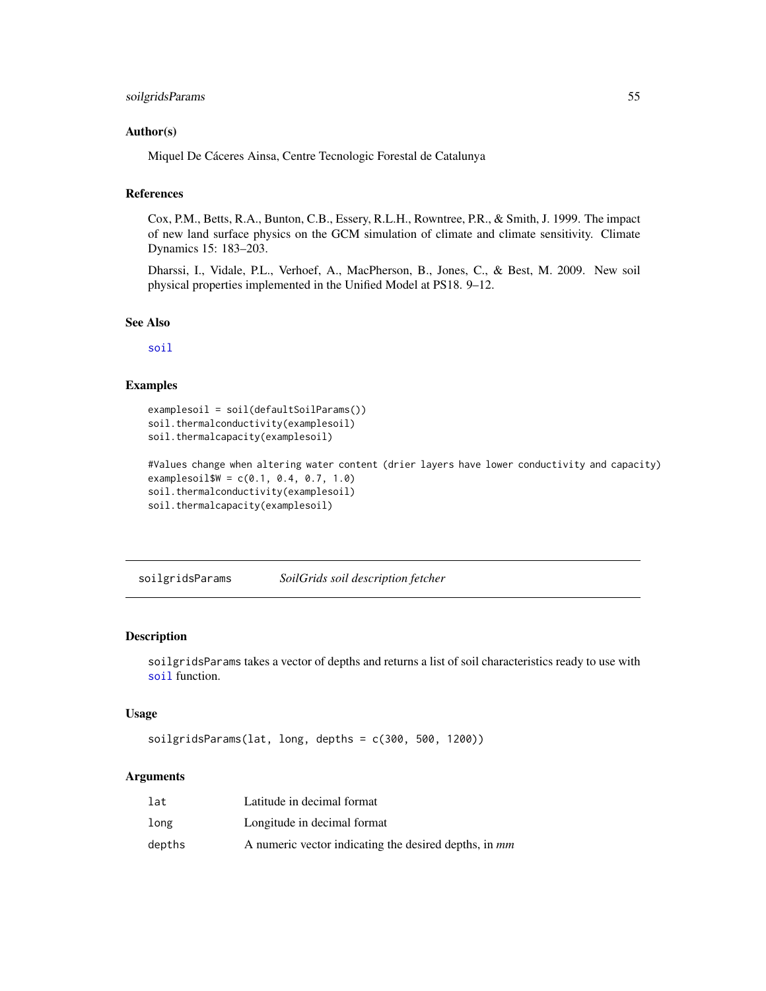## soilgridsParams 55

### Author(s)

Miquel De Cáceres Ainsa, Centre Tecnologic Forestal de Catalunya

## References

Cox, P.M., Betts, R.A., Bunton, C.B., Essery, R.L.H., Rowntree, P.R., & Smith, J. 1999. The impact of new land surface physics on the GCM simulation of climate and climate sensitivity. Climate Dynamics 15: 183–203.

Dharssi, I., Vidale, P.L., Verhoef, A., MacPherson, B., Jones, C., & Best, M. 2009. New soil physical properties implemented in the Unified Model at PS18. 9–12.

## See Also

[soil](#page-49-0)

# Examples

```
examplesoil = soil(defaultSoilParams())
soil.thermalconductivity(examplesoil)
soil.thermalcapacity(examplesoil)
```

```
#Values change when altering water content (drier layers have lower conductivity and capacity)
examplesoil$W = c(0.1, 0.4, 0.7, 1.0)soil.thermalconductivity(examplesoil)
soil.thermalcapacity(examplesoil)
```
soilgridsParams *SoilGrids soil description fetcher*

## Description

soilgridsParams takes a vector of depths and returns a list of soil characteristics ready to use with [soil](#page-49-0) function.

### Usage

```
soilgridsParams(lat, long, depths = c(300, 500, 1200))
```

| lat    | Latitude in decimal format                                   |
|--------|--------------------------------------------------------------|
| long   | Longitude in decimal format                                  |
| depths | A numeric vector indicating the desired depths, in <i>mm</i> |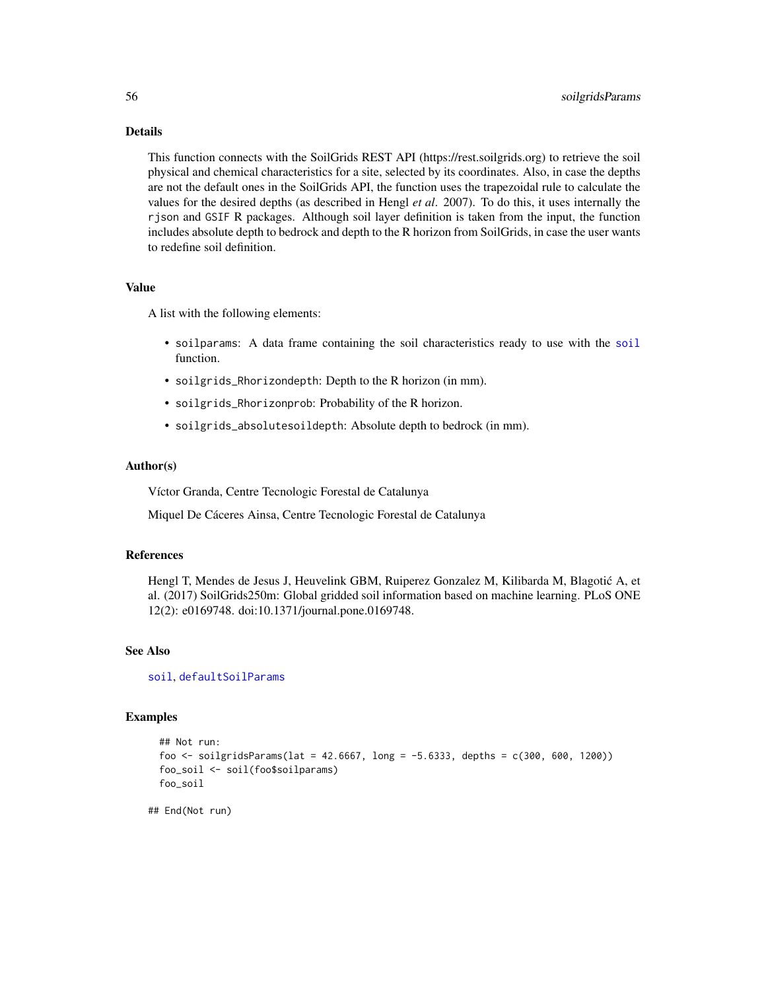## Details

This function connects with the SoilGrids REST API (https://rest.soilgrids.org) to retrieve the soil physical and chemical characteristics for a site, selected by its coordinates. Also, in case the depths are not the default ones in the SoilGrids API, the function uses the trapezoidal rule to calculate the values for the desired depths (as described in Hengl *et al*. 2007). To do this, it uses internally the rjson and GSIF R packages. Although soil layer definition is taken from the input, the function includes absolute depth to bedrock and depth to the R horizon from SoilGrids, in case the user wants to redefine soil definition.

## Value

A list with the following elements:

- soilparams: A data frame containing the soil characteristics ready to use with the [soil](#page-49-0) function.
- soilgrids\_Rhorizondepth: Depth to the R horizon (in mm).
- soilgrids\_Rhorizonprob: Probability of the R horizon.
- soilgrids\_absolutesoildepth: Absolute depth to bedrock (in mm).

### Author(s)

Víctor Granda, Centre Tecnologic Forestal de Catalunya

Miquel De Cáceres Ainsa, Centre Tecnologic Forestal de Catalunya

## References

Hengl T, Mendes de Jesus J, Heuvelink GBM, Ruiperez Gonzalez M, Kilibarda M, Blagotic A, et ´ al. (2017) SoilGrids250m: Global gridded soil information based on machine learning. PLoS ONE 12(2): e0169748. doi:10.1371/journal.pone.0169748.

### See Also

[soil](#page-49-0), [defaultSoilParams](#page-7-0)

### Examples

```
## Not run:
foo <- soilgridsParams(lat = 42.6667, long = -5.6333, depths = c(300, 600, 1200))
foo_soil <- soil(foo$soilparams)
foo_soil
```
## End(Not run)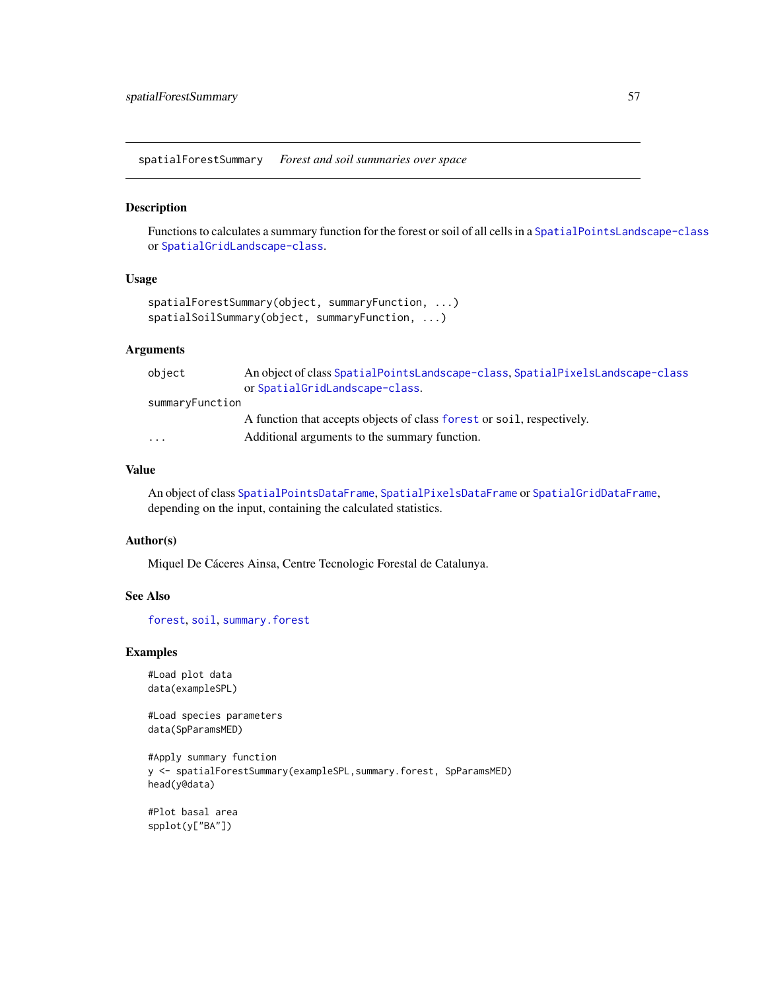<span id="page-56-0"></span>spatialForestSummary *Forest and soil summaries over space*

## Description

Functions to calculates a summary function for the forest or soil of all cells in a [SpatialPointsLandscape-class](#page-60-0) or [SpatialGridLandscape-class](#page-57-0).

### Usage

```
spatialForestSummary(object, summaryFunction, ...)
spatialSoilSummary(object, summaryFunction, ...)
```
## Arguments

| object                  | An object of class SpatialPointsLandscape-class, SpatialPixelsLandscape-class |
|-------------------------|-------------------------------------------------------------------------------|
|                         | or SpatialGridLandscape-class.                                                |
| summaryFunction         |                                                                               |
|                         | A function that accepts objects of class forest or soil, respectively.        |
| $\cdot$ $\cdot$ $\cdot$ | Additional arguments to the summary function.                                 |
|                         |                                                                               |

## Value

An object of class [SpatialPointsDataFrame](#page-0-0), [SpatialPixelsDataFrame](#page-0-0) or [SpatialGridDataFrame](#page-0-0), depending on the input, containing the calculated statistics.

## Author(s)

Miquel De Cáceres Ainsa, Centre Tecnologic Forestal de Catalunya.

### See Also

[forest](#page-15-1), [soil](#page-49-0), [summary.forest](#page-15-0)

### Examples

```
#Load plot data
data(exampleSPL)
```
#Load species parameters data(SpParamsMED)

```
#Apply summary function
y <- spatialForestSummary(exampleSPL,summary.forest, SpParamsMED)
head(y@data)
```
#Plot basal area spplot(y["BA"])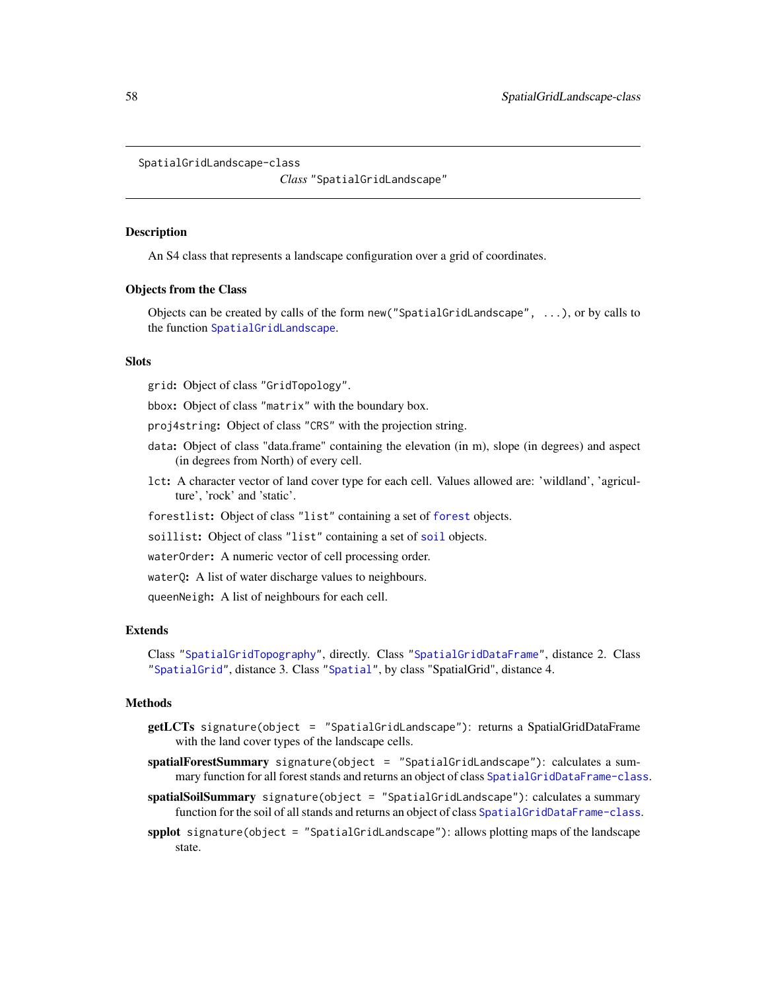```
SpatialGridLandscape-class
```
*Class* "SpatialGridLandscape"

### Description

An S4 class that represents a landscape configuration over a grid of coordinates.

### Objects from the Class

Objects can be created by calls of the form new("SpatialGridLandscape", ...), or by calls to the function [SpatialGridLandscape](#page-59-0).

### **Slots**

grid: Object of class "GridTopology".

bbox: Object of class "matrix" with the boundary box.

proj4string: Object of class "CRS" with the projection string.

- data: Object of class "data.frame" containing the elevation (in m), slope (in degrees) and aspect (in degrees from North) of every cell.
- lct: A character vector of land cover type for each cell. Values allowed are: 'wildland', 'agriculture', 'rock' and 'static'.
- forestlist: Object of class "list" containing a set of [forest](#page-15-1) objects.

[soil](#page-49-0)list: Object of class "list" containing a set of soil objects.

waterOrder: A numeric vector of cell processing order.

waterQ: A list of water discharge values to neighbours.

queenNeigh: A list of neighbours for each cell.

### **Extends**

Class ["SpatialGridTopography"](#page-0-0), directly. Class ["SpatialGridDataFrame"](#page-0-0), distance 2. Class ["SpatialGrid"](#page-0-0), distance 3. Class ["Spatial"](#page-0-0), by class "SpatialGrid", distance 4.

### Methods

- getLCTs signature(object = "SpatialGridLandscape"): returns a SpatialGridDataFrame with the land cover types of the landscape cells.
- spatialForestSummary signature(object = "SpatialGridLandscape"): calculates a sum-mary function for all forest stands and returns an object of class [SpatialGridDataFrame-class](#page-0-0).
- spatialSoilSummary signature(object = "SpatialGridLandscape"): calculates a summary function for the soil of all stands and returns an object of class [SpatialGridDataFrame-class](#page-0-0).
- spplot signature(object = "SpatialGridLandscape"): allows plotting maps of the landscape state.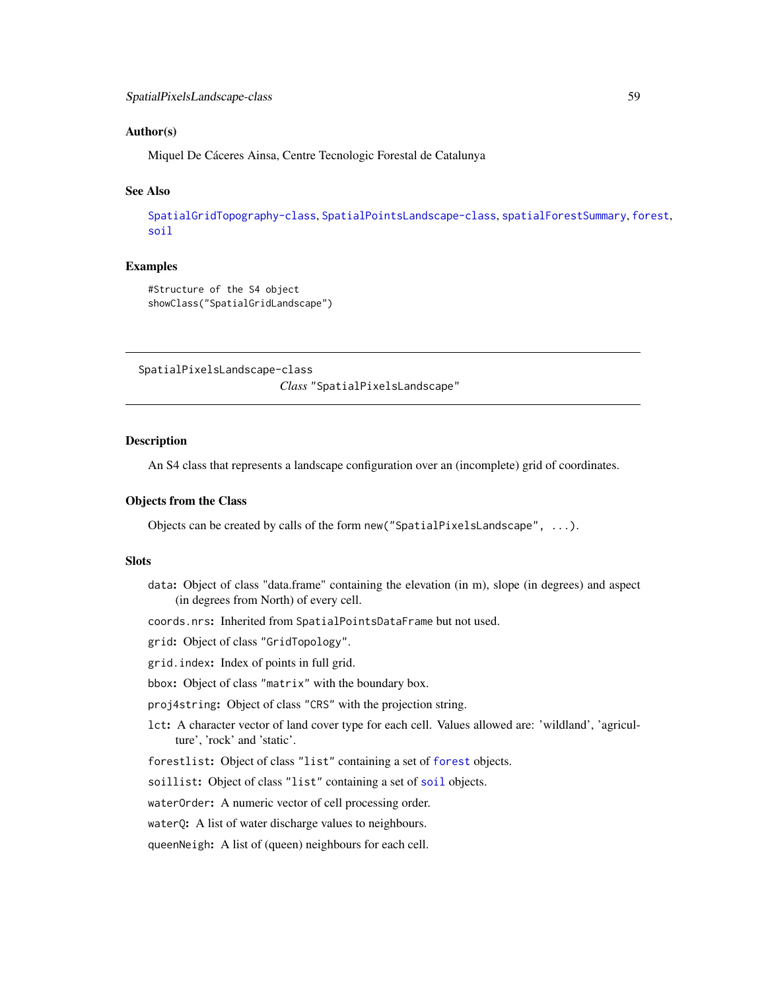## Author(s)

Miquel De Cáceres Ainsa, Centre Tecnologic Forestal de Catalunya

### See Also

[SpatialGridTopography-class](#page-0-0), [SpatialPointsLandscape-class](#page-60-0), [spatialForestSummary](#page-56-0), [forest](#page-15-1), [soil](#page-49-0)

### Examples

```
#Structure of the S4 object
showClass("SpatialGridLandscape")
```
<span id="page-58-0"></span>SpatialPixelsLandscape-class

*Class* "SpatialPixelsLandscape"

## Description

An S4 class that represents a landscape configuration over an (incomplete) grid of coordinates.

### Objects from the Class

Objects can be created by calls of the form new("SpatialPixelsLandscape", ...).

### **Slots**

- data: Object of class "data.frame" containing the elevation (in m), slope (in degrees) and aspect (in degrees from North) of every cell.
- coords.nrs: Inherited from SpatialPointsDataFrame but not used.

grid: Object of class "GridTopology".

- grid.index: Index of points in full grid.
- bbox: Object of class "matrix" with the boundary box.
- proj4string: Object of class "CRS" with the projection string.
- lct: A character vector of land cover type for each cell. Values allowed are: 'wildland', 'agriculture', 'rock' and 'static'.
- forestlist: Object of class "list" containing a set of [forest](#page-15-1) objects.

[soil](#page-49-0)list: Object of class "list" containing a set of soil objects.

waterOrder: A numeric vector of cell processing order.

waterQ: A list of water discharge values to neighbours.

queenNeigh: A list of (queen) neighbours for each cell.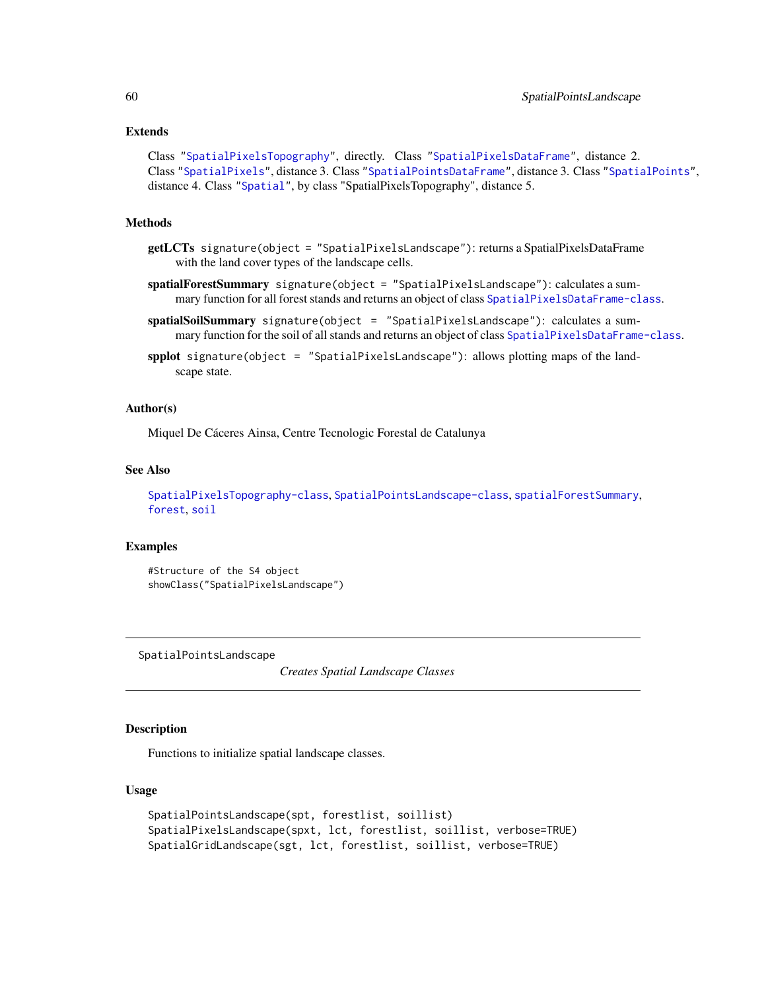### Extends

```
Class "SpatialPixelsTopography", directly. Class "SpatialPixelsDataFrame", distance 2.
Class "SpatialPixels", distance 3. Class "SpatialPointsDataFrame", distance 3. Class "SpatialPoints",
distance 4. Class "Spatial", by class "SpatialPixelsTopography", distance 5.
```
## Methods

- getLCTs signature(object = "SpatialPixelsLandscape"): returns a SpatialPixelsDataFrame with the land cover types of the landscape cells.
- spatialForestSummary signature(object = "SpatialPixelsLandscape"): calculates a sum-mary function for all forest stands and returns an object of class [SpatialPixelsDataFrame-class](#page-0-0).
- spatialSoilSummary signature(object = "SpatialPixelsLandscape"): calculates a summary function for the soil of all stands and returns an object of class [SpatialPixelsDataFrame-class](#page-0-0).
- spplot signature(object = "SpatialPixelsLandscape"): allows plotting maps of the landscape state.

### Author(s)

Miquel De Cáceres Ainsa, Centre Tecnologic Forestal de Catalunya

### See Also

```
SpatialPixelsTopography-class, SpatialPointsLandscape-class, spatialForestSummary,
forest, soil
```
### Examples

```
#Structure of the S4 object
showClass("SpatialPixelsLandscape")
```
<span id="page-59-1"></span>SpatialPointsLandscape

*Creates Spatial Landscape Classes*

## <span id="page-59-0"></span>Description

Functions to initialize spatial landscape classes.

### Usage

```
SpatialPointsLandscape(spt, forestlist, soillist)
SpatialPixelsLandscape(spxt, lct, forestlist, soillist, verbose=TRUE)
SpatialGridLandscape(sgt, lct, forestlist, soillist, verbose=TRUE)
```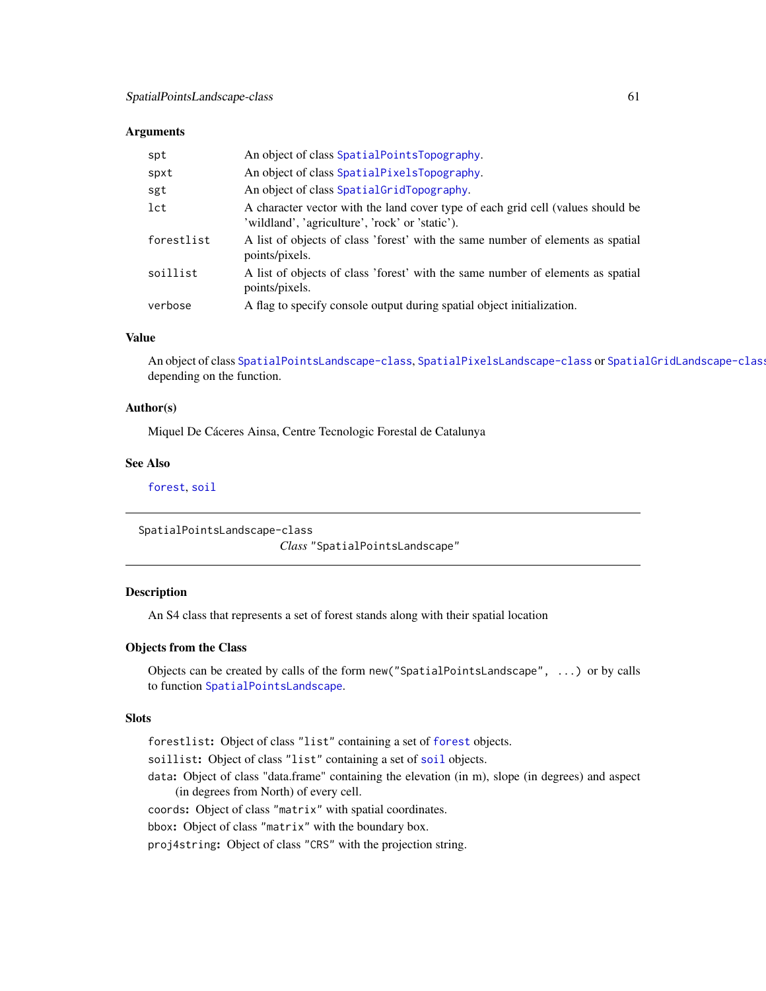### **Arguments**

| spt        | An object of class SpatialPointsTopography.                                                                                        |
|------------|------------------------------------------------------------------------------------------------------------------------------------|
| spxt       | An object of class SpatialPixelsTopography.                                                                                        |
| sgt        | An object of class SpatialGridTopography.                                                                                          |
| lct        | A character vector with the land cover type of each grid cell (values should be<br>'wildland', 'agriculture', 'rock' or 'static'). |
| forestlist | A list of objects of class 'forest' with the same number of elements as spatial<br>points/pixels.                                  |
| soillist   | A list of objects of class 'forest' with the same number of elements as spatial<br>points/pixels.                                  |
| verbose    | A flag to specify console output during spatial object initialization.                                                             |

## Value

An object of class [SpatialPointsLandscape-class](#page-60-0), [SpatialPixelsLandscape-class](#page-58-0) or [SpatialGridLandscape-class](#page-57-0) depending on the function.

## Author(s)

Miquel De Cáceres Ainsa, Centre Tecnologic Forestal de Catalunya

## See Also

[forest](#page-15-1), [soil](#page-49-0)

```
SpatialPointsLandscape-class
```
*Class* "SpatialPointsLandscape"

## Description

An S4 class that represents a set of forest stands along with their spatial location

## Objects from the Class

Objects can be created by calls of the form new("SpatialPointsLandscape", ...) or by calls to function [SpatialPointsLandscape](#page-59-1).

## Slots

forestlist: Object of class "list" containing a set of [forest](#page-15-1) objects.

[soil](#page-49-0)list: Object of class "list" containing a set of soil objects.

data: Object of class "data.frame" containing the elevation (in m), slope (in degrees) and aspect (in degrees from North) of every cell.

coords: Object of class "matrix" with spatial coordinates.

bbox: Object of class "matrix" with the boundary box.

proj4string: Object of class "CRS" with the projection string.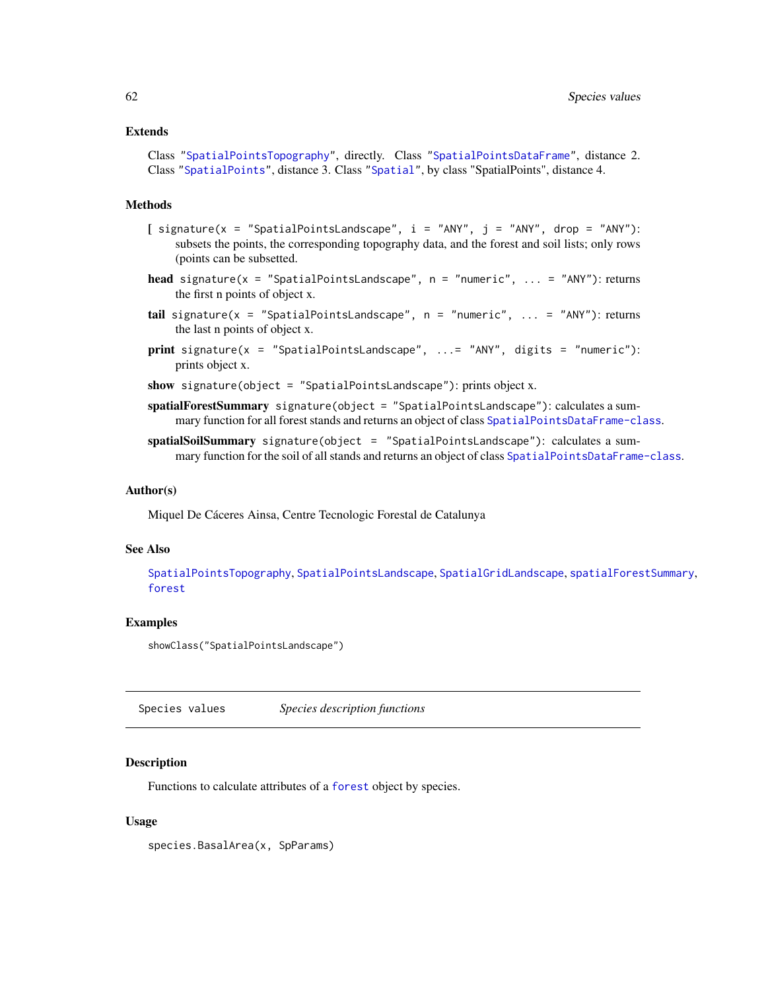### Extends

Class ["SpatialPointsTopography"](#page-0-0), directly. Class ["SpatialPointsDataFrame"](#page-0-0), distance 2. Class ["SpatialPoints"](#page-0-0), distance 3. Class ["Spatial"](#page-0-0), by class "SpatialPoints", distance 4.

## Methods

- $[$  signature(x = "SpatialPointsLandscape", i = "ANY", j = "ANY", drop = "ANY"): subsets the points, the corresponding topography data, and the forest and soil lists; only rows (points can be subsetted.
- head signature(x = "SpatialPointsLandscape", n = "numeric", ... = "ANY"): returns the first n points of object x.
- tail signature(x = "SpatialPointsLandscape",  $n =$  "numeric", ... = "ANY"): returns the last n points of object x.
- print signature(x = "SpatialPointsLandscape", ...= "ANY", digits = "numeric"): prints object x.

show signature(object = "SpatialPointsLandscape"): prints object x.

- spatialForestSummary signature(object = "SpatialPointsLandscape"): calculates a sum-mary function for all forest stands and returns an object of class [SpatialPointsDataFrame-class](#page-0-0).
- spatialSoilSummary signature(object = "SpatialPointsLandscape"): calculates a sum-mary function for the soil of all stands and returns an object of class [SpatialPointsDataFrame-class](#page-0-0).

### Author(s)

Miquel De Cáceres Ainsa, Centre Tecnologic Forestal de Catalunya

### See Also

[SpatialPointsTopography](#page-0-0), [SpatialPointsLandscape](#page-59-1), [SpatialGridLandscape](#page-59-0), [spatialForestSummary](#page-56-0), [forest](#page-15-1)

### Examples

showClass("SpatialPointsLandscape")

Species values *Species description functions*

### Description

Functions to calculate attributes of a [forest](#page-15-1) object by species.

### Usage

species.BasalArea(x, SpParams)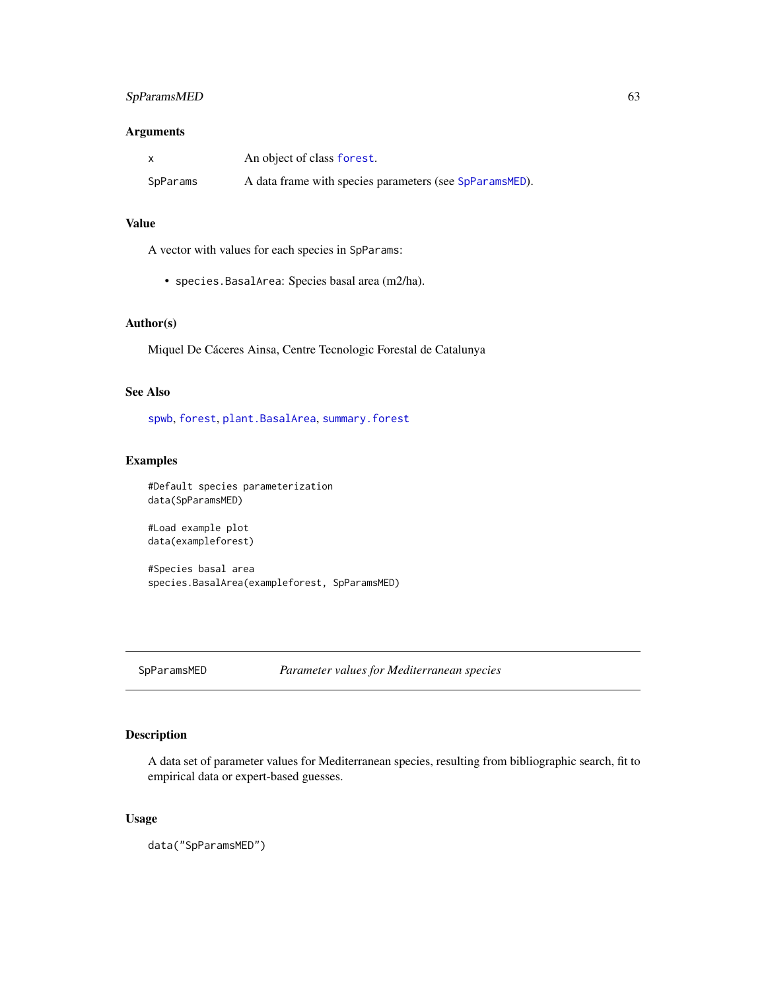## SpParamsMED 63

## Arguments

|          | An object of class forest.                              |
|----------|---------------------------------------------------------|
| SpParams | A data frame with species parameters (see SpParamsMED). |

# Value

A vector with values for each species in SpParams:

• species.BasalArea: Species basal area (m2/ha).

## Author(s)

Miquel De Cáceres Ainsa, Centre Tecnologic Forestal de Catalunya

# See Also

[spwb](#page-65-0), [forest](#page-15-1), [plant.BasalArea](#page-34-0), [summary.forest](#page-15-0)

## Examples

#Default species parameterization data(SpParamsMED)

#Load example plot data(exampleforest)

#Species basal area species.BasalArea(exampleforest, SpParamsMED)

<span id="page-62-0"></span>SpParamsMED *Parameter values for Mediterranean species*

## Description

A data set of parameter values for Mediterranean species, resulting from bibliographic search, fit to empirical data or expert-based guesses.

## Usage

data("SpParamsMED")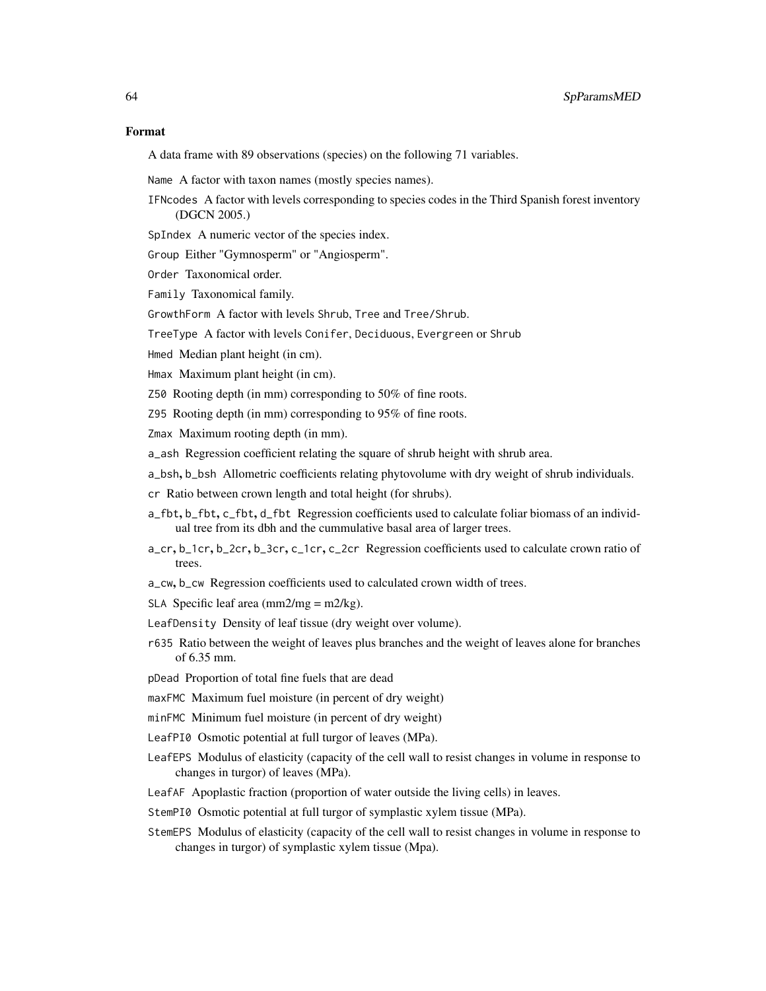### Format

A data frame with 89 observations (species) on the following 71 variables.

Name A factor with taxon names (mostly species names).

IFNcodes A factor with levels corresponding to species codes in the Third Spanish forest inventory (DGCN 2005.)

SpIndex A numeric vector of the species index.

Group Either "Gymnosperm" or "Angiosperm".

Order Taxonomical order.

Family Taxonomical family.

GrowthForm A factor with levels Shrub, Tree and Tree/Shrub.

TreeType A factor with levels Conifer, Deciduous, Evergreen or Shrub

Hmed Median plant height (in cm).

Hmax Maximum plant height (in cm).

Z50 Rooting depth (in mm) corresponding to 50% of fine roots.

Z95 Rooting depth (in mm) corresponding to 95% of fine roots.

Zmax Maximum rooting depth (in mm).

a\_ash Regression coefficient relating the square of shrub height with shrub area.

a\_bsh, b\_bsh Allometric coefficients relating phytovolume with dry weight of shrub individuals.

cr Ratio between crown length and total height (for shrubs).

- a\_fbt, b\_fbt, c\_fbt, d\_fbt Regression coefficients used to calculate foliar biomass of an individual tree from its dbh and the cummulative basal area of larger trees.
- a\_cr, b\_1cr, b\_2cr, b\_3cr, c\_1cr, c\_2cr Regression coefficients used to calculate crown ratio of trees.
- a\_cw, b\_cw Regression coefficients used to calculated crown width of trees.
- SLA Specific leaf area  $\text{(mm2/mg = m2/kg)}$ .
- LeafDensity Density of leaf tissue (dry weight over volume).
- r635 Ratio between the weight of leaves plus branches and the weight of leaves alone for branches of 6.35 mm.

pDead Proportion of total fine fuels that are dead

maxFMC Maximum fuel moisture (in percent of dry weight)

minFMC Minimum fuel moisture (in percent of dry weight)

- LeafPI0 Osmotic potential at full turgor of leaves (MPa).
- LeafEPS Modulus of elasticity (capacity of the cell wall to resist changes in volume in response to changes in turgor) of leaves (MPa).
- LeafAF Apoplastic fraction (proportion of water outside the living cells) in leaves.
- StemPI0 Osmotic potential at full turgor of symplastic xylem tissue (MPa).
- StemEPS Modulus of elasticity (capacity of the cell wall to resist changes in volume in response to changes in turgor) of symplastic xylem tissue (Mpa).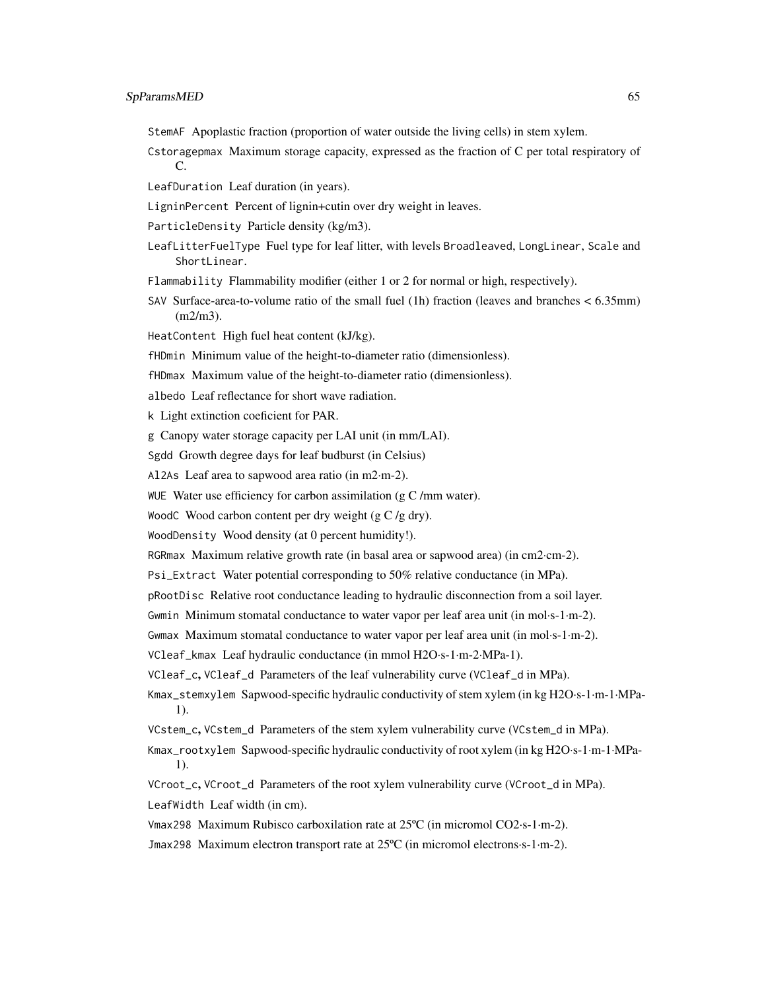- StemAF Apoplastic fraction (proportion of water outside the living cells) in stem xylem.
- Cstoragepmax Maximum storage capacity, expressed as the fraction of C per total respiratory of C.
- LeafDuration Leaf duration (in years).
- LigninPercent Percent of lignin+cutin over dry weight in leaves.
- ParticleDensity Particle density (kg/m3).
- LeafLitterFuelType Fuel type for leaf litter, with levels Broadleaved, LongLinear, Scale and ShortLinear.
- Flammability Flammability modifier (either 1 or 2 for normal or high, respectively).
- SAV Surface-area-to-volume ratio of the small fuel (1h) fraction (leaves and branches < 6.35mm) (m2/m3).
- HeatContent High fuel heat content (kJ/kg).
- fHDmin Minimum value of the height-to-diameter ratio (dimensionless).
- fHDmax Maximum value of the height-to-diameter ratio (dimensionless).
- albedo Leaf reflectance for short wave radiation.
- k Light extinction coeficient for PAR.
- g Canopy water storage capacity per LAI unit (in mm/LAI).
- Sgdd Growth degree days for leaf budburst (in Celsius)
- Al2As Leaf area to sapwood area ratio (in m2·m-2).
- WUE Water use efficiency for carbon assimilation  $(g C/mm$  water).
- WoodC Wood carbon content per dry weight (g C /g dry).
- WoodDensity Wood density (at 0 percent humidity!).
- RGRmax Maximum relative growth rate (in basal area or sapwood area) (in cm2·cm-2).
- Psi\_Extract Water potential corresponding to 50% relative conductance (in MPa).
- pRootDisc Relative root conductance leading to hydraulic disconnection from a soil layer.
- Gwmin Minimum stomatal conductance to water vapor per leaf area unit (in mol·s-1·m-2).
- Gwmax Maximum stomatal conductance to water vapor per leaf area unit (in mol·s-1·m-2).
- VCleaf\_kmax Leaf hydraulic conductance (in mmol H2O·s-1·m-2·MPa-1).
- VCleaf\_c, VCleaf\_d Parameters of the leaf vulnerability curve (VCleaf\_d in MPa).
- Kmax\_stemxylem Sapwood-specific hydraulic conductivity of stem xylem (in kg H2O·s-1·m-1·MPa-1).
- VCstem\_c, VCstem\_d Parameters of the stem xylem vulnerability curve (VCstem\_d in MPa).
- Kmax\_rootxylem Sapwood-specific hydraulic conductivity of root xylem (in kg H2O·s-1·m-1·MPa-1).
- VCroot\_c, VCroot\_d Parameters of the root xylem vulnerability curve (VCroot\_d in MPa).
- LeafWidth Leaf width (in cm).
- Vmax298 Maximum Rubisco carboxilation rate at 25ºC (in micromol CO2·s-1·m-2).
- Jmax298 Maximum electron transport rate at 25ºC (in micromol electrons·s-1·m-2).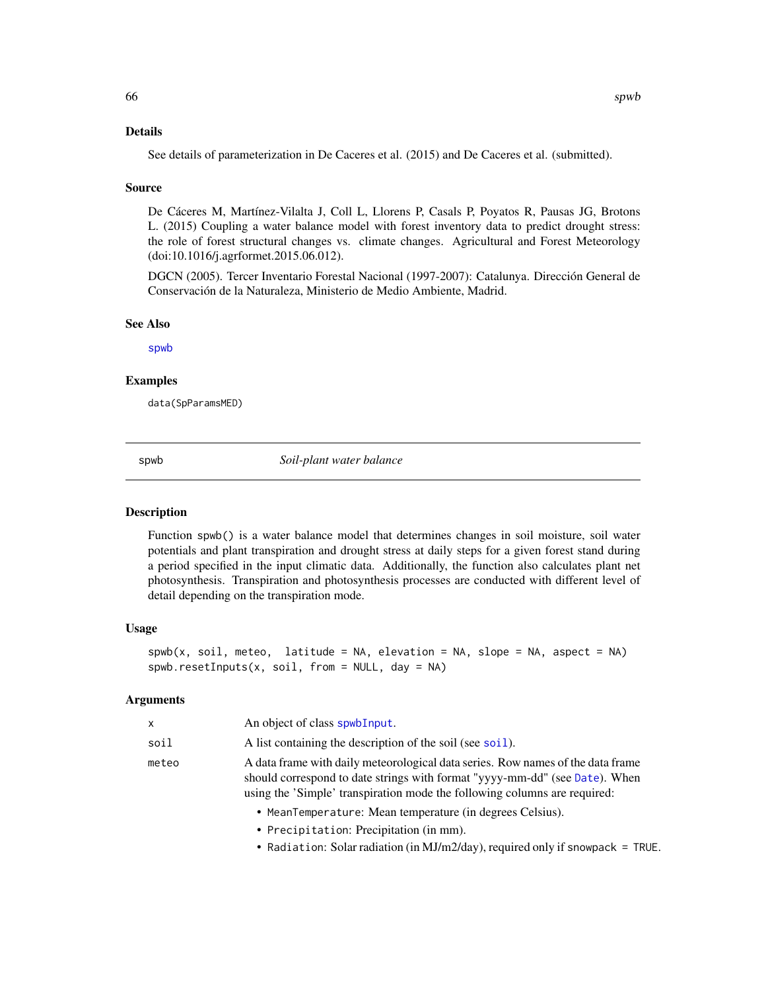## Details

See details of parameterization in De Caceres et al. (2015) and De Caceres et al. (submitted).

### Source

De Cáceres M, Martínez-Vilalta J, Coll L, Llorens P, Casals P, Poyatos R, Pausas JG, Brotons L. (2015) Coupling a water balance model with forest inventory data to predict drought stress: the role of forest structural changes vs. climate changes. Agricultural and Forest Meteorology (doi:10.1016/j.agrformet.2015.06.012).

DGCN (2005). Tercer Inventario Forestal Nacional (1997-2007): Catalunya. Dirección General de Conservación de la Naturaleza, Ministerio de Medio Ambiente, Madrid.

## See Also

[spwb](#page-65-0)

## Examples

data(SpParamsMED)

<span id="page-65-0"></span>spwb *Soil-plant water balance*

### **Description**

Function spwb() is a water balance model that determines changes in soil moisture, soil water potentials and plant transpiration and drought stress at daily steps for a given forest stand during a period specified in the input climatic data. Additionally, the function also calculates plant net photosynthesis. Transpiration and photosynthesis processes are conducted with different level of detail depending on the transpiration mode.

### Usage

```
spwb(x, soil, meteo, latitude = NA, elevation = NA, slope = NA, aspect = NA)spwb.resetInputStream(x, soil, from = NULL, day = NA)
```

| x     | An object of class spwb Input.                                                                                                                                                                                                              |
|-------|---------------------------------------------------------------------------------------------------------------------------------------------------------------------------------------------------------------------------------------------|
| soil  | A list containing the description of the soil (see soil).                                                                                                                                                                                   |
| meteo | A data frame with daily meteorological data series. Row names of the data frame<br>should correspond to date strings with format "yyyy-mm-dd" (see Date). When<br>using the 'Simple' transpiration mode the following columns are required: |
|       | • MeanTemperature: Mean temperature (in degrees Celsius).                                                                                                                                                                                   |

- Precipitation: Precipitation (in mm).
- Radiation: Solar radiation (in MJ/m2/day), required only if snowpack = TRUE.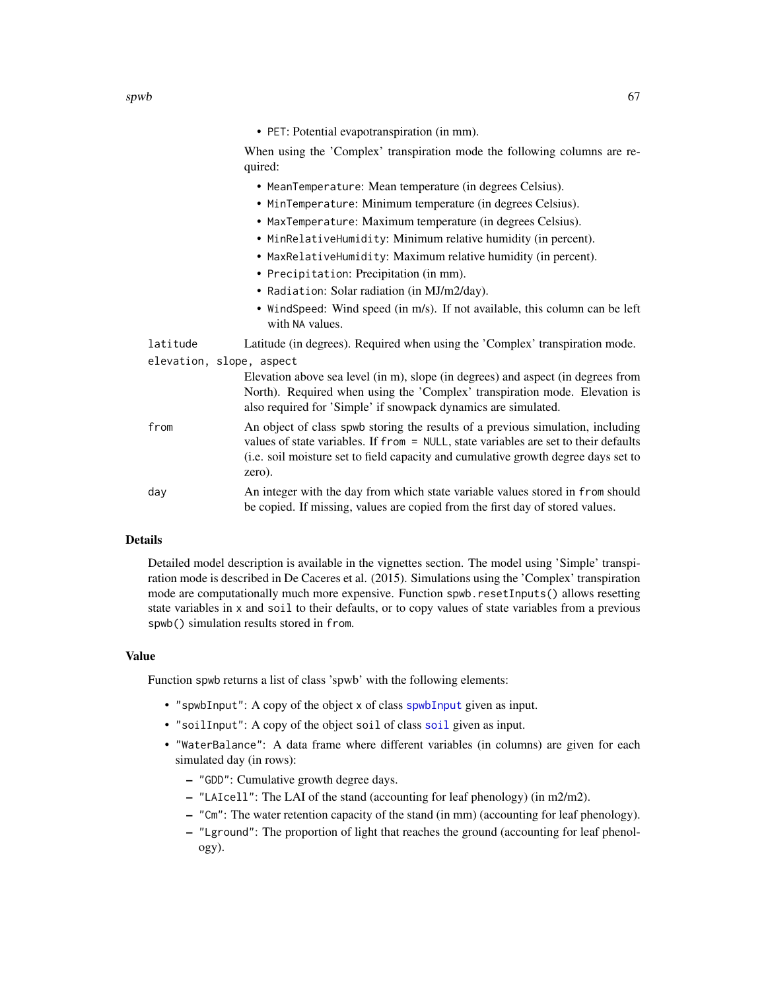• PET: Potential evapotranspiration (in mm).

When using the 'Complex' transpiration mode the following columns are required:

- MeanTemperature: Mean temperature (in degrees Celsius).
- MinTemperature: Minimum temperature (in degrees Celsius).
- MaxTemperature: Maximum temperature (in degrees Celsius).
- MinRelativeHumidity: Minimum relative humidity (in percent).
- MaxRelativeHumidity: Maximum relative humidity (in percent).
- Precipitation: Precipitation (in mm).
- Radiation: Solar radiation (in MJ/m2/day).
- WindSpeed: Wind speed (in m/s). If not available, this column can be left with NA values.
- latitude Latitude (in degrees). Required when using the 'Complex' transpiration mode.

elevation, slope, aspect

Elevation above sea level (in m), slope (in degrees) and aspect (in degrees from North). Required when using the 'Complex' transpiration mode. Elevation is also required for 'Simple' if snowpack dynamics are simulated.

- from An object of class spwb storing the results of a previous simulation, including values of state variables. If from = NULL, state variables are set to their defaults (i.e. soil moisture set to field capacity and cumulative growth degree days set to zero).
- day An integer with the day from which state variable values stored in from should be copied. If missing, values are copied from the first day of stored values.

# Details

Detailed model description is available in the vignettes section. The model using 'Simple' transpiration mode is described in De Caceres et al. (2015). Simulations using the 'Complex' transpiration mode are computationally much more expensive. Function spwb.resetInputs() allows resetting state variables in x and soil to their defaults, or to copy values of state variables from a previous spwb() simulation results stored in from.

### Value

Function spwb returns a list of class 'spwb' with the following elements:

- "[spwbInput](#page-82-1)": A copy of the object x of class spwbInput given as input.
- "soilInput": A copy of the object soil of class [soil](#page-49-0) given as input.
- "WaterBalance": A data frame where different variables (in columns) are given for each simulated day (in rows):
	- "GDD": Cumulative growth degree days.
	- "LAIcell": The LAI of the stand (accounting for leaf phenology) (in m2/m2).
	- "Cm": The water retention capacity of the stand (in mm) (accounting for leaf phenology).
	- "Lground": The proportion of light that reaches the ground (accounting for leaf phenology).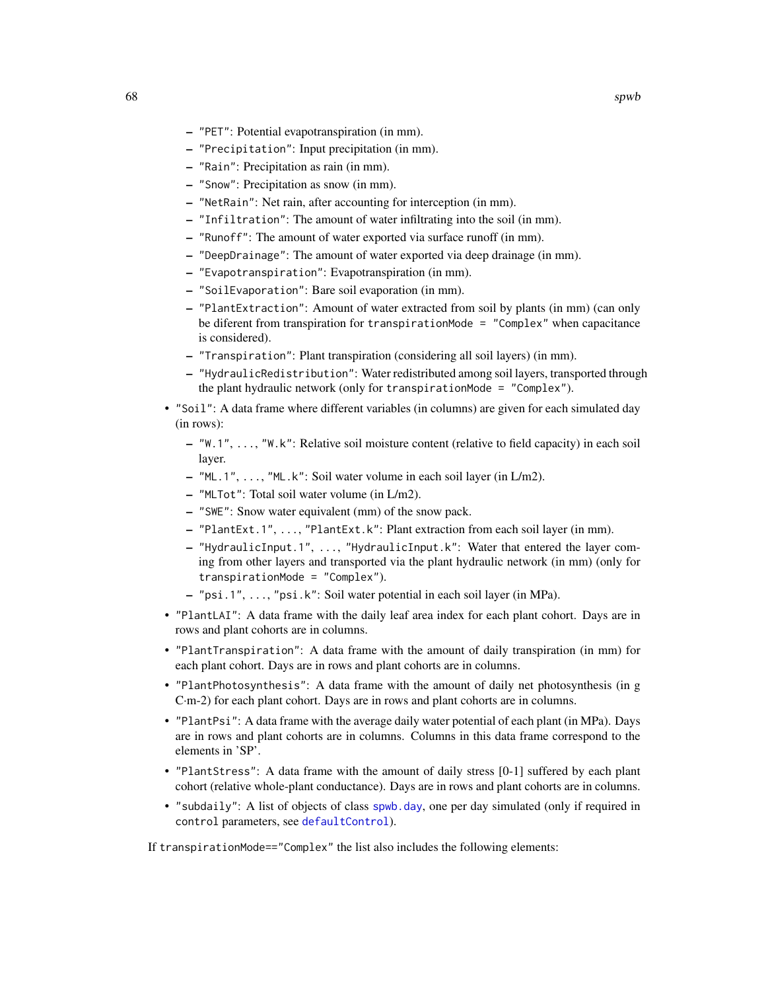- "PET": Potential evapotranspiration (in mm).
- "Precipitation": Input precipitation (in mm).
- "Rain": Precipitation as rain (in mm).
- "Snow": Precipitation as snow (in mm).
- "NetRain": Net rain, after accounting for interception (in mm).
- "Infiltration": The amount of water infiltrating into the soil (in mm).
- "Runoff": The amount of water exported via surface runoff (in mm).
- "DeepDrainage": The amount of water exported via deep drainage (in mm).
- "Evapotranspiration": Evapotranspiration (in mm).
- "SoilEvaporation": Bare soil evaporation (in mm).
- "PlantExtraction": Amount of water extracted from soil by plants (in mm) (can only be diferent from transpiration for transpirationMode = "Complex" when capacitance is considered).
- "Transpiration": Plant transpiration (considering all soil layers) (in mm).
- "HydraulicRedistribution": Water redistributed among soil layers, transported through the plant hydraulic network (only for transpirationMode = "Complex").
- "Soil": A data frame where different variables (in columns) are given for each simulated day (in rows):
	- "W.1", ..., "W.k": Relative soil moisture content (relative to field capacity) in each soil layer.
	- "ML.1", ..., "ML.k": Soil water volume in each soil layer (in L/m2).
	- "MLTot": Total soil water volume (in L/m2).
	- "SWE": Snow water equivalent (mm) of the snow pack.
	- "PlantExt.1", ..., "PlantExt.k": Plant extraction from each soil layer (in mm).
	- "HydraulicInput.1", ..., "HydraulicInput.k": Water that entered the layer coming from other layers and transported via the plant hydraulic network (in mm) (only for transpirationMode = "Complex").
	- "psi.1", ..., "psi.k": Soil water potential in each soil layer (in MPa).
- "PlantLAI": A data frame with the daily leaf area index for each plant cohort. Days are in rows and plant cohorts are in columns.
- "PlantTranspiration": A data frame with the amount of daily transpiration (in mm) for each plant cohort. Days are in rows and plant cohorts are in columns.
- "PlantPhotosynthesis": A data frame with the amount of daily net photosynthesis (in g C·m-2) for each plant cohort. Days are in rows and plant cohorts are in columns.
- "PlantPsi": A data frame with the average daily water potential of each plant (in MPa). Days are in rows and plant cohorts are in columns. Columns in this data frame correspond to the elements in 'SP'.
- "PlantStress": A data frame with the amount of daily stress [0-1] suffered by each plant cohort (relative whole-plant conductance). Days are in rows and plant cohorts are in columns.
- "subdaily": A list of objects of class [spwb.day](#page-70-0), one per day simulated (only if required in control parameters, see [defaultControl](#page-5-0)).

If transpirationMode=="Complex" the list also includes the following elements: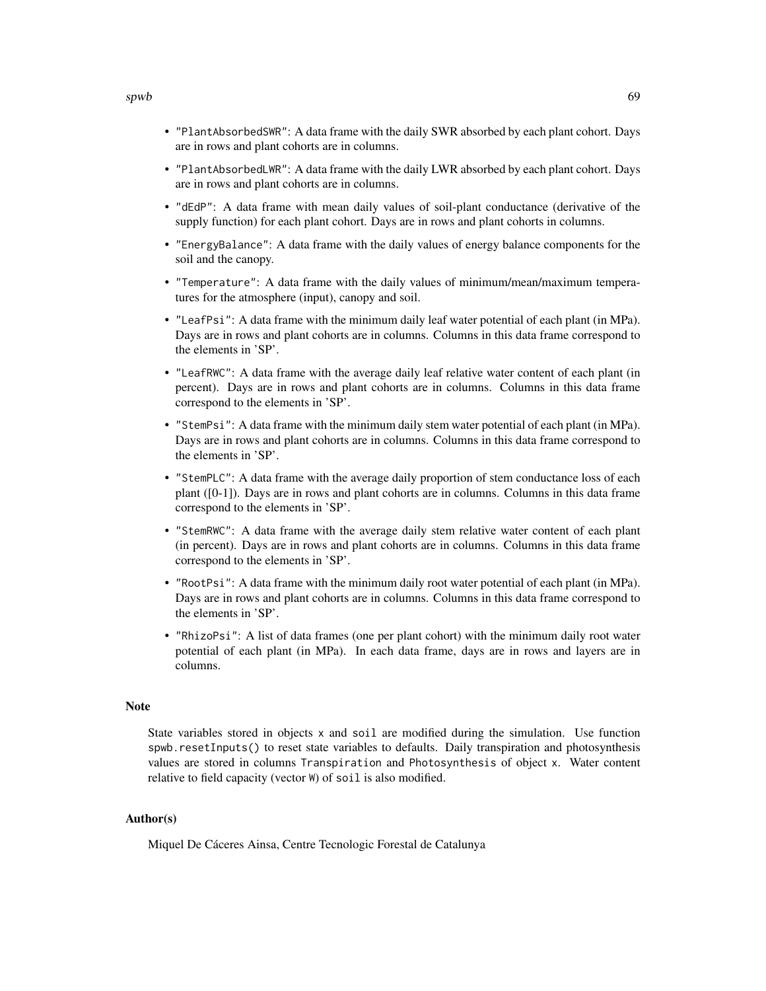- "PlantAbsorbedSWR": A data frame with the daily SWR absorbed by each plant cohort. Days are in rows and plant cohorts are in columns.
- "PlantAbsorbedLWR": A data frame with the daily LWR absorbed by each plant cohort. Days are in rows and plant cohorts are in columns.
- "dEdP": A data frame with mean daily values of soil-plant conductance (derivative of the supply function) for each plant cohort. Days are in rows and plant cohorts in columns.
- "EnergyBalance": A data frame with the daily values of energy balance components for the soil and the canopy.
- "Temperature": A data frame with the daily values of minimum/mean/maximum temperatures for the atmosphere (input), canopy and soil.
- "LeafPsi": A data frame with the minimum daily leaf water potential of each plant (in MPa). Days are in rows and plant cohorts are in columns. Columns in this data frame correspond to the elements in 'SP'.
- "LeafRWC": A data frame with the average daily leaf relative water content of each plant (in percent). Days are in rows and plant cohorts are in columns. Columns in this data frame correspond to the elements in 'SP'.
- "StemPsi": A data frame with the minimum daily stem water potential of each plant (in MPa). Days are in rows and plant cohorts are in columns. Columns in this data frame correspond to the elements in 'SP'.
- "StemPLC": A data frame with the average daily proportion of stem conductance loss of each plant ([0-1]). Days are in rows and plant cohorts are in columns. Columns in this data frame correspond to the elements in 'SP'.
- "StemRWC": A data frame with the average daily stem relative water content of each plant (in percent). Days are in rows and plant cohorts are in columns. Columns in this data frame correspond to the elements in 'SP'.
- "RootPsi": A data frame with the minimum daily root water potential of each plant (in MPa). Days are in rows and plant cohorts are in columns. Columns in this data frame correspond to the elements in 'SP'.
- "RhizoPsi": A list of data frames (one per plant cohort) with the minimum daily root water potential of each plant (in MPa). In each data frame, days are in rows and layers are in columns.

### Note

State variables stored in objects x and soil are modified during the simulation. Use function spwb.resetInputs() to reset state variables to defaults. Daily transpiration and photosynthesis values are stored in columns Transpiration and Photosynthesis of object x. Water content relative to field capacity (vector W) of soil is also modified.

## Author(s)

Miquel De Cáceres Ainsa, Centre Tecnologic Forestal de Catalunya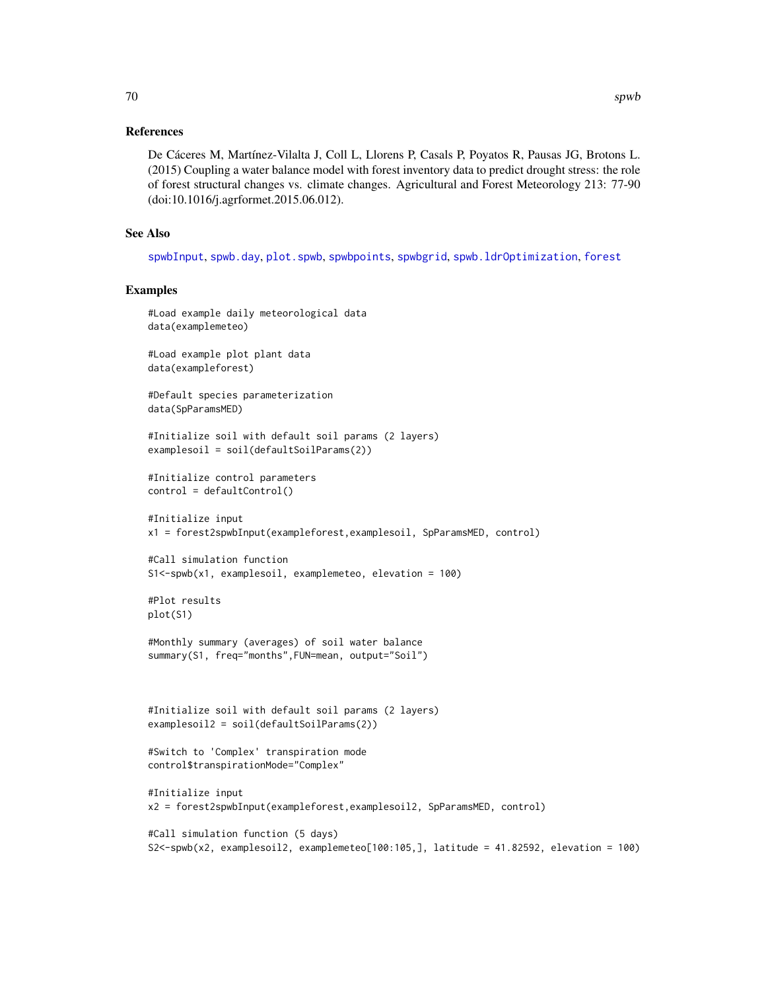## References

De Cáceres M, Martínez-Vilalta J, Coll L, Llorens P, Casals P, Poyatos R, Pausas JG, Brotons L. (2015) Coupling a water balance model with forest inventory data to predict drought stress: the role of forest structural changes vs. climate changes. Agricultural and Forest Meteorology 213: 77-90 (doi:10.1016/j.agrformet.2015.06.012).

## See Also

[spwbInput](#page-82-1), [spwb.day](#page-70-0), [plot.spwb](#page-36-0), [spwbpoints](#page-85-0), [spwbgrid](#page-80-0), [spwb.ldrOptimization](#page-75-0), [forest](#page-15-1)

### Examples

```
#Load example daily meteorological data
data(examplemeteo)
#Load example plot plant data
data(exampleforest)
#Default species parameterization
data(SpParamsMED)
#Initialize soil with default soil params (2 layers)
examplesoil = soil(defaultSoilParams(2))
#Initialize control parameters
control = defaultControl()
#Initialize input
x1 = forest2spwbInput(exampleforest,examplesoil, SpParamsMED, control)
#Call simulation function
S1<-spwb(x1, examplesoil, examplemeteo, elevation = 100)
#Plot results
plot(S1)
#Monthly summary (averages) of soil water balance
summary(S1, freq="months",FUN=mean, output="Soil")
#Initialize soil with default soil params (2 layers)
examplesoil2 = soil(defaultSoilParams(2))
#Switch to 'Complex' transpiration mode
control$transpirationMode="Complex"
#Initialize input
x2 = forest2spwbInput(exampleforest,examplesoil2, SpParamsMED, control)
#Call simulation function (5 days)
```
S2<-spwb(x2, examplesoil2, examplemeteo[100:105,], latitude = 41.82592, elevation = 100)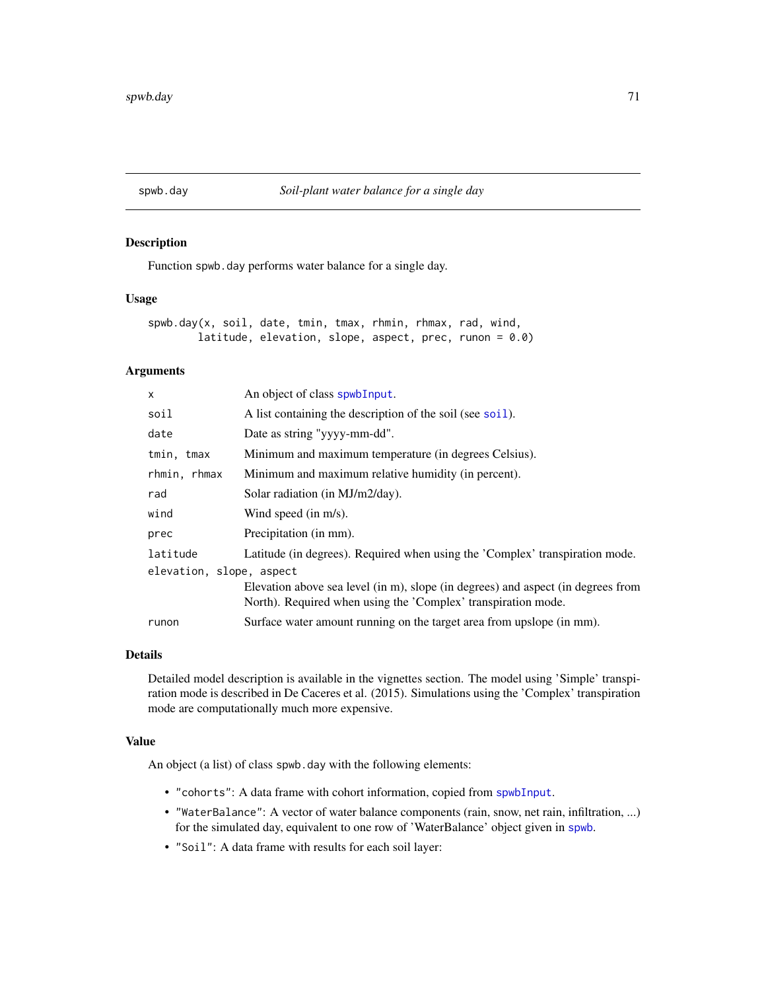<span id="page-70-0"></span>

## Description

Function spwb.day performs water balance for a single day.

### Usage

```
spwb.day(x, soil, date, tmin, tmax, rhmin, rhmax, rad, wind,
       latitude, elevation, slope, aspect, prec, runon = 0.0)
```
## Arguments

| An object of class spwbInput.                                                                                                                     |  |  |
|---------------------------------------------------------------------------------------------------------------------------------------------------|--|--|
| A list containing the description of the soil (see soil).                                                                                         |  |  |
| Date as string "yyyy-mm-dd".                                                                                                                      |  |  |
| Minimum and maximum temperature (in degrees Celsius).                                                                                             |  |  |
| Minimum and maximum relative humidity (in percent).                                                                                               |  |  |
| Solar radiation (in MJ/m2/day).                                                                                                                   |  |  |
| Wind speed (in $m/s$ ).                                                                                                                           |  |  |
| Precipitation (in mm).                                                                                                                            |  |  |
| Latitude (in degrees). Required when using the 'Complex' transpiration mode.                                                                      |  |  |
| elevation, slope, aspect                                                                                                                          |  |  |
| Elevation above sea level (in m), slope (in degrees) and aspect (in degrees from<br>North). Required when using the 'Complex' transpiration mode. |  |  |
| Surface water amount running on the target area from upslope (in mm).                                                                             |  |  |
|                                                                                                                                                   |  |  |

### Details

Detailed model description is available in the vignettes section. The model using 'Simple' transpiration mode is described in De Caceres et al. (2015). Simulations using the 'Complex' transpiration mode are computationally much more expensive.

## Value

An object (a list) of class spwb.day with the following elements:

- "cohorts": A data frame with cohort information, copied from [spwbInput](#page-82-1).
- "WaterBalance": A vector of water balance components (rain, snow, net rain, infiltration, ...) for the simulated day, equivalent to one row of 'WaterBalance' object given in [spwb](#page-65-0).
- "Soil": A data frame with results for each soil layer: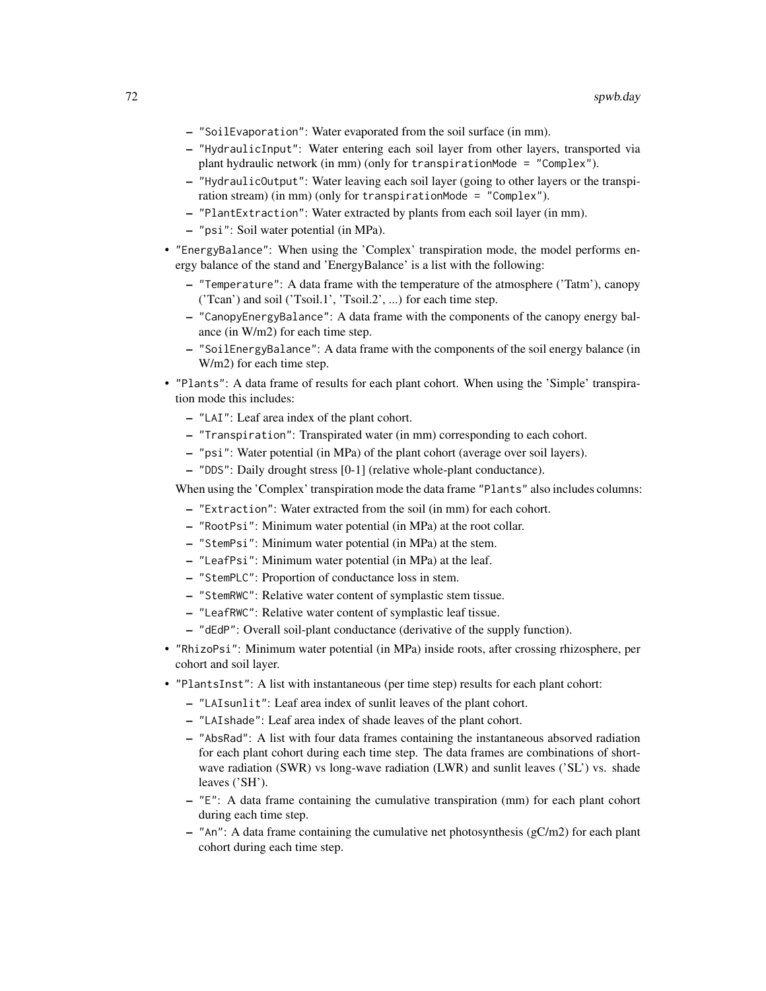- "SoilEvaporation": Water evaporated from the soil surface (in mm).
- "HydraulicInput": Water entering each soil layer from other layers, transported via plant hydraulic network (in mm) (only for transpirationMode = "Complex").
- "HydraulicOutput": Water leaving each soil layer (going to other layers or the transpiration stream) (in mm) (only for transpirationMode = "Complex").
- "PlantExtraction": Water extracted by plants from each soil layer (in mm).
- "psi": Soil water potential (in MPa).
- "EnergyBalance": When using the 'Complex' transpiration mode, the model performs energy balance of the stand and 'EnergyBalance' is a list with the following:
	- "Temperature": A data frame with the temperature of the atmosphere ('Tatm'), canopy ('Tcan') and soil ('Tsoil.1', 'Tsoil.2', ...) for each time step.
	- "CanopyEnergyBalance": A data frame with the components of the canopy energy balance (in W/m2) for each time step.
	- "SoilEnergyBalance": A data frame with the components of the soil energy balance (in W/m2) for each time step.
- "Plants": A data frame of results for each plant cohort. When using the 'Simple' transpiration mode this includes:
	- "LAI": Leaf area index of the plant cohort.
	- "Transpiration": Transpirated water (in mm) corresponding to each cohort.
	- "psi": Water potential (in MPa) of the plant cohort (average over soil layers).
	- "DDS": Daily drought stress [0-1] (relative whole-plant conductance).

When using the 'Complex' transpiration mode the data frame "Plants" also includes columns:

- "Extraction": Water extracted from the soil (in mm) for each cohort.
- "RootPsi": Minimum water potential (in MPa) at the root collar.
- "StemPsi": Minimum water potential (in MPa) at the stem.
- "LeafPsi": Minimum water potential (in MPa) at the leaf.
- "StemPLC": Proportion of conductance loss in stem.
- "StemRWC": Relative water content of symplastic stem tissue.
- "LeafRWC": Relative water content of symplastic leaf tissue.
- "dEdP": Overall soil-plant conductance (derivative of the supply function).
- "RhizoPsi": Minimum water potential (in MPa) inside roots, after crossing rhizosphere, per cohort and soil layer.
- "PlantsInst": A list with instantaneous (per time step) results for each plant cohort:
	- "LAIsunlit": Leaf area index of sunlit leaves of the plant cohort.
	- "LAIshade": Leaf area index of shade leaves of the plant cohort.
	- "AbsRad": A list with four data frames containing the instantaneous absorved radiation for each plant cohort during each time step. The data frames are combinations of shortwave radiation (SWR) vs long-wave radiation (LWR) and sunlit leaves ('SL') vs. shade leaves ('SH').
	- "E": A data frame containing the cumulative transpiration (mm) for each plant cohort during each time step.
	- $-$  "An": A data frame containing the cumulative net photosynthesis ( $gC/m2$ ) for each plant cohort during each time step.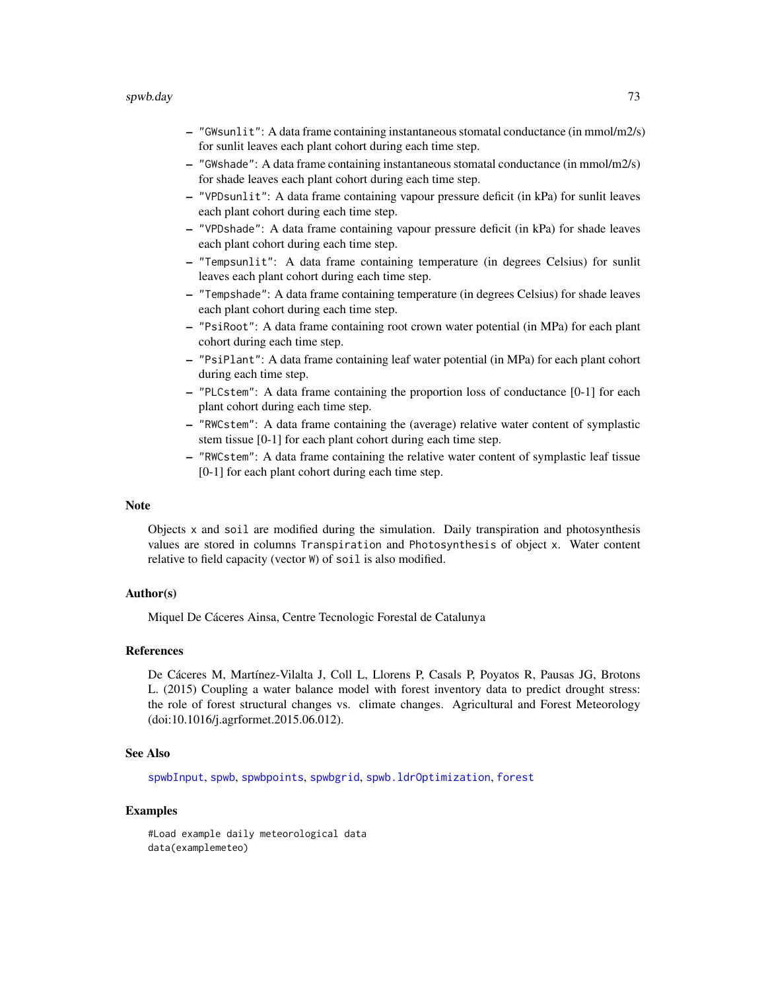#### <span id="page-72-0"></span>spwb.day 23

- "GWsunlit": A data frame containing instantaneous stomatal conductance (in mmol/m2/s) for sunlit leaves each plant cohort during each time step.
- "GWshade": A data frame containing instantaneous stomatal conductance (in mmol/m2/s) for shade leaves each plant cohort during each time step.
- "VPDsunlit": A data frame containing vapour pressure deficit (in kPa) for sunlit leaves each plant cohort during each time step.
- "VPDshade": A data frame containing vapour pressure deficit (in kPa) for shade leaves each plant cohort during each time step.
- "Tempsunlit": A data frame containing temperature (in degrees Celsius) for sunlit leaves each plant cohort during each time step.
- "Tempshade": A data frame containing temperature (in degrees Celsius) for shade leaves each plant cohort during each time step.
- "PsiRoot": A data frame containing root crown water potential (in MPa) for each plant cohort during each time step.
- "PsiPlant": A data frame containing leaf water potential (in MPa) for each plant cohort during each time step.
- "PLCstem": A data frame containing the proportion loss of conductance [0-1] for each plant cohort during each time step.
- "RWCstem": A data frame containing the (average) relative water content of symplastic stem tissue [0-1] for each plant cohort during each time step.
- "RWCstem": A data frame containing the relative water content of symplastic leaf tissue [0-1] for each plant cohort during each time step.

#### **Note**

Objects x and soil are modified during the simulation. Daily transpiration and photosynthesis values are stored in columns Transpiration and Photosynthesis of object x. Water content relative to field capacity (vector W) of soil is also modified.

#### Author(s)

Miquel De Cáceres Ainsa, Centre Tecnologic Forestal de Catalunya

# References

De Cáceres M, Martínez-Vilalta J, Coll L, Llorens P, Casals P, Poyatos R, Pausas JG, Brotons L. (2015) Coupling a water balance model with forest inventory data to predict drought stress: the role of forest structural changes vs. climate changes. Agricultural and Forest Meteorology (doi:10.1016/j.agrformet.2015.06.012).

# See Also

[spwbInput](#page-82-0), [spwb](#page-65-0), [spwbpoints](#page-85-0), [spwbgrid](#page-80-0), [spwb.ldrOptimization](#page-75-0), [forest](#page-15-0)

#### Examples

#Load example daily meteorological data data(examplemeteo)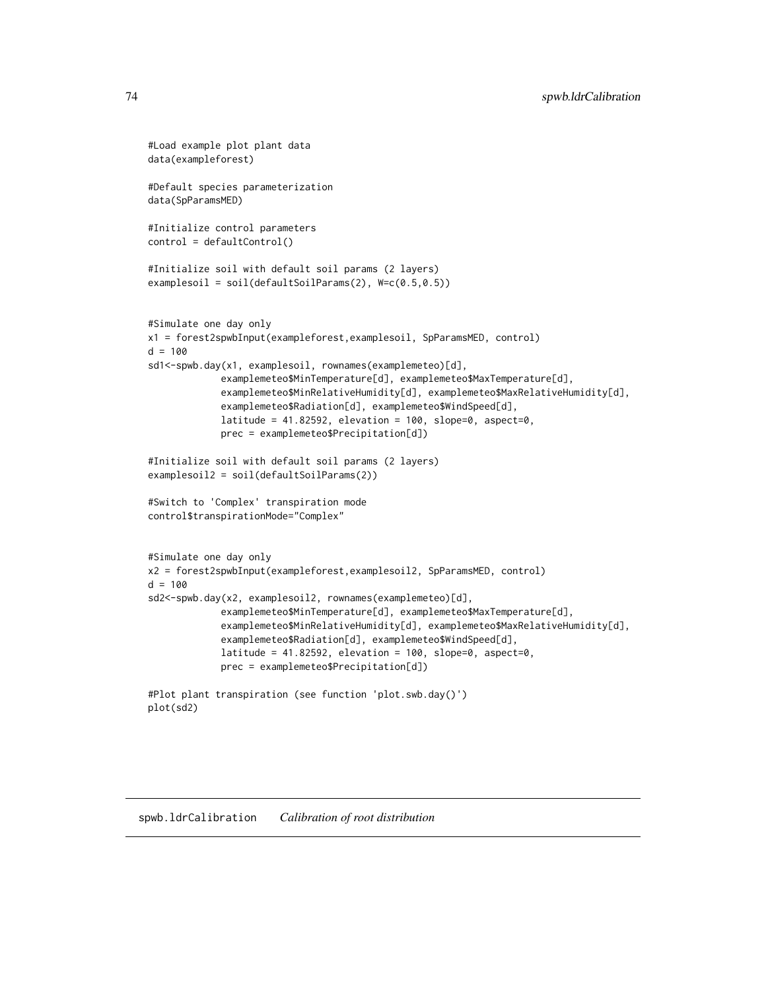```
#Load example plot plant data
data(exampleforest)
#Default species parameterization
data(SpParamsMED)
#Initialize control parameters
control = defaultControl()
#Initialize soil with default soil params (2 layers)
examplesoil = soil(defaultSoilParams(2), W=c(0.5,0.5))
#Simulate one day only
x1 = forest2spwbInput(exampleforest,examplesoil, SpParamsMED, control)
d = 100sd1<-spwb.day(x1, examplesoil, rownames(examplemeteo)[d],
             examplemeteo$MinTemperature[d], examplemeteo$MaxTemperature[d],
             examplemeteo$MinRelativeHumidity[d], examplemeteo$MaxRelativeHumidity[d],
             examplemeteo$Radiation[d], examplemeteo$WindSpeed[d],
             latitude = 41.82592, elevation = 100, slope=0, aspect=0,
             prec = examplemeteo$Precipitation[d])
#Initialize soil with default soil params (2 layers)
examplesoil2 = soil(defaultSoilParams(2))
#Switch to 'Complex' transpiration mode
control$transpirationMode="Complex"
#Simulate one day only
x2 = forest2spwbInput(exampleforest,examplesoil2, SpParamsMED, control)
d = 100sd2<-spwb.day(x2, examplesoil2, rownames(examplemeteo)[d],
             examplemeteo$MinTemperature[d], examplemeteo$MaxTemperature[d],
             examplemeteo$MinRelativeHumidity[d], examplemeteo$MaxRelativeHumidity[d],
             examplemeteo$Radiation[d], examplemeteo$WindSpeed[d],
             latitude = 41.82592, elevation = 100, slope=0, aspect=0,
             prec = examplemeteo$Precipitation[d])
#Plot plant transpiration (see function 'plot.swb.day()')
plot(sd2)
```
#### spwb.ldrCalibration *Calibration of root distribution*

<span id="page-73-0"></span>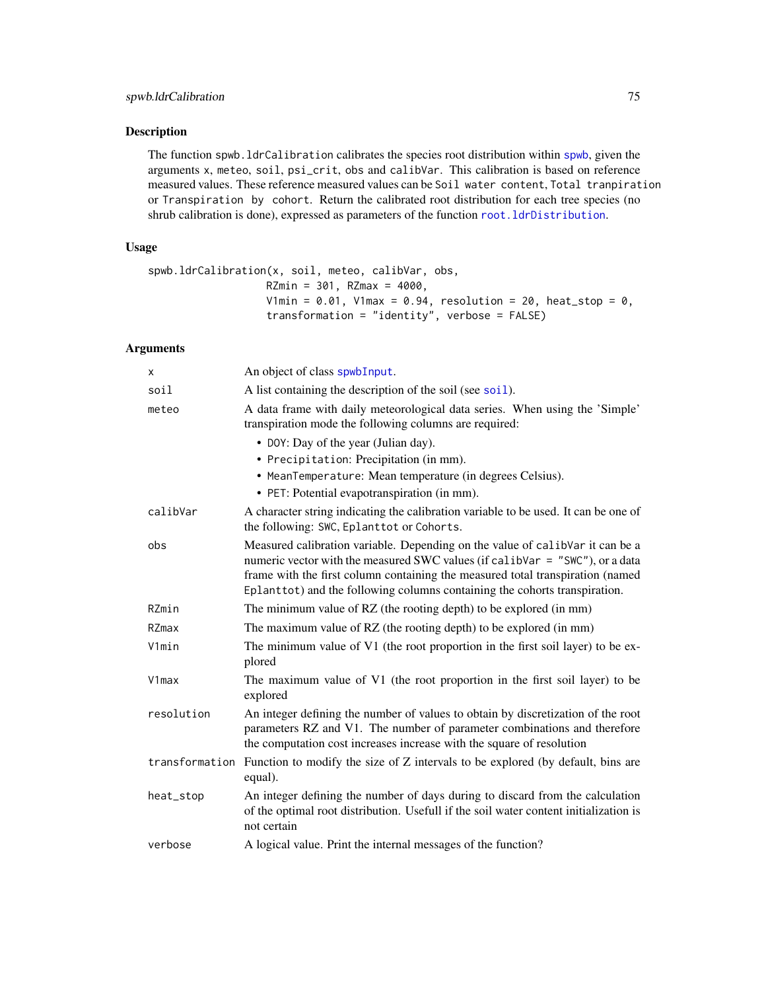# <span id="page-74-0"></span>Description

The function spwb.ldrCalibration calibrates the species root distribution within [spwb](#page-65-0), given the arguments x, meteo, soil, psi\_crit, obs and calibVar. This calibration is based on reference measured values. These reference measured values can be Soil water content, Total tranpiration or Transpiration by cohort. Return the calibrated root distribution for each tree species (no shrub calibration is done), expressed as parameters of the function [root.ldrDistribution](#page-41-0).

# Usage

```
spwb.ldrCalibration(x, soil, meteo, calibVar, obs,
                   RZmin = 301, RZmax = 4000,
                   V1min = 0.01, V1max = 0.94, resolution = 20, heat_stop = 0,
                   transformation = "identity", verbose = FALSE)
```
# Arguments

| x              | An object of class spwbInput.                                                                                                                                                                                                                                                                                                 |
|----------------|-------------------------------------------------------------------------------------------------------------------------------------------------------------------------------------------------------------------------------------------------------------------------------------------------------------------------------|
| soil           | A list containing the description of the soil (see soil).                                                                                                                                                                                                                                                                     |
| meteo          | A data frame with daily meteorological data series. When using the 'Simple'<br>transpiration mode the following columns are required:                                                                                                                                                                                         |
|                | • DOY: Day of the year (Julian day).                                                                                                                                                                                                                                                                                          |
|                | • Precipitation: Precipitation (in mm).                                                                                                                                                                                                                                                                                       |
|                | • MeanTemperature: Mean temperature (in degrees Celsius).<br>• PET: Potential evapotranspiration (in mm).                                                                                                                                                                                                                     |
| calibVar       | A character string indicating the calibration variable to be used. It can be one of<br>the following: SWC, Eplanttot or Cohorts.                                                                                                                                                                                              |
| obs            | Measured calibration variable. Depending on the value of calibVar it can be a<br>numeric vector with the measured SWC values (if calibVar = "SWC"), or a data<br>frame with the first column containing the measured total transpiration (named<br>Eplanttot) and the following columns containing the cohorts transpiration. |
| RZmin          | The minimum value of RZ (the rooting depth) to be explored (in mm)                                                                                                                                                                                                                                                            |
| RZmax          | The maximum value of RZ (the rooting depth) to be explored (in mm)                                                                                                                                                                                                                                                            |
| V1min          | The minimum value of V1 (the root proportion in the first soil layer) to be ex-<br>plored                                                                                                                                                                                                                                     |
| V1max          | The maximum value of V1 (the root proportion in the first soil layer) to be<br>explored                                                                                                                                                                                                                                       |
| resolution     | An integer defining the number of values to obtain by discretization of the root<br>parameters RZ and V1. The number of parameter combinations and therefore<br>the computation cost increases increase with the square of resolution                                                                                         |
| transformation | Function to modify the size of Z intervals to be explored (by default, bins are<br>equal).                                                                                                                                                                                                                                    |
| heat_stop      | An integer defining the number of days during to discard from the calculation<br>of the optimal root distribution. Usefull if the soil water content initialization is<br>not certain                                                                                                                                         |
| verbose        | A logical value. Print the internal messages of the function?                                                                                                                                                                                                                                                                 |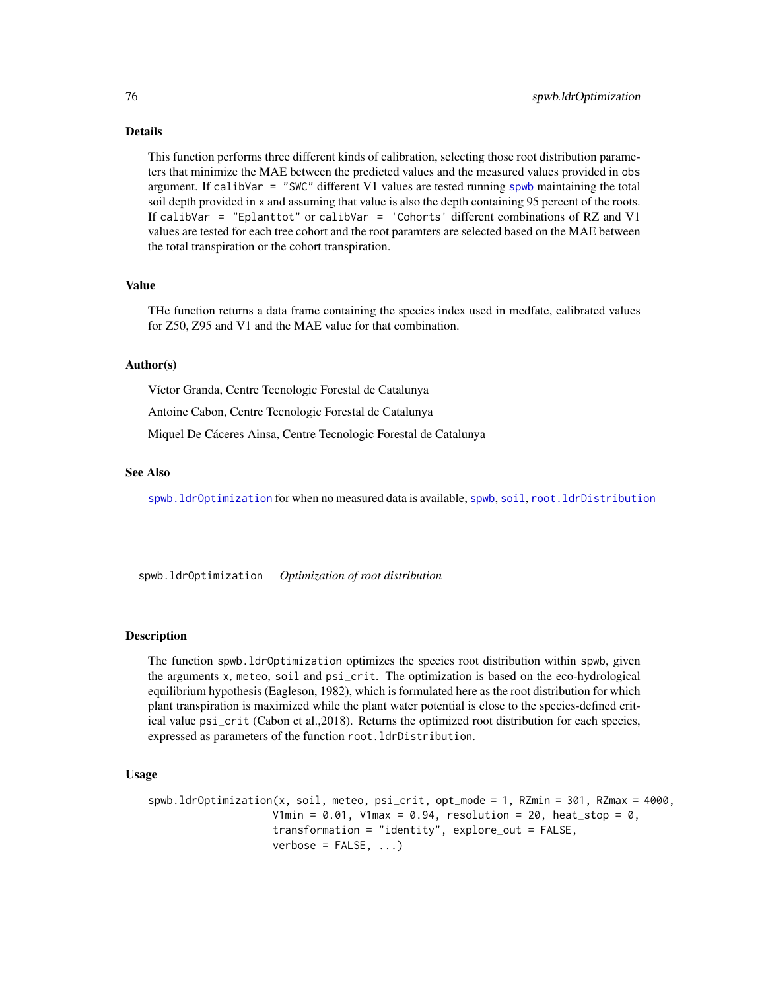# Details

This function performs three different kinds of calibration, selecting those root distribution parameters that minimize the MAE between the predicted values and the measured values provided in obs argument. If calibVar = "SWC" different V1 values are tested running [spwb](#page-65-0) maintaining the total soil depth provided in x and assuming that value is also the depth containing 95 percent of the roots. If calibVar = "Eplanttot" or calibVar = 'Cohorts' different combinations of RZ and V1 values are tested for each tree cohort and the root paramters are selected based on the MAE between the total transpiration or the cohort transpiration.

#### Value

THe function returns a data frame containing the species index used in medfate, calibrated values for Z50, Z95 and V1 and the MAE value for that combination.

# Author(s)

Víctor Granda, Centre Tecnologic Forestal de Catalunya

Antoine Cabon, Centre Tecnologic Forestal de Catalunya

Miquel De Cáceres Ainsa, Centre Tecnologic Forestal de Catalunya

# See Also

[spwb.ldrOptimization](#page-75-0) for when no measured data is available, [spwb](#page-65-0), [soil](#page-49-0), [root.ldrDistribution](#page-41-0)

<span id="page-75-0"></span>spwb.ldrOptimization *Optimization of root distribution*

#### Description

The function spwb.ldrOptimization optimizes the species root distribution within spwb, given the arguments x, meteo, soil and psi\_crit. The optimization is based on the eco-hydrological equilibrium hypothesis (Eagleson, 1982), which is formulated here as the root distribution for which plant transpiration is maximized while the plant water potential is close to the species-defined critical value psi\_crit (Cabon et al.,2018). Returns the optimized root distribution for each species, expressed as parameters of the function root.ldrDistribution.

#### Usage

```
spwb.ldrOptimization(x, soil, meteo, psi_crit, opt_mode = 1, RZmin = 301, RZmax = 4000,
                    V1min = 0.01, V1max = 0.94, resolution = 20, heat_stop = 0,
                    transformation = "identity", explore_out = FALSE,
                    verbose = FALSE, ...
```
<span id="page-75-1"></span>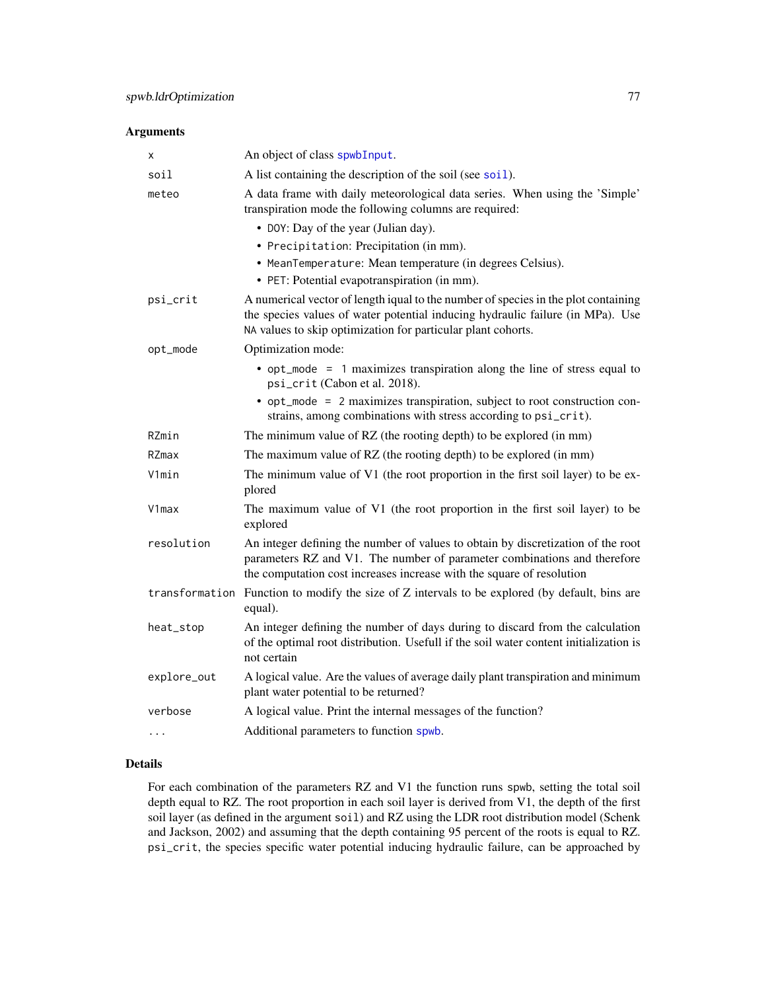# <span id="page-76-0"></span>Arguments

| х              | An object of class spwbInput.                                                                                                                                                                                                         |
|----------------|---------------------------------------------------------------------------------------------------------------------------------------------------------------------------------------------------------------------------------------|
| soil           | A list containing the description of the soil (see soil).                                                                                                                                                                             |
| meteo          | A data frame with daily meteorological data series. When using the 'Simple'<br>transpiration mode the following columns are required:                                                                                                 |
|                | • DOY: Day of the year (Julian day).                                                                                                                                                                                                  |
|                | • Precipitation: Precipitation (in mm).                                                                                                                                                                                               |
|                | • MeanTemperature: Mean temperature (in degrees Celsius).                                                                                                                                                                             |
|                | · PET: Potential evapotranspiration (in mm).                                                                                                                                                                                          |
| psi_crit       | A numerical vector of length iqual to the number of species in the plot containing<br>the species values of water potential inducing hydraulic failure (in MPa). Use<br>NA values to skip optimization for particular plant cohorts.  |
| opt_mode       | Optimization mode:                                                                                                                                                                                                                    |
|                | • opt_mode = 1 maximizes transpiration along the line of stress equal to<br>psi_crit (Cabon et al. 2018).                                                                                                                             |
|                | • opt_mode = 2 maximizes transpiration, subject to root construction con-<br>strains, among combinations with stress according to psi_crit).                                                                                          |
| RZmin          | The minimum value of RZ (the rooting depth) to be explored (in mm)                                                                                                                                                                    |
| RZmax          | The maximum value of RZ (the rooting depth) to be explored (in mm)                                                                                                                                                                    |
| V1min          | The minimum value of V1 (the root proportion in the first soil layer) to be ex-<br>plored                                                                                                                                             |
| V1max          | The maximum value of V1 (the root proportion in the first soil layer) to be<br>explored                                                                                                                                               |
| resolution     | An integer defining the number of values to obtain by discretization of the root<br>parameters RZ and V1. The number of parameter combinations and therefore<br>the computation cost increases increase with the square of resolution |
| transformation | Function to modify the size of Z intervals to be explored (by default, bins are<br>equal).                                                                                                                                            |
| heat_stop      | An integer defining the number of days during to discard from the calculation<br>of the optimal root distribution. Usefull if the soil water content initialization is<br>not certain                                                 |
| explore_out    | A logical value. Are the values of average daily plant transpiration and minimum<br>plant water potential to be returned?                                                                                                             |
| verbose        | A logical value. Print the internal messages of the function?                                                                                                                                                                         |
| .              | Additional parameters to function spwb.                                                                                                                                                                                               |

# Details

For each combination of the parameters RZ and V1 the function runs spwb, setting the total soil depth equal to RZ. The root proportion in each soil layer is derived from V1, the depth of the first soil layer (as defined in the argument soil) and RZ using the LDR root distribution model (Schenk and Jackson, 2002) and assuming that the depth containing 95 percent of the roots is equal to RZ. psi\_crit, the species specific water potential inducing hydraulic failure, can be approached by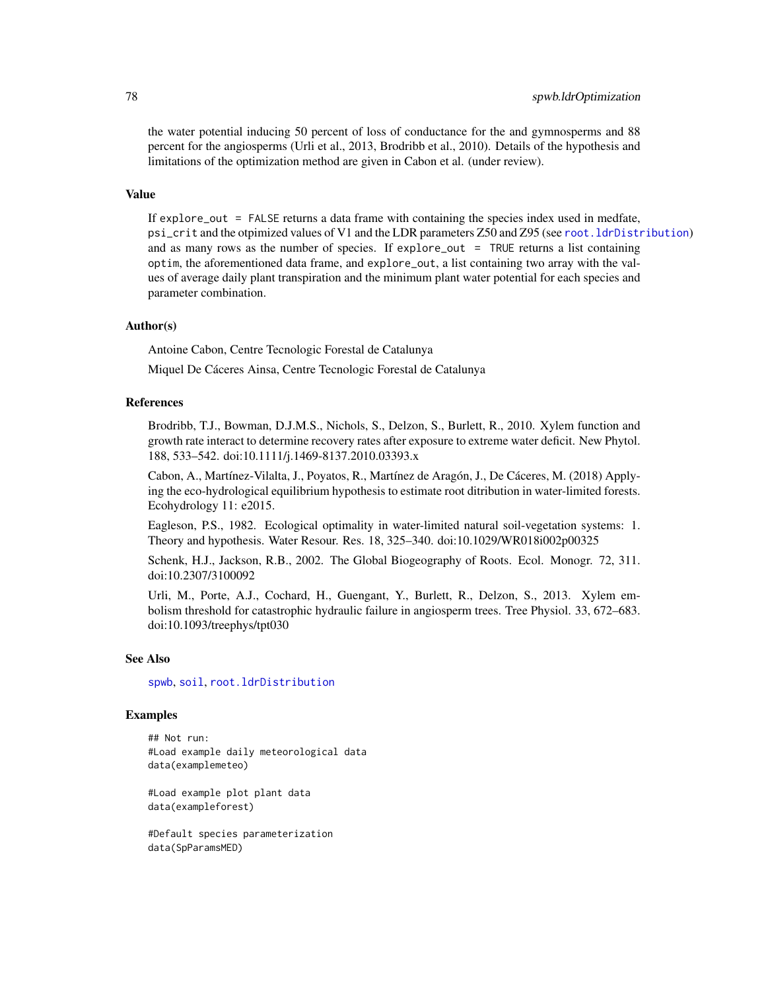the water potential inducing 50 percent of loss of conductance for the and gymnosperms and 88 percent for the angiosperms (Urli et al., 2013, Brodribb et al., 2010). Details of the hypothesis and limitations of the optimization method are given in Cabon et al. (under review).

# Value

If explore\_out = FALSE returns a data frame with containing the species index used in medfate, psi\_crit and the otpimized values of V1 and the LDR parameters Z50 and Z95 (see [root.ldrDistribution](#page-41-0)) and as many rows as the number of species. If explore\_out = TRUE returns a list containing optim, the aforementioned data frame, and explore\_out, a list containing two array with the values of average daily plant transpiration and the minimum plant water potential for each species and parameter combination.

#### Author(s)

Antoine Cabon, Centre Tecnologic Forestal de Catalunya

Miquel De Cáceres Ainsa, Centre Tecnologic Forestal de Catalunya

#### References

Brodribb, T.J., Bowman, D.J.M.S., Nichols, S., Delzon, S., Burlett, R., 2010. Xylem function and growth rate interact to determine recovery rates after exposure to extreme water deficit. New Phytol. 188, 533–542. doi:10.1111/j.1469-8137.2010.03393.x

Cabon, A., Martínez-Vilalta, J., Poyatos, R., Martínez de Aragón, J., De Cáceres, M. (2018) Applying the eco-hydrological equilibrium hypothesis to estimate root ditribution in water-limited forests. Ecohydrology 11: e2015.

Eagleson, P.S., 1982. Ecological optimality in water-limited natural soil-vegetation systems: 1. Theory and hypothesis. Water Resour. Res. 18, 325–340. doi:10.1029/WR018i002p00325

Schenk, H.J., Jackson, R.B., 2002. The Global Biogeography of Roots. Ecol. Monogr. 72, 311. doi:10.2307/3100092

Urli, M., Porte, A.J., Cochard, H., Guengant, Y., Burlett, R., Delzon, S., 2013. Xylem embolism threshold for catastrophic hydraulic failure in angiosperm trees. Tree Physiol. 33, 672–683. doi:10.1093/treephys/tpt030

# See Also

[spwb](#page-65-0), [soil](#page-49-0), [root.ldrDistribution](#page-41-0)

# Examples

## Not run: #Load example daily meteorological data data(examplemeteo)

#Load example plot plant data data(exampleforest)

#Default species parameterization data(SpParamsMED)

<span id="page-77-0"></span>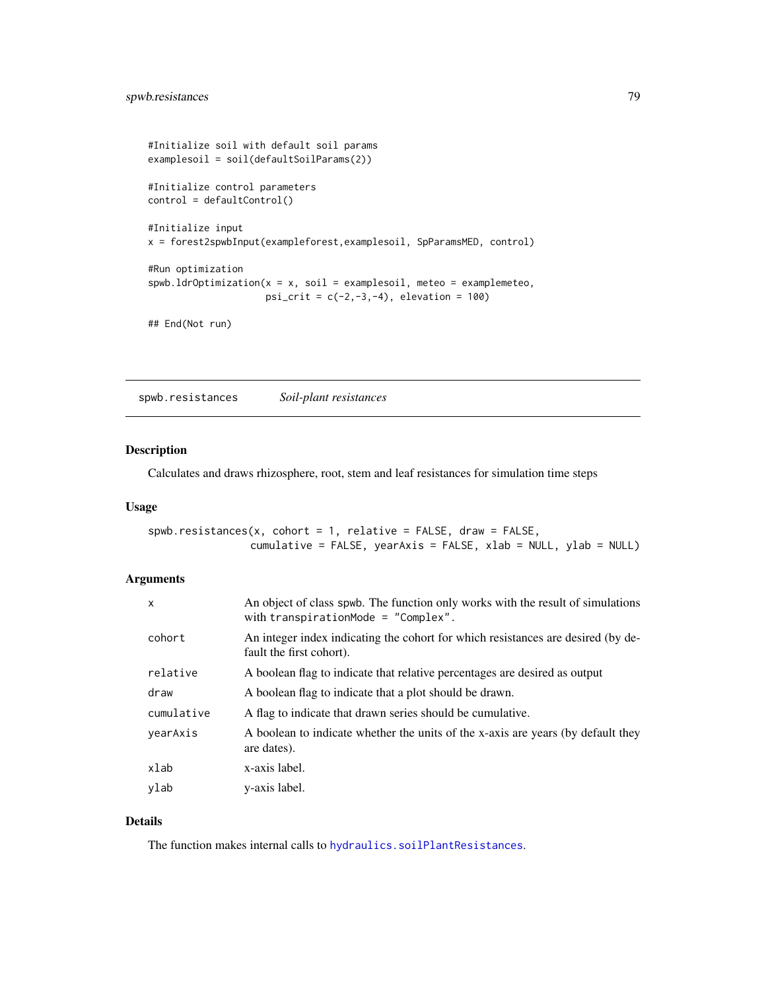```
#Initialize soil with default soil params
examplesoil = soil(defaultSoilParams(2))
#Initialize control parameters
control = defaultControl()
#Initialize input
x = forest2spwbInput(exampleforest,examplesoil, SpParamsMED, control)
#Run optimization
spwb.ldrOptimization(x = x, soil = examplesoil, meteo = examplemeteo,
                     psi_crit = c(-2, -3, -4), elevation = 100)
```

```
## End(Not run)
```
spwb.resistances *Soil-plant resistances*

# Description

Calculates and draws rhizosphere, root, stem and leaf resistances for simulation time steps

#### Usage

```
spwb.resistances(x, cohort = 1, relative = FALSE, draw = FALSE,
                cumulative = FALSE, yearAxis = FALSE, xlab = NULL, ylab = NULL)
```
# Arguments

| $\mathsf{x}$ | An object of class spwb. The function only works with the result of simulations<br>with transpirationMode = $"Complex".$ |
|--------------|--------------------------------------------------------------------------------------------------------------------------|
| cohort       | An integer index indicating the cohort for which resistances are desired (by de-<br>fault the first cohort).             |
| relative     | A boolean flag to indicate that relative percentages are desired as output                                               |
| draw         | A boolean flag to indicate that a plot should be drawn.                                                                  |
| cumulative   | A flag to indicate that drawn series should be cumulative.                                                               |
| yearAxis     | A boolean to indicate whether the units of the x-axis are years (by default they<br>are dates).                          |
| xlab         | x-axis label.                                                                                                            |
| ylab         | y-axis label.                                                                                                            |

#### Details

The function makes internal calls to [hydraulics.soilPlantResistances](#page-43-0).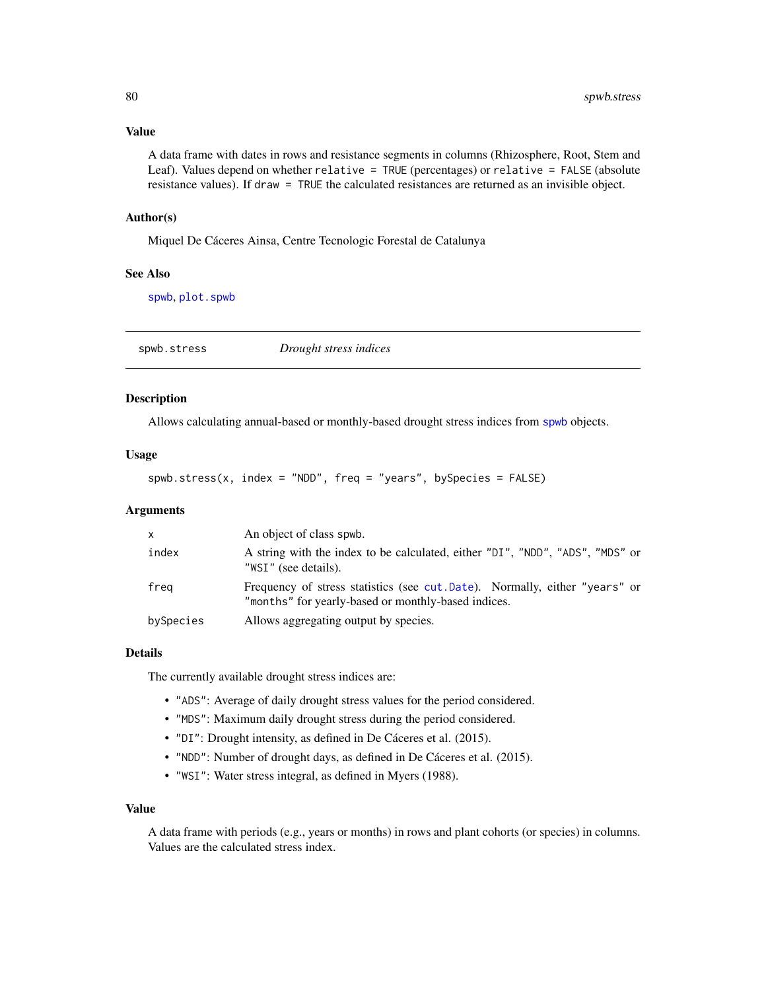# <span id="page-79-0"></span>Value

A data frame with dates in rows and resistance segments in columns (Rhizosphere, Root, Stem and Leaf). Values depend on whether relative = TRUE (percentages) or relative = FALSE (absolute resistance values). If draw = TRUE the calculated resistances are returned as an invisible object.

#### Author(s)

Miquel De Cáceres Ainsa, Centre Tecnologic Forestal de Catalunya

# See Also

[spwb](#page-65-0), [plot.spwb](#page-36-0)

spwb.stress *Drought stress indices*

# Description

Allows calculating annual-based or monthly-based drought stress indices from [spwb](#page-65-0) objects.

# Usage

spwb.stress(x, index = "NDD", freq = "years", bySpecies =  $FALSE$ )

# Arguments

| X         | An object of class spwb.                                                                                                           |
|-----------|------------------------------------------------------------------------------------------------------------------------------------|
| index     | A string with the index to be calculated, either "DI", "NDD", "ADS", "MDS" or<br>"WSI" (see details).                              |
| freg      | Frequency of stress statistics (see cut. Date). Normally, either "years" or<br>"months" for yearly-based or monthly-based indices. |
| bySpecies | Allows aggregating output by species.                                                                                              |

# Details

The currently available drought stress indices are:

- "ADS": Average of daily drought stress values for the period considered.
- "MDS": Maximum daily drought stress during the period considered.
- "DI": Drought intensity, as defined in De Cáceres et al. (2015).
- "NDD": Number of drought days, as defined in De Cáceres et al. (2015).
- "WSI": Water stress integral, as defined in Myers (1988).

#### Value

A data frame with periods (e.g., years or months) in rows and plant cohorts (or species) in columns. Values are the calculated stress index.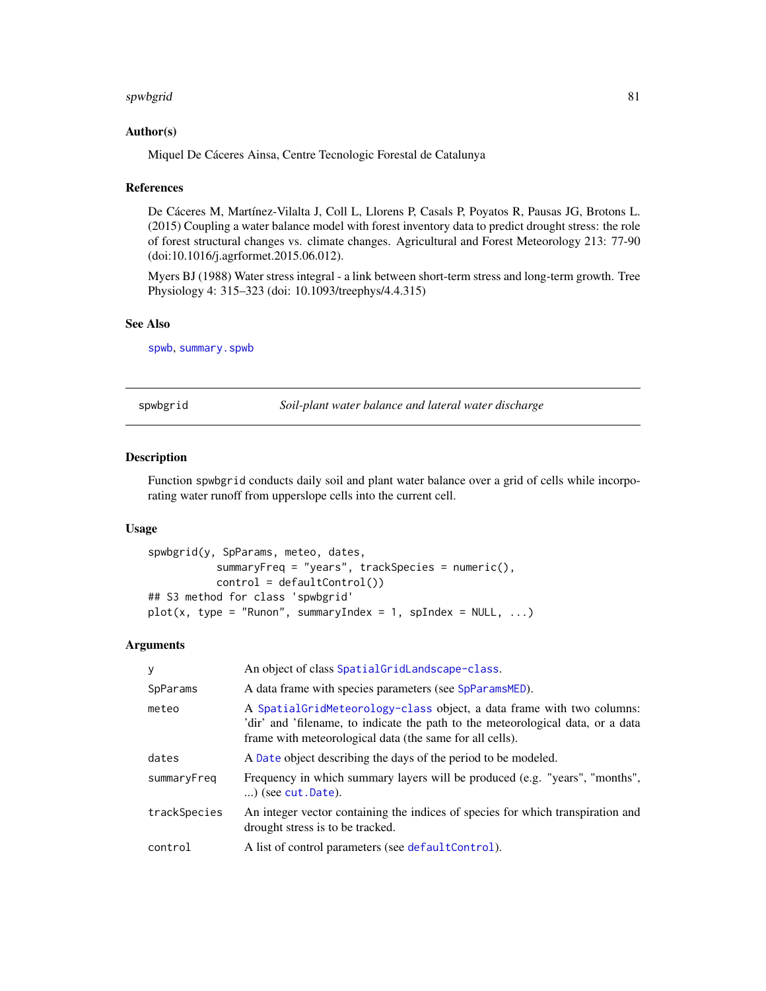#### <span id="page-80-1"></span>spwbgrid 81 and 81 and 81 and 81 and 81 and 81 and 81 and 81 and 81 and 81 and 81 and 81 and 81 and 81 and 81

# Author(s)

Miquel De Cáceres Ainsa, Centre Tecnologic Forestal de Catalunya

#### References

De Cáceres M, Martínez-Vilalta J, Coll L, Llorens P, Casals P, Poyatos R, Pausas JG, Brotons L. (2015) Coupling a water balance model with forest inventory data to predict drought stress: the role of forest structural changes vs. climate changes. Agricultural and Forest Meteorology 213: 77-90 (doi:10.1016/j.agrformet.2015.06.012).

Myers BJ (1988) Water stress integral - a link between short-term stress and long-term growth. Tree Physiology 4: 315–323 (doi: 10.1093/treephys/4.4.315)

# See Also

[spwb](#page-65-0), [summary.spwb](#page-36-1)

<span id="page-80-0"></span>spwbgrid *Soil-plant water balance and lateral water discharge*

# Description

Function spwbgrid conducts daily soil and plant water balance over a grid of cells while incorporating water runoff from upperslope cells into the current cell.

# Usage

```
spwbgrid(y, SpParams, meteo, dates,
           summaryFreq = "years", trackSpecies = numeric(),
           control = defaultControl())
## S3 method for class 'spwbgrid'
plot(x, type = "Runon", summaryIndex = 1, splindex = NULL, ...)
```
#### Arguments

| У            | An object of class SpatialGridLandscape-class.                                                                                                                                                                         |
|--------------|------------------------------------------------------------------------------------------------------------------------------------------------------------------------------------------------------------------------|
| SpParams     | A data frame with species parameters (see SpParamsMED).                                                                                                                                                                |
| meteo        | A Spatial Grid Meteorology-class object, a data frame with two columns:<br>'dir' and 'filename, to indicate the path to the meteorological data, or a data<br>frame with meteorological data (the same for all cells). |
| dates        | A Date object describing the days of the period to be modeled.                                                                                                                                                         |
| summaryFreq  | Frequency in which summary layers will be produced (e.g. "years", "months",<br>$\ldots$ ) (see cut. Date).                                                                                                             |
| trackSpecies | An integer vector containing the indices of species for which transpiration and<br>drought stress is to be tracked.                                                                                                    |
| control      | A list of control parameters (see default Control).                                                                                                                                                                    |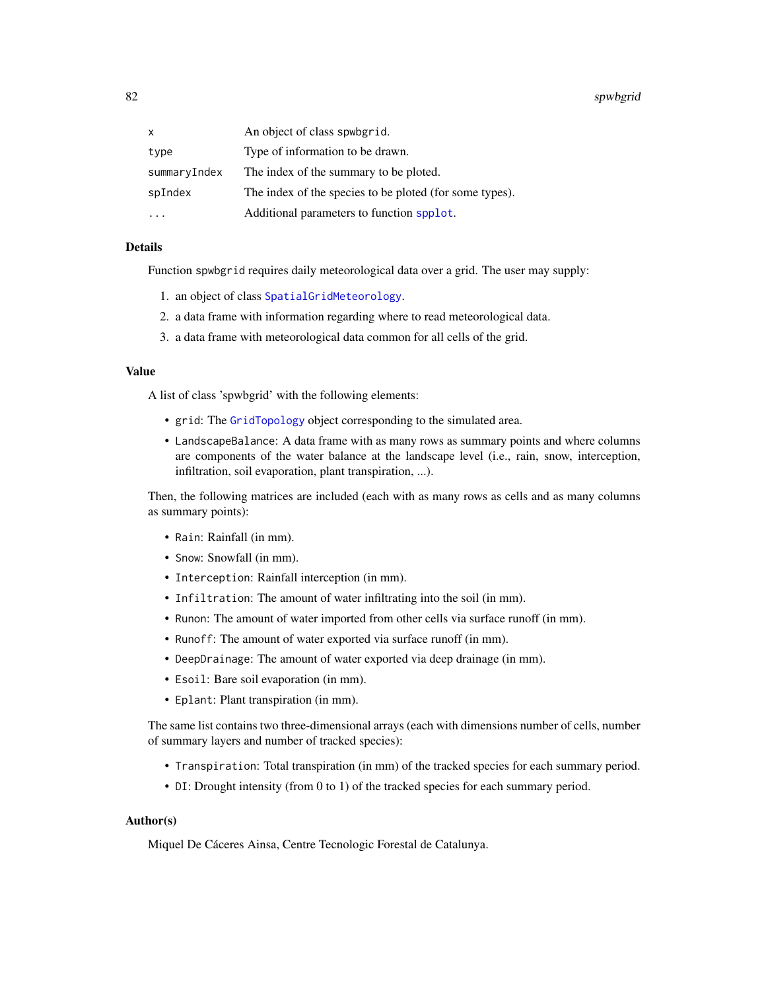<span id="page-81-0"></span>82 spwbgrid

| x            | An object of class spwbgrid.                            |
|--------------|---------------------------------------------------------|
| type         | Type of information to be drawn.                        |
| summaryIndex | The index of the summary to be ploted.                  |
| spIndex      | The index of the species to be ploted (for some types). |
|              | Additional parameters to function spplot.               |

# Details

Function spwbgrid requires daily meteorological data over a grid. The user may supply:

- 1. an object of class [SpatialGridMeteorology](#page-0-0).
- 2. a data frame with information regarding where to read meteorological data.
- 3. a data frame with meteorological data common for all cells of the grid.

# Value

A list of class 'spwbgrid' with the following elements:

- grid: The [GridTopology](#page-0-0) object corresponding to the simulated area.
- LandscapeBalance: A data frame with as many rows as summary points and where columns are components of the water balance at the landscape level (i.e., rain, snow, interception, infiltration, soil evaporation, plant transpiration, ...).

Then, the following matrices are included (each with as many rows as cells and as many columns as summary points):

- Rain: Rainfall (in mm).
- Snow: Snowfall (in mm).
- Interception: Rainfall interception (in mm).
- Infiltration: The amount of water infiltrating into the soil (in mm).
- Runon: The amount of water imported from other cells via surface runoff (in mm).
- Runoff: The amount of water exported via surface runoff (in mm).
- DeepDrainage: The amount of water exported via deep drainage (in mm).
- Esoil: Bare soil evaporation (in mm).
- Eplant: Plant transpiration (in mm).

The same list contains two three-dimensional arrays (each with dimensions number of cells, number of summary layers and number of tracked species):

- Transpiration: Total transpiration (in mm) of the tracked species for each summary period.
- DI: Drought intensity (from 0 to 1) of the tracked species for each summary period.

# Author(s)

Miquel De Cáceres Ainsa, Centre Tecnologic Forestal de Catalunya.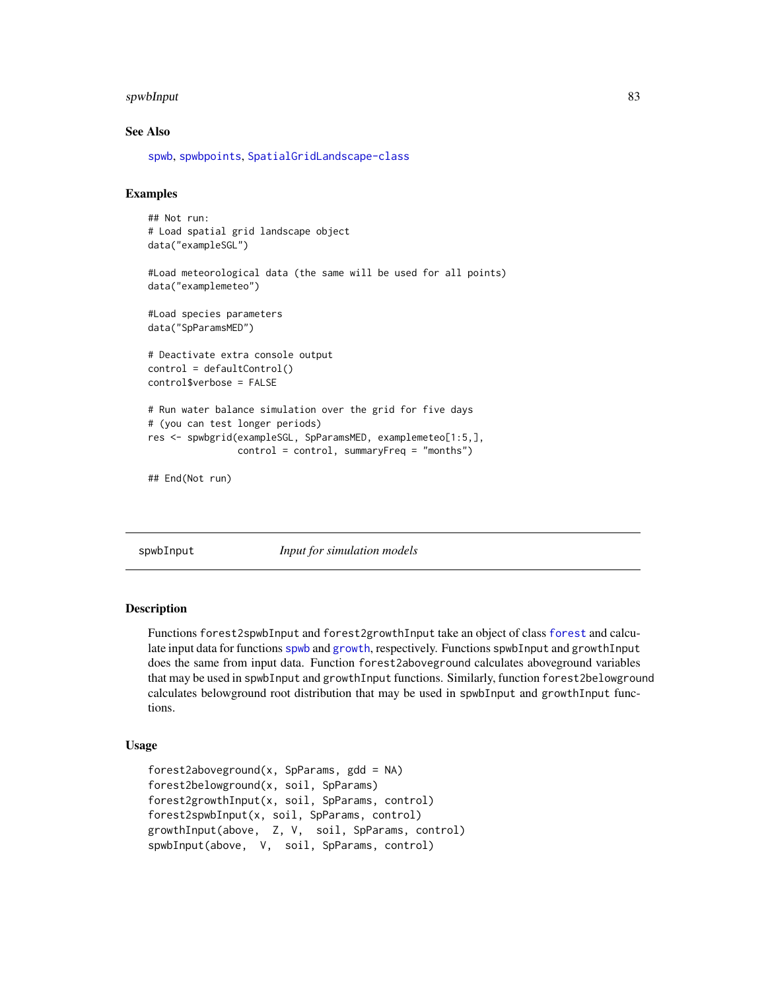#### <span id="page-82-2"></span>spwbInput 83

#### See Also

[spwb](#page-65-0), [spwbpoints](#page-85-0), [SpatialGridLandscape-class](#page-57-0)

# Examples

```
## Not run:
# Load spatial grid landscape object
data("exampleSGL")
#Load meteorological data (the same will be used for all points)
data("examplemeteo")
#Load species parameters
data("SpParamsMED")
# Deactivate extra console output
control = defaultControl()
control$verbose = FALSE
# Run water balance simulation over the grid for five days
# (you can test longer periods)
res <- spwbgrid(exampleSGL, SpParamsMED, examplemeteo[1:5,],
                control = control, summaryFreq = "months")
```

```
## End(Not run)
```
<span id="page-82-0"></span>

spwbInput *Input for simulation models*

# <span id="page-82-1"></span>Description

Functions forest2spwbInput and forest2growthInput take an object of class [forest](#page-15-0) and calculate input data for functions [spwb](#page-65-0) and [growth](#page-21-0), respectively. Functions spwbInput and growthInput does the same from input data. Function forest2aboveground calculates aboveground variables that may be used in spwbInput and growthInput functions. Similarly, function forest2belowground calculates belowground root distribution that may be used in spwbInput and growthInput functions.

# Usage

```
forest2aboveground(x, SpParams, gdd = NA)
forest2belowground(x, soil, SpParams)
forest2growthInput(x, soil, SpParams, control)
forest2spwbInput(x, soil, SpParams, control)
growthInput(above, Z, V, soil, SpParams, control)
spwbInput(above, V, soil, SpParams, control)
```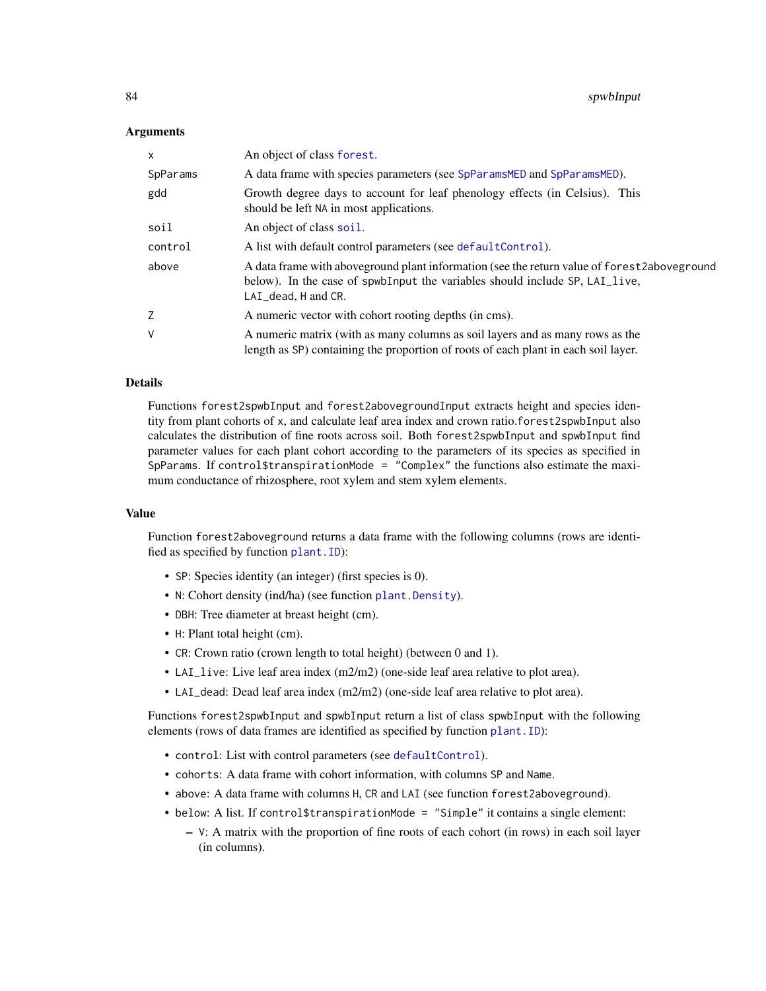# <span id="page-83-0"></span>Arguments

| X        | An object of class forest.                                                                                                                                                                        |
|----------|---------------------------------------------------------------------------------------------------------------------------------------------------------------------------------------------------|
| SpParams | A data frame with species parameters (see SpParamsMED and SpParamsMED).                                                                                                                           |
| gdd      | Growth degree days to account for leaf phenology effects (in Celsius). This<br>should be left NA in most applications.                                                                            |
| soil     | An object of class soil.                                                                                                                                                                          |
| control  | A list with default control parameters (see default Control).                                                                                                                                     |
| above    | A data frame with aboveground plant information (see the return value of forest2aboveground<br>below). In the case of spwbInput the variables should include SP, LAI_live,<br>LAI_dead, H and CR. |
| Z        | A numeric vector with cohort rooting depths (in cms).                                                                                                                                             |
| V        | A numeric matrix (with as many columns as soil layers and as many rows as the<br>length as SP) containing the proportion of roots of each plant in each soil layer.                               |

# Details

Functions forest2spwbInput and forest2abovegroundInput extracts height and species identity from plant cohorts of x, and calculate leaf area index and crown ratio.forest2spwbInput also calculates the distribution of fine roots across soil. Both forest2spwbInput and spwbInput find parameter values for each plant cohort according to the parameters of its species as specified in SpParams. If control\$transpirationMode = "Complex" the functions also estimate the maximum conductance of rhizosphere, root xylem and stem xylem elements.

#### Value

Function forest2aboveground returns a data frame with the following columns (rows are identified as specified by function [plant.ID](#page-34-0)):

- SP: Species identity (an integer) (first species is 0).
- N: Cohort density (ind/ha) (see function plant. Density).
- DBH: Tree diameter at breast height (cm).
- H: Plant total height (cm).
- CR: Crown ratio (crown length to total height) (between 0 and 1).
- LAI\_live: Live leaf area index (m2/m2) (one-side leaf area relative to plot area).
- LAI\_dead: Dead leaf area index (m2/m2) (one-side leaf area relative to plot area).

Functions forest2spwbInput and spwbInput return a list of class spwbInput with the following elements (rows of data frames are identified as specified by function plant. ID):

- control: List with control parameters (see [defaultControl](#page-5-0)).
- cohorts: A data frame with cohort information, with columns SP and Name.
- above: A data frame with columns H, CR and LAI (see function forest2aboveground).
- below: A list. If control\$transpirationMode = "Simple" it contains a single element:
	- V: A matrix with the proportion of fine roots of each cohort (in rows) in each soil layer (in columns).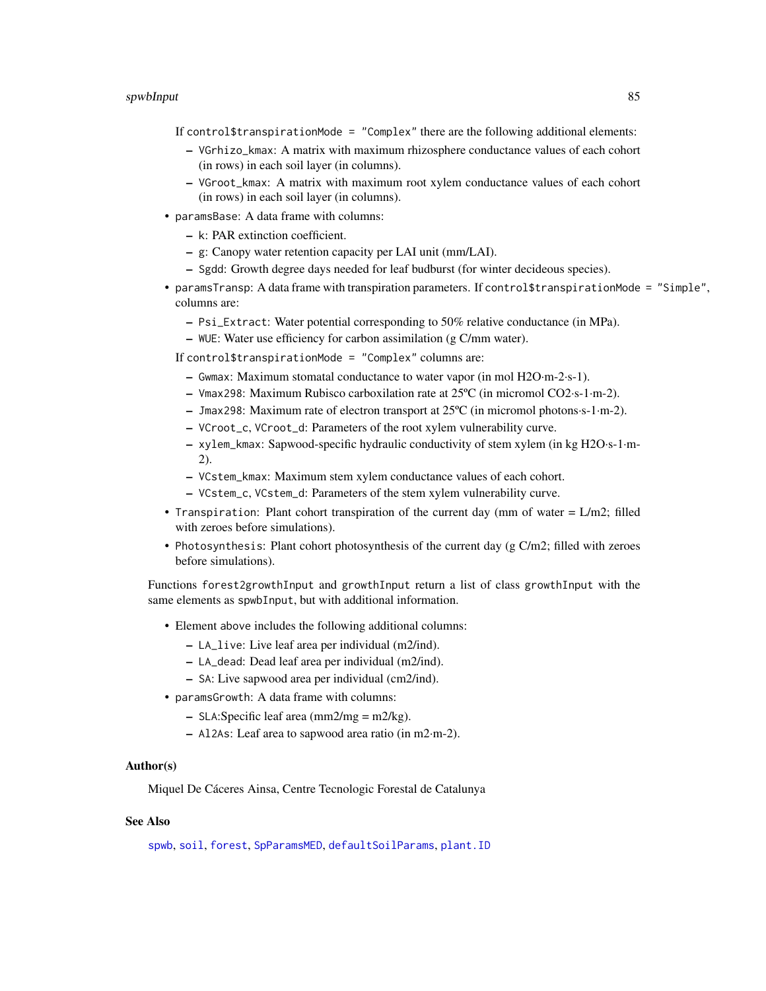#### <span id="page-84-0"></span>spwbInput 85 and 85 and 85 and 85 and 85 and 86 and 86 and 86 and 86 and 86 and 86 and 86 and 86 and 86 and 86

If control\$transpirationMode = "Complex" there are the following additional elements:

- VGrhizo\_kmax: A matrix with maximum rhizosphere conductance values of each cohort (in rows) in each soil layer (in columns).
- VGroot\_kmax: A matrix with maximum root xylem conductance values of each cohort (in rows) in each soil layer (in columns).
- paramsBase: A data frame with columns:
	- k: PAR extinction coefficient.
	- g: Canopy water retention capacity per LAI unit (mm/LAI).
	- Sgdd: Growth degree days needed for leaf budburst (for winter decideous species).
- paramsTransp: A data frame with transpiration parameters. If control\$transpirationMode = "Simple", columns are:
	- Psi\_Extract: Water potential corresponding to 50% relative conductance (in MPa).
	- WUE: Water use efficiency for carbon assimilation (g C/mm water).

If control\$transpirationMode = "Complex" columns are:

- Gwmax: Maximum stomatal conductance to water vapor (in mol H2O·m-2·s-1).
- Vmax298: Maximum Rubisco carboxilation rate at 25ºC (in micromol CO2·s-1·m-2).
- Jmax298: Maximum rate of electron transport at 25ºC (in micromol photons·s-1·m-2).
- VCroot\_c, VCroot\_d: Parameters of the root xylem vulnerability curve.
- xylem\_kmax: Sapwood-specific hydraulic conductivity of stem xylem (in kg H2O·s-1·m-2).
- VCstem\_kmax: Maximum stem xylem conductance values of each cohort.
- VCstem\_c, VCstem\_d: Parameters of the stem xylem vulnerability curve.
- Transpiration: Plant cohort transpiration of the current day (mm of water  $= L/m2$ ; filled with zeroes before simulations).
- Photosynthesis: Plant cohort photosynthesis of the current day (g C/m2; filled with zeroes before simulations).

Functions forest2growthInput and growthInput return a list of class growthInput with the same elements as spwbInput, but with additional information.

- Element above includes the following additional columns:
	- LA\_live: Live leaf area per individual (m2/ind).
	- LA\_dead: Dead leaf area per individual (m2/ind).
	- SA: Live sapwood area per individual (cm2/ind).
- paramsGrowth: A data frame with columns:
	- $-$  SLA:Specific leaf area (mm2/mg = m2/kg).
	- Al2As: Leaf area to sapwood area ratio (in m2·m-2).

#### Author(s)

Miquel De Cáceres Ainsa, Centre Tecnologic Forestal de Catalunya

#### See Also

[spwb](#page-65-0), [soil](#page-49-0), [forest](#page-15-0), [SpParamsMED](#page-62-0), [defaultSoilParams](#page-7-0), [plant.ID](#page-34-0)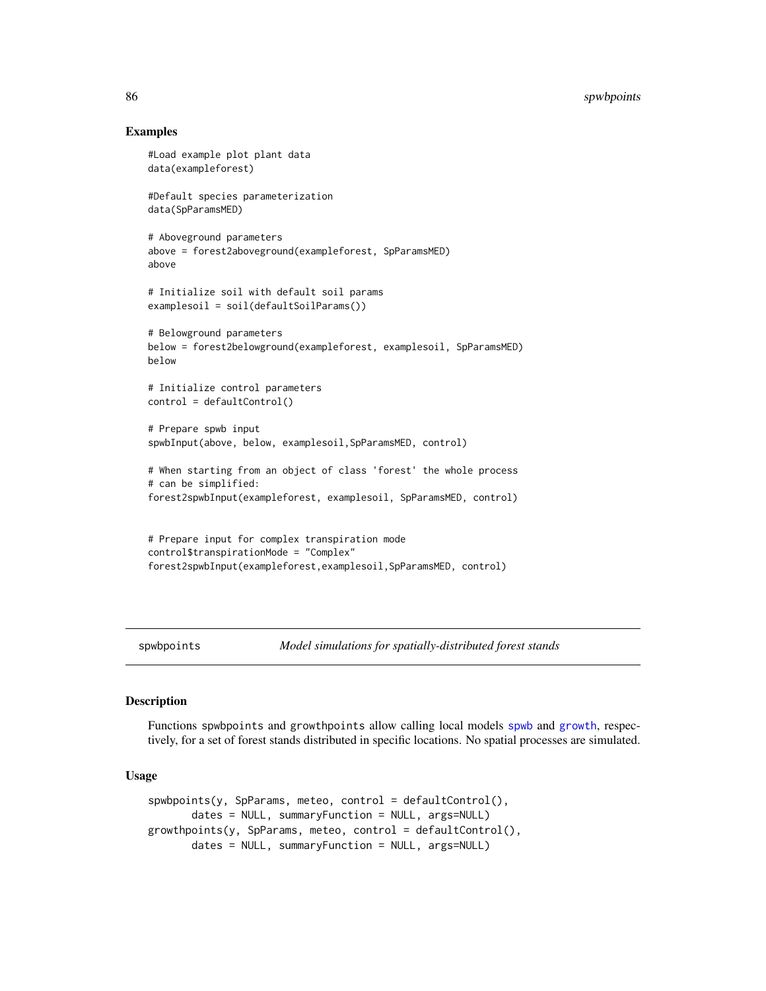# Examples

```
#Load example plot plant data
data(exampleforest)
#Default species parameterization
data(SpParamsMED)
# Aboveground parameters
above = forest2aboveground(exampleforest, SpParamsMED)
above
# Initialize soil with default soil params
examplesoil = soil(defaultSoilParams())
# Belowground parameters
below = forest2belowground(exampleforest, examplesoil, SpParamsMED)
below
# Initialize control parameters
control = defaultControl()
# Prepare spwb input
spwbInput(above, below, examplesoil,SpParamsMED, control)
# When starting from an object of class 'forest' the whole process
# can be simplified:
forest2spwbInput(exampleforest, examplesoil, SpParamsMED, control)
# Prepare input for complex transpiration mode
control$transpirationMode = "Complex"
forest2spwbInput(exampleforest,examplesoil,SpParamsMED, control)
```
<span id="page-85-0"></span>

spwbpoints *Model simulations for spatially-distributed forest stands*

# Description

Functions spwbpoints and growthpoints allow calling local models [spwb](#page-65-0) and [growth](#page-21-0), respectively, for a set of forest stands distributed in specific locations. No spatial processes are simulated.

# Usage

```
spwbpoints(y, SpParams, meteo, control = defaultControl(),
      dates = NULL, summaryFunction = NULL, args=NULL)
growthpoints(y, SpParams, meteo, control = defaultControl(),
      dates = NULL, summaryFunction = NULL, args=NULL)
```
<span id="page-85-1"></span>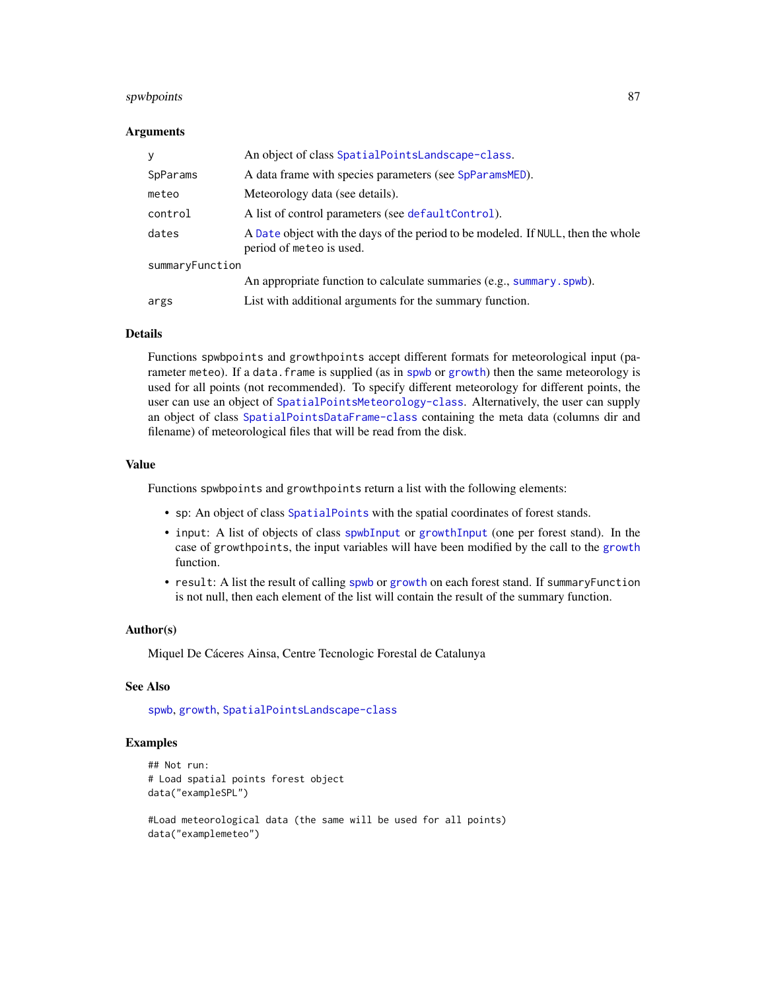# <span id="page-86-0"></span>spwbpoints 87

# Arguments

| y               | An object of class SpatialPointsLandscape-class.                                                             |
|-----------------|--------------------------------------------------------------------------------------------------------------|
| SpParams        | A data frame with species parameters (see SpParamsMED).                                                      |
| meteo           | Meteorology data (see details).                                                                              |
| control         | A list of control parameters (see defaultControl).                                                           |
| dates           | A Date object with the days of the period to be modeled. If NULL, then the whole<br>period of meteo is used. |
| summaryFunction |                                                                                                              |
|                 | An appropriate function to calculate summaries (e.g., summary.spwb).                                         |
| args            | List with additional arguments for the summary function.                                                     |

#### Details

Functions spwbpoints and growthpoints accept different formats for meteorological input (parameter meteo). If a data.frame is supplied (as in [spwb](#page-65-0) or [growth](#page-21-0)) then the same meteorology is used for all points (not recommended). To specify different meteorology for different points, the user can use an object of [SpatialPointsMeteorology-class](#page-0-0). Alternatively, the user can supply an object of class [SpatialPointsDataFrame-class](#page-0-0) containing the meta data (columns dir and filename) of meteorological files that will be read from the disk.

#### Value

Functions spwbpoints and growthpoints return a list with the following elements:

- sp: An object of class [SpatialPoints](#page-0-0) with the spatial coordinates of forest stands.
- input: A list of objects of class [spwbInput](#page-82-0) or [growthInput](#page-82-1) (one per forest stand). In the case of growthpoints, the input variables will have been modified by the call to the [growth](#page-21-0) function.
- result: A list the result of calling [spwb](#page-65-0) or [growth](#page-21-0) on each forest stand. If summaryFunction is not null, then each element of the list will contain the result of the summary function.

#### Author(s)

Miquel De Cáceres Ainsa, Centre Tecnologic Forestal de Catalunya

# See Also

[spwb](#page-65-0), [growth](#page-21-0), [SpatialPointsLandscape-class](#page-60-0)

# Examples

```
## Not run:
# Load spatial points forest object
data("exampleSPL")
#Load meteorological data (the same will be used for all points)
```

```
data("examplemeteo")
```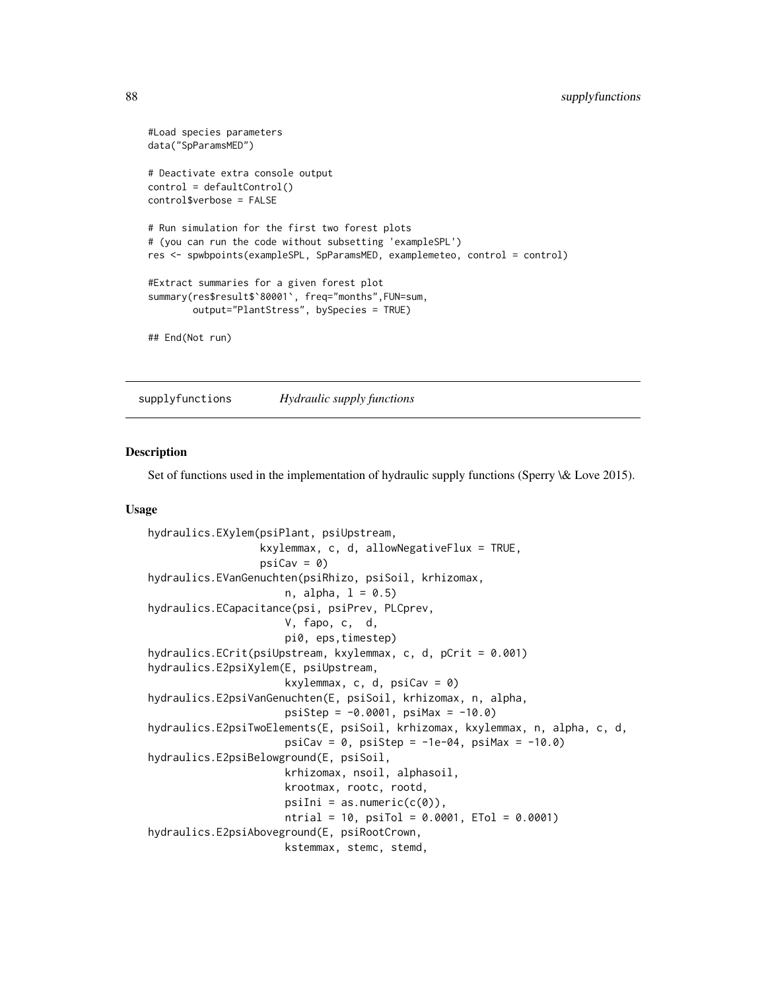```
#Load species parameters
data("SpParamsMED")
# Deactivate extra console output
control = defaultControl()
control$verbose = FALSE
# Run simulation for the first two forest plots
# (you can run the code without subsetting 'exampleSPL')
res <- spwbpoints(exampleSPL, SpParamsMED, examplemeteo, control = control)
#Extract summaries for a given forest plot
summary(res$result$`80001`, freq="months",FUN=sum,
       output="PlantStress", bySpecies = TRUE)
## End(Not run)
```
supplyfunctions *Hydraulic supply functions*

# <span id="page-87-0"></span>Description

Set of functions used in the implementation of hydraulic supply functions (Sperry \& Love 2015).

# Usage

```
hydraulics.EXylem(psiPlant, psiUpstream,
                  kxylemmax, c, d, allowNegativeFlux = TRUE,
                  psi = 0)
hydraulics.EVanGenuchten(psiRhizo, psiSoil, krhizomax,
                     n, alpha, 1 = 0.5)hydraulics.ECapacitance(psi, psiPrev, PLCprev,
                     V, fapo, c, d,
                     pi0, eps,timestep)
hydraulics.ECrit(psiUpstream, kxylemmax, c, d, pCrit = 0.001)
hydraulics.E2psiXylem(E, psiUpstream,
                     kxylemmax, c, d, psicav = 0)
hydraulics.E2psiVanGenuchten(E, psiSoil, krhizomax, n, alpha,
                     psislep = -0.0001, psiMax = -10.0hydraulics.E2psiTwoElements(E, psiSoil, krhizomax, kxylemmax, n, alpha, c, d,
                     psi = 0, psi = -1e-04, psi = -10.0hydraulics.E2psiBelowground(E, psiSoil,
                     krhizomax, nsoil, alphasoil,
                     krootmax, rootc, rootd,
                     psi = as.numeric(c(\theta)),
                     ntrial = 10, psiTol = 0.0001, ETol = 0.0001)
hydraulics.E2psiAboveground(E, psiRootCrown,
                     kstemmax, stemc, stemd,
```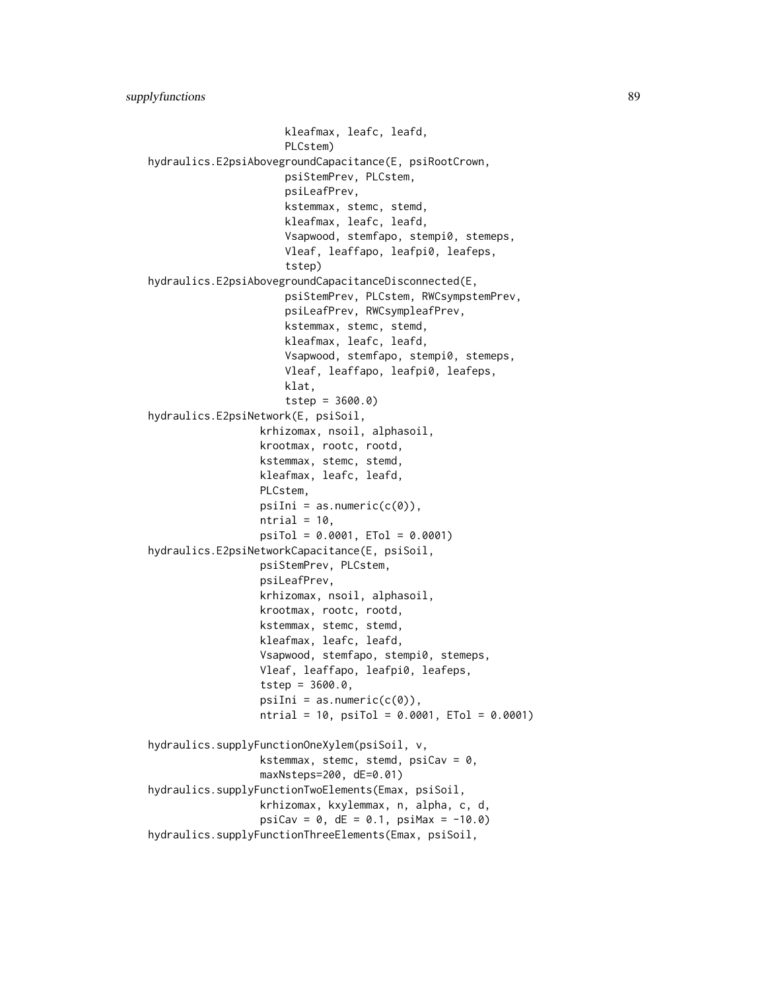```
kleafmax, leafc, leafd,
                      PLCstem)
hydraulics.E2psiAbovegroundCapacitance(E, psiRootCrown,
                      psiStemPrev, PLCstem,
                      psiLeafPrev,
                      kstemmax, stemc, stemd,
                      kleafmax, leafc, leafd,
                      Vsapwood, stemfapo, stempi0, stemeps,
                      Vleaf, leaffapo, leafpi0, leafeps,
                      tstep)
hydraulics.E2psiAbovegroundCapacitanceDisconnected(E,
                      psiStemPrev, PLCstem, RWCsympstemPrev,
                      psiLeafPrev, RWCsympleafPrev,
                      kstemmax, stemc, stemd,
                      kleafmax, leafc, leafd,
                      Vsapwood, stemfapo, stempi0, stemeps,
                      Vleaf, leaffapo, leafpi0, leafeps,
                      klat,
                      tstep = 3600.0)
hydraulics.E2psiNetwork(E, psiSoil,
                  krhizomax, nsoil, alphasoil,
                  krootmax, rootc, rootd,
                  kstemmax, stemc, stemd,
                  kleafmax, leafc, leafd,
                  PLCstem,
                  psilon = as.numeric(c(\theta)),ntrial = 10,psiTol = 0.0001, ETol = 0.0001)
hydraulics.E2psiNetworkCapacitance(E, psiSoil,
                  psiStemPrev, PLCstem,
                  psiLeafPrev,
                  krhizomax, nsoil, alphasoil,
                  krootmax, rootc, rootd,
                  kstemmax, stemc, stemd,
                  kleafmax, leafc, leafd,
                  Vsapwood, stemfapo, stempi0, stemeps,
                  Vleaf, leaffapo, leafpi0, leafeps,
                  tstep = 3600.0,
                  psilon = as.numeric(c(\theta)),ntrial = 10, psiTol = 0.0001, ETol = 0.0001)
hydraulics.supplyFunctionOneXylem(psiSoil, v,
                  kstemmax, stemc, stemd, psicav = 0,
                  maxNsteps=200, dE=0.01)
hydraulics.supplyFunctionTwoElements(Emax, psiSoil,
                  krhizomax, kxylemmax, n, alpha, c, d,
                  psi = 0, dE = 0.1, psi = -10.0hydraulics.supplyFunctionThreeElements(Emax, psiSoil,
```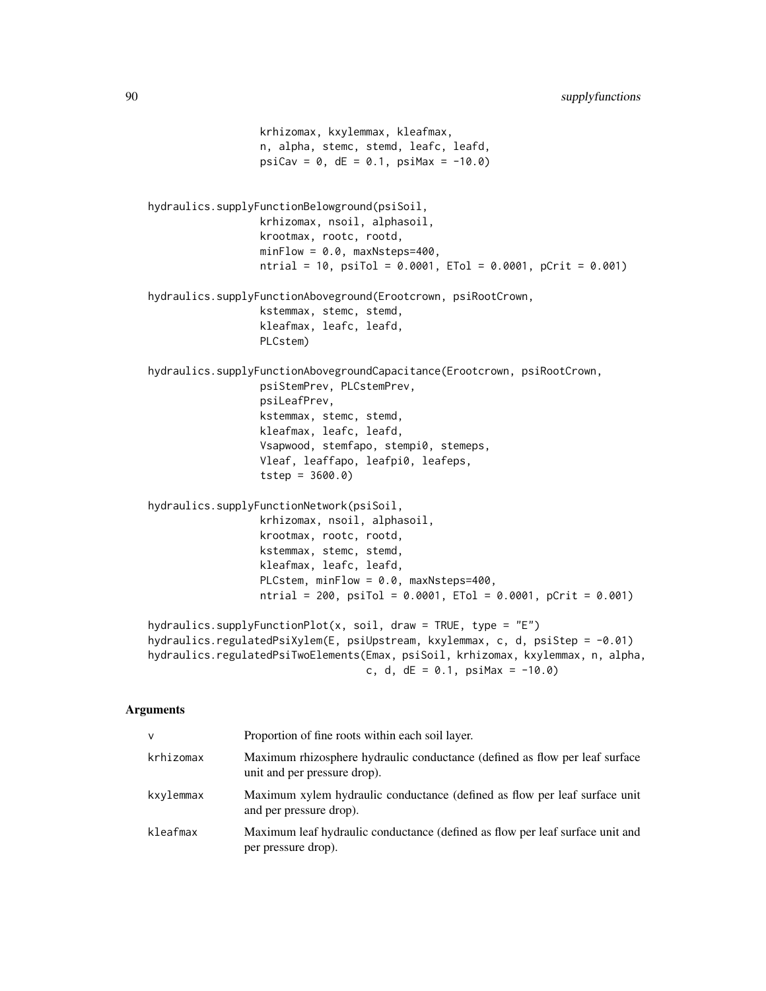```
krhizomax, kxylemmax, kleafmax,
                  n, alpha, stemc, stemd, leafc, leafd,
                  psiCav = 0, dE = 0.1, psiMax = -10.0hydraulics.supplyFunctionBelowground(psiSoil,
                  krhizomax, nsoil, alphasoil,
                  krootmax, rootc, rootd,
                  minFlow = 0.0, maxNsteps=400,
                  ntrial = 10, psiTol = 0.0001, ETol = 0.0001, pCrit = 0.001)
hydraulics.supplyFunctionAboveground(Erootcrown, psiRootCrown,
                  kstemmax, stemc, stemd,
                  kleafmax, leafc, leafd,
                  PLCstem)
hydraulics.supplyFunctionAbovegroundCapacitance(Erootcrown, psiRootCrown,
                  psiStemPrev, PLCstemPrev,
                  psiLeafPrev,
                  kstemmax, stemc, stemd,
                  kleafmax, leafc, leafd,
                  Vsapwood, stemfapo, stempi0, stemeps,
                  Vleaf, leaffapo, leafpi0, leafeps,
                  tstep = 3600.0)
hydraulics.supplyFunctionNetwork(psiSoil,
                  krhizomax, nsoil, alphasoil,
                  krootmax, rootc, rootd,
                  kstemmax, stemc, stemd,
                  kleafmax, leafc, leafd,
                  PLCstem, minFlow = 0.0, maxNsteps=400,
                  ntrial = 200, psiTol = 0.0001, ETol = 0.0001, pCrit = 0.001)
hydraulics.supplyFunctionPlot(x, soil, draw = TRUE, type = "E")
hydraulics.regulatedPsiXylem(E, psiUpstream, kxylemmax, c, d, psiStep = -0.01)
hydraulics.regulatedPsiTwoElements(Emax, psiSoil, krhizomax, kxylemmax, n, alpha,
                                   c, d, dE = 0.1, psi = -10.0
```
# Arguments

| $\vee$    | Proportion of fine roots within each soil layer.                                                            |
|-----------|-------------------------------------------------------------------------------------------------------------|
| krhizomax | Maximum rhizosphere hydraulic conductance (defined as flow per leaf surface<br>unit and per pressure drop). |
| kxylemmax | Maximum xylem hydraulic conductance (defined as flow per leaf surface unit<br>and per pressure drop).       |
| kleafmax  | Maximum leaf hydraulic conductance (defined as flow per leaf surface unit and<br>per pressure drop).        |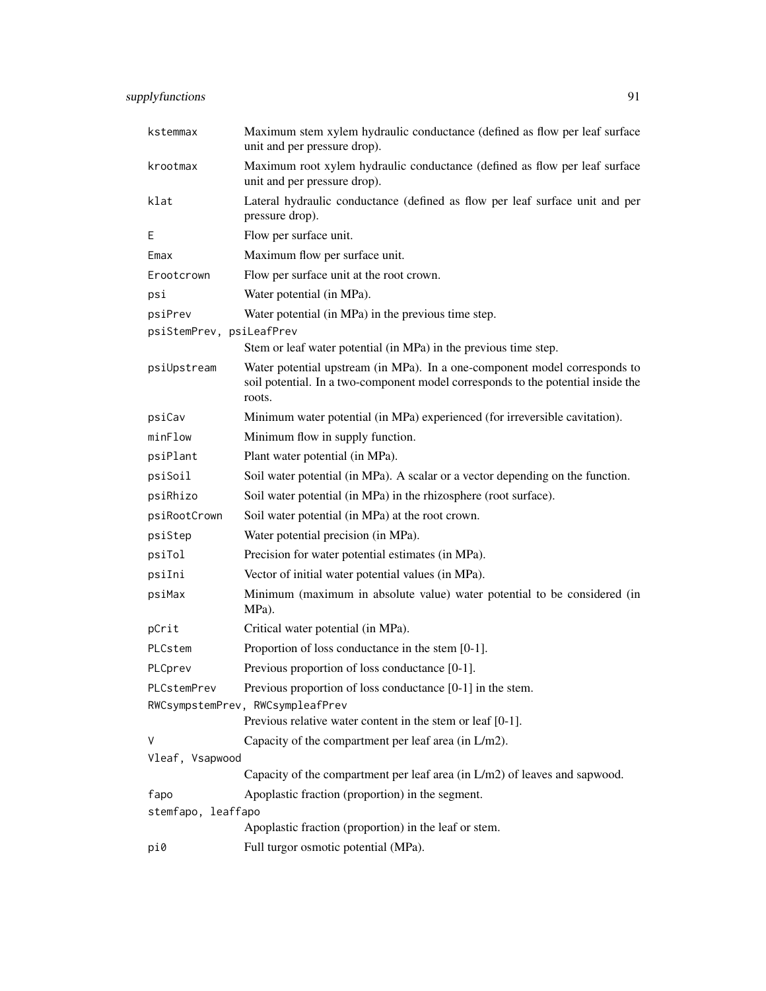| kstemmax                   | Maximum stem xylem hydraulic conductance (defined as flow per leaf surface<br>unit and per pressure drop).                                                               |
|----------------------------|--------------------------------------------------------------------------------------------------------------------------------------------------------------------------|
| krootmax                   | Maximum root xylem hydraulic conductance (defined as flow per leaf surface<br>unit and per pressure drop).                                                               |
| klat                       | Lateral hydraulic conductance (defined as flow per leaf surface unit and per<br>pressure drop).                                                                          |
| E                          | Flow per surface unit.                                                                                                                                                   |
| Emax                       | Maximum flow per surface unit.                                                                                                                                           |
| Erootcrown                 | Flow per surface unit at the root crown.                                                                                                                                 |
| psi                        | Water potential (in MPa).                                                                                                                                                |
| psiPrev                    | Water potential (in MPa) in the previous time step.                                                                                                                      |
| psiStemPrev, psiLeafPrev   |                                                                                                                                                                          |
|                            | Stem or leaf water potential (in MPa) in the previous time step.                                                                                                         |
| psiUpstream                | Water potential upstream (in MPa). In a one-component model corresponds to<br>soil potential. In a two-component model corresponds to the potential inside the<br>roots. |
| psiCav                     | Minimum water potential (in MPa) experienced (for irreversible cavitation).                                                                                              |
| minFlow                    | Minimum flow in supply function.                                                                                                                                         |
| psiPlant                   | Plant water potential (in MPa).                                                                                                                                          |
| psiSoil                    | Soil water potential (in MPa). A scalar or a vector depending on the function.                                                                                           |
| psiRhizo                   | Soil water potential (in MPa) in the rhizosphere (root surface).                                                                                                         |
| psiRootCrown               | Soil water potential (in MPa) at the root crown.                                                                                                                         |
| psiStep                    | Water potential precision (in MPa).                                                                                                                                      |
| psiTol                     | Precision for water potential estimates (in MPa).                                                                                                                        |
| psiIni                     | Vector of initial water potential values (in MPa).                                                                                                                       |
| psiMax                     | Minimum (maximum in absolute value) water potential to be considered (in<br>MPa).                                                                                        |
| pCrit                      | Critical water potential (in MPa).                                                                                                                                       |
| PLCstem                    | Proportion of loss conductance in the stem [0-1].                                                                                                                        |
| PLCprev                    | Previous proportion of loss conductance [0-1].                                                                                                                           |
| PLCstemPrev                | Previous proportion of loss conductance $[0-1]$ in the stem.                                                                                                             |
|                            | RWCsympstemPrev, RWCsympleafPrev                                                                                                                                         |
|                            | Previous relative water content in the stem or leaf [0-1].                                                                                                               |
| V                          | Capacity of the compartment per leaf area (in L/m2).                                                                                                                     |
| Vleaf, Vsapwood            |                                                                                                                                                                          |
|                            | Capacity of the compartment per leaf area (in L/m2) of leaves and sapwood.                                                                                               |
| fapo<br>stemfapo, leaffapo | Apoplastic fraction (proportion) in the segment.                                                                                                                         |
|                            | Apoplastic fraction (proportion) in the leaf or stem.                                                                                                                    |
| pi0                        | Full turgor osmotic potential (MPa).                                                                                                                                     |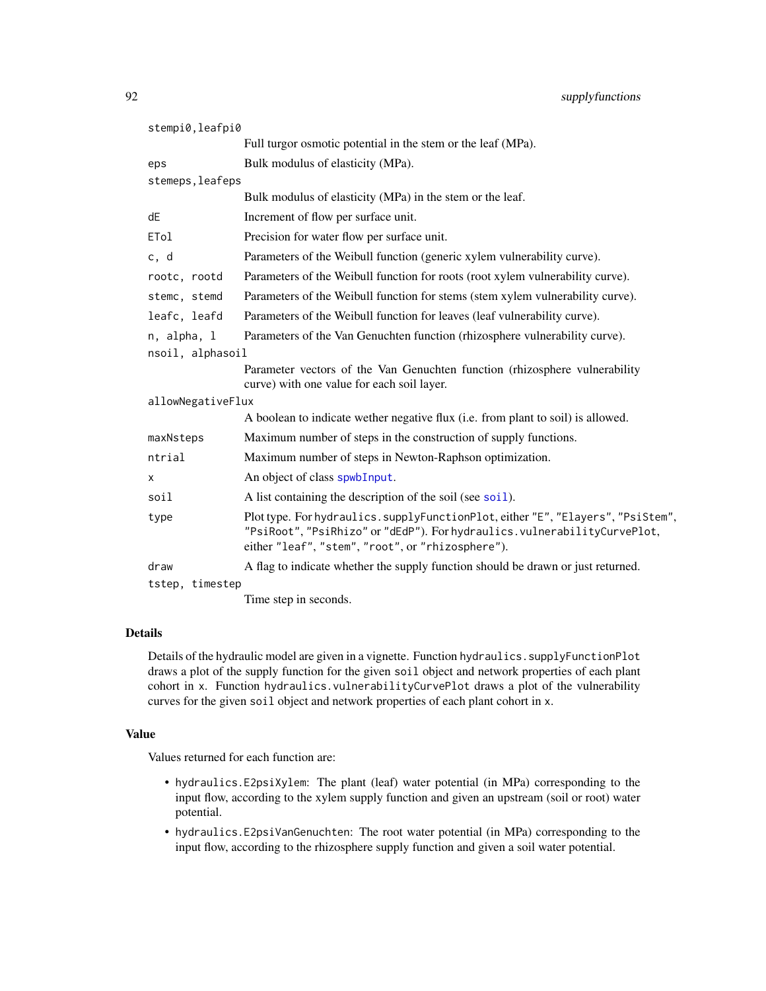<span id="page-91-0"></span>

| stempi0, leafpi0                |                                                                                                                                                                                                                   |  |
|---------------------------------|-------------------------------------------------------------------------------------------------------------------------------------------------------------------------------------------------------------------|--|
|                                 | Full turgor osmotic potential in the stem or the leaf (MPa).                                                                                                                                                      |  |
| eps                             | Bulk modulus of elasticity (MPa).                                                                                                                                                                                 |  |
| stemeps, leafeps                |                                                                                                                                                                                                                   |  |
|                                 | Bulk modulus of elasticity (MPa) in the stem or the leaf.                                                                                                                                                         |  |
| dE                              | Increment of flow per surface unit.                                                                                                                                                                               |  |
| ETol                            | Precision for water flow per surface unit.                                                                                                                                                                        |  |
| c, d                            | Parameters of the Weibull function (generic xylem vulnerability curve).                                                                                                                                           |  |
| rootc, rootd                    | Parameters of the Weibull function for roots (root xylem vulnerability curve).                                                                                                                                    |  |
| stemc, stemd                    | Parameters of the Weibull function for stems (stem xylem vulnerability curve).                                                                                                                                    |  |
| leafc, leafd                    | Parameters of the Weibull function for leaves (leaf vulnerability curve).                                                                                                                                         |  |
| n, alpha, l<br>nsoil, alphasoil | Parameters of the Van Genuchten function (rhizosphere vulnerability curve).                                                                                                                                       |  |
|                                 | Parameter vectors of the Van Genuchten function (rhizosphere vulnerability)<br>curve) with one value for each soil layer.                                                                                         |  |
| allowNegativeFlux               |                                                                                                                                                                                                                   |  |
|                                 | A boolean to indicate wether negative flux (i.e. from plant to soil) is allowed.                                                                                                                                  |  |
| maxNsteps                       | Maximum number of steps in the construction of supply functions.                                                                                                                                                  |  |
| ntrial                          | Maximum number of steps in Newton-Raphson optimization.                                                                                                                                                           |  |
| X                               | An object of class spwbInput.                                                                                                                                                                                     |  |
| soil                            | A list containing the description of the soil (see soil).                                                                                                                                                         |  |
| type                            | Plot type. For hydraulics.supplyFunctionPlot, either "E", "Elayers", "PsiStem",<br>"PsiRoot", "PsiRhizo" or "dEdP"). For hydraulics. vulnerabilityCurvePlot,<br>either "leaf", "stem", "root", or "rhizosphere"). |  |
| draw                            | A flag to indicate whether the supply function should be drawn or just returned.                                                                                                                                  |  |
| tstep, timestep                 |                                                                                                                                                                                                                   |  |
|                                 | Time step in seconds.                                                                                                                                                                                             |  |

# Details

Details of the hydraulic model are given in a vignette. Function hydraulics.supplyFunctionPlot draws a plot of the supply function for the given soil object and network properties of each plant cohort in x. Function hydraulics.vulnerabilityCurvePlot draws a plot of the vulnerability curves for the given soil object and network properties of each plant cohort in x.

# Value

Values returned for each function are:

- hydraulics.E2psiXylem: The plant (leaf) water potential (in MPa) corresponding to the input flow, according to the xylem supply function and given an upstream (soil or root) water potential.
- hydraulics.E2psiVanGenuchten: The root water potential (in MPa) corresponding to the input flow, according to the rhizosphere supply function and given a soil water potential.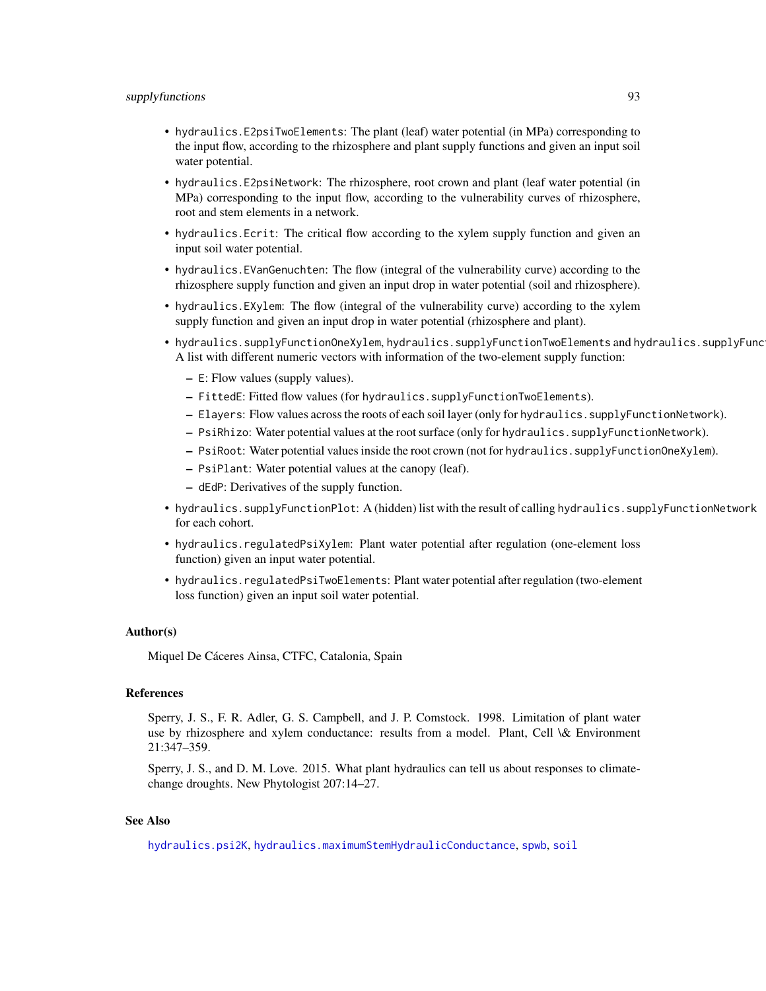- <span id="page-92-0"></span>• hydraulics.E2psiTwoElements: The plant (leaf) water potential (in MPa) corresponding to the input flow, according to the rhizosphere and plant supply functions and given an input soil water potential.
- hydraulics.E2psiNetwork: The rhizosphere, root crown and plant (leaf water potential (in MPa) corresponding to the input flow, according to the vulnerability curves of rhizosphere, root and stem elements in a network.
- hydraulics.Ecrit: The critical flow according to the xylem supply function and given an input soil water potential.
- hydraulics.EVanGenuchten: The flow (integral of the vulnerability curve) according to the rhizosphere supply function and given an input drop in water potential (soil and rhizosphere).
- hydraulics.EXylem: The flow (integral of the vulnerability curve) according to the xylem supply function and given an input drop in water potential (rhizosphere and plant).
- hydraulics.supplyFunctionOneXylem, hydraulics.supplyFunctionTwoElements and hydraulics.supplyFunc A list with different numeric vectors with information of the two-element supply function:
	- E: Flow values (supply values).
	- FittedE: Fitted flow values (for hydraulics.supplyFunctionTwoElements).
	- Elayers: Flow values across the roots of each soil layer (only for hydraulics.supplyFunctionNetwork).
	- PsiRhizo: Water potential values at the root surface (only for hydraulics.supplyFunctionNetwork).
	- PsiRoot: Water potential values inside the root crown (not for hydraulics.supplyFunctionOneXylem).
	- PsiPlant: Water potential values at the canopy (leaf).
	- dEdP: Derivatives of the supply function.
- hydraulics.supplyFunctionPlot: A (hidden) list with the result of calling hydraulics.supplyFunctionNetwork for each cohort.
- hydraulics.regulatedPsiXylem: Plant water potential after regulation (one-element loss function) given an input water potential.
- hydraulics.regulatedPsiTwoElements: Plant water potential after regulation (two-element loss function) given an input soil water potential.

### Author(s)

Miquel De Cáceres Ainsa, CTFC, Catalonia, Spain

#### References

Sperry, J. S., F. R. Adler, G. S. Campbell, and J. P. Comstock. 1998. Limitation of plant water use by rhizosphere and xylem conductance: results from a model. Plant, Cell \& Environment 21:347–359.

Sperry, J. S., and D. M. Love. 2015. What plant hydraulics can tell us about responses to climatechange droughts. New Phytologist 207:14–27.

# See Also

[hydraulics.psi2K](#page-3-0), [hydraulics.maximumStemHydraulicConductance](#page-43-0), [spwb](#page-65-0), [soil](#page-49-0)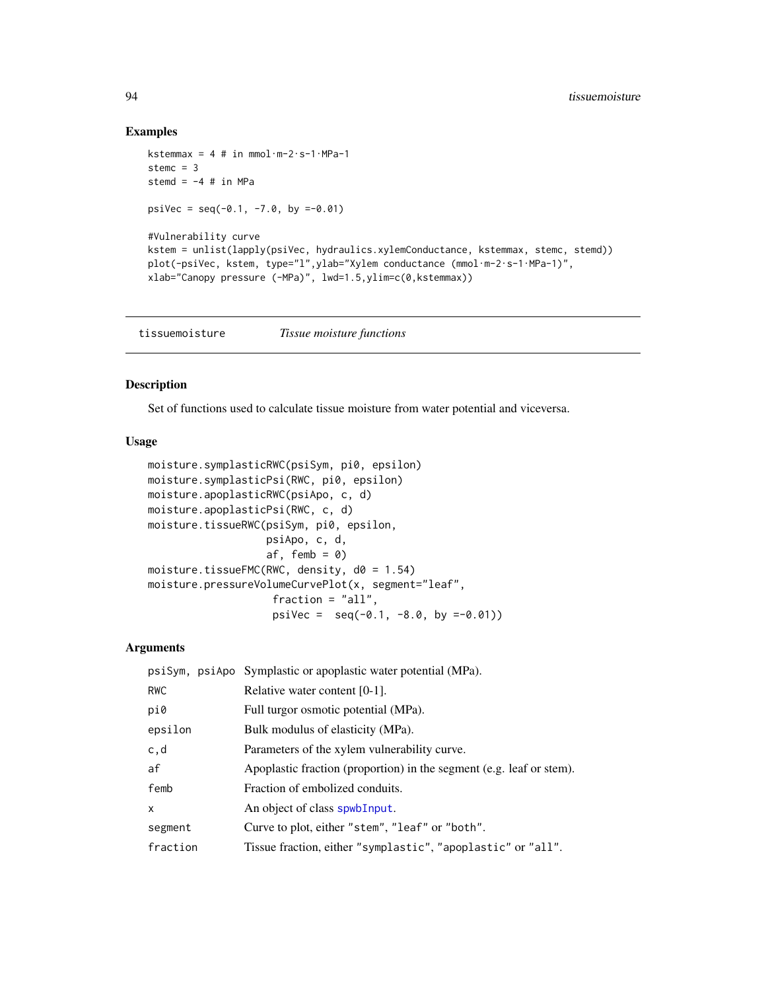# Examples

```
kstemmax = 4 # in mmol\cdotm-2\cdots-1\cdotMPa-1
stemc = 3stemd = -4 # in MPa
psiVec = seq(-0.1, -7.0, by =-0.01)#Vulnerability curve
kstem = unlist(lapply(psiVec, hydraulics.xylemConductance, kstemmax, stemc, stemd))
plot(-psiVec, kstem, type="l",ylab="Xylem conductance (mmol·m-2·s-1·MPa-1)",
xlab="Canopy pressure (-MPa)", lwd=1.5,ylim=c(0,kstemmax))
```
tissuemoisture *Tissue moisture functions*

# Description

Set of functions used to calculate tissue moisture from water potential and viceversa.

# Usage

```
moisture.symplasticRWC(psiSym, pi0, epsilon)
moisture.symplasticPsi(RWC, pi0, epsilon)
moisture.apoplasticRWC(psiApo, c, d)
moisture.apoplasticPsi(RWC, c, d)
moisture.tissueRWC(psiSym, pi0, epsilon,
                   psiApo, c, d,
                   af, femb = 0)
moisture.tissueFMC(RWC, density, d0 = 1.54)
moisture.pressureVolumeCurvePlot(x, segment="leaf",
                    fraction = "all",
                    psiVec = seq(-0.1, -8.0, by =0.01)
```
# Arguments

|            | psiSym, psiApo Symplastic or apoplastic water potential (MPa).       |
|------------|----------------------------------------------------------------------|
| <b>RWC</b> | Relative water content $[0-1]$ .                                     |
| pi0        | Full turgor osmotic potential (MPa).                                 |
| epsilon    | Bulk modulus of elasticity (MPa).                                    |
| c,d        | Parameters of the xylem vulnerability curve.                         |
| af         | Apoplastic fraction (proportion) in the segment (e.g. leaf or stem). |
| femb       | Fraction of embolized conduits.                                      |
| $\times$   | An object of class spwb Input.                                       |
| segment    | Curve to plot, either "stem", "leaf" or "both".                      |
| fraction   | Tissue fraction, either "symplastic", "apoplastic" or "all".         |

<span id="page-93-0"></span>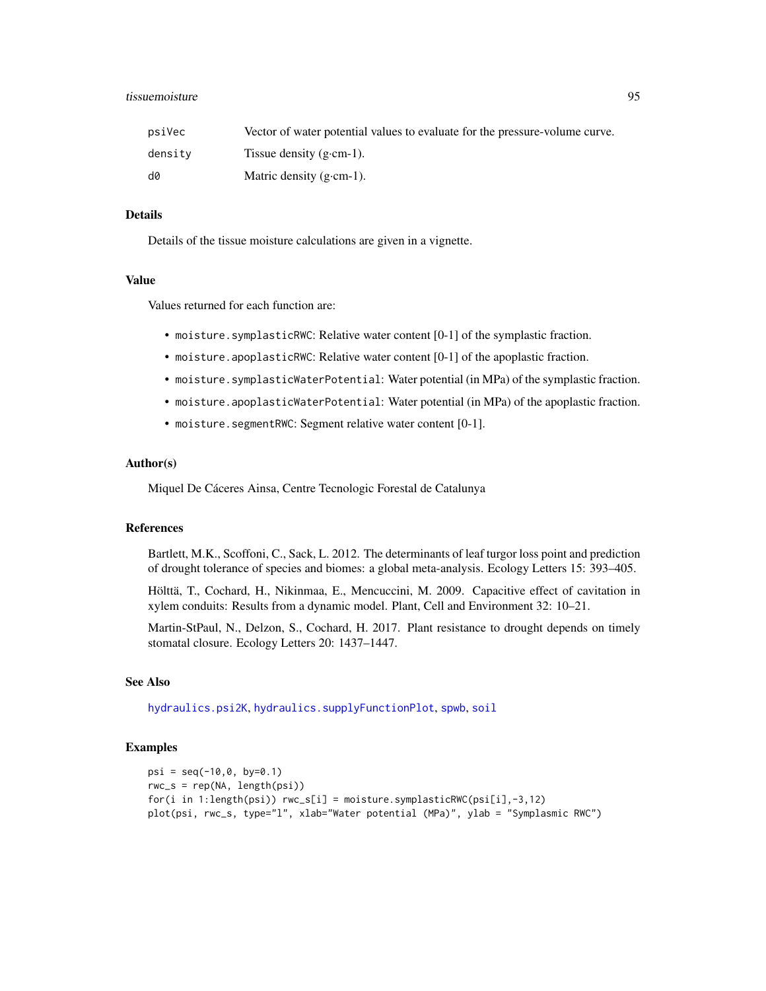# <span id="page-94-0"></span>tissuemoisture 95

| psiVec  | Vector of water potential values to evaluate for the pressure-volume curve. |
|---------|-----------------------------------------------------------------------------|
| densitv | Tissue density $(g\text{-}cm-1)$ .                                          |
| d0      | Matric density $(g\text{-}cm-1)$ .                                          |

# Details

Details of the tissue moisture calculations are given in a vignette.

#### Value

Values returned for each function are:

- moisture.symplasticRWC: Relative water content [0-1] of the symplastic fraction.
- moisture.apoplasticRWC: Relative water content [0-1] of the apoplastic fraction.
- moisture.symplasticWaterPotential: Water potential (in MPa) of the symplastic fraction.
- moisture.apoplasticWaterPotential: Water potential (in MPa) of the apoplastic fraction.
- moisture.segmentRWC: Segment relative water content [0-1].

# Author(s)

Miquel De Cáceres Ainsa, Centre Tecnologic Forestal de Catalunya

# References

Bartlett, M.K., Scoffoni, C., Sack, L. 2012. The determinants of leaf turgor loss point and prediction of drought tolerance of species and biomes: a global meta-analysis. Ecology Letters 15: 393–405.

Hölttä, T., Cochard, H., Nikinmaa, E., Mencuccini, M. 2009. Capacitive effect of cavitation in xylem conduits: Results from a dynamic model. Plant, Cell and Environment 32: 10–21.

Martin-StPaul, N., Delzon, S., Cochard, H. 2017. Plant resistance to drought depends on timely stomatal closure. Ecology Letters 20: 1437–1447.

# See Also

[hydraulics.psi2K](#page-3-0), [hydraulics.supplyFunctionPlot](#page-87-0), [spwb](#page-65-0), [soil](#page-49-0)

# Examples

```
psi = seq(-10, 0, by=0.1)rwc_s = rep(NA, length(psi))
for(i in 1:length(psi)) rwc_s[i] = moisture.symplasticRWC(psi[i],-3,12)
plot(psi, rwc_s, type="l", xlab="Water potential (MPa)", ylab = "Symplasmic RWC")
```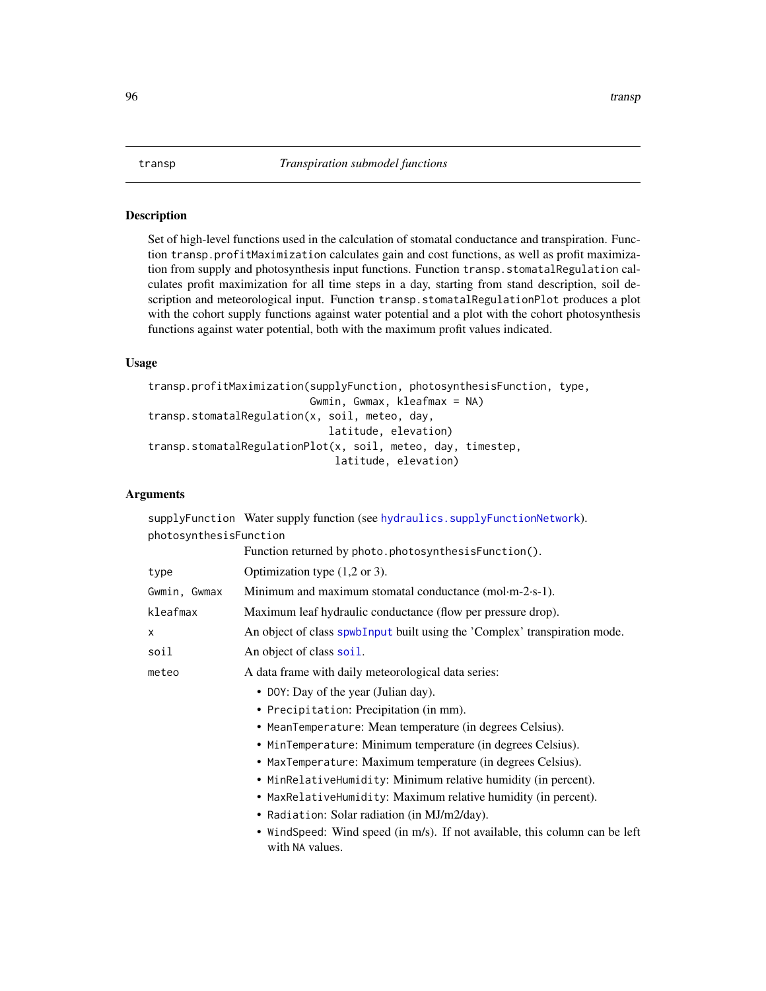# <span id="page-95-0"></span>Description

Set of high-level functions used in the calculation of stomatal conductance and transpiration. Function transp.profitMaximization calculates gain and cost functions, as well as profit maximization from supply and photosynthesis input functions. Function transp.stomatalRegulation calculates profit maximization for all time steps in a day, starting from stand description, soil description and meteorological input. Function transp.stomatalRegulationPlot produces a plot with the cohort supply functions against water potential and a plot with the cohort photosynthesis functions against water potential, both with the maximum profit values indicated.

# Usage

```
transp.profitMaximization(supplyFunction, photosynthesisFunction, type,
                          Gwmin, Gwmax, kleafmax = NA)
transp.stomatalRegulation(x, soil, meteo, day,
                             latitude, elevation)
transp.stomatalRegulationPlot(x, soil, meteo, day, timestep,
                              latitude, elevation)
```
# Arguments

supplyFunction Water supply function (see [hydraulics.supplyFunctionNetwork](#page-87-0)). photosynthesisFunction

|              | Function returned by photo.photosynthesisFunction().                                           |
|--------------|------------------------------------------------------------------------------------------------|
| type         | Optimization type $(1,2 \text{ or } 3)$ .                                                      |
| Gwmin, Gwmax | Minimum and maximum stomatal conductance (mol $-m-2\cdot s-1$ ).                               |
| kleafmax     | Maximum leaf hydraulic conductance (flow per pressure drop).                                   |
| $\mathsf{x}$ | An object of class spwb Input built using the 'Complex' transpiration mode.                    |
| soil         | An object of class soil.                                                                       |
| meteo        | A data frame with daily meteorological data series:                                            |
|              | • DOY: Day of the year (Julian day).                                                           |
|              | • Precipitation: Precipitation (in mm).                                                        |
|              | • MeanTemperature: Mean temperature (in degrees Celsius).                                      |
|              | • MinTemperature: Minimum temperature (in degrees Celsius).                                    |
|              | • MaxTemperature: Maximum temperature (in degrees Celsius).                                    |
|              | • MinRelativeHumidity: Minimum relative humidity (in percent).                                 |
|              | • MaxRelativeHumidity: Maximum relative humidity (in percent).                                 |
|              | • Radiation: Solar radiation (in MJ/m2/day).                                                   |
|              | • WindSpeed: Wind speed (in m/s). If not available, this column can be left<br>with NA values. |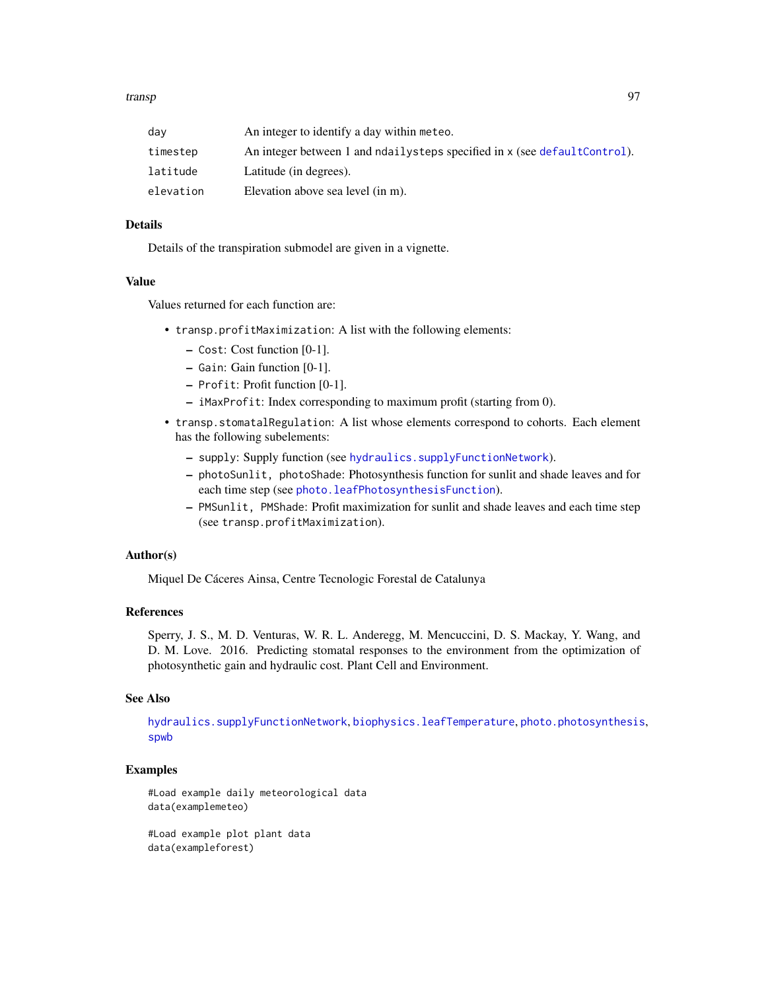#### <span id="page-96-0"></span>transp and the set of the set of the set of the set of the set of the set of the set of the set of the set of the set of the set of the set of the set of the set of the set of the set of the set of the set of the set of th

| dav       | An integer to identify a day within meteo.                                 |
|-----------|----------------------------------------------------------------------------|
| timestep  | An integer between 1 and ndailysteps specified in x (see default Control). |
| latitude  | Latitude (in degrees).                                                     |
| elevation | Elevation above sea level (in m).                                          |

# Details

Details of the transpiration submodel are given in a vignette.

# Value

Values returned for each function are:

- transp.profitMaximization: A list with the following elements:
	- Cost: Cost function [0-1].
	- Gain: Gain function [0-1].
	- Profit: Profit function [0-1].
	- iMaxProfit: Index corresponding to maximum profit (starting from 0).
- transp.stomatalRegulation: A list whose elements correspond to cohorts. Each element has the following subelements:
	- supply: Supply function (see [hydraulics.supplyFunctionNetwork](#page-87-0)).
	- photoSunlit, photoShade: Photosynthesis function for sunlit and shade leaves and for each time step (see [photo.leafPhotosynthesisFunction](#page-31-0)).
	- PMSunlit, PMShade: Profit maximization for sunlit and shade leaves and each time step (see transp.profitMaximization).

# Author(s)

Miquel De Cáceres Ainsa, Centre Tecnologic Forestal de Catalunya

# References

Sperry, J. S., M. D. Venturas, W. R. L. Anderegg, M. Mencuccini, D. S. Mackay, Y. Wang, and D. M. Love. 2016. Predicting stomatal responses to the environment from the optimization of photosynthetic gain and hydraulic cost. Plant Cell and Environment.

# See Also

[hydraulics.supplyFunctionNetwork](#page-87-0), [biophysics.leafTemperature](#page-2-0), [photo.photosynthesis](#page-31-0), [spwb](#page-65-0)

# Examples

#Load example daily meteorological data data(examplemeteo)

#Load example plot plant data data(exampleforest)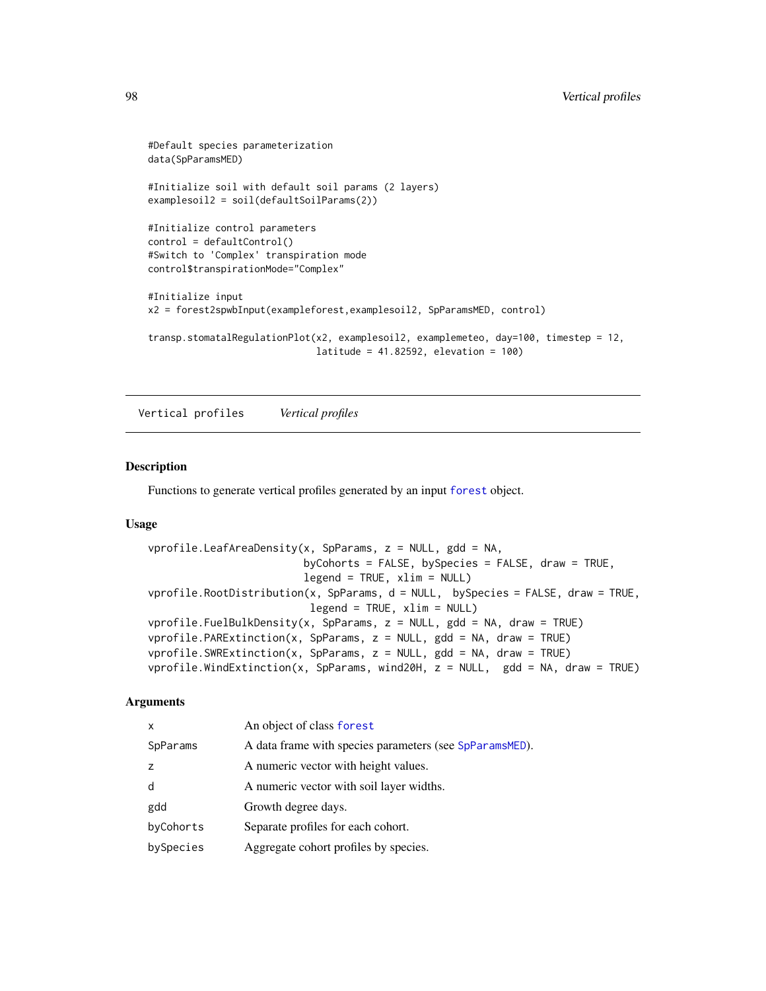```
#Default species parameterization
data(SpParamsMED)
#Initialize soil with default soil params (2 layers)
examplesoil2 = soil(defaultSoilParams(2))
#Initialize control parameters
control = defaultControl()
#Switch to 'Complex' transpiration mode
control$transpirationMode="Complex"
#Initialize input
x2 = forest2spwbInput(exampleforest,examplesoil2, SpParamsMED, control)
transp.stomatalRegulationPlot(x2, examplesoil2, examplemeteo, day=100, timestep = 12,
                              latitude = 41.82592, elevation = 100)
```
Vertical profiles *Vertical profiles*

# Description

Functions to generate vertical profiles generated by an input [forest](#page-15-0) object.

#### Usage

```
vprofile.LeafAreaDensity(x, SpParams, z = NULL, gdd = NA,
                         byCohorts = FALSE, bySpecies = FALSE, draw = TRUE,
                         legend = TRUE, xlim = NULL)vprofile.RootDistribution(x, SpParams, d = NULL, bySpecies = FALSE, draw = TRUE,
                         legend = TRUE, xlim = NULL)vprofile.FuelBulkDensity(x, SpParams, z = NULL, gdd = NA, draw = TRUE)
vprofile.PARExtinction(x, SpParams, z = NULL, gdd = NA, draw = TRUE)vprofile.SWRExtinction(x, SpParams, z = NULL, gdd = NA, draw = TRUE)
vprofile.WindExtinction(x, SpParams, wind20H, z = NULL, gdd = NA, draw = TRUE)
```
# Arguments

| X         | An object of class forest                               |
|-----------|---------------------------------------------------------|
| SpParams  | A data frame with species parameters (see SpParamsMED). |
| Z         | A numeric vector with height values.                    |
| d         | A numeric vector with soil layer widths.                |
| gdd       | Growth degree days.                                     |
| byCohorts | Separate profiles for each cohort.                      |
| bySpecies | Aggregate cohort profiles by species.                   |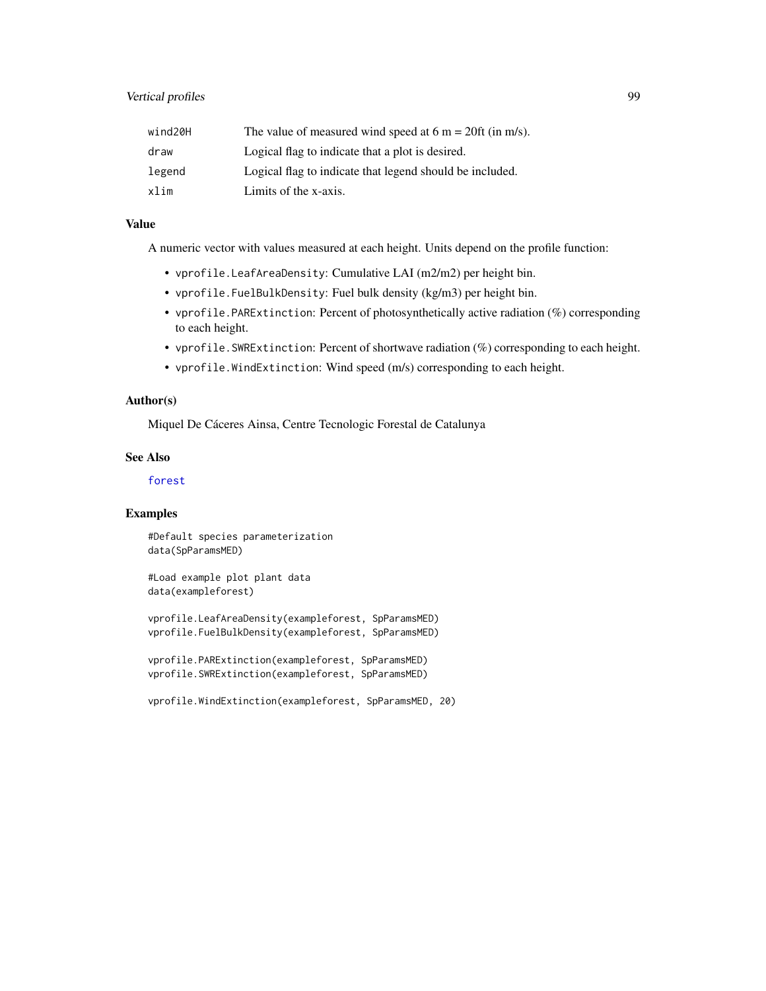<span id="page-98-0"></span>

| wind20H | The value of measured wind speed at $6 \text{ m} = 20 \text{ ft}$ (in m/s). |
|---------|-----------------------------------------------------------------------------|
| draw    | Logical flag to indicate that a plot is desired.                            |
| legend  | Logical flag to indicate that legend should be included.                    |
| xlim    | Limits of the x-axis.                                                       |

# Value

A numeric vector with values measured at each height. Units depend on the profile function:

- vprofile.LeafAreaDensity: Cumulative LAI (m2/m2) per height bin.
- vprofile.FuelBulkDensity: Fuel bulk density (kg/m3) per height bin.
- vprofile.PARExtinction: Percent of photosynthetically active radiation (%) corresponding to each height.
- vprofile.SWRExtinction: Percent of shortwave radiation (%) corresponding to each height.
- vprofile.WindExtinction: Wind speed (m/s) corresponding to each height.

# Author(s)

Miquel De Cáceres Ainsa, Centre Tecnologic Forestal de Catalunya

# See Also

[forest](#page-15-0)

# Examples

#Default species parameterization data(SpParamsMED)

#Load example plot plant data data(exampleforest)

vprofile.LeafAreaDensity(exampleforest, SpParamsMED) vprofile.FuelBulkDensity(exampleforest, SpParamsMED)

```
vprofile.PARExtinction(exampleforest, SpParamsMED)
vprofile.SWRExtinction(exampleforest, SpParamsMED)
```
vprofile.WindExtinction(exampleforest, SpParamsMED, 20)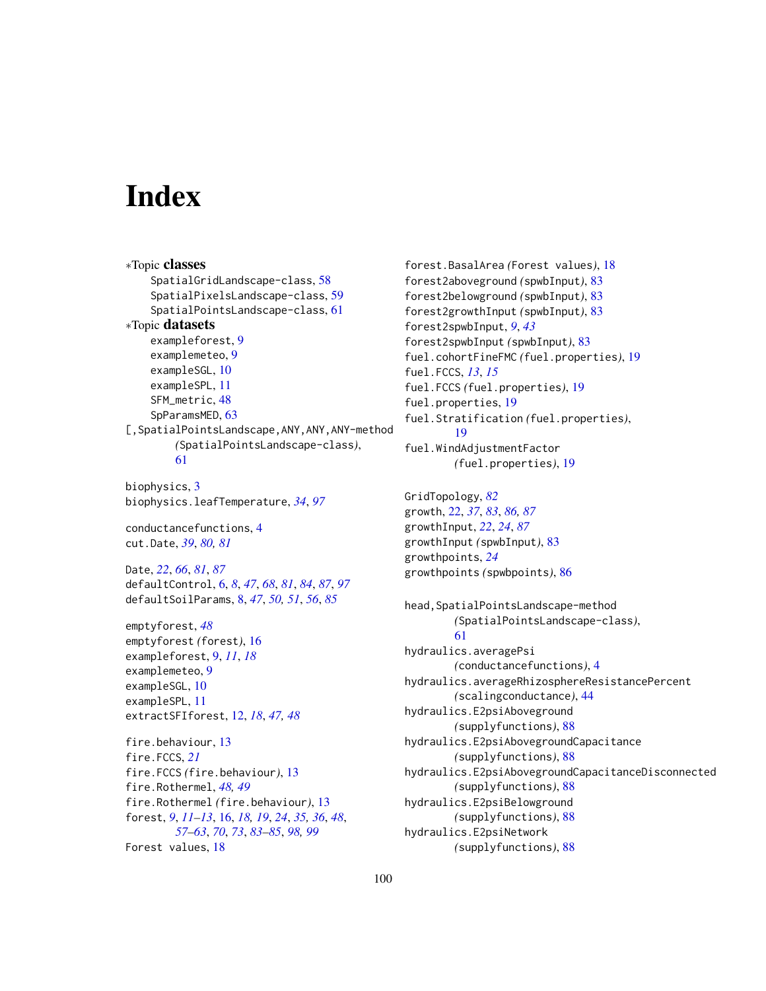# **Index**

∗Topic classes SpatialGridLandscape-class, [58](#page-57-1) SpatialPixelsLandscape-class, [59](#page-58-0) SpatialPointsLandscape-class, [61](#page-60-1) ∗Topic datasets exampleforest, [9](#page-8-0) examplemeteo, [9](#page-8-0) exampleSGL, [10](#page-9-0) exampleSPL, [11](#page-10-0) SFM\_metric, [48](#page-47-0) SpParamsMED, [63](#page-62-1) [,SpatialPointsLandscape,ANY,ANY,ANY-method *(*SpatialPointsLandscape-class*)*, [61](#page-60-1) biophysics, [3](#page-2-1)

biophysics.leafTemperature, *[34](#page-33-0)*, *[97](#page-96-0)*

conductancefunctions, [4](#page-3-1) cut.Date, *[39](#page-38-0)*, *[80,](#page-79-0) [81](#page-80-1)*

Date, *[22](#page-21-1)*, *[66](#page-65-1)*, *[81](#page-80-1)*, *[87](#page-86-0)* defaultControl, [6,](#page-5-1) *[8](#page-7-1)*, *[47](#page-46-0)*, *[68](#page-67-0)*, *[81](#page-80-1)*, *[84](#page-83-0)*, *[87](#page-86-0)*, *[97](#page-96-0)* defaultSoilParams, [8,](#page-7-1) *[47](#page-46-0)*, *[50,](#page-49-1) [51](#page-50-0)*, *[56](#page-55-0)*, *[85](#page-84-0)*

emptyforest, *[48](#page-47-0)* emptyforest *(*forest*)*, [16](#page-15-1) exampleforest, [9,](#page-8-0) *[11](#page-10-0)*, *[18](#page-17-0)* examplemeteo, [9](#page-8-0) exampleSGL, [10](#page-9-0) exampleSPL, [11](#page-10-0) extractSFIforest, [12,](#page-11-0) *[18](#page-17-0)*, *[47,](#page-46-0) [48](#page-47-0)*

fire.behaviour, [13](#page-12-0) fire.FCCS, *[21](#page-20-0)* fire.FCCS *(*fire.behaviour*)*, [13](#page-12-0) fire.Rothermel, *[48,](#page-47-0) [49](#page-48-0)* fire.Rothermel *(*fire.behaviour*)*, [13](#page-12-0) forest, *[9](#page-8-0)*, *[11](#page-10-0)[–13](#page-12-0)*, [16,](#page-15-1) *[18,](#page-17-0) [19](#page-18-0)*, *[24](#page-23-0)*, *[35,](#page-34-1) [36](#page-35-0)*, *[48](#page-47-0)*, *[57](#page-56-0)[–63](#page-62-1)*, *[70](#page-69-0)*, *[73](#page-72-0)*, *[83–](#page-82-2)[85](#page-84-0)*, *[98,](#page-97-0) [99](#page-98-0)* Forest values, [18](#page-17-0)

forest.BasalArea *(*Forest values*)*, [18](#page-17-0) forest2aboveground *(*spwbInput*)*, [83](#page-82-2) forest2belowground *(*spwbInput*)*, [83](#page-82-2) forest2growthInput *(*spwbInput*)*, [83](#page-82-2) forest2spwbInput, *[9](#page-8-0)*, *[43](#page-42-0)* forest2spwbInput *(*spwbInput*)*, [83](#page-82-2) fuel.cohortFineFMC *(*fuel.properties*)*, [19](#page-18-0) fuel.FCCS, *[13](#page-12-0)*, *[15](#page-14-0)* fuel.FCCS *(*fuel.properties*)*, [19](#page-18-0) fuel.properties, [19](#page-18-0) fuel.Stratification *(*fuel.properties*)*, [19](#page-18-0) fuel.WindAdjustmentFactor *(*fuel.properties*)*, [19](#page-18-0) GridTopology, *[82](#page-81-0)* growth, [22,](#page-21-1) *[37](#page-36-2)*, *[83](#page-82-2)*, *[86,](#page-85-1) [87](#page-86-0)* growthInput, *[22](#page-21-1)*, *[24](#page-23-0)*, *[87](#page-86-0)* growthInput *(*spwbInput*)*, [83](#page-82-2) growthpoints, *[24](#page-23-0)* growthpoints *(*spwbpoints*)*, [86](#page-85-1) head,SpatialPointsLandscape-method *(*SpatialPointsLandscape-class*)*, [61](#page-60-1) hydraulics.averagePsi *(*conductancefunctions*)*, [4](#page-3-1) hydraulics.averageRhizosphereResistancePercent *(*scalingconductance*)*, [44](#page-43-1) hydraulics.E2psiAboveground *(*supplyfunctions*)*, [88](#page-87-1) hydraulics.E2psiAbovegroundCapacitance *(*supplyfunctions*)*, [88](#page-87-1) hydraulics.E2psiAbovegroundCapacitanceDisconnected *(*supplyfunctions*)*, [88](#page-87-1) hydraulics.E2psiBelowground *(*supplyfunctions*)*, [88](#page-87-1) hydraulics.E2psiNetwork *(*supplyfunctions*)*, [88](#page-87-1)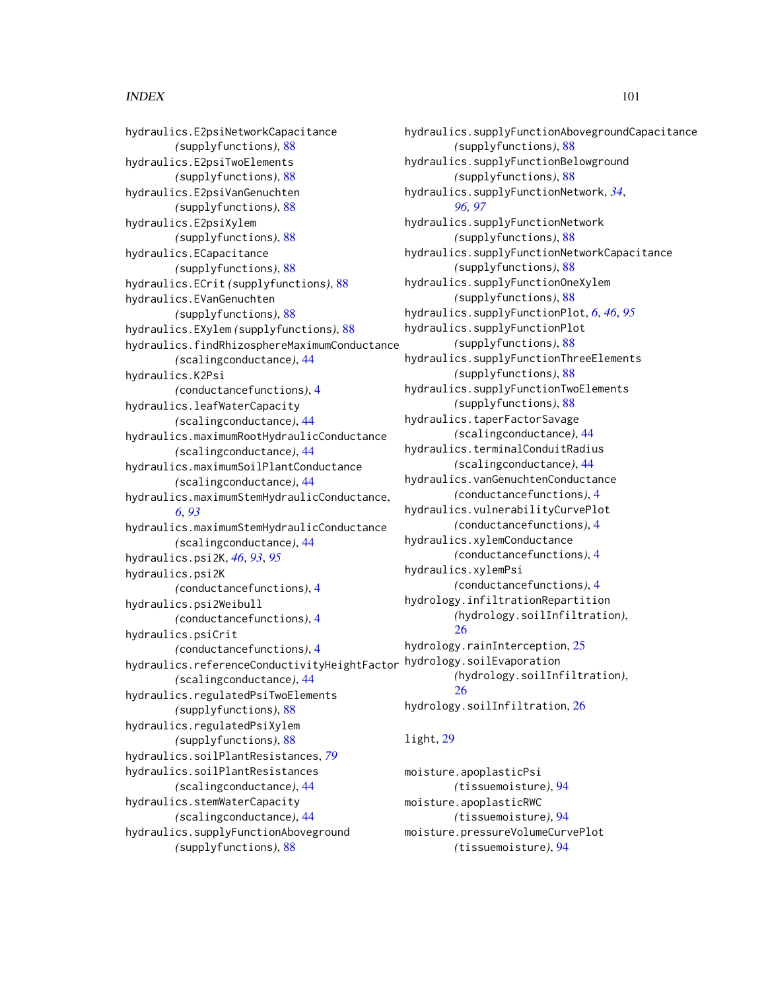# $I$ NDEX  $101$

hydraulics.E2psiNetworkCapacitance *(*supplyfunctions*)*, [88](#page-87-1) hydraulics.E2psiTwoElements *(*supplyfunctions*)*, [88](#page-87-1) hydraulics.E2psiVanGenuchten *(*supplyfunctions*)*, [88](#page-87-1) hydraulics.E2psiXylem *(*supplyfunctions*)*, [88](#page-87-1) hydraulics.ECapacitance *(*supplyfunctions*)*, [88](#page-87-1) hydraulics.ECrit *(*supplyfunctions*)*, [88](#page-87-1) hydraulics.EVanGenuchten *(*supplyfunctions*)*, [88](#page-87-1) hydraulics.EXylem *(*supplyfunctions*)*, [88](#page-87-1) hydraulics.findRhizosphereMaximumConductance *(*scalingconductance*)*, [44](#page-43-1) hydraulics.K2Psi *(*conductancefunctions*)*, [4](#page-3-1) hydraulics.leafWaterCapacity *(*scalingconductance*)*, [44](#page-43-1) hydraulics.maximumRootHydraulicConductance *(*scalingconductance*)*, [44](#page-43-1) hydraulics.maximumSoilPlantConductance *(*scalingconductance*)*, [44](#page-43-1) hydraulics.maximumStemHydraulicConductance, *[6](#page-5-1)*, *[93](#page-92-0)* hydraulics.maximumStemHydraulicConductance *(*scalingconductance*)*, [44](#page-43-1) hydraulics.psi2K, *[46](#page-45-0)*, *[93](#page-92-0)*, *[95](#page-94-0)* hydraulics.psi2K *(*conductancefunctions*)*, [4](#page-3-1) hydraulics.psi2Weibull *(*conductancefunctions*)*, [4](#page-3-1) hydraulics.psiCrit *(*conductancefunctions*)*, [4](#page-3-1) hydraulics.referenceConductivityHeightFactor *(*scalingconductance*)*, [44](#page-43-1) hydraulics.regulatedPsiTwoElements *(*supplyfunctions*)*, [88](#page-87-1) hydraulics.regulatedPsiXylem *(*supplyfunctions*)*, [88](#page-87-1) hydraulics.soilPlantResistances, *[79](#page-78-0)* hydraulics.soilPlantResistances *(*scalingconductance*)*, [44](#page-43-1) hydraulics.stemWaterCapacity *(*scalingconductance*)*, [44](#page-43-1) hydraulics.supplyFunctionAboveground *(*supplyfunctions*)*, [88](#page-87-1)

hydraulics.supplyFunctionAbovegroundCapacitance *(*supplyfunctions*)*, [88](#page-87-1) hydraulics.supplyFunctionBelowground *(*supplyfunctions*)*, [88](#page-87-1) hydraulics.supplyFunctionNetwork, *[34](#page-33-0)*, *[96,](#page-95-0) [97](#page-96-0)* hydraulics.supplyFunctionNetwork *(*supplyfunctions*)*, [88](#page-87-1) hydraulics.supplyFunctionNetworkCapacitance *(*supplyfunctions*)*, [88](#page-87-1) hydraulics.supplyFunctionOneXylem *(*supplyfunctions*)*, [88](#page-87-1) hydraulics.supplyFunctionPlot, *[6](#page-5-1)*, *[46](#page-45-0)*, *[95](#page-94-0)* hydraulics.supplyFunctionPlot *(*supplyfunctions*)*, [88](#page-87-1) hydraulics.supplyFunctionThreeElements *(*supplyfunctions*)*, [88](#page-87-1) hydraulics.supplyFunctionTwoElements *(*supplyfunctions*)*, [88](#page-87-1) hydraulics.taperFactorSavage *(*scalingconductance*)*, [44](#page-43-1) hydraulics.terminalConduitRadius *(*scalingconductance*)*, [44](#page-43-1) hydraulics.vanGenuchtenConductance *(*conductancefunctions*)*, [4](#page-3-1) hydraulics.vulnerabilityCurvePlot *(*conductancefunctions*)*, [4](#page-3-1) hydraulics.xylemConductance *(*conductancefunctions*)*, [4](#page-3-1) hydraulics.xylemPsi *(*conductancefunctions*)*, [4](#page-3-1) hydrology.infiltrationRepartition *(*hydrology.soilInfiltration*)*, [26](#page-25-0) hydrology.rainInterception, [25](#page-24-0) hydrology.soilEvaporation *(*hydrology.soilInfiltration*)*, [26](#page-25-0) hydrology.soilInfiltration, [26](#page-25-0)

# light, [29](#page-28-0)

moisture.apoplasticPsi *(*tissuemoisture*)*, [94](#page-93-0) moisture.apoplasticRWC *(*tissuemoisture*)*, [94](#page-93-0) moisture.pressureVolumeCurvePlot *(*tissuemoisture*)*, [94](#page-93-0)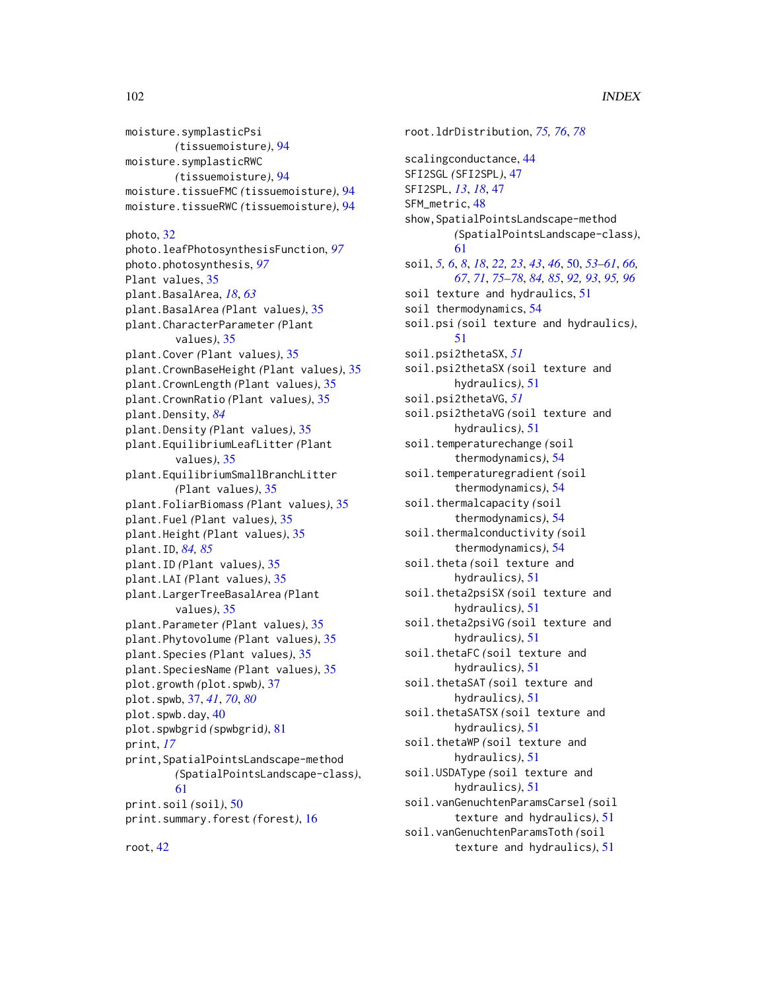moisture.symplasticPsi *(*tissuemoisture*)*, [94](#page-93-0) moisture.symplasticRWC *(*tissuemoisture*)*, [94](#page-93-0) moisture.tissueFMC *(*tissuemoisture*)*, [94](#page-93-0) moisture.tissueRWC *(*tissuemoisture*)*, [94](#page-93-0) photo, [32](#page-31-1) photo.leafPhotosynthesisFunction, *[97](#page-96-0)* photo.photosynthesis, *[97](#page-96-0)* Plant values, [35](#page-34-1) plant.BasalArea, *[18](#page-17-0)*, *[63](#page-62-1)* plant.BasalArea *(*Plant values*)*, [35](#page-34-1) plant.CharacterParameter *(*Plant values*)*, [35](#page-34-1) plant.Cover *(*Plant values*)*, [35](#page-34-1) plant.CrownBaseHeight *(*Plant values*)*, [35](#page-34-1) plant.CrownLength *(*Plant values*)*, [35](#page-34-1) plant.CrownRatio *(*Plant values*)*, [35](#page-34-1) plant.Density, *[84](#page-83-0)* plant.Density *(*Plant values*)*, [35](#page-34-1) plant.EquilibriumLeafLitter *(*Plant values*)*, [35](#page-34-1) plant.EquilibriumSmallBranchLitter *(*Plant values*)*, [35](#page-34-1) plant.FoliarBiomass *(*Plant values*)*, [35](#page-34-1) plant.Fuel *(*Plant values*)*, [35](#page-34-1) plant.Height *(*Plant values*)*, [35](#page-34-1) plant.ID, *[84,](#page-83-0) [85](#page-84-0)* plant.ID *(*Plant values*)*, [35](#page-34-1) plant.LAI *(*Plant values*)*, [35](#page-34-1) plant.LargerTreeBasalArea *(*Plant values*)*, [35](#page-34-1) plant.Parameter *(*Plant values*)*, [35](#page-34-1) plant.Phytovolume *(*Plant values*)*, [35](#page-34-1) plant.Species *(*Plant values*)*, [35](#page-34-1) plant.SpeciesName *(*Plant values*)*, [35](#page-34-1) plot.growth *(*plot.spwb*)*, [37](#page-36-2) plot.spwb, [37,](#page-36-2) *[41](#page-40-0)*, *[70](#page-69-0)*, *[80](#page-79-0)* plot.spwb.day, [40](#page-39-0) plot.spwbgrid *(*spwbgrid*)*, [81](#page-80-1) print, *[17](#page-16-0)* print,SpatialPointsLandscape-method *(*SpatialPointsLandscape-class*)*, [61](#page-60-1) print.soil *(*soil*)*, [50](#page-49-1) print.summary.forest *(*forest*)*, [16](#page-15-1)

root.ldrDistribution, *[75,](#page-74-0) [76](#page-75-1)*, *[78](#page-77-0)* scalingconductance, [44](#page-43-1) SFI2SGL *(*SFI2SPL*)*, [47](#page-46-0) SFI2SPL, *[13](#page-12-0)*, *[18](#page-17-0)*, [47](#page-46-0) SFM\_metric, [48](#page-47-0) show, SpatialPointsLandscape-method *(*SpatialPointsLandscape-class*)*, [61](#page-60-1) soil, *[5,](#page-4-0) [6](#page-5-1)*, *[8](#page-7-1)*, *[18](#page-17-0)*, *[22,](#page-21-1) [23](#page-22-0)*, *[43](#page-42-0)*, *[46](#page-45-0)*, [50,](#page-49-1) *[53](#page-52-0)[–61](#page-60-1)*, *[66,](#page-65-1) [67](#page-66-0)*, *[71](#page-70-0)*, *[75](#page-74-0)[–78](#page-77-0)*, *[84,](#page-83-0) [85](#page-84-0)*, *[92,](#page-91-0) [93](#page-92-0)*, *[95,](#page-94-0) [96](#page-95-0)* soil texture and hydraulics, [51](#page-50-0) soil thermodynamics, [54](#page-53-0) soil.psi *(*soil texture and hydraulics*)*, [51](#page-50-0) soil.psi2thetaSX, *[51](#page-50-0)* soil.psi2thetaSX *(*soil texture and hydraulics*)*, [51](#page-50-0) soil.psi2thetaVG, *[51](#page-50-0)* soil.psi2thetaVG *(*soil texture and hydraulics*)*, [51](#page-50-0) soil.temperaturechange *(*soil thermodynamics*)*, [54](#page-53-0) soil.temperaturegradient *(*soil thermodynamics*)*, [54](#page-53-0) soil.thermalcapacity *(*soil thermodynamics*)*, [54](#page-53-0) soil.thermalconductivity *(*soil thermodynamics*)*, [54](#page-53-0) soil.theta *(*soil texture and hydraulics*)*, [51](#page-50-0) soil.theta2psiSX *(*soil texture and hydraulics*)*, [51](#page-50-0) soil.theta2psiVG *(*soil texture and hydraulics*)*, [51](#page-50-0) soil.thetaFC *(*soil texture and hydraulics*)*, [51](#page-50-0) soil.thetaSAT *(*soil texture and hydraulics*)*, [51](#page-50-0) soil.thetaSATSX *(*soil texture and hydraulics*)*, [51](#page-50-0) soil.thetaWP *(*soil texture and hydraulics*)*, [51](#page-50-0) soil.USDAType *(*soil texture and hydraulics*)*, [51](#page-50-0) soil.vanGenuchtenParamsCarsel *(*soil texture and hydraulics*)*, [51](#page-50-0) soil.vanGenuchtenParamsToth *(*soil texture and hydraulics*)*, [51](#page-50-0)

root, [42](#page-41-1)